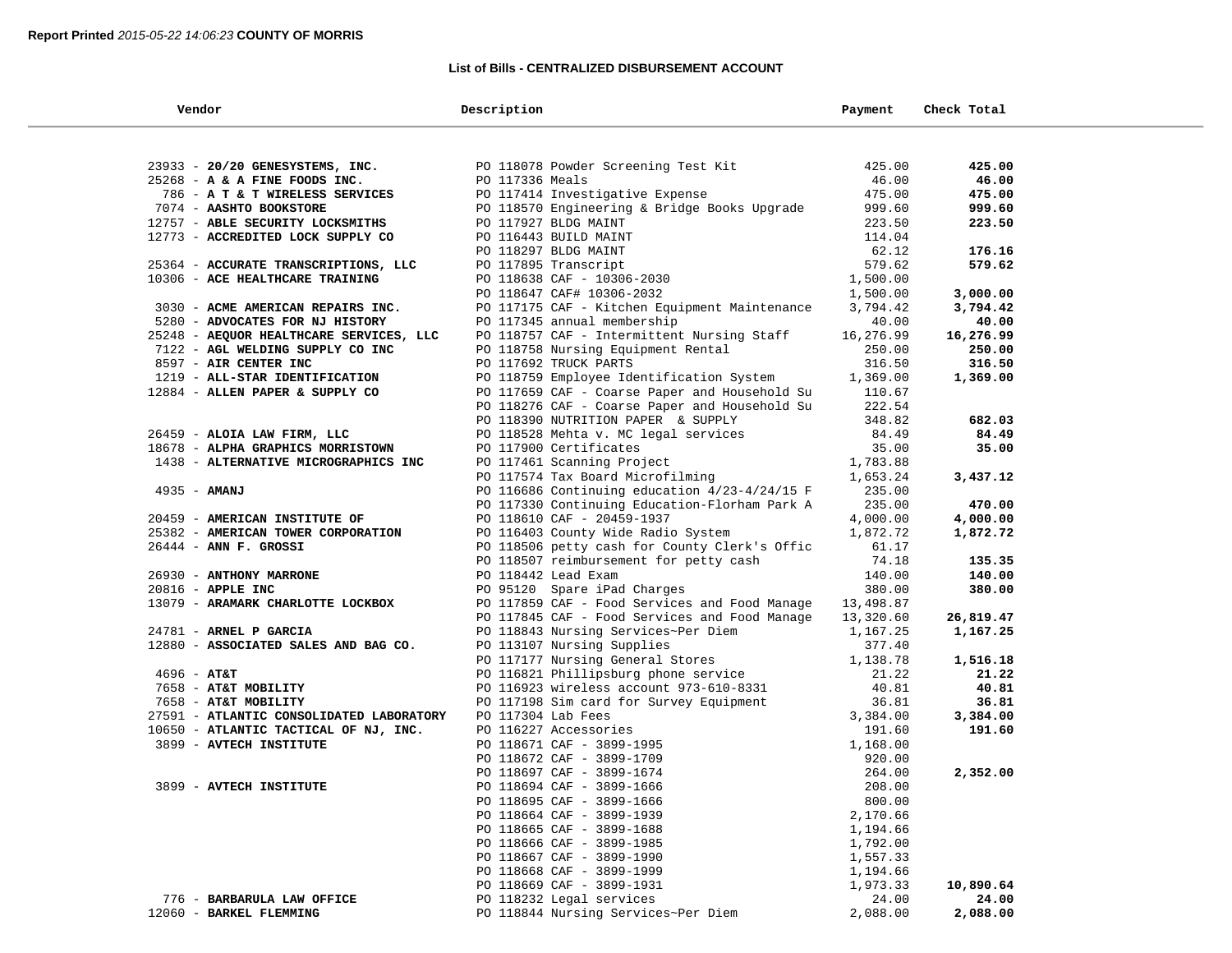$\sim$ 

### **List of Bills - CENTRALIZED DISBURSEMENT ACCOUNT**

| Vendor                                   | Description                                                                                                                                                                           | Payment   | Check Total |  |
|------------------------------------------|---------------------------------------------------------------------------------------------------------------------------------------------------------------------------------------|-----------|-------------|--|
|                                          |                                                                                                                                                                                       |           |             |  |
| 23933 - 20/20 GENESYSTEMS, INC.          | PO 118078 Powder Screening Test Kit (1895)<br>PO 117336 Meals (1896) 2008                                                                                                             |           | 425.00      |  |
| $25268$ - A & A FINE FOODS INC.          | PO 117336 Meals                                                                                                                                                                       | 46.00     | 46.00       |  |
| 786 - A T & T WIRELESS SERVICES          | PO 117414 Investigative Expense                                                                                                                                                       | 475.00    | 475.00      |  |
| 7074 - AASHTO BOOKSTORE                  | PO 118570 Engineering & Bridge Books Upgrade                                                                                                                                          | 999.60    | 999.60      |  |
| 12757 - ABLE SECURITY LOCKSMITHS         |                                                                                                                                                                                       | 223.50    | 223.50      |  |
| 12773 - ACCREDITED LOCK SUPPLY CO        | PO 118570 Engineering were<br>PO 117927 BLDG MAINT<br>PO 116443 BUILD MAINT<br>PO 118297 BLDG MAINT<br>PO 117895 Transcript<br>PO 118638 CAF - 10306-2030<br>- 110647 CAF# 10306-2032 | 114.04    |             |  |
|                                          |                                                                                                                                                                                       | 62.12     | 176.16      |  |
| 25364 - ACCURATE TRANSCRIPTIONS, LLC     |                                                                                                                                                                                       | 579.62    | 579.62      |  |
| 10306 - ACE HEALTHCARE TRAINING          |                                                                                                                                                                                       | 1,500.00  |             |  |
|                                          |                                                                                                                                                                                       | 1,500.00  | 3,000.00    |  |
| 3030 - ACME AMERICAN REPAIRS INC.        | PO 117175 CAF - Kitchen Equipment Maintenance                                                                                                                                         | 3,794.42  | 3,794.42    |  |
| 5280 - ADVOCATES FOR NJ HISTORY          | PO 117345 annual membership                                                                                                                                                           | 40.00     | 40.00       |  |
| 25248 - AEQUOR HEALTHCARE SERVICES, LLC  | PO 118757 CAF - Intermittent Nursing Staff                                                                                                                                            | 16,276.99 | 16,276.99   |  |
| 7122 - AGL WELDING SUPPLY CO INC         | PO 118758 Nursing Equipment Rental                                                                                                                                                    | 250.00    | 250.00      |  |
| 8597 - AIR CENTER INC                    | PO 117692 TRUCK PARTS                                                                                                                                                                 | 316.50    | 316.50      |  |
| 1219 - ALL-STAR IDENTIFICATION           | PO 118759 Employee Identification System                                                                                                                                              | 1,369.00  | 1,369.00    |  |
| 12884 - ALLEN PAPER & SUPPLY CO          | PO 117659 CAF - Coarse Paper and Household Su                                                                                                                                         | 110.67    |             |  |
|                                          | PO 118276 CAF - Coarse Paper and Household Su                                                                                                                                         | 222.54    |             |  |
|                                          | PO 118390 NUTRITION PAPER & SUPPLY                                                                                                                                                    | 348.82    | 682.03      |  |
| 26459 - ALOIA LAW FIRM, LLC              | PO 118528 Mehta v. MC legal services                                                                                                                                                  | 84.49     | 84.49       |  |
| 18678 - ALPHA GRAPHICS MORRISTOWN        | PO 117900 Certificates                                                                                                                                                                | 35.00     | 35.00       |  |
| 1438 - ALTERNATIVE MICROGRAPHICS INC     | PO 117461 Scanning Project                                                                                                                                                            | 1,783.88  |             |  |
|                                          | PO 117574 Tax Board Microfilming                                                                                                                                                      | 1,653.24  | 3,437.12    |  |
| $4935 - AMANJ$                           | PO 116686 Continuing education $4/23-4/24/15$ F                                                                                                                                       | 235.00    |             |  |
|                                          | PO 117330 Continuing Education-Florham Park A                                                                                                                                         | 235.00    | 470.00      |  |
| 20459 - AMERICAN INSTITUTE OF            | PO 118610 CAF - 20459-1937                                                                                                                                                            | 4,000.00  | 4,000.00    |  |
| 25382 - AMERICAN TOWER CORPORATION       | PO 116403 County Wide Radio System                                                                                                                                                    | 1,872.72  | 1,872.72    |  |
| $26444$ - ANN F. GROSSI                  | PO 118506 petty cash for County Clerk's Offic                                                                                                                                         | 61.17     |             |  |
|                                          | PO 118507 reimbursement for petty cash                                                                                                                                                | 74.18     | 135.35      |  |
| 26930 - ANTHONY MARRONE                  | PO 118442 Lead Exam                                                                                                                                                                   | 140.00    | 140.00      |  |
| 20816 - APPLE INC                        | PO 95120 Spare iPad Charges                                                                                                                                                           | 380.00    | 380.00      |  |
| 13079 - ARAMARK CHARLOTTE LOCKBOX        | PO 117859 CAF - Food Services and Food Manage                                                                                                                                         | 13,498.87 |             |  |
|                                          | PO 117845 CAF - Food Services and Food Manage                                                                                                                                         | 13,320.60 | 26,819.47   |  |
| 24781 - ARNEL P GARCIA                   | PO 118843 Nursing Services~Per Diem                                                                                                                                                   | 1,167.25  | 1,167.25    |  |
| 12880 - ASSOCIATED SALES AND BAG CO.     | PO 113107 Nursing Supplies                                                                                                                                                            | 377.40    |             |  |
|                                          | PO 117177 Nursing General Stores                                                                                                                                                      | 1,138.78  | 1,516.18    |  |
| $4696 - AT&T$                            | PO 116821 Phillipsburg phone service                                                                                                                                                  | 21.22     | 21.22       |  |
| 7658 - AT&T MOBILITY                     | PO 116923 wireless account 973-610-8331                                                                                                                                               | 40.81     | 40.81       |  |
| 7658 - AT&T MOBILITY                     | PO 117198 Sim card for Survey Equipment                                                                                                                                               | 36.81     | 36.81       |  |
| 27591 - ATLANTIC CONSOLIDATED LABORATORY | PO 117304 Lab Fees                                                                                                                                                                    | 3,384.00  | 3,384.00    |  |
| 10650 - ATLANTIC TACTICAL OF NJ, INC.    | PO 116227 Accessories                                                                                                                                                                 | 191.60    | 191.60      |  |
| 3899 - AVTECH INSTITUTE                  | PO 118671 CAF - 3899-1995                                                                                                                                                             | 1,168.00  |             |  |
|                                          | PO 118672 CAF - 3899-1709                                                                                                                                                             | 920.00    |             |  |
|                                          | PO 118697 CAF - 3899-1674                                                                                                                                                             | 264.00    | 2,352.00    |  |
| 3899 - AVTECH INSTITUTE                  | PO 118694 CAF - 3899-1666                                                                                                                                                             | 208.00    |             |  |
|                                          | PO 118695 CAF - 3899-1666                                                                                                                                                             | 800.00    |             |  |
|                                          | PO 118664 CAF - 3899-1939                                                                                                                                                             | 2,170.66  |             |  |
|                                          | PO 118665 CAF - 3899-1688                                                                                                                                                             | 1,194.66  |             |  |
|                                          | PO 118666 CAF - 3899-1985                                                                                                                                                             | 1,792.00  |             |  |
|                                          | PO 118667 CAF - 3899-1990                                                                                                                                                             | 1,557.33  |             |  |
|                                          | PO 118668 CAF - 3899-1999                                                                                                                                                             | 1,194.66  |             |  |
|                                          | PO 118669 CAF - 3899-1931                                                                                                                                                             | 1,973.33  | 10,890.64   |  |
| 776 - BARBARULA LAW OFFICE               | PO 118232 Legal services                                                                                                                                                              | 24.00     | 24.00       |  |
| 12060 - BARKEL FLEMMING                  | PO 118844 Nursing Services~Per Diem                                                                                                                                                   | 2,088.00  | 2,088.00    |  |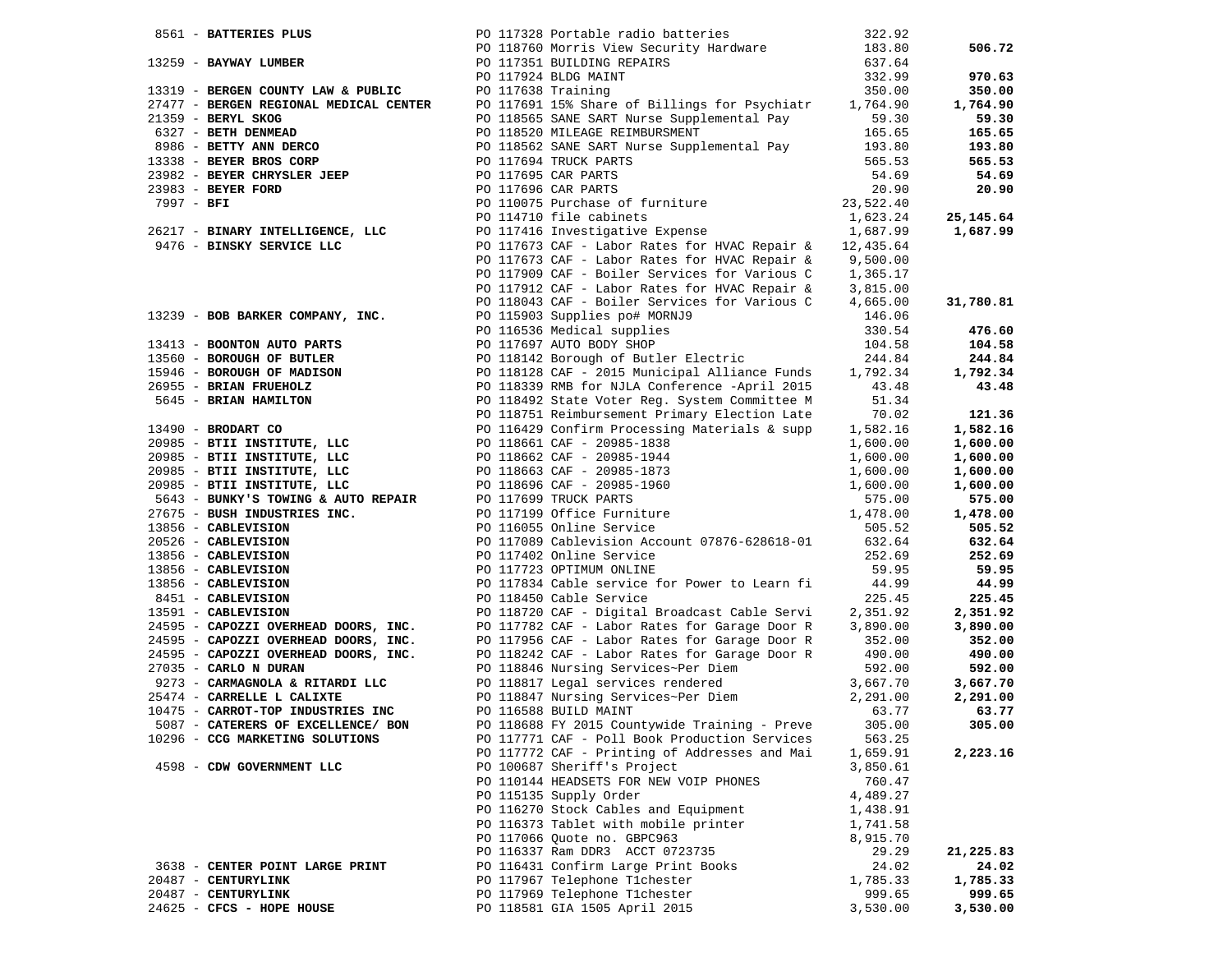|            |                                                                                                                                                                                                                                                                                      |                                      | PO 117328 Portable radio batteries                                                                                               | 322.92   |           |
|------------|--------------------------------------------------------------------------------------------------------------------------------------------------------------------------------------------------------------------------------------------------------------------------------------|--------------------------------------|----------------------------------------------------------------------------------------------------------------------------------|----------|-----------|
|            | 8561 - <b>BATTERIES PLUS</b><br>PO 117328 Portable radio batteries<br>PO 118760 Morris View Security Hardware<br>PO 117351 BUILDING REPAIRS<br>PO 117924 BLDG MAINT                                                                                                                  |                                      |                                                                                                                                  | 183.80   | 506.72    |
|            |                                                                                                                                                                                                                                                                                      |                                      |                                                                                                                                  | 637.64   |           |
|            |                                                                                                                                                                                                                                                                                      |                                      |                                                                                                                                  | 332.99   | 970.63    |
|            |                                                                                                                                                                                                                                                                                      | PO 117638 Training                   |                                                                                                                                  | 350.00   | 350.00    |
|            | 13319 - BERGEN COUNTY LAW & PUBLIC<br>27477 - BERGEN REGIONAL MEDICAL CENTER<br>21359 - BERYL SKOG<br>6327 - BETH DENMEAD<br>8986 - BETTY ANN DERCO<br>13338 - BEYER BROS CORP                                                                                                       |                                      | PO 117691 15% Share of Billings for Psychiatr 1,764.90                                                                           |          | 1,764.90  |
|            |                                                                                                                                                                                                                                                                                      |                                      | PO 118565 SANE SART Nurse Supplemental Pay                                                                                       | 59.30    | 59.30     |
|            |                                                                                                                                                                                                                                                                                      | PO 118520 MILEAGE REIMBURSMENT       |                                                                                                                                  |          |           |
|            |                                                                                                                                                                                                                                                                                      |                                      |                                                                                                                                  | 165.65   | 165.65    |
|            |                                                                                                                                                                                                                                                                                      |                                      | PO 118562 SANE SART Nurse Supplemental Pay 193.80                                                                                |          | 193.80    |
|            | 1998 - Alexander Property 2008<br>1982 - <b>BEYER BROS CORP</b> 1998 PO 117695 CAR PARTS<br>23982 - <b>BEYER CHRYSLER JEEP</b> PO 117696 CAR PARTS                                                                                                                                   |                                      |                                                                                                                                  |          | 565.53    |
|            |                                                                                                                                                                                                                                                                                      |                                      |                                                                                                                                  |          | 54.69     |
|            | 23983 - BEYER FORD                                                                                                                                                                                                                                                                   |                                      |                                                                                                                                  |          | 20.90     |
| 7997 - BFI |                                                                                                                                                                                                                                                                                      |                                      | PO 117694 TRUCK PARTS<br>PO 117695 CAR PARTS<br>PO 117696 CAR PARTS<br>PO 110075 Purchase of furniture<br>23,522.40<br>23,522.40 |          |           |
|            | PO 114710 file cabinets<br>26217 - BINARY INTELLIGENCE, LLC PO 117416 Investigative Expense<br>26217 - The Trustee of the Cabinety of the PO 117416 Investigative Expense<br>26217 - The Trustee of the Cabinety of the Cabinety of the                                              |                                      |                                                                                                                                  |          | 25,145.64 |
|            |                                                                                                                                                                                                                                                                                      |                                      |                                                                                                                                  |          | 1,687.99  |
|            | 9476 - BINSKY SERVICE LLC                                                                                                                                                                                                                                                            |                                      | PO 117673 CAF - Labor Rates for HVAC Repair $\&$ 12,435.64                                                                       |          |           |
|            |                                                                                                                                                                                                                                                                                      |                                      | PO 117673 CAF - Labor Rates for HVAC Repair $\&$ 9,500.00                                                                        |          |           |
|            |                                                                                                                                                                                                                                                                                      |                                      | PO 117909 CAF - Boiler Services for Various C                                                                                    | 1,365.17 |           |
|            |                                                                                                                                                                                                                                                                                      |                                      | PO 117912 CAF - Labor Rates for HVAC Repair $\alpha$ 3,815.00                                                                    |          |           |
|            |                                                                                                                                                                                                                                                                                      |                                      | PO 118043 CAF - Boiler Services for Various C 4,665.00                                                                           |          | 31,780.81 |
|            | 13239 - BOB BARKER COMPANY, INC.                                                                                                                                                                                                                                                     | PO 115903 Supplies po# MORNJ9        |                                                                                                                                  | 146.06   |           |
|            |                                                                                                                                                                                                                                                                                      | PO 116536 Medical supplies           |                                                                                                                                  | 330.54   | 476.60    |
|            | 13413 - BOONTON AUTO PARTS                                                                                                                                                                                                                                                           | PO 117697 AUTO BODY SHOP             |                                                                                                                                  | 104.58   | 104.58    |
|            |                                                                                                                                                                                                                                                                                      |                                      |                                                                                                                                  |          | 244.84    |
|            |                                                                                                                                                                                                                                                                                      |                                      |                                                                                                                                  |          | 1,792.34  |
|            |                                                                                                                                                                                                                                                                                      |                                      |                                                                                                                                  |          | 43.48     |
|            |                                                                                                                                                                                                                                                                                      |                                      |                                                                                                                                  |          |           |
|            |                                                                                                                                                                                                                                                                                      |                                      |                                                                                                                                  |          |           |
|            |                                                                                                                                                                                                                                                                                      |                                      |                                                                                                                                  |          | 121.36    |
|            |                                                                                                                                                                                                                                                                                      |                                      |                                                                                                                                  |          | 1,582.16  |
|            |                                                                                                                                                                                                                                                                                      |                                      |                                                                                                                                  |          | 1,600.00  |
|            |                                                                                                                                                                                                                                                                                      |                                      |                                                                                                                                  |          | 1,600.00  |
|            |                                                                                                                                                                                                                                                                                      |                                      |                                                                                                                                  |          | 1,600.00  |
|            |                                                                                                                                                                                                                                                                                      |                                      |                                                                                                                                  |          | 1,600.00  |
|            |                                                                                                                                                                                                                                                                                      |                                      |                                                                                                                                  |          | 575.00    |
|            |                                                                                                                                                                                                                                                                                      |                                      |                                                                                                                                  |          | 1,478.00  |
|            |                                                                                                                                                                                                                                                                                      |                                      |                                                                                                                                  |          | 505.52    |
|            |                                                                                                                                                                                                                                                                                      |                                      |                                                                                                                                  |          | 632.64    |
|            |                                                                                                                                                                                                                                                                                      |                                      |                                                                                                                                  |          | 252.69    |
|            |                                                                                                                                                                                                                                                                                      |                                      |                                                                                                                                  |          | 59.95     |
|            |                                                                                                                                                                                                                                                                                      |                                      |                                                                                                                                  |          | 44.99     |
|            |                                                                                                                                                                                                                                                                                      |                                      |                                                                                                                                  |          | 225.45    |
|            |                                                                                                                                                                                                                                                                                      |                                      |                                                                                                                                  |          | 2,351.92  |
|            |                                                                                                                                                                                                                                                                                      |                                      |                                                                                                                                  |          | 3,890.00  |
|            |                                                                                                                                                                                                                                                                                      |                                      |                                                                                                                                  |          | 352.00    |
|            |                                                                                                                                                                                                                                                                                      |                                      |                                                                                                                                  |          | 490.00    |
|            |                                                                                                                                                                                                                                                                                      |                                      |                                                                                                                                  |          | 592.00    |
|            | 13413 - <b>BOONTYM INTO BATES</b><br>13460 - <b>BOONY AUTO BATES</b><br>13460 - <b>BOONY AUTO BATES</b><br>13460 - <b>BOROUGH OF MULTER</b><br>15946 - <b>BOROUGH OF MULTER</b><br>13560 - <b>BRIAN FRONTICITY</b><br>1479 - <b>BRIAN FRONT BATES (1994)</b><br>1479 - <b>BOROUG</b> |                                      | PO 118817 Legal services rendered<br>PO 118817 Legal services~Per Diem<br>2,291.00<br>2,291.00<br>2,277                          |          | 3,667.70  |
|            | 25474 - CARRELLE L CALIXTE                                                                                                                                                                                                                                                           |                                      |                                                                                                                                  |          | 2,291.00  |
|            | 10475 - CARROT-TOP INDUSTRIES INC                                                                                                                                                                                                                                                    | PO 116588 BUILD MAINT                |                                                                                                                                  | 63.77    | 63.77     |
|            | 5087 - CATERERS OF EXCELLENCE/ BON                                                                                                                                                                                                                                                   |                                      | PO 118688 FY 2015 Countywide Training - Preve                                                                                    | 305.00   | 305.00    |
|            | 10296 - CCG MARKETING SOLUTIONS                                                                                                                                                                                                                                                      |                                      | PO 117771 CAF - Poll Book Production Services                                                                                    | 563.25   |           |
|            |                                                                                                                                                                                                                                                                                      |                                      | PO 117772 CAF - Printing of Addresses and Mai                                                                                    | 1,659.91 | 2,223.16  |
|            | 4598 - CDW GOVERNMENT LLC                                                                                                                                                                                                                                                            | PO 100687 Sheriff's Project          |                                                                                                                                  | 3,850.61 |           |
|            |                                                                                                                                                                                                                                                                                      |                                      | PO 110144 HEADSETS FOR NEW VOIP PHONES                                                                                           | 760.47   |           |
|            |                                                                                                                                                                                                                                                                                      | PO 115135 Supply Order               |                                                                                                                                  | 4,489.27 |           |
|            |                                                                                                                                                                                                                                                                                      |                                      |                                                                                                                                  |          |           |
|            |                                                                                                                                                                                                                                                                                      | PO 116270 Stock Cables and Equipment |                                                                                                                                  | 1,438.91 |           |
|            |                                                                                                                                                                                                                                                                                      | PO 116373 Tablet with mobile printer |                                                                                                                                  | 1,741.58 |           |
|            |                                                                                                                                                                                                                                                                                      | PO 117066 Quote no. GBPC963          |                                                                                                                                  | 8,915.70 |           |
|            |                                                                                                                                                                                                                                                                                      | PO 116337 Ram DDR3 ACCT 0723735      |                                                                                                                                  | 29.29    | 21,225.83 |
|            | 3638 - CENTER POINT LARGE PRINT                                                                                                                                                                                                                                                      | PO 116431 Confirm Large Print Books  |                                                                                                                                  | 24.02    | 24.02     |
|            | 20487 - CENTURYLINK                                                                                                                                                                                                                                                                  | PO 117967 Telephone T1chester        |                                                                                                                                  | 1,785.33 | 1,785.33  |
|            | 20487 - CENTURYLINK                                                                                                                                                                                                                                                                  | PO 117969 Telephone T1chester        |                                                                                                                                  | 999.65   | 999.65    |
|            | 24625 - CFCS - HOPE HOUSE                                                                                                                                                                                                                                                            | PO 118581 GIA 1505 April 2015        |                                                                                                                                  | 3,530.00 | 3,530.00  |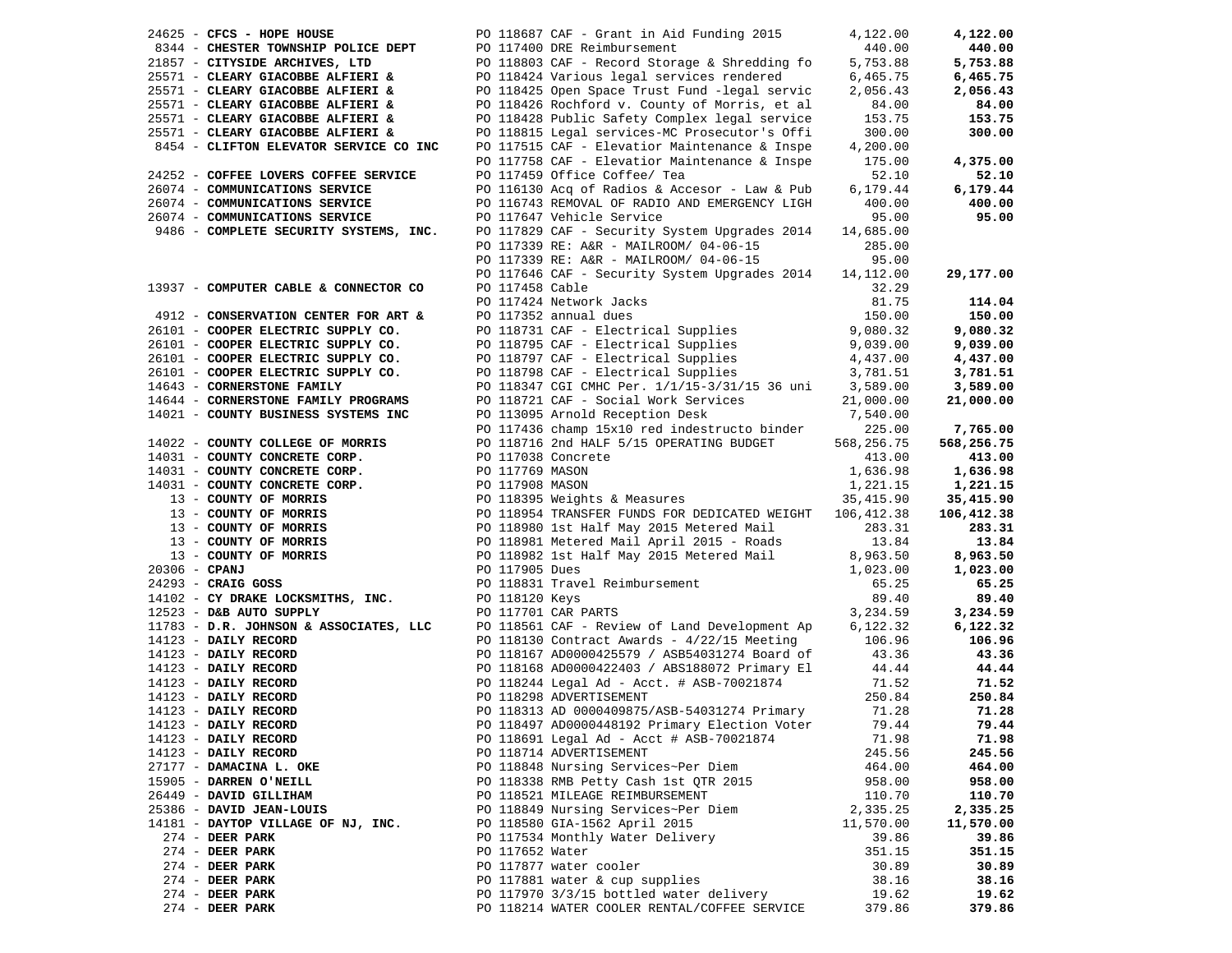| 24625 - CFCS - HOPE HOUSE                                                                                                                                                                    |                 | PO 118687 CAF - Grant in Aid Funding 2015                                                                                                                                                                                                               | 4,122.00           | 4,122.00                  |
|----------------------------------------------------------------------------------------------------------------------------------------------------------------------------------------------|-----------------|---------------------------------------------------------------------------------------------------------------------------------------------------------------------------------------------------------------------------------------------------------|--------------------|---------------------------|
| 8344 - CHESTER TOWNSHIP POLICE DEPT                                                                                                                                                          |                 | PO 117400 DRE Reimbursement                                                                                                                                                                                                                             | 440.00             | 440.00                    |
| 21857 - CITYSIDE ARCHIVES, LTD                                                                                                                                                               |                 | PO 118803 CAF - Record Storage & Shredding fo                                                                                                                                                                                                           | 5,753.88           | 5,753.88                  |
|                                                                                                                                                                                              |                 |                                                                                                                                                                                                                                                         |                    |                           |
| 25571 - CLEARY GIACOBBE ALFIERI &                                                                                                                                                            |                 | PO 118424 Various legal services rendered                                                                                                                                                                                                               | 6,465.75           | 6,465.75                  |
| 25571 - CLEARY GIACOBBE ALFIERI &                                                                                                                                                            |                 | PO 118425 Open Space Trust Fund -legal servic                                                                                                                                                                                                           | 2,056.43           | 2,056.43                  |
| 25571 - CLEARY GIACOBBE ALFIERI &                                                                                                                                                            |                 | PO 118426 Rochford v. County of Morris, et al                                                                                                                                                                                                           | 84.00              | 84.00                     |
| 25571 - CLEARY GIACOBBE ALFIERI &                                                                                                                                                            |                 | PO 118428 Public Safety Complex legal service                                                                                                                                                                                                           | 153.75             | 153.75                    |
| 25571 - CLEARY GIACOBBE ALFIERI &                                                                                                                                                            |                 | PO 118815 Legal services-MC Prosecutor's Offi                                                                                                                                                                                                           | 300.00             | 300.00                    |
| 8454 - CLIFTON ELEVATOR SERVICE CO INC                                                                                                                                                       |                 | PO 117515 CAF - Elevatior Maintenance & Inspe                                                                                                                                                                                                           | 4,200.00           |                           |
|                                                                                                                                                                                              |                 | PO 117758 CAF - Elevatior Maintenance & Inspe                                                                                                                                                                                                           | 175.00             | 4,375.00                  |
| 24252 - COFFEE LOVERS COFFEE SERVICE                                                                                                                                                         |                 | PO 117459 Office Coffee/ Tea                                                                                                                                                                                                                            | 52.10              | 52.10                     |
| 26074 - COMMUNICATIONS SERVICE                                                                                                                                                               |                 | PO 116130 Acq of Radios & Accesor - Law & Pub                                                                                                                                                                                                           | 6,179.44           | 6,179.44                  |
| 26074 - COMMUNICATIONS SERVICE                                                                                                                                                               |                 | PO 116743 REMOVAL OF RADIO AND EMERGENCY LIGH                                                                                                                                                                                                           | 400.00             | 400.00                    |
| 26074 - COMMUNICATIONS SERVICE                                                                                                                                                               |                 |                                                                                                                                                                                                                                                         |                    | 95.00                     |
|                                                                                                                                                                                              |                 | PO 117647 Vehicle Service                                                                                                                                                                                                                               | 95.00              |                           |
| 9486 - COMPLETE SECURITY SYSTEMS, INC.                                                                                                                                                       |                 | PO 117829 CAF - Security System Upgrades 2014                                                                                                                                                                                                           | 14,685.00          |                           |
|                                                                                                                                                                                              |                 | PO 117339 RE: A&R - MAILROOM/ 04-06-15                                                                                                                                                                                                                  | 285.00             |                           |
|                                                                                                                                                                                              |                 | PO 117339 RE: A&R - MAILROOM/ 04-06-15                                                                                                                                                                                                                  | 95.00              |                           |
|                                                                                                                                                                                              |                 | PO 117646 CAF - Security System Upgrades 2014                                                                                                                                                                                                           | 14,112.00          | 29,177.00                 |
| 13937 - COMPUTER CABLE & CONNECTOR CO                                                                                                                                                        | PO 117458 Cable |                                                                                                                                                                                                                                                         | 32.29              |                           |
|                                                                                                                                                                                              |                 | PO 117424 Network Jacks                                                                                                                                                                                                                                 | 81.75              | 114.04                    |
|                                                                                                                                                                                              |                 | PO 117352 annual dues                                                                                                                                                                                                                                   | 150.00             | 150.00                    |
| 4912 - CONSERVATION CENTER FOR ART & $26101$ - COOPER ELECTRIC SUPPLY CO.                                                                                                                    |                 | PO 118731 CAF - Electrical Supplies 9,080.32                                                                                                                                                                                                            |                    | 9,080.32                  |
|                                                                                                                                                                                              |                 | PO 118795 CAF - Electrical Supplies<br>PO 118797 CAF - Electrical Supplies<br>PO 118798 CAF - Electrical Supplies<br>3,781.51                                                                                                                           |                    | 9,039.00                  |
| 26101 - COOPER ELECTRIC SUPPLY CO.<br>26101 - COOPER ELECTRIC SUPPLY CO.                                                                                                                     |                 |                                                                                                                                                                                                                                                         |                    | 4,437.00                  |
| 26101 - COOPER ELECTRIC SUPPLY CO.                                                                                                                                                           |                 |                                                                                                                                                                                                                                                         |                    | 3,781.51                  |
| 14643 - CORNERSTONE FAMILY                                                                                                                                                                   |                 | PO 118347 CGI CMHC Per. 1/1/15-3/31/15 36 uni 3,589.00                                                                                                                                                                                                  |                    | 3,589.00                  |
| 14644 - CORNERSTONE FAMILY PROGRAMS                                                                                                                                                          |                 |                                                                                                                                                                                                                                                         |                    | 21,000.00                 |
| 14021 - COUNTY BUSINESS SYSTEMS INC                                                                                                                                                          |                 | PO 118721 CAF - Social Work Services 21,000.00<br>PO 113095 Arnold Reception Desk 7,540.00                                                                                                                                                              |                    |                           |
|                                                                                                                                                                                              |                 |                                                                                                                                                                                                                                                         |                    | 7,765.00                  |
|                                                                                                                                                                                              |                 | PO 117436 champ 15x10 red indestructo binder 225.00<br>PO 118716 2nd HALF 5/15 OPERATING BUDGET 568,256.75                                                                                                                                              |                    |                           |
| 14022 - COUNTY COLLEGE OF MORRIS                                                                                                                                                             |                 |                                                                                                                                                                                                                                                         |                    | 568,256.75                |
| 14031 - COUNTY CONCRETE CORP.                                                                                                                                                                |                 | PO 117038 Concrete                                                                                                                                                                                                                                      | 413.00             | 413.00                    |
| 14031 - COUNTY CONCRETE CORP.                                                                                                                                                                | PO 117769 MASON |                                                                                                                                                                                                                                                         | 1,636.98           | 1,636.98                  |
|                                                                                                                                                                                              |                 |                                                                                                                                                                                                                                                         |                    | 1,221.15                  |
|                                                                                                                                                                                              |                 |                                                                                                                                                                                                                                                         |                    | 35,415.90                 |
|                                                                                                                                                                                              |                 | 1,636.98<br>14031 - COUNTY CONCRETE CORP.<br>1,836.98<br>1,836.98<br>1,836.98<br>1,836.98<br>1,836.98<br>20117908 MASON<br>PO 118989 Meights & Measures<br>PO 118989 Meights & Measures<br>PO 118989 1st Half May 2015 Metered Mail<br>2015 - Roads<br> |                    | 106,412.38                |
|                                                                                                                                                                                              |                 |                                                                                                                                                                                                                                                         |                    | 283.31                    |
|                                                                                                                                                                                              |                 |                                                                                                                                                                                                                                                         |                    | 13.84                     |
|                                                                                                                                                                                              |                 |                                                                                                                                                                                                                                                         |                    | 8,963.50                  |
|                                                                                                                                                                                              |                 |                                                                                                                                                                                                                                                         |                    | 1,023.00                  |
|                                                                                                                                                                                              |                 |                                                                                                                                                                                                                                                         |                    | 65.25                     |
| $14102 - CY$ DRAKE LOCKSMITHS, INC.                                                                                                                                                          | PO 118120 Keys  |                                                                                                                                                                                                                                                         | 89.40              | 89.40                     |
| $12523$ - D&B AUTO SUPPLY                                                                                                                                                                    |                 | PO 117701 CAR PARTS                                                                                                                                                                                                                                     | 3,234.59           | 3,234.59                  |
| 11783 - D.R. JOHNSON & ASSOCIATES, LLC                                                                                                                                                       |                 | PO 118561 CAF - Review of Land Development Ap                                                                                                                                                                                                           | 6,122.32           | 6,122.32                  |
| 14123 - DAILY RECORD<br>14123 - DAILY RECORD<br>14123 - DAILY RECORD<br>14123 - DAILY RECORD<br>14123 - DAILY RECORD<br>14123 - DAILY RECORD<br>14123 - DAILY RECORD<br>14123 - DAILY RECORD |                 | PO 118130 Contract Awards - $4/22/15$ Meeting 106.96                                                                                                                                                                                                    |                    | 106.96                    |
|                                                                                                                                                                                              |                 | PO 118167 AD0000425579 / ASB54031274 Board of                                                                                                                                                                                                           |                    | 43.36                     |
|                                                                                                                                                                                              |                 | PO 118168 AD0000422403 / ABS188072 Primary El                                                                                                                                                                                                           | $43.36$<br>$44.44$ | 44.44                     |
|                                                                                                                                                                                              |                 | PO 118244 Legal Ad - Acct. # ASB-70021874                                                                                                                                                                                                               | 71.52              |                           |
|                                                                                                                                                                                              |                 |                                                                                                                                                                                                                                                         | 250.84             | 71.52<br>250.84<br>250.84 |
|                                                                                                                                                                                              |                 | PO 118298 ADVERTISEMENT                                                                                                                                                                                                                                 |                    |                           |
|                                                                                                                                                                                              |                 | PO 118313 AD 0000409875/ASB-54031274 Primary                                                                                                                                                                                                            | 71.28              | 71.28                     |
| 14123 - DAILY RECORD                                                                                                                                                                         |                 | PO 118497 AD0000448192 Primary Election Voter                                                                                                                                                                                                           | 79.44              | 79.44                     |
| 14123 - DAILY RECORD                                                                                                                                                                         |                 | PO 118691 Legal Ad - Acct # ASB-70021874                                                                                                                                                                                                                | 71.98              | 71.98                     |
| 14123 - DAILY RECORD                                                                                                                                                                         |                 | PO 118714 ADVERTISEMENT                                                                                                                                                                                                                                 | 245.56             | 245.56                    |
| 27177 - DAMACINA L. OKE                                                                                                                                                                      |                 | PO 118848 Nursing Services~Per Diem                                                                                                                                                                                                                     | 464.00             | 464.00                    |
| 15905 - DARREN O'NEILL                                                                                                                                                                       |                 | PO 118338 RMB Petty Cash 1st QTR 2015                                                                                                                                                                                                                   | 958.00             | 958.00                    |
| 26449 - DAVID GILLIHAM                                                                                                                                                                       |                 | PO 118521 MILEAGE REIMBURSEMENT                                                                                                                                                                                                                         | 110.70             | 110.70                    |
| 25386 - DAVID JEAN-LOUIS                                                                                                                                                                     |                 | PO 118849 Nursing Services~Per Diem                                                                                                                                                                                                                     | 2,335.25           | 2,335.25                  |
| 14181 - DAYTOP VILLAGE OF NJ, INC.                                                                                                                                                           |                 | PO 118580 GIA-1562 April 2015                                                                                                                                                                                                                           | 11,570.00          | 11,570.00                 |
| $274$ - DEER PARK                                                                                                                                                                            |                 | PO 117534 Monthly Water Delivery                                                                                                                                                                                                                        | 39.86              | 39.86                     |
| $274$ - DEER PARK                                                                                                                                                                            | PO 117652 Water |                                                                                                                                                                                                                                                         | 351.15             | 351.15                    |
| 274 - DEER PARK                                                                                                                                                                              |                 | PO 117877 water cooler                                                                                                                                                                                                                                  | 30.89              | 30.89                     |
| $274$ - DEER PARK                                                                                                                                                                            |                 | PO 117881 water & cup supplies                                                                                                                                                                                                                          | 38.16              | 38.16                     |
| $274$ - DEER PARK                                                                                                                                                                            |                 | PO 117970 3/3/15 bottled water delivery                                                                                                                                                                                                                 | 19.62              | 19.62                     |
| 274 - DEER PARK                                                                                                                                                                              |                 | PO 118214 WATER COOLER RENTAL/COFFEE SERVICE                                                                                                                                                                                                            | 379.86             | 379.86                    |
|                                                                                                                                                                                              |                 |                                                                                                                                                                                                                                                         |                    |                           |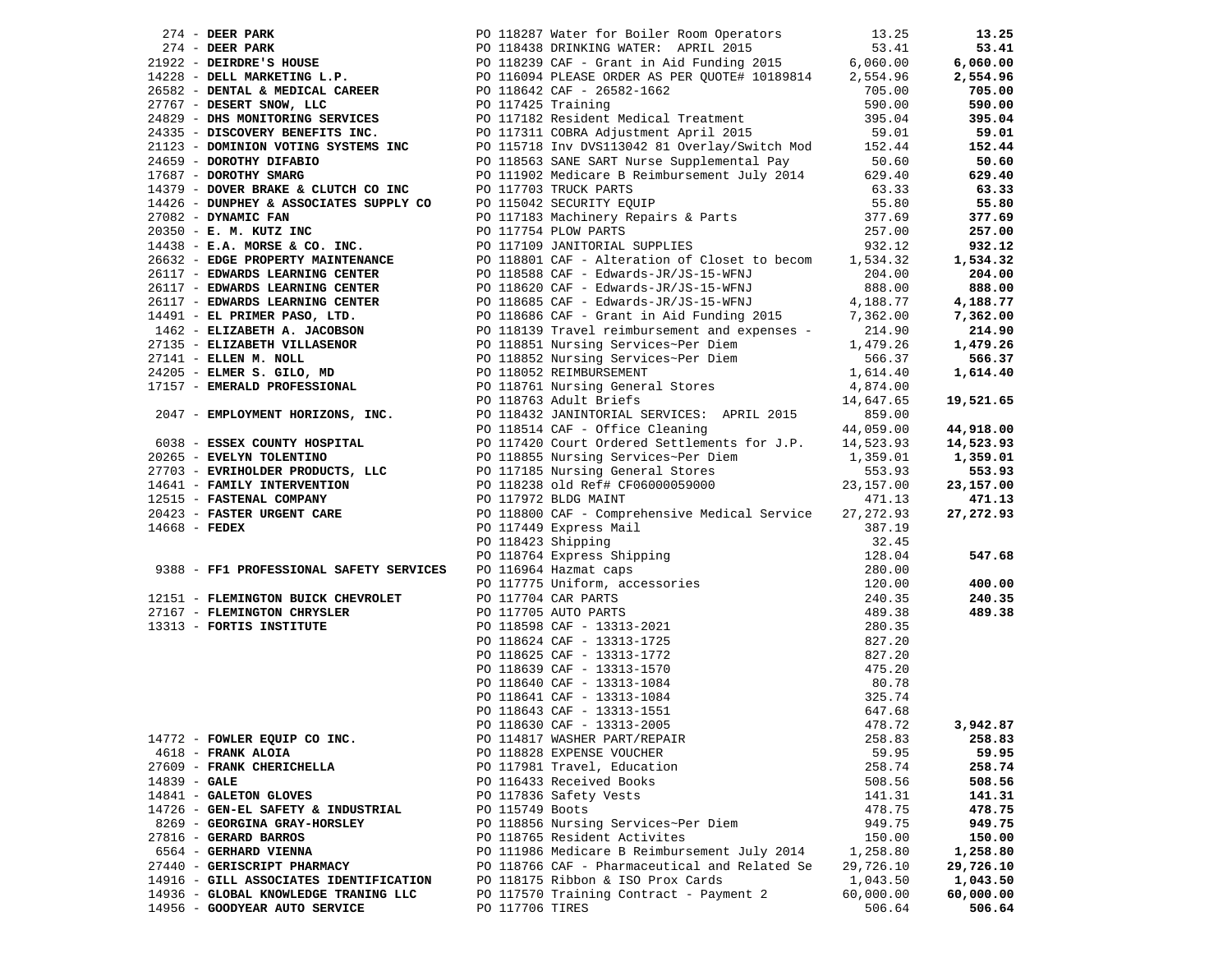|                 |                                                                   |                 |                                                                                                                                                                                                                                              |                | 13.25     |
|-----------------|-------------------------------------------------------------------|-----------------|----------------------------------------------------------------------------------------------------------------------------------------------------------------------------------------------------------------------------------------------|----------------|-----------|
|                 |                                                                   |                 |                                                                                                                                                                                                                                              |                | 53.41     |
|                 |                                                                   |                 |                                                                                                                                                                                                                                              |                | 6,060.00  |
|                 |                                                                   |                 |                                                                                                                                                                                                                                              |                |           |
|                 |                                                                   |                 |                                                                                                                                                                                                                                              |                | 2,554.96  |
|                 |                                                                   |                 |                                                                                                                                                                                                                                              |                | 705.00    |
|                 |                                                                   |                 | 274 - DEER PARK PO 118287 Water for Boiler Room Operators 13.25<br>2922 - DEIRDRE'S HOUSE<br>2922 - DEIRDRE'S HOUSE<br>2928 - DEIRDRE'S HOUSE<br>2928 - DEIRDRE'S HOUSE<br>2928 - DEIRDREYS TOUSE<br>2928 - DEIRDREYS TRING L.P.<br>2928 -   |                | 590.00    |
|                 |                                                                   |                 |                                                                                                                                                                                                                                              |                | 395.04    |
|                 |                                                                   |                 |                                                                                                                                                                                                                                              |                | 59.01     |
|                 |                                                                   |                 |                                                                                                                                                                                                                                              |                | 152.44    |
|                 |                                                                   |                 |                                                                                                                                                                                                                                              |                |           |
|                 |                                                                   |                 |                                                                                                                                                                                                                                              |                | 50.60     |
|                 |                                                                   |                 |                                                                                                                                                                                                                                              |                | 629.40    |
|                 | 14379 - DOVER BRAKE & CLUTCH CO INC                               |                 | PO 117703 TRUCK PARTS                                                                                                                                                                                                                        | 63.33<br>55.80 | 63.33     |
|                 | 14426 - DUNPHEY & ASSOCIATES SUPPLY CO<br>27082 - DYNAMIC FAN     |                 | PO 117783 INDER THILE<br>PO 115042 SECURITY EQUIP<br>PO 117183 Machinery Repairs & Parts<br>377.69                                                                                                                                           |                | 55.80     |
|                 |                                                                   |                 |                                                                                                                                                                                                                                              |                | 377.69    |
|                 | 20350 - E. M. KUTZ INC                                            |                 |                                                                                                                                                                                                                                              | 257.00         | 257.00    |
|                 | 14438 - E.A. MORSE & CO. INC.                                     |                 | PO 117754 PLOW PARTS<br>PO 117109 JANITORIAL SUPPLIES                                                                                                                                                                                        | 932.12         | 932.12    |
|                 |                                                                   |                 |                                                                                                                                                                                                                                              |                |           |
|                 |                                                                   |                 |                                                                                                                                                                                                                                              |                | 1,534.32  |
|                 |                                                                   |                 |                                                                                                                                                                                                                                              |                | 204.00    |
|                 |                                                                   |                 |                                                                                                                                                                                                                                              |                | 888.00    |
|                 |                                                                   |                 |                                                                                                                                                                                                                                              |                | 4,188.77  |
|                 |                                                                   |                 |                                                                                                                                                                                                                                              |                | 7,362.00  |
|                 |                                                                   |                 |                                                                                                                                                                                                                                              |                | 214.90    |
|                 |                                                                   |                 |                                                                                                                                                                                                                                              |                |           |
|                 |                                                                   |                 |                                                                                                                                                                                                                                              |                | 1,479.26  |
|                 |                                                                   |                 |                                                                                                                                                                                                                                              |                | 566.37    |
|                 |                                                                   |                 |                                                                                                                                                                                                                                              |                | 1,614.40  |
|                 |                                                                   |                 |                                                                                                                                                                                                                                              |                |           |
|                 |                                                                   |                 |                                                                                                                                                                                                                                              |                | 19,521.65 |
|                 |                                                                   |                 | $2047$ - EMPLOYMENT HORIZONS, INC.<br>$2047$ - EMPLOYMENT HORIZONS, INC.<br>$PQ$ 118432 JANINTORIAL SERVICES: APRIL 2015                                                                                                                     | 859.00         |           |
|                 |                                                                   |                 |                                                                                                                                                                                                                                              | 44,059.00      |           |
|                 |                                                                   |                 | PO 118514 CAF - Office Cleaning                                                                                                                                                                                                              |                | 44,918.00 |
|                 | 6038 - ESSEX COUNTY HOSPITAL                                      |                 | PO 117420 Court Ordered Settlements for J.P. 14,523.93                                                                                                                                                                                       |                | 14,523.93 |
|                 |                                                                   |                 | PO 118855 Nursing Services~Per Diem<br>DO 117195 Nursing Conomal Stores                                                                                                                                                                      | 1,359.01       | 1,359.01  |
|                 |                                                                   |                 |                                                                                                                                                                                                                                              | 553.93         | 553.93    |
|                 | 14641 - FAMILY INTERVENTION                                       |                 | PO 118238 old Ref# CF06000059000<br>DO 117973 BLDG MAINT                                                                                                                                                                                     | 23,157.00      | 23,157.00 |
|                 | 12515 - FASTENAL COMPANY                                          |                 | PO 117972 BLDG MAINT                                                                                                                                                                                                                         | 471.13         | 471.13    |
|                 | 20423 - FASTER URGENT CARE                                        |                 | PO 118800 CAF - Comprehensive Medical Service 27,272.93                                                                                                                                                                                      |                | 27,272.93 |
|                 |                                                                   |                 |                                                                                                                                                                                                                                              |                |           |
| $14668$ - FEDEX |                                                                   |                 |                                                                                                                                                                                                                                              | 387.19         |           |
|                 |                                                                   |                 |                                                                                                                                                                                                                                              | 32.45          |           |
|                 |                                                                   |                 | PO 118800 CAF - Comprehensive Medical Service<br>PO 117449 Express Mail<br>PO 118764 Express Shipping<br>PO 118764 Express Shipping<br>PO 116964 Hazmat caps<br>PO 117775 Uniform, accessories<br>PO 117705 AUTO PARTS<br>PO 117705 AUTO PAR | 128.04         | 547.68    |
|                 | 9388 - FF1 PROFESSIONAL SAFETY SERVICES                           |                 |                                                                                                                                                                                                                                              | 280.00         |           |
|                 |                                                                   |                 |                                                                                                                                                                                                                                              | 120.00         | 400.00    |
|                 |                                                                   |                 |                                                                                                                                                                                                                                              | 240.35         | 240.35    |
|                 | 12151 - FLEMINGTON BUICK CHEVROLET<br>27167 - FLEMINGTON CHRYSLER |                 |                                                                                                                                                                                                                                              | 489.38         | 489.38    |
|                 |                                                                   |                 |                                                                                                                                                                                                                                              |                |           |
|                 | 13313 - FORTIS INSTITUTE                                          |                 |                                                                                                                                                                                                                                              | 280.35         |           |
|                 |                                                                   |                 |                                                                                                                                                                                                                                              | 827.20         |           |
|                 |                                                                   |                 |                                                                                                                                                                                                                                              | 827.20         |           |
|                 |                                                                   |                 |                                                                                                                                                                                                                                              | 475.20         |           |
|                 |                                                                   |                 |                                                                                                                                                                                                                                              | 80.78          |           |
|                 |                                                                   |                 |                                                                                                                                                                                                                                              | 325.74         |           |
|                 |                                                                   |                 |                                                                                                                                                                                                                                              | 647.68         |           |
|                 |                                                                   |                 |                                                                                                                                                                                                                                              |                |           |
|                 |                                                                   |                 | PO 118630 CAF - 13313-2005                                                                                                                                                                                                                   | 478.72         | 3,942.87  |
|                 | 14772 - FOWLER EQUIP CO INC.                                      |                 | PO 114817 WASHER PART/REPAIR                                                                                                                                                                                                                 | 258.83         | 258.83    |
|                 | 4618 - FRANK ALOIA                                                |                 | PO 118828 EXPENSE VOUCHER                                                                                                                                                                                                                    | 59.95          | 59.95     |
|                 | 27609 - FRANK CHERICHELLA                                         |                 | PO 117981 Travel, Education                                                                                                                                                                                                                  | 258.74         | 258.74    |
| $14839 - GALE$  |                                                                   |                 | PO 116433 Received Books                                                                                                                                                                                                                     | 508.56         | 508.56    |
|                 | 14841 - GALETON GLOVES                                            |                 | PO 117836 Safety Vests                                                                                                                                                                                                                       | 141.31         | 141.31    |
|                 |                                                                   |                 |                                                                                                                                                                                                                                              |                |           |
|                 | 14726 - GEN-EL SAFETY & INDUSTRIAL                                | PO 115749 Boots |                                                                                                                                                                                                                                              | 478.75         | 478.75    |
|                 | 8269 - GEORGINA GRAY-HORSLEY                                      |                 | PO 118856 Nursing Services~Per Diem                                                                                                                                                                                                          | 949.75         | 949.75    |
|                 | 27816 - GERARD BARROS                                             |                 | PO 118765 Resident Activites                                                                                                                                                                                                                 | 150.00         | 150.00    |
|                 | 6564 - GERHARD VIENNA                                             |                 | PO 111986 Medicare B Reimbursement July 2014                                                                                                                                                                                                 | 1,258.80       | 1,258.80  |
|                 | 27440 - GERISCRIPT PHARMACY                                       |                 | PO 118766 CAF - Pharmaceutical and Related Se                                                                                                                                                                                                | 29,726.10      | 29,726.10 |
|                 | 14916 - GILL ASSOCIATES IDENTIFICATION                            |                 | PO 118175 Ribbon & ISO Prox Cards                                                                                                                                                                                                            | 1,043.50       | 1,043.50  |
|                 |                                                                   |                 | PO 117570 Training Contract - Payment 2                                                                                                                                                                                                      |                |           |
|                 | 14936 - GLOBAL KNOWLEDGE TRANING LLC                              |                 |                                                                                                                                                                                                                                              | 60,000.00      | 60,000.00 |
|                 | 14956 - GOODYEAR AUTO SERVICE                                     | PO 117706 TIRES |                                                                                                                                                                                                                                              | 506.64         | 506.64    |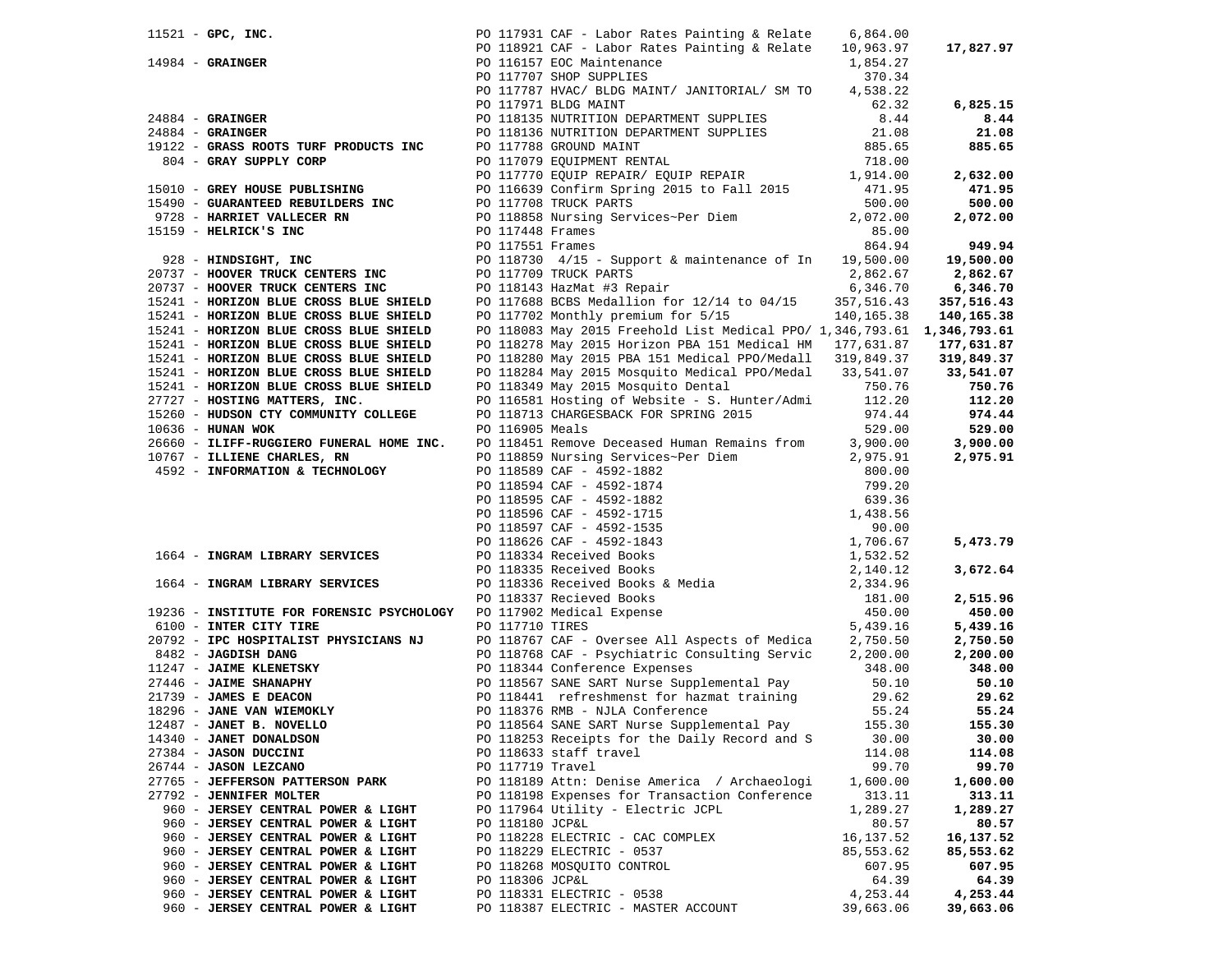|                                                                                                    |                  | PO 117931 CAF - Labor Rates Painting & Relate                                                                                                                                                                                            | 6,864.00        |            |
|----------------------------------------------------------------------------------------------------|------------------|------------------------------------------------------------------------------------------------------------------------------------------------------------------------------------------------------------------------------------------|-----------------|------------|
| 11521 - GPC, INC.<br>14984 - GRAINGER                                                              |                  | PO 118921 CAF - Labor Rates Painting & Relate 10,963.97                                                                                                                                                                                  |                 | 17,827.97  |
|                                                                                                    |                  | PO 116157 EOC Maintenance                                                                                                                                                                                                                | 1,854.27        |            |
|                                                                                                    |                  | PO 117707 SHOP SUPPLIES                                                                                                                                                                                                                  | 370.34          |            |
|                                                                                                    |                  | PO 117787 HVAC/ BLDG MAINT/ JANITORIAL/ SM TO                                                                                                                                                                                            | 4,538.22        |            |
|                                                                                                    |                  | PO 117971 BLDG MAINT                                                                                                                                                                                                                     | 62.32           | 6,825.15   |
| $24884$ - GRAINGER                                                                                 |                  | PO 118135 NUTRITION DEPARTMENT SUPPLIES                                                                                                                                                                                                  | 8.44            | 8.44       |
|                                                                                                    |                  |                                                                                                                                                                                                                                          |                 | 21.08      |
| $24884$ - GRAINGER                                                                                 |                  |                                                                                                                                                                                                                                          | 21.08<br>885.65 |            |
| 19122 - GRASS ROOTS TURF PRODUCTS INC                                                              |                  | PO 118136 NUTRITION DEPARTMENT SUPPLIES<br>PO 117788 GROUND MAINT<br>PO 117079 EQUIPMENT RENTAL                                                                                                                                          |                 | 885.65     |
| 804 - GRAY SUPPLY CORP                                                                             |                  | PO 117770 EQUIP REPAIR/ EQUIP REPAIR 1,914.00                                                                                                                                                                                            | 718.00          |            |
|                                                                                                    |                  |                                                                                                                                                                                                                                          |                 | 2,632.00   |
| 15010 - GREY HOUSE PUBLISHING                                                                      |                  | PO 116639 Confirm Spring 2015 to Fall 2015                                                                                                                                                                                               | 471.95          | 471.95     |
| 15490 - GUARANTEED REBUILDERS INC                                                                  |                  | PO 117708 TRUCK PARTS                                                                                                                                                                                                                    | 500.00          | 500.00     |
| 9728 - HARRIET VALLECER RN                                                                         |                  | PO 118858 Nursing Services~Per Diem                                                                                                                                                                                                      | 2,072.00        | 2,072.00   |
| 15159 - HELRICK'S INC                                                                              | PO 117448 Frames |                                                                                                                                                                                                                                          | 85.00           |            |
|                                                                                                    | PO 117551 Frames |                                                                                                                                                                                                                                          | 864.94          | 949.94     |
| 928 - HINDSIGHT, INC                                                                               |                  | PO 118730 $4/15$ - Support & maintenance of In 19,500.00                                                                                                                                                                                 |                 | 19,500.00  |
| 20737 - HOOVER TRUCK CENTERS INC                                                                   |                  | PO 117709 TRUCK PARTS                                                                                                                                                                                                                    | 2,862.67        | 2,862.67   |
| 20737 - HOOVER TRUCK CENTERS INC                                                                   |                  | PO 118143 HazMat #3 Repair                                                                                                                                                                                                               | 6,346.70        | 6,346.70   |
| 15241 - HORIZON BLUE CROSS BLUE SHIELD                                                             |                  | PO 117688 BCBS Medallion for 12/14 to 04/15                                                                                                                                                                                              | 357,516.43      | 357,516.43 |
| 15241 - HORIZON BLUE CROSS BLUE SHIELD                                                             |                  | PO 117702 Monthly premium for 5/15                                                                                                                                                                                                       | 140,165.38      | 140,165.38 |
| 15241 - HORIZON BLUE CROSS BLUE SHIELD                                                             |                  | PO 118083 May 2015 Freehold List Medical PPO/ 1,346,793.61 1,346,793.61                                                                                                                                                                  |                 |            |
| 15241 - HORIZON BLUE CROSS BLUE SHIELD                                                             |                  | PO 118278 May 2015 Horizon PBA 151 Medical HM 177,631.87                                                                                                                                                                                 |                 | 177,631.87 |
| 15241 - HORIZON BLUE CROSS BLUE SHIELD                                                             |                  | PO 118280 May 2015 PBA 151 Medical PPO/Medall 319,849.37                                                                                                                                                                                 |                 | 319,849.37 |
|                                                                                                    |                  |                                                                                                                                                                                                                                          |                 |            |
| 15241 - HORIZON BLUE CROSS BLUE SHIELD                                                             |                  | PO 118284 May 2015 Mosquito Medical PPO/Medal 33,541.07                                                                                                                                                                                  |                 | 33,541.07  |
| 15241 - HORIZON BLUE CROSS BLUE SHIELD                                                             |                  | PO 118349 May 2015 Mosquito Dental<br>PO 116581 Hosting of Website - S. Hunter/Admi                                                                                                                                                      | 750.76          | 750.76     |
| 27727 - HOSTING MATTERS, INC.                                                                      |                  |                                                                                                                                                                                                                                          | 112.20          | 112.20     |
| 15260 - HUDSON CTY COMMUNITY COLLEGE                                                               |                  | PO 118713 CHARGESBACK FOR SPRING 2015                                                                                                                                                                                                    | 974.44          | 974.44     |
| 10636 - HUNAN WOK                                                                                  | PO 116905 Meals  |                                                                                                                                                                                                                                          | 529.00          | 529.00     |
| 26660 - ILIFF-RUGGIERO FUNERAL HOME INC.                                                           |                  | PO 118451 Remove Deceased Human Remains from 3,900.00                                                                                                                                                                                    |                 | 3,900.00   |
| 10767 - ILLIENE CHARLES, RN                                                                        |                  |                                                                                                                                                                                                                                          |                 | 2,975.91   |
| 4592 - INFORMATION & TECHNOLOGY                                                                    |                  |                                                                                                                                                                                                                                          |                 |            |
|                                                                                                    |                  |                                                                                                                                                                                                                                          |                 |            |
|                                                                                                    |                  |                                                                                                                                                                                                                                          |                 |            |
|                                                                                                    |                  |                                                                                                                                                                                                                                          |                 |            |
|                                                                                                    |                  |                                                                                                                                                                                                                                          |                 |            |
|                                                                                                    |                  |                                                                                                                                                                                                                                          |                 | 5,473.79   |
| 1664 - INGRAM LIBRARY SERVICES                                                                     |                  |                                                                                                                                                                                                                                          |                 |            |
|                                                                                                    |                  |                                                                                                                                                                                                                                          |                 | 3,672.64   |
| 1664 - INGRAM LIBRARY SERVICES                                                                     |                  |                                                                                                                                                                                                                                          |                 |            |
|                                                                                                    |                  |                                                                                                                                                                                                                                          |                 | 2,515.96   |
| 19236 - INSTITUTE FOR FORENSIC PSYCHOLOGY                                                          |                  | PO 118451 Remove Deceased Human Remains from 3,900.00<br>PO 118559 Nursing Services~Per Diem 2,975.91<br>PO 11859 CAF - 4592-1842 800.00<br>PO 118594 CAF - 4592-1842 799.20<br>PO 118595 CAF - 4592-1842 799.20<br>PO 118595 CAF - 4592 |                 | 450.00     |
|                                                                                                    |                  |                                                                                                                                                                                                                                          |                 |            |
| 6100 - INTER CITY TIRE<br>20792 - IPC HOSPITALIST PHYSICIANS NJ                                    |                  | PO 118767 CAF - Oversee All Aspects of Medica                                                                                                                                                                                            | 2,750.50        | 5,439.16   |
|                                                                                                    |                  |                                                                                                                                                                                                                                          |                 | 2,750.50   |
| 8482 - JAGDISH DANG                                                                                |                  | PO 118768 CAF - Psychiatric Consulting Servic                                                                                                                                                                                            | 2,200.00        | 2,200.00   |
| 11247 - JAIME KLENETSKY                                                                            |                  | PO 118344 Conference Expenses                                                                                                                                                                                                            | 348.00          | 348.00     |
| 27446 - <b>JAIME SHANAPHY</b><br>21739 - <b>JAMES E DEACON</b><br>18296 - <b>JANE VAN WIEMOKLY</b> |                  | PO 118567 SANE SART Nurse Supplemental Pay                                                                                                                                                                                               | 50.10           | 50.10      |
|                                                                                                    |                  | PO 118441 refreshmenst for hazmat training                                                                                                                                                                                               | 29.62           | 29.62      |
|                                                                                                    |                  | PO 118376 RMB - NJLA Conference                                                                                                                                                                                                          | 55.24           | 55.24      |
| 12487 - JANET B. NOVELLO                                                                           |                  | PO 118564 SANE SART Nurse Supplemental Pay                                                                                                                                                                                               | 155.30          | 155.30     |
| 14340 - JANET DONALDSON                                                                            |                  | PO 118253 Receipts for the Daily Record and S                                                                                                                                                                                            | 30.00           | 30.00      |
| 27384 - JASON DUCCINI                                                                              |                  | PO 118633 staff travel                                                                                                                                                                                                                   | 114.08          | 114.08     |
| 26744 - JASON LEZCANO                                                                              | PO 117719 Travel |                                                                                                                                                                                                                                          | 99.70           | 99.70      |
| 27765 - JEFFERSON PATTERSON PARK                                                                   |                  | PO 118189 Attn: Denise America / Archaeologi                                                                                                                                                                                             | 1,600.00        | 1,600.00   |
| 27792 - JENNIFER MOLTER                                                                            |                  | PO 118198 Expenses for Transaction Conference                                                                                                                                                                                            | 313.11          | 313.11     |
| 960 - JERSEY CENTRAL POWER & LIGHT                                                                 |                  | PO 117964 Utility - Electric JCPL                                                                                                                                                                                                        | 1,289.27        | 1,289.27   |
| 960 - JERSEY CENTRAL POWER & LIGHT                                                                 | PO 118180 JCP&L  |                                                                                                                                                                                                                                          | 80.57           | 80.57      |
| 960 - JERSEY CENTRAL POWER & LIGHT                                                                 |                  | PO 118228 ELECTRIC - CAC COMPLEX                                                                                                                                                                                                         | 16,137.52       | 16,137.52  |
| 960 - JERSEY CENTRAL POWER & LIGHT                                                                 |                  | PO 118229 ELECTRIC - 0537                                                                                                                                                                                                                | 85,553.62       | 85,553.62  |
| 960 - JERSEY CENTRAL POWER & LIGHT                                                                 |                  | PO 118268 MOSQUITO CONTROL                                                                                                                                                                                                               | 607.95          | 607.95     |
| 960 - JERSEY CENTRAL POWER & LIGHT                                                                 | PO 118306 JCP&L  |                                                                                                                                                                                                                                          | 64.39           | 64.39      |
| 960 - JERSEY CENTRAL POWER & LIGHT                                                                 |                  | PO 118331 ELECTRIC - 0538                                                                                                                                                                                                                |                 |            |
|                                                                                                    |                  |                                                                                                                                                                                                                                          | 4,253.44        | 4,253.44   |
| 960 - JERSEY CENTRAL POWER & LIGHT                                                                 |                  | PO 118387 ELECTRIC - MASTER ACCOUNT                                                                                                                                                                                                      | 39,663.06       | 39,663.06  |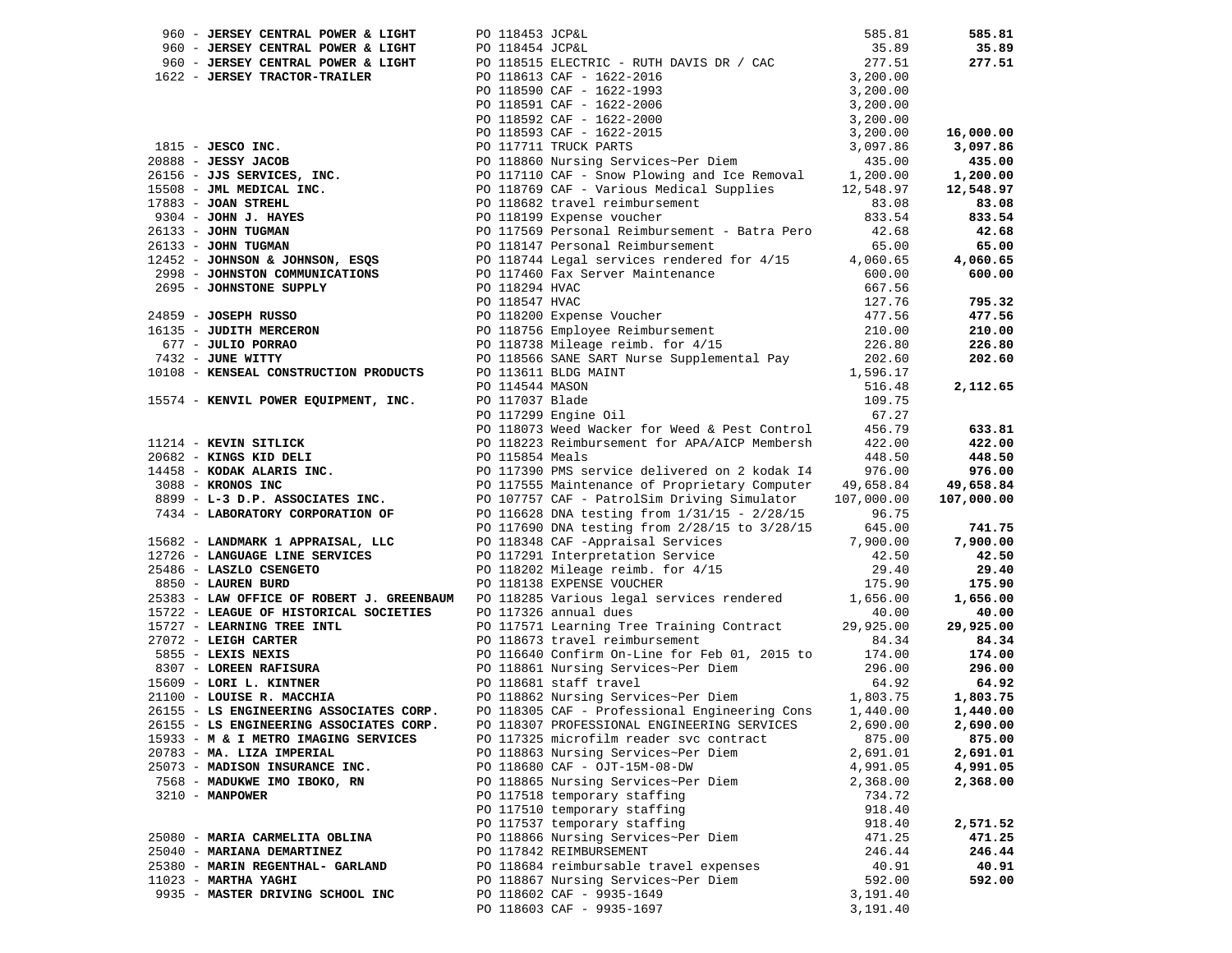| 960 - JERSEY CENTRAL POWER & LIGHT                                                                                                                                                                                                                                      | PO 118453 JCP&L |                                                                                                                      | 585.81     | 585.81     |
|-------------------------------------------------------------------------------------------------------------------------------------------------------------------------------------------------------------------------------------------------------------------------|-----------------|----------------------------------------------------------------------------------------------------------------------|------------|------------|
|                                                                                                                                                                                                                                                                         |                 |                                                                                                                      |            | 35.89      |
|                                                                                                                                                                                                                                                                         |                 |                                                                                                                      |            | 277.51     |
|                                                                                                                                                                                                                                                                         |                 |                                                                                                                      |            |            |
|                                                                                                                                                                                                                                                                         |                 |                                                                                                                      |            |            |
| 960 - <b>JERSEY CENTRAL POWER &amp; LIGHT</b><br>960 - <b>JERSEY CENTRAL POWER &amp; LIGHT</b><br>960 - <b>JERSEY TRACTOR-TRAILER</b><br>961 18515 ELECTRIC - RUTH DAVIS DR / CAC<br>977.51<br>961 18613 CAF - 1622-2016<br>97.200.00<br>97.200.00<br>97.200.00<br>97.2 |                 |                                                                                                                      |            |            |
|                                                                                                                                                                                                                                                                         |                 |                                                                                                                      |            |            |
|                                                                                                                                                                                                                                                                         |                 |                                                                                                                      |            | 16,000.00  |
|                                                                                                                                                                                                                                                                         |                 |                                                                                                                      |            | 3,097.86   |
|                                                                                                                                                                                                                                                                         |                 |                                                                                                                      |            | 435.00     |
|                                                                                                                                                                                                                                                                         |                 |                                                                                                                      |            | 1,200.00   |
|                                                                                                                                                                                                                                                                         |                 |                                                                                                                      |            | 12,548.97  |
|                                                                                                                                                                                                                                                                         |                 |                                                                                                                      |            | 83.08      |
| $9304$ - JOHN J. HAYES                                                                                                                                                                                                                                                  |                 | PO 118199 Expense voucher                                                                                            |            | 833.54     |
| 26133 - JOHN TUGMAN                                                                                                                                                                                                                                                     |                 | PO 117569 Personal Reimbursement - Batra Pero                                                                        | 42.68      | 42.68      |
| 26133 - JOHN TUGMAN                                                                                                                                                                                                                                                     |                 | PO 118147 Personal Reimbursement                                                                                     | 65.00      | 65.00      |
| 12452 - JOHNSON & JOHNSON, ESQS                                                                                                                                                                                                                                         |                 | PO 118744 Legal services rendered for 4/15 4,060.65                                                                  |            | 4,060.65   |
| 2998 - JOHNSTON COMMUNICATIONS                                                                                                                                                                                                                                          |                 | PO 117460 Fax Server Maintenance                                                                                     | 600.00     | 600.00     |
| 2695 - JOHNSTONE SUPPLY                                                                                                                                                                                                                                                 | PO 118294 HVAC  |                                                                                                                      | 667.56     |            |
|                                                                                                                                                                                                                                                                         | PO 118547 HVAC  |                                                                                                                      | 127.76     | 795.32     |
| 24859 - JOSEPH RUSSO                                                                                                                                                                                                                                                    |                 |                                                                                                                      | 477.56     | 477.56     |
| 16135 - JUDITH MERCERON                                                                                                                                                                                                                                                 |                 | PO 118547 HVAC<br>PO 118200 Expense Voucher<br>PO 118756 Employee Reimbursement<br>PO 118738 Mileage reimb. for 4/15 | 210.00     | 210.00     |
| 677 - JULIO PORRAO                                                                                                                                                                                                                                                      |                 |                                                                                                                      | 226.80     | 226.80     |
| 7432 - JUNE WITTY                                                                                                                                                                                                                                                       |                 | PO 118566 SANE SART Nurse Supplemental Pay                                                                           | 202.60     | 202.60     |
| 10108 - KENSEAL CONSTRUCTION PRODUCTS                                                                                                                                                                                                                                   |                 | PO 113611 BLDG MAINT                                                                                                 | 1,596.17   |            |
|                                                                                                                                                                                                                                                                         | PO 114544 MASON |                                                                                                                      | 516.48     | 2,112.65   |
| 15574 - KENVIL POWER EQUIPMENT, INC.                                                                                                                                                                                                                                    | PO 117037 Blade |                                                                                                                      | 109.75     |            |
|                                                                                                                                                                                                                                                                         |                 | PO 117299 Engine Oil                                                                                                 | 67.27      |            |
|                                                                                                                                                                                                                                                                         |                 | PO 118073 Weed Wacker for Weed & Pest Control                                                                        | 456.79     | 633.81     |
| 11214 - KEVIN SITLICK                                                                                                                                                                                                                                                   |                 | PO 118223 Reimbursement for APA/AICP Membersh                                                                        | 422.00     | 422.00     |
| 20682 - KINGS KID DELI                                                                                                                                                                                                                                                  | PO 115854 Meals |                                                                                                                      | 448.50     | 448.50     |
| 14458 - KODAK ALARIS INC.                                                                                                                                                                                                                                               |                 | PO 117390 PMS service delivered on 2 kodak I4                                                                        | 976.00     | 976.00     |
| 3088 - KRONOS INC                                                                                                                                                                                                                                                       |                 | PO 117555 Maintenance of Proprietary Computer 49,658.84                                                              |            | 49,658.84  |
| 8899 - L-3 D.P. ASSOCIATES INC.                                                                                                                                                                                                                                         |                 | PO 107757 CAF - PatrolSim Driving Simulator                                                                          | 107,000.00 | 107,000.00 |
| 7434 - LABORATORY CORPORATION OF                                                                                                                                                                                                                                        |                 | PO 116628 DNA testing from 1/31/15 - 2/28/15                                                                         | 96.75      |            |
|                                                                                                                                                                                                                                                                         |                 | PO 117690 DNA testing from 2/28/15 to 3/28/15                                                                        | 645.00     | 741.75     |
| 15682 - LANDMARK 1 APPRAISAL, LLC                                                                                                                                                                                                                                       |                 | PO 118348 CAF -Appraisal Services                                                                                    | 7,900.00   | 7,900.00   |
| 12726 - LANGUAGE LINE SERVICES                                                                                                                                                                                                                                          |                 | PO 117291 Interpretation Service                                                                                     | 42.50      | 42.50      |
| 25486 - LASZLO CSENGETO                                                                                                                                                                                                                                                 |                 | PO 118202 Mileage reimb. for 4/15                                                                                    | 29.40      | 29.40      |
| 8850 - LAUREN BURD                                                                                                                                                                                                                                                      |                 | PO 118138 EXPENSE VOUCHER                                                                                            | 175.90     | 175.90     |
| 25383 - LAW OFFICE OF ROBERT J. GREENBAUM                                                                                                                                                                                                                               |                 | PO 118285 Various legal services rendered 1,656.00                                                                   |            | 1,656.00   |
| 15722 - LEAGUE OF HISTORICAL SOCIETIES                                                                                                                                                                                                                                  |                 | PO 117326 annual dues                                                                                                | 40.00      | 40.00      |
| 15727 - LEARNING TREE INTL                                                                                                                                                                                                                                              |                 | PO 117571 Learning Tree Training Contract 29,925.00                                                                  |            | 29,925.00  |
| $27072$ - LEIGH CARTER                                                                                                                                                                                                                                                  |                 | PO 118673 travel reimbursement                                                                                       | 84.34      | 84.34      |
| 5855 - LEXIS NEXIS                                                                                                                                                                                                                                                      |                 | PO 116640 Confirm On-Line for Feb 01, 2015 to 174.00                                                                 |            | 174.00     |
| 8307 - LOREEN RAFISURA                                                                                                                                                                                                                                                  |                 | PO 118861 Nursing Services~Per Diem                                                                                  | 296.00     | 296.00     |
|                                                                                                                                                                                                                                                                         |                 |                                                                                                                      |            | 64.92      |
|                                                                                                                                                                                                                                                                         |                 |                                                                                                                      |            | 1,803.75   |
| 26155 - LS ENGINEERING ASSOCIATES CORP. PO 118305 CAF - Professional Engineering Cons                                                                                                                                                                                   |                 |                                                                                                                      | 1,440.00   | 1,440.00   |
| 26155 - LS ENGINEERING ASSOCIATES CORP. PO 118307 PROFESSIONAL ENGINEERING SERVICES 2,690.00                                                                                                                                                                            |                 |                                                                                                                      |            | 2,690.00   |
| 15933 - M & I METRO IMAGING SERVICES                                                                                                                                                                                                                                    |                 | PO 117325 microfilm reader svc contract                                                                              | 875.00     | 875.00     |
| 20783 - MA. LIZA IMPERIAL                                                                                                                                                                                                                                               |                 | PO 118863 Nursing Services~Per Diem                                                                                  | 2,691.01   | 2,691.01   |
| 25073 - MADISON INSURANCE INC.                                                                                                                                                                                                                                          |                 | PO 118680 CAF - OJT-15M-08-DW                                                                                        | 4,991.05   | 4,991.05   |
| 7568 - MADUKWE IMO IBOKO, RN                                                                                                                                                                                                                                            |                 | PO 118865 Nursing Services~Per Diem                                                                                  | 2,368.00   | 2,368.00   |
| $3210 - MANPOWER$                                                                                                                                                                                                                                                       |                 | PO 117518 temporary staffing                                                                                         | 734.72     |            |
|                                                                                                                                                                                                                                                                         |                 | PO 117510 temporary staffing                                                                                         | 918.40     |            |
|                                                                                                                                                                                                                                                                         |                 | PO 117537 temporary staffing                                                                                         | 918.40     | 2,571.52   |
| 25080 - MARIA CARMELITA OBLINA                                                                                                                                                                                                                                          |                 | PO 118866 Nursing Services~Per Diem                                                                                  | 471.25     | 471.25     |
| 25040 - MARIANA DEMARTINEZ                                                                                                                                                                                                                                              |                 | PO 117842 REIMBURSEMENT                                                                                              | 246.44     | 246.44     |
| 25380 - MARIN REGENTHAL- GARLAND                                                                                                                                                                                                                                        |                 | PO 118684 reimbursable travel expenses                                                                               | 40.91      | 40.91      |
| $11023$ - MARTHA YAGHI                                                                                                                                                                                                                                                  |                 | PO 118867 Nursing Services~Per Diem                                                                                  | 592.00     | 592.00     |
| 9935 - MASTER DRIVING SCHOOL INC                                                                                                                                                                                                                                        |                 | PO 118602 CAF - 9935-1649                                                                                            | 3,191.40   |            |
|                                                                                                                                                                                                                                                                         |                 | PO 118603 CAF - 9935-1697                                                                                            | 3,191.40   |            |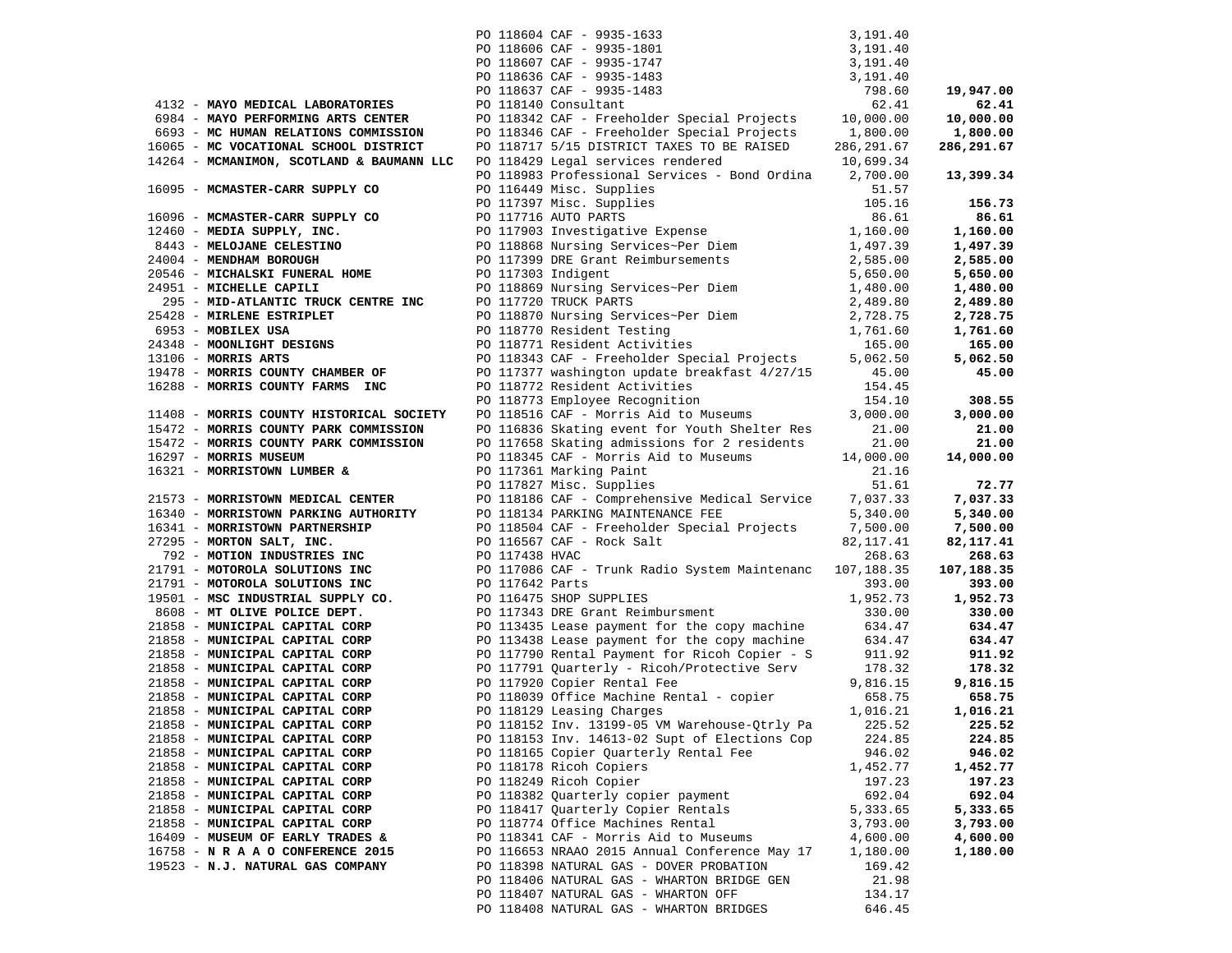|                                                                  |                 | PO 118604 CAF - 9935-1633                                                                                 | 3,191.40             |                    |
|------------------------------------------------------------------|-----------------|-----------------------------------------------------------------------------------------------------------|----------------------|--------------------|
|                                                                  |                 | PO 118606 CAF - 9935-1801                                                                                 | 3,191.40             |                    |
|                                                                  |                 | PO 118607 CAF - 9935-1747                                                                                 | 3,191.40             |                    |
|                                                                  |                 | PO 118636 CAF - 9935-1483                                                                                 | 3,191.40             |                    |
|                                                                  |                 | PO 118637 CAF - 9935-1483                                                                                 | 798.60               | 19,947.00          |
| 4132 - MAYO MEDICAL LABORATORIES                                 |                 | PO 118140 Consultant                                                                                      | 62.41                | 62.41              |
| 6984 - MAYO PERFORMING ARTS CENTER                               |                 | PO 118342 CAF - Freeholder Special Projects                                                               | 10,000.00            | 10,000.00          |
| 6693 - MC HUMAN RELATIONS COMMISSION                             |                 | PO 118346 CAF - Freeholder Special Projects                                                               | 1,800.00             | 1,800.00           |
| 16065 - MC VOCATIONAL SCHOOL DISTRICT                            |                 | PO 118717 5/15 DISTRICT TAXES TO BE RAISED                                                                | 286, 291.67          | 286,291.67         |
| 14264 - MCMANIMON, SCOTLAND & BAUMANN LLC                        |                 | PO 118429 Legal services rendered                                                                         | 10,699.34            |                    |
|                                                                  |                 | PO 118983 Professional Services - Bond Ordina                                                             | 2,700.00             | 13,399.34          |
| 16095 - MCMASTER-CARR SUPPLY CO                                  |                 | PO 116449 Misc. Supplies                                                                                  | 51.57                |                    |
|                                                                  |                 | PO 117397 Misc. Supplies                                                                                  | 105.16               | 156.73             |
| 16096 - MCMASTER-CARR SUPPLY CO                                  |                 | PO 117716 AUTO PARTS                                                                                      | 86.61                | 86.61              |
| 12460 - MEDIA SUPPLY, INC.                                       |                 | PO 117903 Investigative Expense<br>PO 117903 Investigative Expense<br>PO 118868 Nursing Services~Per Diem | 1,160.00<br>1,497.39 | 1,160.00           |
| 8443 - MELOJANE CELESTINO                                        |                 |                                                                                                           |                      | 1,497.39           |
| 24004 - MENDHAM BOROUGH                                          |                 | PO 117399 DRE Grant Reimbursements                                                                        | 2,585.00             | 2,585.00           |
| 20546 - MICHALSKI FUNERAL HOME                                   |                 |                                                                                                           | 5,650.00             | 5,650.00           |
| 24951 - MICHELLE CAPILI                                          |                 | PO 117303 Indigent<br>PO 118869 Nursing Services~Per Diem                                                 | 1,480.00             | 1,480.00           |
| 295 - MID-ATLANTIC TRUCK CENTRE INC                              |                 | PO 117720 TRUCK PARTS                                                                                     | 2,489.80             | 2,489.80           |
| 25428 - MIRLENE ESTRIPLET                                        |                 | PO 118870 Nursing Services~Per Diem                                                                       | 2,728.75             | 2,728.75           |
| 6953 - MOBILEX USA                                               |                 | PO 118770 Resident Testing                                                                                | 1,761.60             | 1,761.60           |
| 24348 - MOONLIGHT DESIGNS                                        |                 | PO 118771 Resident Activities                                                                             | 165.00               | 165.00             |
| $13106$ - MORRIS ARTS                                            |                 | PO 118343 CAF - Freeholder Special Projects                                                               | 5,062.50             | 5,062.50           |
| 19478 - MORRIS COUNTY CHAMBER OF                                 |                 | PO 117377 washington update breakfast 4/27/15                                                             | 45.00                | 45.00              |
| 16288 - MORRIS COUNTY FARMS INC                                  |                 | PO 118772 Resident Activities                                                                             | 154.45               |                    |
|                                                                  |                 | PO 118773 Employee Recognition                                                                            | 154.10               | 308.55             |
| 11408 - MORRIS COUNTY HISTORICAL SOCIETY                         |                 | PO 118516 CAF - Morris Aid to Museums                                                                     | 3,000.00             | 3,000.00           |
| 15472 - MORRIS COUNTY PARK COMMISSION                            |                 | PO 116836 Skating event for Youth Shelter Res                                                             | 21.00                | 21.00              |
| 15472 - MORRIS COUNTY PARK COMMISSION                            |                 | PO 117658 Skating admissions for 2 residents                                                              | 21.00                | 21.00              |
| 16297 - MORRIS MUSEUM                                            |                 | PO 118345 CAF - Morris Aid to Museums                                                                     | 14,000.00            | 14,000.00          |
| 16321 - MORRISTOWN LUMBER &                                      |                 | PO 117361 Marking Paint                                                                                   | 21.16                |                    |
|                                                                  |                 | PO 117827 Misc. Supplies                                                                                  | 51.61                | 72.77              |
| 21573 - MORRISTOWN MEDICAL CENTER                                |                 | PO 118186 CAF - Comprehensive Medical Service                                                             | 7,037.33             | 7,037.33           |
| 16340 - MORRISTOWN PARKING AUTHORITY                             |                 | PO 118134 PARKING MAINTENANCE FEE                                                                         | 5,340.00             | 5,340.00           |
| 16341 - MORRISTOWN PARTNERSHIP                                   |                 | PO 118504 CAF - Freeholder Special Projects                                                               | 7,500.00             | 7,500.00           |
| 27295 - MORTON SALT, INC.                                        |                 | PO 116567 CAF - Rock Salt                                                                                 | 82,117.41            | 82,117.41          |
| 792 - MOTION INDUSTRIES INC                                      | PO 117438 HVAC  |                                                                                                           | 268.63               | 268.63             |
| 21791 - MOTOROLA SOLUTIONS INC                                   |                 | PO 117086 CAF - Trunk Radio System Maintenanc                                                             | 107,188.35           | 107,188.35         |
| 21791 - MOTOROLA SOLUTIONS INC                                   | PO 117642 Parts |                                                                                                           | 393.00               | 393.00             |
| 19501 - MSC INDUSTRIAL SUPPLY CO.                                |                 | PO 116475 SHOP SUPPLIES                                                                                   | 1,952.73             | 1,952.73           |
| 8608 - MT OLIVE POLICE DEPT.                                     |                 | PO 117343 DRE Grant Reimbursment                                                                          | 330.00               | 330.00             |
| 21858 - MUNICIPAL CAPITAL CORP                                   |                 | PO 113435 Lease payment for the copy machine                                                              | 634.47               | 634.47             |
| 21858 - MUNICIPAL CAPITAL CORP                                   |                 | PO 113438 Lease payment for the copy machine                                                              | 634.47               | 634.47             |
| 21858 - MUNICIPAL CAPITAL CORP<br>21858 - MUNICIPAL CAPITAL CORP |                 | PO 117790 Rental Payment for Ricoh Copier - S                                                             | 911.92<br>178.32     | 911.92<br>178.32   |
|                                                                  |                 | PO 117791 Quarterly - Ricoh/Protective Serv                                                               |                      |                    |
| 21858 - MUNICIPAL CAPITAL CORP<br>21858 - MUNICIPAL CAPITAL CORP |                 | PO 117920 Copier Rental Fee<br>PO 118039 Office Machine Rental - copier                                   | 9,816.15<br>658.75   | 9,816.15<br>658.75 |
| 21858 - MUNICIPAL CAPITAL CORP                                   |                 | PO 118129 Leasing Charges                                                                                 | 1,016.21             | 1,016.21           |
| 21858 - MUNICIPAL CAPITAL CORP                                   |                 | PO 118152 Inv. 13199-05 VM Warehouse-Qtrly Pa 225.52                                                      |                      | 225.52             |
| 21858 - MUNICIPAL CAPITAL CORP                                   |                 | PO 118153 Inv. 14613-02 Supt of Elections Cop                                                             | 224.85               | 224.85             |
| 21858 - MUNICIPAL CAPITAL CORP                                   |                 | PO 118165 Copier Quarterly Rental Fee                                                                     | 946.02               | 946.02             |
| 21858 - MUNICIPAL CAPITAL CORP                                   |                 | PO 118178 Ricoh Copiers                                                                                   | 1,452.77             | 1,452.77           |
| 21858 - MUNICIPAL CAPITAL CORP                                   |                 | PO 118249 Ricoh Copier                                                                                    | 197.23               | 197.23             |
| 21858 - MUNICIPAL CAPITAL CORP                                   |                 | PO 118382 Quarterly copier payment                                                                        | 692.04               | 692.04             |
| 21858 - MUNICIPAL CAPITAL CORP                                   |                 | PO 118417 Quarterly Copier Rentals                                                                        | 5,333.65             | 5,333.65           |
| 21858 - MUNICIPAL CAPITAL CORP                                   |                 | PO 118774 Office Machines Rental                                                                          | 3,793.00             | 3,793.00           |
| 16409 - MUSEUM OF EARLY TRADES &                                 |                 | PO 118341 CAF - Morris Aid to Museums                                                                     | 4,600.00             | 4,600.00           |
| 16758 - N R A A O CONFERENCE 2015                                |                 | PO 116653 NRAAO 2015 Annual Conference May 17                                                             | 1,180.00             | 1,180.00           |
| 19523 - N.J. NATURAL GAS COMPANY                                 |                 | PO 118398 NATURAL GAS - DOVER PROBATION                                                                   | 169.42               |                    |
|                                                                  |                 | PO 118406 NATURAL GAS - WHARTON BRIDGE GEN                                                                | 21.98                |                    |
|                                                                  |                 | PO 118407 NATURAL GAS - WHARTON OFF                                                                       | 134.17               |                    |
|                                                                  |                 | PO 118408 NATURAL GAS - WHARTON BRIDGES                                                                   | 646.45               |                    |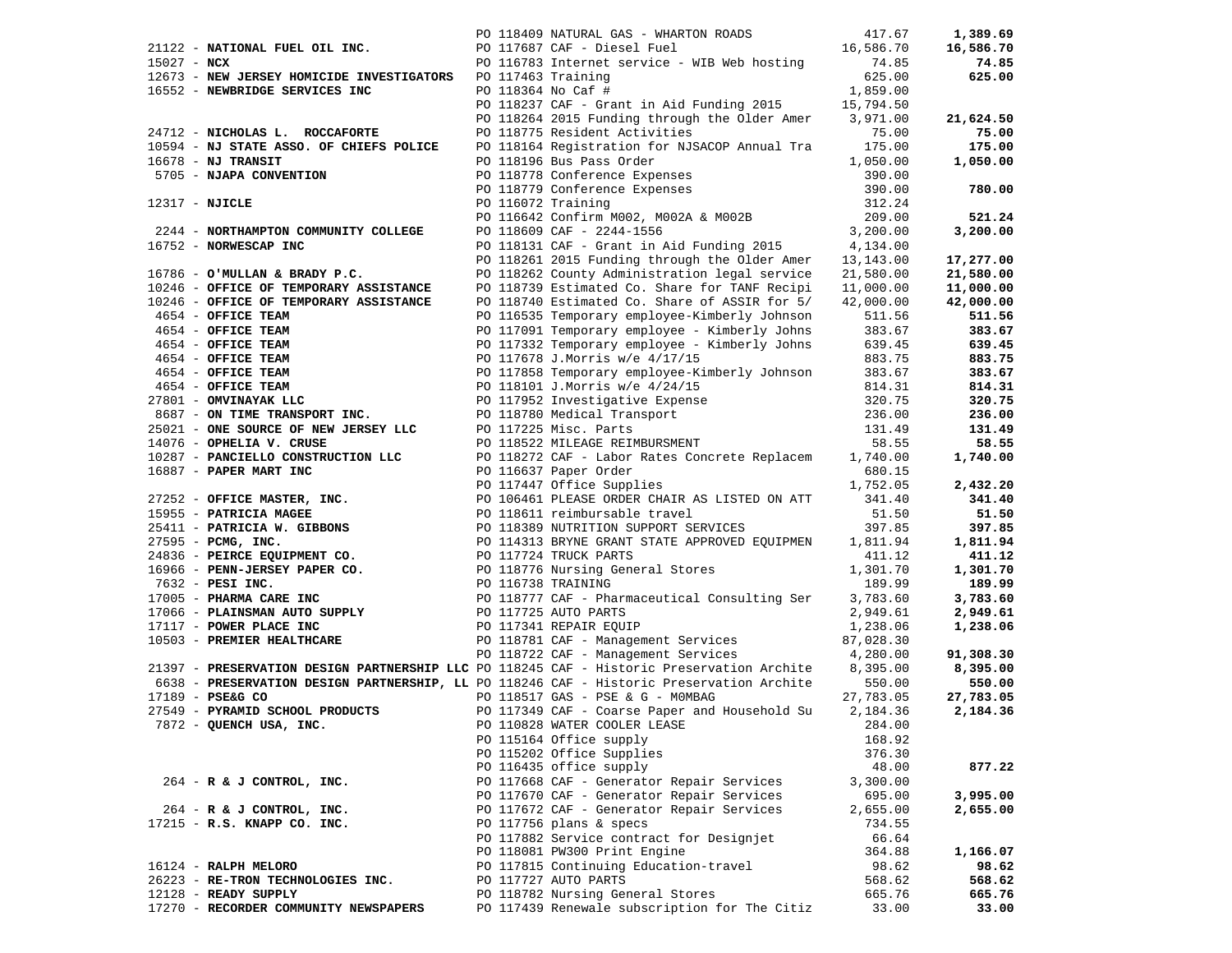|                                       |                                                                                                          |  |                                                                                                                                                                                                                                                                |           | 1,389.69  |
|---------------------------------------|----------------------------------------------------------------------------------------------------------|--|----------------------------------------------------------------------------------------------------------------------------------------------------------------------------------------------------------------------------------------------------------------|-----------|-----------|
|                                       |                                                                                                          |  |                                                                                                                                                                                                                                                                |           | 16,586.70 |
|                                       |                                                                                                          |  | 21122 - NATIONAL FUEL OIL INC.<br>15.586.70<br>26.85 PO 116783 Internet service - WIB Web hosting 16,586.70<br>26.85 PO 116783 Internet service - WIB Web hosting                                                                                              |           | 74.85     |
|                                       | 12673 - NEW JERSEY HOMICIDE INVESTIGATORS PO 117463 Training                                             |  |                                                                                                                                                                                                                                                                | 625.00    | 625.00    |
|                                       |                                                                                                          |  |                                                                                                                                                                                                                                                                | 1,859.00  |           |
|                                       | 16552 - <b>NEWBRIDGE SERVICES INC</b> PO 118364 No Caf #<br>PO 118237 CAF - Gra                          |  |                                                                                                                                                                                                                                                                |           |           |
|                                       |                                                                                                          |  | PO 118237 CAF - Grant in Aid Funding 2015 15,794.50                                                                                                                                                                                                            |           |           |
|                                       |                                                                                                          |  | PO 118264 2015 Funding through the Older Amer 3,971.00                                                                                                                                                                                                         |           | 21,624.50 |
|                                       | 24712 - NICHOLAS L. ROCCAFORTE                                                                           |  | PO 118775 Resident Activities                                                                                                                                                                                                                                  | 75.00     | 75.00     |
|                                       | 10594 - NJ STATE ASSO. OF CHIEFS POLICE                                                                  |  |                                                                                                                                                                                                                                                                |           | 175.00    |
| $16678$ - NJ TRANSIT                  |                                                                                                          |  |                                                                                                                                                                                                                                                                |           | 1,050.00  |
| $5705 -$ NJAPA CONVENTION             |                                                                                                          |  |                                                                                                                                                                                                                                                                |           |           |
|                                       |                                                                                                          |  |                                                                                                                                                                                                                                                                |           | 780.00    |
| 12317 - NJICLE                        |                                                                                                          |  |                                                                                                                                                                                                                                                                |           |           |
|                                       |                                                                                                          |  |                                                                                                                                                                                                                                                                |           | 521.24    |
|                                       |                                                                                                          |  |                                                                                                                                                                                                                                                                |           |           |
|                                       | 2244 - NORTHAMPTON COMMUNITY COLLEGE<br>6752 - NORWESCAP INC                                             |  |                                                                                                                                                                                                                                                                |           | 3,200.00  |
| 16752 - NORWESCAP INC                 |                                                                                                          |  | PO 118775 Resident Activities<br>PO 118164 Registration for NJSACOP Annual Tra<br>PO 118196 Bus Pass Order<br>PO 118778 Conference Expenses<br>990.00<br>PO 118779 Conference Expenses<br>990.00<br>PO 116072 Training<br>212.24<br>PO 116642 Co               |           |           |
|                                       |                                                                                                          |  | PO 118261 2015 Funding through the Older Amer 13,143.00                                                                                                                                                                                                        |           | 17,277.00 |
|                                       | 16786 - O'MULLAN & BRADY P.C.<br>16786 - O'MULLAN & BRADY P.C.<br>10246 - OFFICE OF TEMPORARY ASSISTANCE |  | PO 118262 County Administration legal service                                                                                                                                                                                                                  | 21,580.00 | 21,580.00 |
|                                       |                                                                                                          |  | PO 118739 Estimated Co. Share for TANF Recipi 11,000.00                                                                                                                                                                                                        |           | 11,000.00 |
|                                       | $10246$ - OFFICE OF TEMPORARY ASSISTANCE                                                                 |  | PO 118740 Estimated Co. Share of ASSIR for 5/ 42,000.00                                                                                                                                                                                                        |           | 42,000.00 |
|                                       |                                                                                                          |  | PO 116535 Temporary employee-Kimberly Johnson                                                                                                                                                                                                                  |           | 511.56    |
|                                       |                                                                                                          |  |                                                                                                                                                                                                                                                                |           | 383.67    |
|                                       |                                                                                                          |  |                                                                                                                                                                                                                                                                |           | 639.45    |
|                                       |                                                                                                          |  |                                                                                                                                                                                                                                                                |           | 883.75    |
|                                       |                                                                                                          |  |                                                                                                                                                                                                                                                                |           | 383.67    |
|                                       |                                                                                                          |  |                                                                                                                                                                                                                                                                |           |           |
|                                       |                                                                                                          |  |                                                                                                                                                                                                                                                                |           | 814.31    |
|                                       |                                                                                                          |  |                                                                                                                                                                                                                                                                |           | 320.75    |
|                                       |                                                                                                          |  |                                                                                                                                                                                                                                                                |           | 236.00    |
|                                       |                                                                                                          |  |                                                                                                                                                                                                                                                                |           | 131.49    |
|                                       |                                                                                                          |  |                                                                                                                                                                                                                                                                |           | 58.55     |
|                                       |                                                                                                          |  |                                                                                                                                                                                                                                                                |           | 1,740.00  |
|                                       |                                                                                                          |  | 10246 - <b>OFFICE OF TEMPORARY ASSISTANCE</b><br>10246 - <b>OFFICE TEAM</b><br>10246 - <b>OFFICE TEAM</b><br>102116535 Temporary omployee -Kimberly Johnson<br>1021.56<br>1654 - <b>OFFICE TEAM</b><br>102117931 Temporary employee -Kimberly Johnson<br>1021. |           |           |
|                                       |                                                                                                          |  |                                                                                                                                                                                                                                                                |           | 2,432.20  |
|                                       |                                                                                                          |  |                                                                                                                                                                                                                                                                |           | 341.40    |
|                                       |                                                                                                          |  |                                                                                                                                                                                                                                                                |           | 51.50     |
|                                       |                                                                                                          |  |                                                                                                                                                                                                                                                                |           | 397.85    |
|                                       |                                                                                                          |  |                                                                                                                                                                                                                                                                |           | 1,811.94  |
|                                       |                                                                                                          |  |                                                                                                                                                                                                                                                                |           | 411.12    |
|                                       |                                                                                                          |  |                                                                                                                                                                                                                                                                |           | 1,301.70  |
|                                       |                                                                                                          |  |                                                                                                                                                                                                                                                                |           | 189.99    |
|                                       |                                                                                                          |  |                                                                                                                                                                                                                                                                |           |           |
|                                       |                                                                                                          |  |                                                                                                                                                                                                                                                                |           | 3,783.60  |
|                                       |                                                                                                          |  |                                                                                                                                                                                                                                                                |           | 2,949.61  |
|                                       |                                                                                                          |  |                                                                                                                                                                                                                                                                |           | 1,238.06  |
|                                       |                                                                                                          |  |                                                                                                                                                                                                                                                                |           |           |
|                                       |                                                                                                          |  |                                                                                                                                                                                                                                                                |           | 91,308.30 |
|                                       |                                                                                                          |  | 21397 - PRESERVATION DESIGN PARTNERSHIP LLC PO 118245 CAF - Historic Preservation Archite 8,395.00                                                                                                                                                             |           | 8,395.00  |
|                                       |                                                                                                          |  | 6638 - PRESERVATION DESIGN PARTNERSHIP, LL PO 118246 CAF - Historic Preservation Archite 550.00                                                                                                                                                                |           | 550.00    |
|                                       |                                                                                                          |  |                                                                                                                                                                                                                                                                | 27,783.05 | 27,783.05 |
|                                       |                                                                                                          |  |                                                                                                                                                                                                                                                                |           | 2,184.36  |
| 7872 - QUENCH USA, INC.               |                                                                                                          |  | 17189 - PSE&G CO<br>27549 - PYRAMID SCHOOL PRODUCTS PO 117349 CAF - Coarse Paper and Household Su 2,184.36<br>284.00 PO 110828 WATER COOLER LEASE 284.00<br>PO 110828 WATER COOLER LEASE                                                                       | 284.00    |           |
|                                       |                                                                                                          |  | PO 115164 Office supply                                                                                                                                                                                                                                        | 168.92    |           |
|                                       |                                                                                                          |  | PO 115202 Office Supplies                                                                                                                                                                                                                                      | 376.30    |           |
|                                       |                                                                                                          |  | PO 116435 office supply                                                                                                                                                                                                                                        |           |           |
|                                       |                                                                                                          |  |                                                                                                                                                                                                                                                                | 48.00     | 877.22    |
| 264 - R & J CONTROL, INC.             |                                                                                                          |  | PO 117668 CAF - Generator Repair Services                                                                                                                                                                                                                      | 3,300.00  |           |
|                                       |                                                                                                          |  | PO 117670 CAF - Generator Repair Services                                                                                                                                                                                                                      | 695.00    | 3,995.00  |
| 264 - R & J CONTROL, INC.             |                                                                                                          |  | PO 117672 CAF - Generator Repair Services                                                                                                                                                                                                                      | 2,655.00  | 2,655.00  |
| 17215 - R.S. KNAPP CO. INC.           |                                                                                                          |  | PO 117756 plans & specs                                                                                                                                                                                                                                        | 734.55    |           |
|                                       |                                                                                                          |  | PO 117882 Service contract for Designjet                                                                                                                                                                                                                       | 66.64     |           |
|                                       |                                                                                                          |  | PO 118081 PW300 Print Engine                                                                                                                                                                                                                                   | 364.88    | 1,166.07  |
| 16124 - RALPH MELORO                  |                                                                                                          |  | PO 117815 Continuing Education-travel                                                                                                                                                                                                                          | 98.62     | 98.62     |
| 26223 - RE-TRON TECHNOLOGIES INC.     |                                                                                                          |  | PO 117727 AUTO PARTS                                                                                                                                                                                                                                           | 568.62    | 568.62    |
| 12128 - READY SUPPLY                  |                                                                                                          |  | PO 118782 Nursing General Stores                                                                                                                                                                                                                               | 665.76    | 665.76    |
| 17270 - RECORDER COMMUNITY NEWSPAPERS |                                                                                                          |  | PO 117439 Renewale subscription for The Citiz                                                                                                                                                                                                                  | 33.00     | 33.00     |
|                                       |                                                                                                          |  |                                                                                                                                                                                                                                                                |           |           |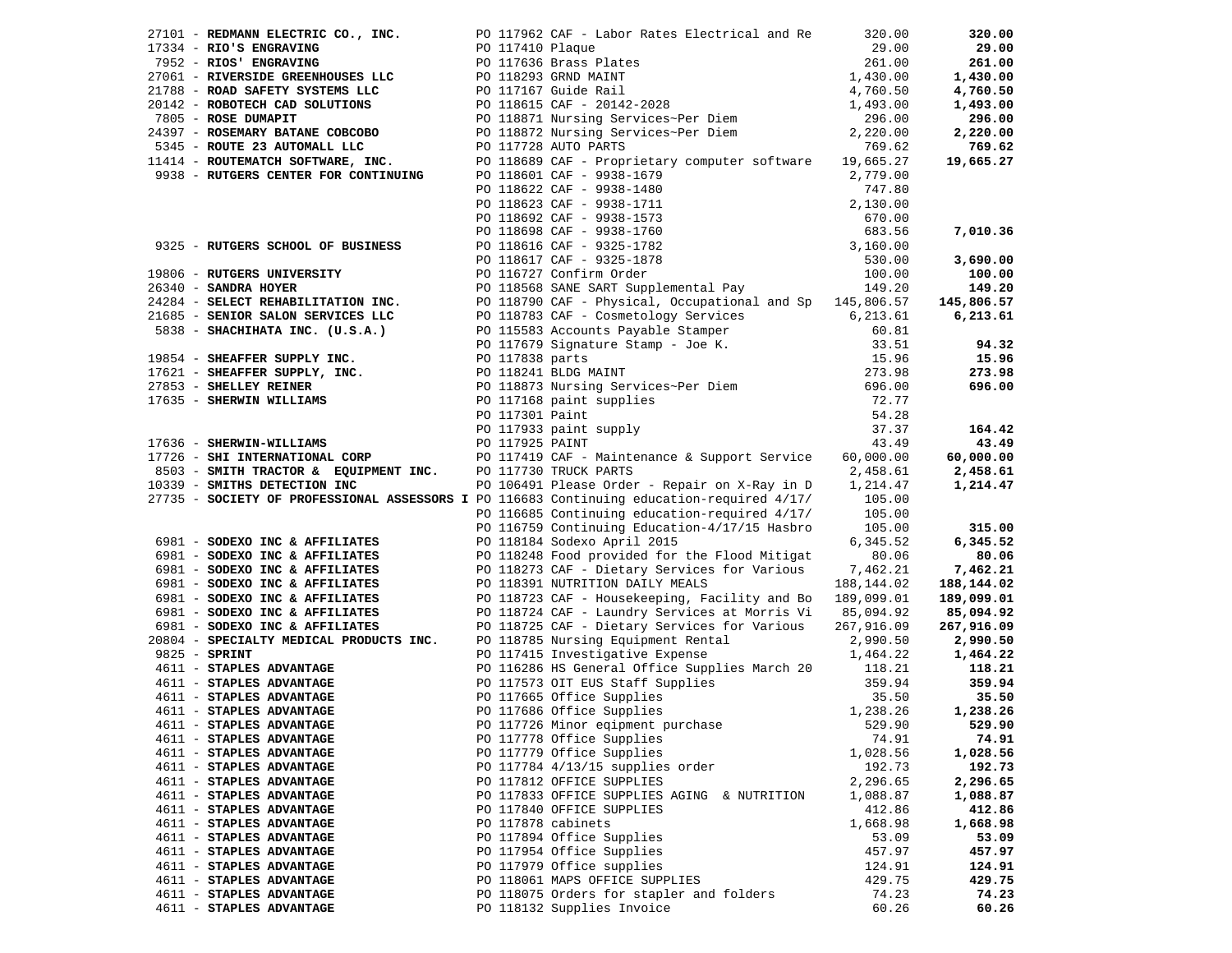|               |                                                             |  | 27101 - REDMANN ELECTRIC CO., INC. PO 117962 CAF - Labor Rates Electrical and Re                                                                                                                                                               | 320.00     | 320.00        |
|---------------|-------------------------------------------------------------|--|------------------------------------------------------------------------------------------------------------------------------------------------------------------------------------------------------------------------------------------------|------------|---------------|
|               | 17334 - RIO'S ENGRAVING                                     |  | PO 117410 Plaque<br>PO 117410 Plaque<br>PO 117636 Brass Plates<br>PO 118293 GRND MAINT<br>PO 117167 Guide Rail<br>PO 118615 CAF - 20142-2028<br>PO 118871 Nursing Services~Per Diem<br>PO 118871 Nursing Services~Per Diem                     | 29.00      | 29.00         |
|               | 7952 - RIOS' ENGRAVING                                      |  |                                                                                                                                                                                                                                                | 261.00     | 261.00        |
|               | 27061 - RIVERSIDE GREENHOUSES LLC                           |  |                                                                                                                                                                                                                                                | 1,430.00   | 1,430.00      |
|               | 21788 - ROAD SAFETY SYSTEMS LLC                             |  |                                                                                                                                                                                                                                                | 4,760.50   | 4,760.50      |
|               | 20142 - ROBOTECH CAD SOLUTIONS                              |  |                                                                                                                                                                                                                                                | 1,493.00   | 1,493.00      |
|               | 7805 - ROSE DUMAPIT                                         |  |                                                                                                                                                                                                                                                | 296.00     | 296.00        |
|               | 24397 - ROSEMARY BATANE COBCOBO                             |  | PO 118872 Nursing Services~Per Diem $2,220.00$<br>750.50                                                                                                                                                                                       |            | 2,220.00      |
|               | 5345 - ROUTE 23 AUTOMALL LLC                                |  | PO 117728 AUTO PARTS                                                                                                                                                                                                                           | 769.62     | 769.62        |
|               | 11414 - ROUTEMATCH SOFTWARE, INC.                           |  | PO 118689 CAF - Proprietary computer software 19,665.27                                                                                                                                                                                        |            | 19,665.27     |
|               | 9938 - RUTGERS CENTER FOR CONTINUING                        |  |                                                                                                                                                                                                                                                |            |               |
|               |                                                             |  |                                                                                                                                                                                                                                                |            |               |
|               |                                                             |  |                                                                                                                                                                                                                                                |            |               |
|               |                                                             |  |                                                                                                                                                                                                                                                |            |               |
|               |                                                             |  |                                                                                                                                                                                                                                                |            | 7,010.36      |
|               | 9325 - RUTGERS SCHOOL OF BUSINESS                           |  |                                                                                                                                                                                                                                                |            |               |
|               |                                                             |  |                                                                                                                                                                                                                                                |            | 3,690.00      |
|               |                                                             |  | PO 118601 CAF - 9938-1679<br>PO 118601 CAF - 9938-1679<br>PO 118622 CAF - 9938-1480<br>PO 118623 CAF - 9938-1480<br>PO 118623 CAF - 9938-1711<br>PO 118692 CAF - 9938-1711<br>PO 118692 CAF - 9938-1753<br>PO 118698 CAF - 9938-1760<br>PO 118 |            |               |
|               | 19806 - RUTGERS UNIVERSITY                                  |  |                                                                                                                                                                                                                                                |            | 100.00        |
|               |                                                             |  |                                                                                                                                                                                                                                                |            | 149.20        |
|               |                                                             |  |                                                                                                                                                                                                                                                |            | 145,806.57    |
|               |                                                             |  |                                                                                                                                                                                                                                                |            | 6,213.61      |
|               |                                                             |  |                                                                                                                                                                                                                                                |            |               |
|               |                                                             |  |                                                                                                                                                                                                                                                |            | 94.32         |
|               |                                                             |  |                                                                                                                                                                                                                                                |            | 15.96         |
|               |                                                             |  |                                                                                                                                                                                                                                                |            | 273.98        |
|               |                                                             |  |                                                                                                                                                                                                                                                |            | 696.00        |
|               |                                                             |  |                                                                                                                                                                                                                                                |            |               |
|               |                                                             |  |                                                                                                                                                                                                                                                |            |               |
|               |                                                             |  | 26340 - SANDRA HOYER<br>26340 - SANDRA HOYER<br>21684 - SELECT REHABILITATION INC.<br>21685 - SENIOR SALON SERVICES LLC<br>5838 - SHACHIHATA INC. (U.S.A.)<br>27853 - SHACHIHATA INC. (U.S.A.)<br>27853 - SHEAFFER SUPPLY INC.<br>27853 - SH   |            | 164.42        |
|               | 17636 - SHERWIN-WILLIAMS<br>17726 - SHI INTERNATIONAL CORP  |  |                                                                                                                                                                                                                                                |            | 43.49         |
|               |                                                             |  | PO 117419 CAF - Maintenance & Support Service 60,000.00                                                                                                                                                                                        |            | 60,000.00     |
|               | 8503 - SMITH TRACTOR & EQUIPMENT INC. PO 117730 TRUCK PARTS |  |                                                                                                                                                                                                                                                | 2,458.61   | 2,458.61      |
|               | 10339 - SMITHS DETECTION INC                                |  | PO 106491 Please Order - Repair on X-Ray in D 1,214.47                                                                                                                                                                                         |            | 1,214.47      |
|               |                                                             |  | 27735 - SOCIETY OF PROFESSIONAL ASSESSORS I PO 116683 Continuing education-required 4/17/                                                                                                                                                      | 105.00     |               |
|               |                                                             |  | PO 116685 Continuing education-required 4/17/                                                                                                                                                                                                  | 105.00     |               |
|               |                                                             |  | PO 116759 Continuing Education-4/17/15 Hasbro                                                                                                                                                                                                  | 105.00     | 315.00        |
|               | 6981 - SODEXO INC & AFFILIATES                              |  | PO 118184 Sodexo April 2015                                                                                                                                                                                                                    | 6,345.52   | 6,345.52      |
|               | 6981 - SODEXO INC & AFFILIATES                              |  | PO 118248 Food provided for the Flood Mitigat                                                                                                                                                                                                  | 80.06      | 80.06         |
|               | 6981 - SODEXO INC & AFFILIATES                              |  | PO 118273 CAF - Dietary Services for Various 7,462.21                                                                                                                                                                                          |            | 7,462.21      |
|               | 6981 - SODEXO INC & AFFILIATES                              |  | PO 118391 NUTRITION DAILY MEALS                                                                                                                                                                                                                | 188,144.02 | 188,144.02    |
|               | 6981 - SODEXO INC & AFFILIATES                              |  | PO 118723 CAF - Housekeeping, Facility and Bo 189,099.01                                                                                                                                                                                       |            | 189,099.01    |
|               | 6981 - SODEXO INC & AFFILIATES                              |  | PO 118724 CAF - Laundry Services at Morris Vi 85,094.92                                                                                                                                                                                        |            | 85,094.92     |
|               | 6981 - SODEXO INC & AFFILIATES                              |  | PO 118725 CAF - Dietary Services for Various                                                                                                                                                                                                   | 267,916.09 | 267,916.09    |
|               | 20804 - SPECIALTY MEDICAL PRODUCTS INC.                     |  |                                                                                                                                                                                                                                                | 2,990.50   | 2,990.50      |
| 9825 - SPRINT |                                                             |  | PO 118785 Nursing Equipment Rental<br>PO 118785 Nursing Equipment Rental                                                                                                                                                                       | 1,464.22   | 1,464.22      |
|               | 4611 - STAPLES ADVANTAGE                                    |  | PO 116286 HS General Office Supplies March 20 118.21                                                                                                                                                                                           |            | 118.21        |
|               | 4611 - STAPLES ADVANTAGE                                    |  |                                                                                                                                                                                                                                                | 359.94     | 359.94        |
|               | 4611 - STAPLES ADVANTAGE                                    |  | PO 117573 OIT EUS Staff Supplies<br>PO 117665 Office Supplies<br>PO 117686 Office Supplies<br>PO 117726 Minor eqipment purchase                                                                                                                | 35.50      | 35.50         |
|               | 4611 - STAPLES ADVANTAGE                                    |  |                                                                                                                                                                                                                                                | 1,238.26   | 1,238.26      |
|               | 4611 - STAPLES ADVANTAGE                                    |  | PO 117726 Minor eqipment purchase                                                                                                                                                                                                              |            | 529.90 529.90 |
|               | 4611 - STAPLES ADVANTAGE                                    |  | PO 117778 Office Supplies                                                                                                                                                                                                                      | 74.91      | 74.91         |
|               | 4611 - STAPLES ADVANTAGE                                    |  | PO 117779 Office Supplies                                                                                                                                                                                                                      | 1,028.56   | 1,028.56      |
|               | 4611 - STAPLES ADVANTAGE                                    |  | PO 117784 4/13/15 supplies order                                                                                                                                                                                                               | 192.73     | 192.73        |
|               | 4611 - STAPLES ADVANTAGE                                    |  | PO 117812 OFFICE SUPPLIES                                                                                                                                                                                                                      | 2,296.65   | 2,296.65      |
|               | 4611 - STAPLES ADVANTAGE                                    |  | PO 117833 OFFICE SUPPLIES AGING & NUTRITION                                                                                                                                                                                                    | 1,088.87   | 1,088.87      |
|               | 4611 - STAPLES ADVANTAGE                                    |  | PO 117840 OFFICE SUPPLIES                                                                                                                                                                                                                      | 412.86     | 412.86        |
|               | 4611 - STAPLES ADVANTAGE                                    |  | PO 117878 cabinets                                                                                                                                                                                                                             | 1,668.98   | 1,668.98      |
|               | 4611 - STAPLES ADVANTAGE                                    |  | PO 117894 Office Supplies                                                                                                                                                                                                                      | 53.09      | 53.09         |
|               | 4611 - STAPLES ADVANTAGE                                    |  | PO 117954 Office Supplies                                                                                                                                                                                                                      | 457.97     | 457.97        |
|               | 4611 - STAPLES ADVANTAGE                                    |  | PO 117979 Office supplies                                                                                                                                                                                                                      | 124.91     | 124.91        |
|               | 4611 - STAPLES ADVANTAGE                                    |  | PO 118061 MAPS OFFICE SUPPLIES                                                                                                                                                                                                                 | 429.75     | 429.75        |
|               | 4611 - STAPLES ADVANTAGE                                    |  |                                                                                                                                                                                                                                                | 74.23      | 74.23         |
|               | 4611 - STAPLES ADVANTAGE                                    |  | PO 118075 Orders for stapler and folders                                                                                                                                                                                                       |            |               |
|               |                                                             |  | PO 118132 Supplies Invoice                                                                                                                                                                                                                     | 60.26      | 60.26         |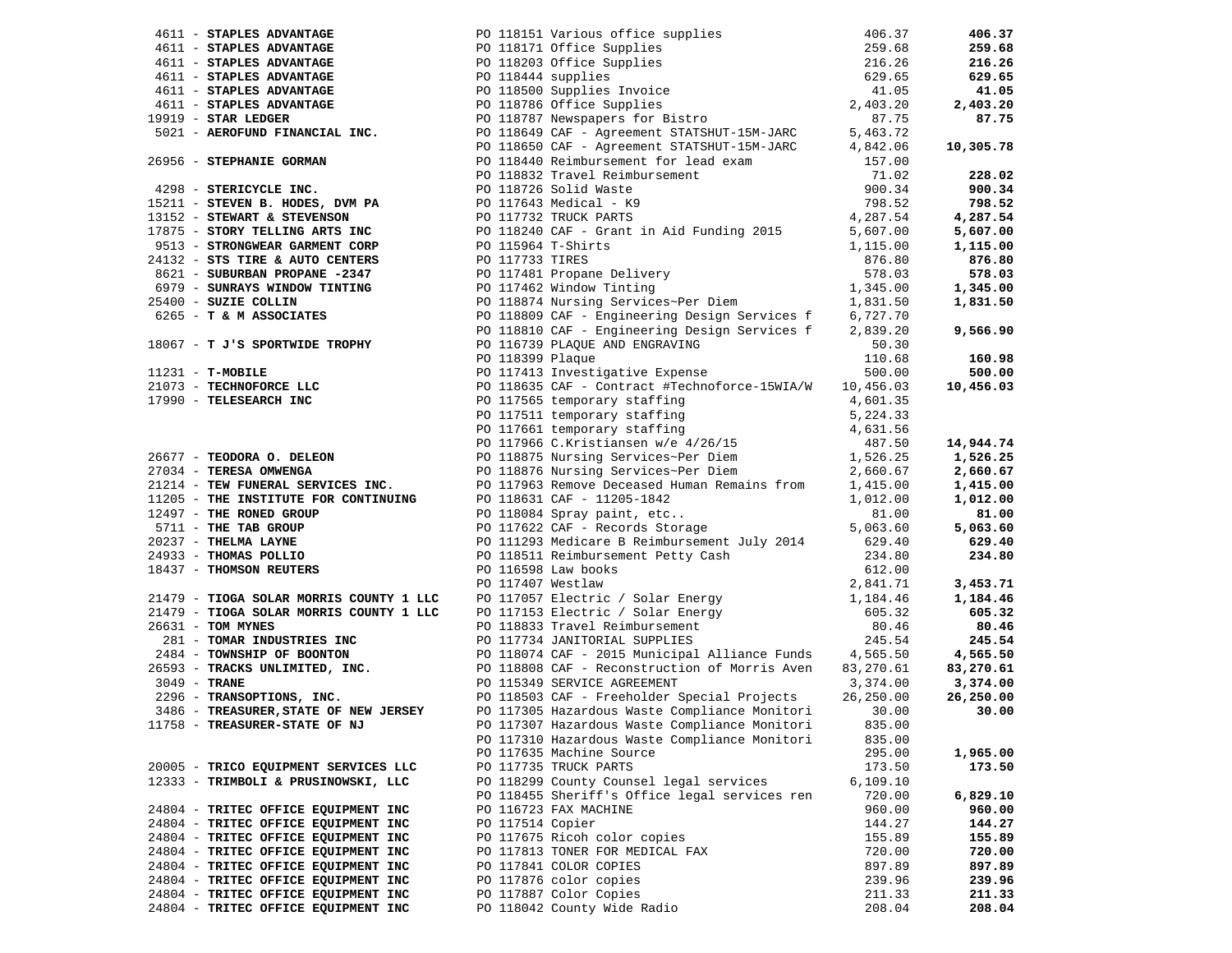| 4611 - <b>STAPLES ADVANTAGE</b><br>4611 - <b>STAPLES ADVANTAGE</b><br>4611 - <b>STAPLES ADVANTAGE</b><br>4611 - <b>STAPLES ADVANTAGE</b><br>4611 - <b>STAPLES ADVANTAGE</b><br>4611 - <b>STAPLES ADVANTAGE</b><br>4611 - <b>STAPLES ADVANTAGE</b><br>4611 - <b>STAPLES ADVANTAGE</b>                          |                  |                                                                                                                                                                                                                                                                                                                                                                                 |                    | 406.37           |
|---------------------------------------------------------------------------------------------------------------------------------------------------------------------------------------------------------------------------------------------------------------------------------------------------------------|------------------|---------------------------------------------------------------------------------------------------------------------------------------------------------------------------------------------------------------------------------------------------------------------------------------------------------------------------------------------------------------------------------|--------------------|------------------|
|                                                                                                                                                                                                                                                                                                               |                  |                                                                                                                                                                                                                                                                                                                                                                                 |                    | 259.68           |
|                                                                                                                                                                                                                                                                                                               |                  |                                                                                                                                                                                                                                                                                                                                                                                 |                    | 216.26           |
|                                                                                                                                                                                                                                                                                                               |                  |                                                                                                                                                                                                                                                                                                                                                                                 |                    | 629.65           |
|                                                                                                                                                                                                                                                                                                               |                  |                                                                                                                                                                                                                                                                                                                                                                                 |                    | 41.05            |
|                                                                                                                                                                                                                                                                                                               |                  |                                                                                                                                                                                                                                                                                                                                                                                 |                    | 2,403.20         |
| $19919$ - STAR LEDGER                                                                                                                                                                                                                                                                                         |                  |                                                                                                                                                                                                                                                                                                                                                                                 |                    | 87.75            |
|                                                                                                                                                                                                                                                                                                               |                  |                                                                                                                                                                                                                                                                                                                                                                                 |                    |                  |
|                                                                                                                                                                                                                                                                                                               |                  |                                                                                                                                                                                                                                                                                                                                                                                 |                    | 10,305.78        |
|                                                                                                                                                                                                                                                                                                               |                  |                                                                                                                                                                                                                                                                                                                                                                                 | 157.00             |                  |
| 26956 - STEPHANIE GORMAN<br>PO 118440 Reimbursement for lead exam<br>PO 118832 Travel Reimbursement                                                                                                                                                                                                           |                  |                                                                                                                                                                                                                                                                                                                                                                                 | 71.02              | 228.02           |
| 4298 - STERICYCLE INC.<br>15211 - STEVEN B. HODES, DVM PA<br>13152 - STEWART & STEVENSON<br>17875 - STORY TELLING ARTS INC<br>17875 - STORY TELLING ARTS INC<br>17875 - STORY TELLING ARTS INC<br>17875 - PO 118240 CAF - Grant in Aid Fun                                                                    |                  |                                                                                                                                                                                                                                                                                                                                                                                 | 900.34             | 900.34           |
|                                                                                                                                                                                                                                                                                                               |                  |                                                                                                                                                                                                                                                                                                                                                                                 | 798.52             | 798.52           |
|                                                                                                                                                                                                                                                                                                               |                  |                                                                                                                                                                                                                                                                                                                                                                                 | 4,287.54           | 4,287.54         |
|                                                                                                                                                                                                                                                                                                               |                  |                                                                                                                                                                                                                                                                                                                                                                                 | 5,607.00           | 5,607.00         |
| 9513 - STRONGWEAR GARMENT CORP<br>24132 - STS TIRE & AUTO CENTERS<br>9513 - STRONGWEAR GARMENT CORP<br>24132 - STS TIRE & AUTO CENTERS<br>24132 - STS TIRE & AUTO CENTERS<br>25400 - SUBURBAN PROPANE -2347<br>25400 - SUZIE COLLIN PO 117481 Propane Delivery<br>25400 - SUZIE COLLIN PO 118874 Nursing Serv |                  |                                                                                                                                                                                                                                                                                                                                                                                 |                    | 1,115.00         |
| 24132 - STS TIRE & AUTO CENTERS                                                                                                                                                                                                                                                                               |                  |                                                                                                                                                                                                                                                                                                                                                                                 |                    | 876.80           |
|                                                                                                                                                                                                                                                                                                               |                  |                                                                                                                                                                                                                                                                                                                                                                                 |                    | 578.03           |
|                                                                                                                                                                                                                                                                                                               |                  |                                                                                                                                                                                                                                                                                                                                                                                 |                    | 1,345.00         |
| 25400 - SUZIE COLLIN                                                                                                                                                                                                                                                                                          |                  |                                                                                                                                                                                                                                                                                                                                                                                 |                    | 1,831.50         |
|                                                                                                                                                                                                                                                                                                               |                  |                                                                                                                                                                                                                                                                                                                                                                                 |                    |                  |
|                                                                                                                                                                                                                                                                                                               |                  | PO 118810 CAF - Engineering Design Services f                                                                                                                                                                                                                                                                                                                                   | 2,839.20           | 9,566.90         |
| 18067 - T J'S SPORTWIDE TROPHY                                                                                                                                                                                                                                                                                |                  | PO 116739 PLAQUE AND ENGRAVING                                                                                                                                                                                                                                                                                                                                                  | 50.30              |                  |
|                                                                                                                                                                                                                                                                                                               | PO 118399 Plaque |                                                                                                                                                                                                                                                                                                                                                                                 | 110.68             | 160.98           |
| $11231 - T$ -MOBILE                                                                                                                                                                                                                                                                                           |                  | PO 117413 Investigative Expense                                                                                                                                                                                                                                                                                                                                                 | 500.00             | 500.00           |
|                                                                                                                                                                                                                                                                                                               |                  | PO 118635 CAF - Contract #Technoforce-15WIA/W 10,456.03                                                                                                                                                                                                                                                                                                                         |                    | 10,456.03        |
|                                                                                                                                                                                                                                                                                                               |                  |                                                                                                                                                                                                                                                                                                                                                                                 | 4,601.35           |                  |
| 21073 - TECHNOFORCE LLC<br>17990 - TELESEARCH INC                                                                                                                                                                                                                                                             |                  |                                                                                                                                                                                                                                                                                                                                                                                 |                    |                  |
|                                                                                                                                                                                                                                                                                                               |                  |                                                                                                                                                                                                                                                                                                                                                                                 |                    |                  |
|                                                                                                                                                                                                                                                                                                               |                  | PO 117565 temporary staffing<br>PO 117511 temporary staffing<br>PO 117661 temporary staffing<br>PO 117966 C.Kristiansen w/e 4/26/15<br>PO 117511 temporary staffing 5, 224.33<br>PO 117511 temporary staffing 5, 224.33<br>PO 117966 C.Kristiansen w/e 4/26/15 4,631.56<br>PO 118875 Nursing Services~Per Diem 1,526.25<br>PO 118876 Nursing Services~Per Diem 2,660.67<br>PO 1 |                    | 14,944.74        |
| 26677 - TEODORA O. DELEON<br>27034 - TERESA OMWENGA                                                                                                                                                                                                                                                           |                  |                                                                                                                                                                                                                                                                                                                                                                                 |                    | 1,526.25         |
| 27034 - TERESA OMWENGA                                                                                                                                                                                                                                                                                        |                  |                                                                                                                                                                                                                                                                                                                                                                                 |                    | 2,660.67         |
| 21214 - TEW FUNERAL SERVICES INC.                                                                                                                                                                                                                                                                             |                  |                                                                                                                                                                                                                                                                                                                                                                                 |                    | 1,415.00         |
| 11205 - THE INSTITUTE FOR CONTINUING                                                                                                                                                                                                                                                                          |                  | PO 118631 CAF - 11205-1842<br>PO 118084 Spray paint, etc<br>PO 117622 CAF - Records Storage                                                                                                                                                                                                                                                                                     | 1,012.00           | 1,012.00         |
| 12497 - THE RONED GROUP                                                                                                                                                                                                                                                                                       |                  |                                                                                                                                                                                                                                                                                                                                                                                 | 81.00              | 81.00            |
|                                                                                                                                                                                                                                                                                                               |                  |                                                                                                                                                                                                                                                                                                                                                                                 | 5,063.60           | 5,063.60         |
|                                                                                                                                                                                                                                                                                                               |                  | PO 111293 Medicare B Reimbursement July 2014                                                                                                                                                                                                                                                                                                                                    | 629.40             | 629.40           |
| 5711 - THE TAB GROUP<br>20237 - THELMA LAYNE<br>24933 - THOMAS POLLIO                                                                                                                                                                                                                                         |                  | PO 118511 Reimbursement Petty Cash<br>PO 116598 Law books<br>PO 117407 Westlaw                                                                                                                                                                                                                                                                                                  | 234.80             | 234.80           |
| 18437 - THOMSON REUTERS                                                                                                                                                                                                                                                                                       |                  |                                                                                                                                                                                                                                                                                                                                                                                 | 612.00             |                  |
| 21479 - <b>TIOGA SOLAR MORRIS COUNTY 1 LLC</b><br>21479 - <b>TIOGA SOLAR MORRIS COUNTY 1 LLC</b><br>21479 - <b>TIOGA SOLAR MORRIS COUNTY 1 LLC</b><br>26631 - <b>TOM MYNES</b><br>26631 - <b>TOM MYNES</b><br>281 - <b>TOMAR INDUSTRIES INC</b><br>281 - <b>TOMAR INDUSTRIES INC</b>                          |                  |                                                                                                                                                                                                                                                                                                                                                                                 |                    | 3,453.71         |
|                                                                                                                                                                                                                                                                                                               |                  |                                                                                                                                                                                                                                                                                                                                                                                 |                    | 1,184.46         |
|                                                                                                                                                                                                                                                                                                               |                  |                                                                                                                                                                                                                                                                                                                                                                                 |                    | 605.32           |
|                                                                                                                                                                                                                                                                                                               |                  |                                                                                                                                                                                                                                                                                                                                                                                 |                    | 80.46            |
|                                                                                                                                                                                                                                                                                                               |                  |                                                                                                                                                                                                                                                                                                                                                                                 |                    | 245.54           |
|                                                                                                                                                                                                                                                                                                               |                  |                                                                                                                                                                                                                                                                                                                                                                                 |                    | 4,565.50         |
| 281 - TOMAR INDUSTRIES INC<br>281 - TOMAR INDUSTRIES INC<br>2484 - TOMAR INDUSTRIES INC<br>2484 - TOWNSHIP OF BOONTON<br>26593 - TRACKS UNLIMITED, INC.<br>26593 - TRACKS UNLIMITED, INC.<br>20118808 CAF - RECONSTRIUGE AGREEMENT<br>201188                                                                  |                  |                                                                                                                                                                                                                                                                                                                                                                                 |                    | 83,270.61        |
|                                                                                                                                                                                                                                                                                                               |                  |                                                                                                                                                                                                                                                                                                                                                                                 |                    | 3,374.00         |
|                                                                                                                                                                                                                                                                                                               |                  |                                                                                                                                                                                                                                                                                                                                                                                 |                    | 26,250.00        |
|                                                                                                                                                                                                                                                                                                               |                  |                                                                                                                                                                                                                                                                                                                                                                                 |                    | 30.00            |
| 11758 - TREASURER-STATE OF NJ                                                                                                                                                                                                                                                                                 |                  | PO 117307 Hazardous Waste Compliance Monitori                                                                                                                                                                                                                                                                                                                                   | 835.00             |                  |
|                                                                                                                                                                                                                                                                                                               |                  | PO 117310 Hazardous Waste Compliance Monitori                                                                                                                                                                                                                                                                                                                                   | 835.00             |                  |
|                                                                                                                                                                                                                                                                                                               |                  | PO 117635 Machine Source                                                                                                                                                                                                                                                                                                                                                        | 295.00             | 1,965.00         |
| 20005 - TRICO EQUIPMENT SERVICES LLC                                                                                                                                                                                                                                                                          |                  | PO 117735 TRUCK PARTS                                                                                                                                                                                                                                                                                                                                                           | 173.50             | 173.50           |
| 12333 - TRIMBOLI & PRUSINOWSKI, LLC                                                                                                                                                                                                                                                                           |                  | PO 118299 County Counsel legal services<br>PO 118455 Sheriff's Office legal services ren                                                                                                                                                                                                                                                                                        | 6,109.10<br>720.00 | 6,829.10         |
|                                                                                                                                                                                                                                                                                                               |                  | PO 116723 FAX MACHINE                                                                                                                                                                                                                                                                                                                                                           |                    |                  |
| 24804 - TRITEC OFFICE EQUIPMENT INC                                                                                                                                                                                                                                                                           | PO 117514 Copier |                                                                                                                                                                                                                                                                                                                                                                                 | 960.00             | 960.00           |
| 24804 - TRITEC OFFICE EQUIPMENT INC<br>24804 - TRITEC OFFICE EQUIPMENT INC                                                                                                                                                                                                                                    |                  | PO 117675 Ricoh color copies                                                                                                                                                                                                                                                                                                                                                    | 144.27<br>155.89   | 144.27<br>155.89 |
| 24804 - TRITEC OFFICE EQUIPMENT INC                                                                                                                                                                                                                                                                           |                  | PO 117813 TONER FOR MEDICAL FAX                                                                                                                                                                                                                                                                                                                                                 | 720.00             | 720.00           |
| 24804 - TRITEC OFFICE EQUIPMENT INC                                                                                                                                                                                                                                                                           |                  | PO 117841 COLOR COPIES                                                                                                                                                                                                                                                                                                                                                          | 897.89             | 897.89           |
| 24804 - TRITEC OFFICE EQUIPMENT INC                                                                                                                                                                                                                                                                           |                  | PO 117876 color copies                                                                                                                                                                                                                                                                                                                                                          | 239.96             | 239.96           |
| 24804 - TRITEC OFFICE EQUIPMENT INC                                                                                                                                                                                                                                                                           |                  | PO 117887 Color Copies                                                                                                                                                                                                                                                                                                                                                          | 211.33             | 211.33           |
| 24804 - TRITEC OFFICE EQUIPMENT INC                                                                                                                                                                                                                                                                           |                  | PO 118042 County Wide Radio                                                                                                                                                                                                                                                                                                                                                     | 208.04             | 208.04           |
|                                                                                                                                                                                                                                                                                                               |                  |                                                                                                                                                                                                                                                                                                                                                                                 |                    |                  |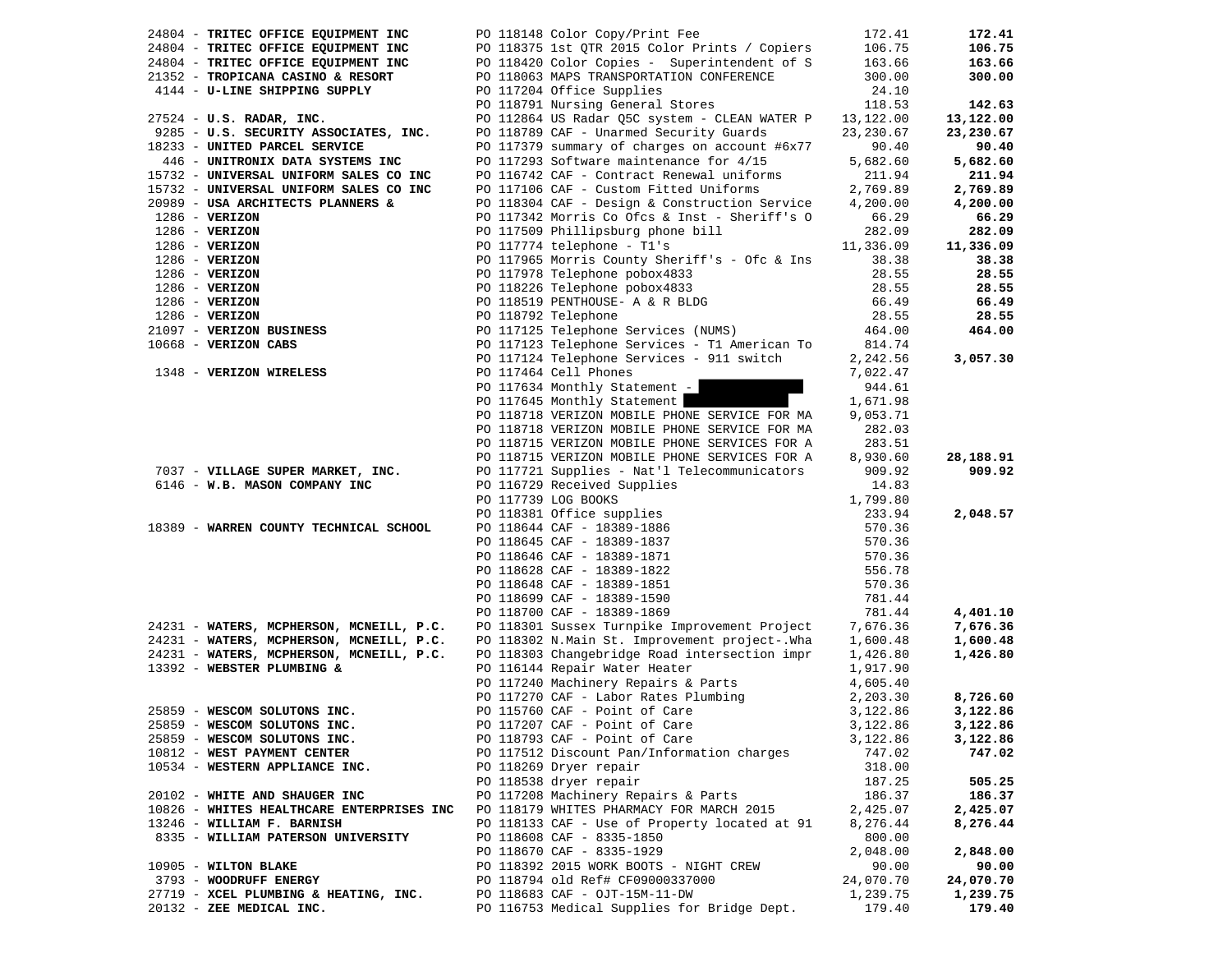| 24804 - TRITEC OFFICE EQUIPMENT INC                                                | PO 118148 Color Copy/Print Fee                | 172.41           | 172.41    |
|------------------------------------------------------------------------------------|-----------------------------------------------|------------------|-----------|
| 24804 - TRITEC OFFICE EQUIPMENT INC                                                | PO 118375 1st QTR 2015 Color Prints / Copiers | 106.75           | 106.75    |
| 24804 - TRITEC OFFICE EQUIPMENT INC                                                | PO 118420 Color Copies - Superintendent of S  | 163.66           | 163.66    |
| 21352 - TROPICANA CASINO & RESORT                                                  | PO 118063 MAPS TRANSPORTATION CONFERENCE      | 300.00           | 300.00    |
| 4144 - U-LINE SHIPPING SUPPLY                                                      | PO 117204 Office Supplies                     | 24.10            |           |
|                                                                                    | PO 118791 Nursing General Stores              | 118.53           | 142.63    |
| 27524 - U.S. RADAR, INC.                                                           | PO 112864 US Radar Q5C system - CLEAN WATER P | 13,122.00        | 13,122.00 |
| 9285 - U.S. SECURITY ASSOCIATES, INC.                                              | PO 118789 CAF - Unarmed Security Guards       | 23, 230.67       | 23,230.67 |
| 18233 - UNITED PARCEL SERVICE                                                      | PO 117379 summary of charges on account #6x77 | 90.40            | 90.40     |
| 446 - UNITRONIX DATA SYSTEMS INC                                                   | PO 117293 Software maintenance for 4/15       | 5,682.60         | 5,682.60  |
| 15732 - UNIVERSAL UNIFORM SALES CO INC                                             | PO 116742 CAF - Contract Renewal uniforms     | 211.94           | 211.94    |
| 15732 - UNIVERSAL UNIFORM SALES CO INC                                             | PO 117106 CAF - Custom Fitted Uniforms        | 2,769.89         | 2,769.89  |
| 20989 - USA ARCHITECTS PLANNERS &                                                  | PO 118304 CAF - Design & Construction Service | 4,200.00         | 4,200.00  |
| $1286$ - VERIZON                                                                   | PO 117342 Morris Co Ofcs & Inst - Sheriff's O | 66.29            | 66.29     |
| $1286$ - VERIZON                                                                   | PO 117509 Phillipsburg phone bill             | 282.09           | 282.09    |
| $1286 - VERIZON$                                                                   | PO 117774 telephone - Tl's                    | 11,336.09        | 11,336.09 |
| $1286$ - VERIZON                                                                   | PO 117965 Morris County Sheriff's - Ofc & Ins | 38.38            | 38.38     |
| $1286$ - VERIZON                                                                   | PO 117978 Telephone pobox4833                 | 28.55            | 28.55     |
| $1286$ - VERIZON                                                                   | PO 118226 Telephone pobox4833                 | 28.55            | 28.55     |
| $1286$ - VERIZON                                                                   | PO 118519 PENTHOUSE- A & R BLDG               | 66.49            | 66.49     |
| $1286 - VERIZON$                                                                   | PO 118792 Telephone                           | 28.55            | 28.55     |
| 21097 - VERIZON BUSINESS                                                           | PO 117125 Telephone Services (NUMS)           | 464.00           | 464.00    |
| 10668 - VERIZON CABS                                                               | PO 117123 Telephone Services - T1 American To | 814.74           |           |
|                                                                                    | PO 117124 Telephone Services - 911 switch     | 2,242.56         | 3,057.30  |
| 1348 - VERIZON WIRELESS                                                            | PO 117464 Cell Phones                         | 7,022.47         |           |
|                                                                                    | PO 117634 Monthly Statement -                 | 944.61           |           |
|                                                                                    | PO 117645 Monthly Statement                   | 1,671.98         |           |
|                                                                                    | PO 118718 VERIZON MOBILE PHONE SERVICE FOR MA | 9,053.71         |           |
|                                                                                    | PO 118718 VERIZON MOBILE PHONE SERVICE FOR MA | 282.03           |           |
|                                                                                    | PO 118715 VERIZON MOBILE PHONE SERVICES FOR A | 283.51           |           |
|                                                                                    | PO 118715 VERIZON MOBILE PHONE SERVICES FOR A | 8,930.60         | 28,188.91 |
| 7037 - VILLAGE SUPER MARKET, INC.                                                  | PO 117721 Supplies - Nat'l Telecommunicators  | 909.92           | 909.92    |
| 6146 - W.B. MASON COMPANY INC                                                      | PO 116729 Received Supplies                   | 14.83            |           |
|                                                                                    | PO 117739 LOG BOOKS                           | 1,799.80         |           |
|                                                                                    | PO 118381 Office supplies                     | 233.94           | 2,048.57  |
| 18389 - WARREN COUNTY TECHNICAL SCHOOL                                             | PO 118644 CAF - 18389-1886                    | 570.36           |           |
|                                                                                    | PO 118645 CAF - 18389-1837                    | 570.36           |           |
|                                                                                    | PO 118646 CAF - 18389-1871                    | 570.36           |           |
|                                                                                    |                                               | 556.78           |           |
|                                                                                    | PO 118628 CAF - 18389-1822                    |                  |           |
|                                                                                    | PO 118648 CAF - 18389-1851                    | 570.36           |           |
|                                                                                    | PO 118699 CAF - 18389-1590                    | 781.44<br>781.44 |           |
|                                                                                    | PO 118700 CAF - 18389-1869                    |                  | 4,401.10  |
| 24231 - WATERS, MCPHERSON, MCNEILL, P.C.                                           | PO 118301 Sussex Turnpike Improvement Project | 7,676.36         | 7,676.36  |
| 24231 - WATERS, MCPHERSON, MCNEILL, P.C.                                           | PO 118302 N.Main St. Improvement project-.Wha | 1,600.48         | 1,600.48  |
| 24231 - WATERS, MCPHERSON, MCNEILL, P.C.                                           | PO 118303 Changebridge Road intersection impr | 1,426.80         | 1,426.80  |
| 13392 - WEBSTER PLUMBING &                                                         | PO 116144 Repair Water Heater                 | 1,917.90         |           |
|                                                                                    | PO 117240 Machinery Repairs & Parts           | 4,605.40         |           |
|                                                                                    | PO 117270 CAF - Labor Rates Plumbing          | 2,203.30         | 8,726.60  |
| 25859 - WESCOM SOLUTONS INC.                                                       | PO 115760 CAF - Point of Care                 | 3,122.86         | 3,122.86  |
| 25859 - WESCOM SOLUTONS INC.                                                       | PO 117207 CAF - Point of Care                 | 3,122.86         | 3,122.86  |
| 25859 - WESCOM SOLUTONS INC.                                                       | PO 118793 CAF - Point of Care                 | 3,122.86         | 3,122.86  |
| 10812 - WEST PAYMENT CENTER                                                        | PO 117512 Discount Pan/Information charges    | 747.02           | 747.02    |
| 10534 - WESTERN APPLIANCE INC.                                                     | PO 118269 Dryer repair                        | 318.00           |           |
|                                                                                    | PO 118538 dryer repair                        | 187.25           | 505.25    |
| 20102 - WHITE AND SHAUGER INC                                                      | PO 117208 Machinery Repairs & Parts           | 186.37           | 186.37    |
| 10826 - WHITES HEALTHCARE ENTERPRISES INC PO 118179 WHITES PHARMACY FOR MARCH 2015 |                                               | 2,425.07         | 2,425.07  |
| 13246 - WILLIAM F. BARNISH                                                         | PO 118133 CAF - Use of Property located at 91 | 8,276.44         | 8,276.44  |
| 8335 - WILLIAM PATERSON UNIVERSITY                                                 | PO 118608 CAF - 8335-1850                     | 800.00           |           |
|                                                                                    | PO 118670 CAF - 8335-1929                     | 2,048.00         | 2,848.00  |
| 10905 - WILTON BLAKE                                                               | PO 118392 2015 WORK BOOTS - NIGHT CREW        | 90.00            | 90.00     |
| 3793 - WOODRUFF ENERGY                                                             | PO 118794 old Ref# CF09000337000              | 24,070.70        | 24,070.70 |
| 27719 - XCEL PLUMBING & HEATING, INC.                                              | PO 118683 CAF - OJT-15M-11-DW                 | 1,239.75         | 1,239.75  |
| 20132 - ZEE MEDICAL INC.                                                           | PO 116753 Medical Supplies for Bridge Dept.   | 179.40           | 179.40    |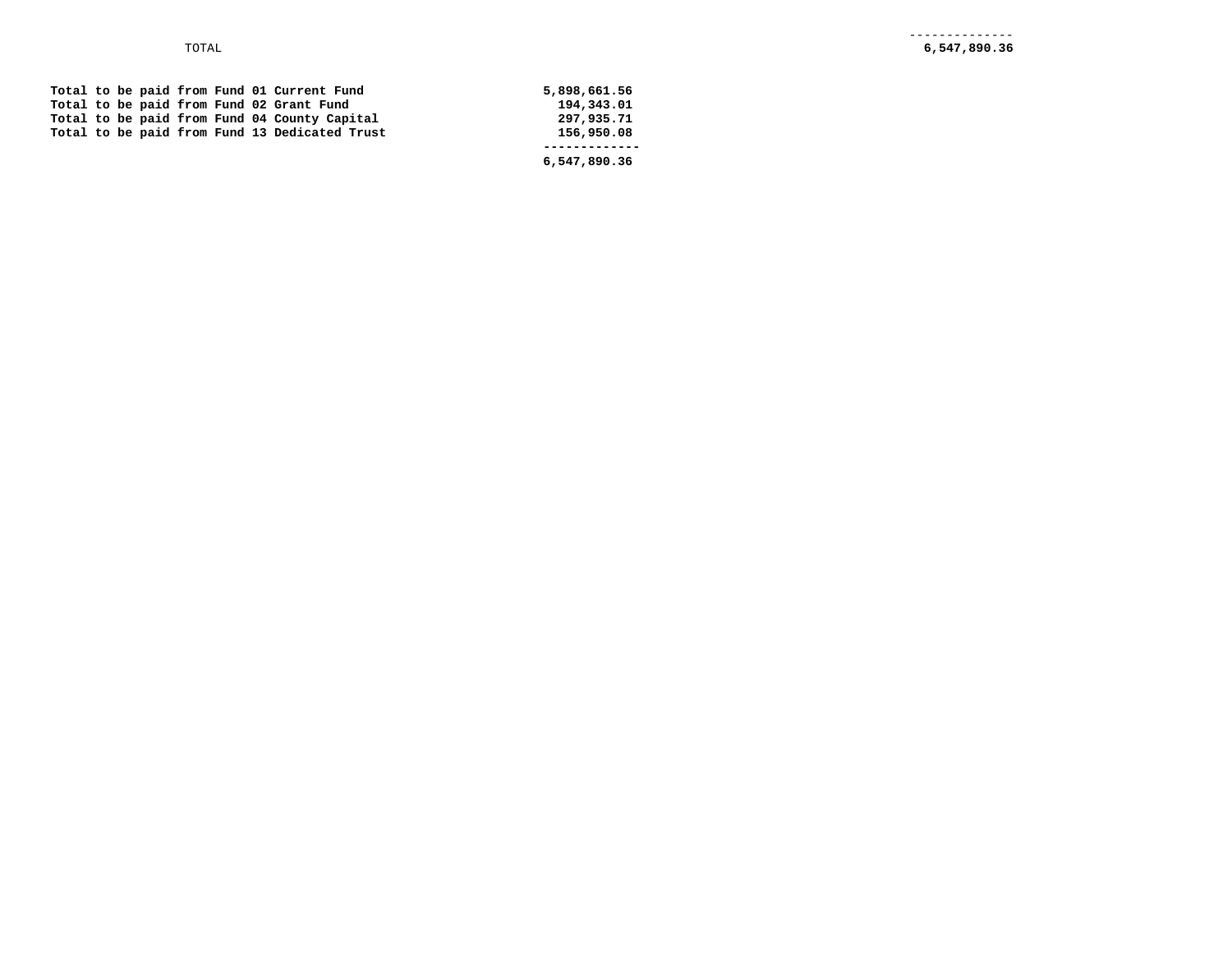|  |  |  |  | Total to be paid from Fund 01 Current Fund    | 5,898,661.56 |
|--|--|--|--|-----------------------------------------------|--------------|
|  |  |  |  | Total to be paid from Fund 02 Grant Fund      | 194,343.01   |
|  |  |  |  | Total to be paid from Fund 04 County Capital  | 297,935.71   |
|  |  |  |  | Total to be paid from Fund 13 Dedicated Trust | 156,950.08   |
|  |  |  |  |                                               |              |
|  |  |  |  |                                               | 6,547,890.36 |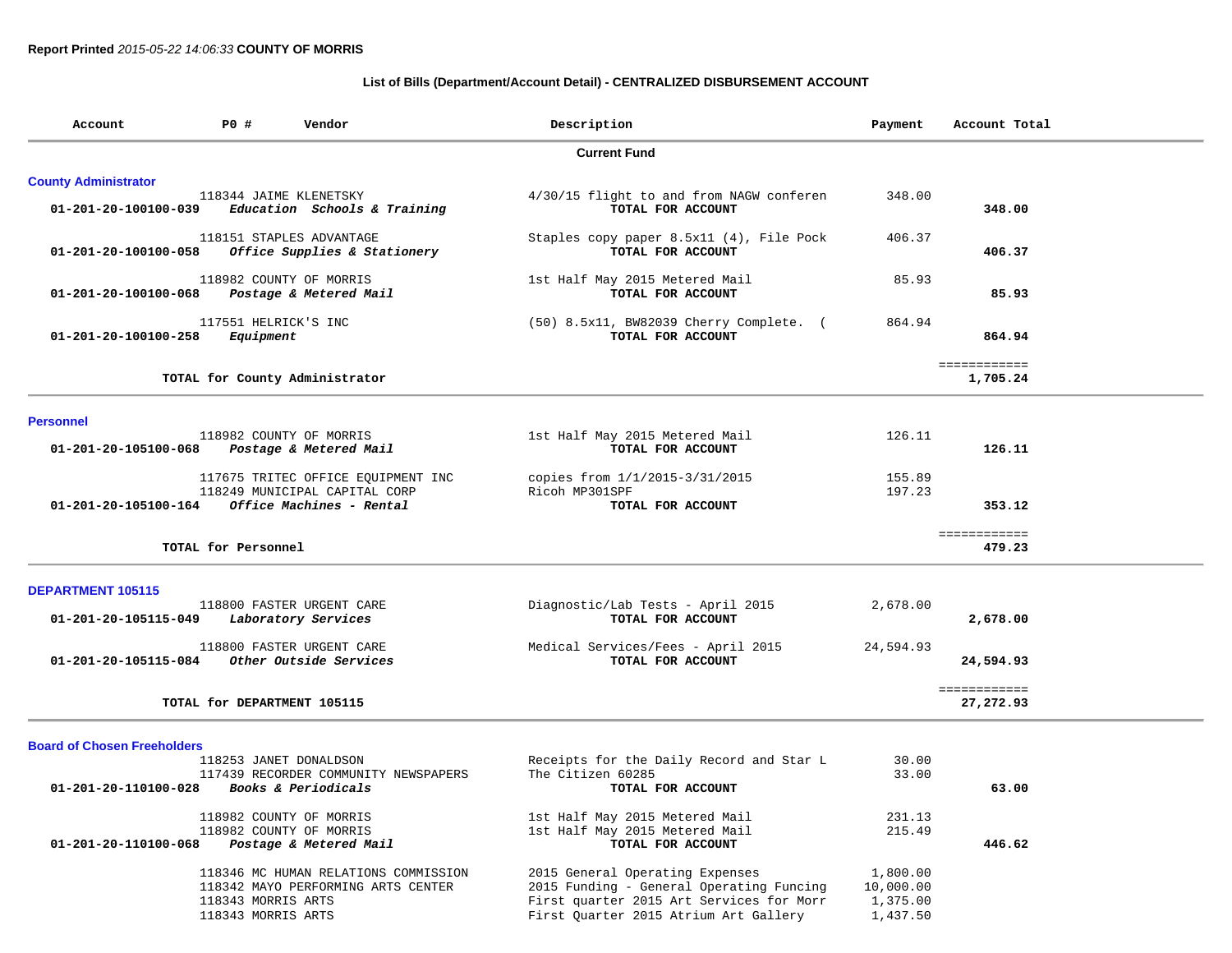## **List of Bills (Department/Account Detail) - CENTRALIZED DISBURSEMENT ACCOUNT**

| Account                                                         | P0 #                                     | Vendor                                                                     | Description                                                                                                                                                      | Payment                                       | Account Total             |
|-----------------------------------------------------------------|------------------------------------------|----------------------------------------------------------------------------|------------------------------------------------------------------------------------------------------------------------------------------------------------------|-----------------------------------------------|---------------------------|
|                                                                 |                                          |                                                                            | <b>Current Fund</b>                                                                                                                                              |                                               |                           |
| <b>County Administrator</b>                                     |                                          |                                                                            |                                                                                                                                                                  |                                               |                           |
|                                                                 | 118344 JAIME KLENETSKY                   | $01-201-20-100100-039$ Education Schools & Training                        | 4/30/15 flight to and from NAGW conferen<br>TOTAL FOR ACCOUNT                                                                                                    | 348.00                                        | 348.00                    |
| 01-201-20-100100-058                                            |                                          | 118151 STAPLES ADVANTAGE<br>Office Supplies & Stationery                   | Staples copy paper 8.5x11 (4), File Pock<br>TOTAL FOR ACCOUNT                                                                                                    | 406.37                                        | 406.37                    |
| 01-201-20-100100-068                                            |                                          | 118982 COUNTY OF MORRIS<br>Postage & Metered Mail                          | 1st Half May 2015 Metered Mail<br>TOTAL FOR ACCOUNT                                                                                                              | 85.93                                         | 85.93                     |
| 01-201-20-100100-258                                            | 117551 HELRICK'S INC<br>Equipment        |                                                                            | (50) 8.5x11, BW82039 Cherry Complete. (<br>TOTAL FOR ACCOUNT                                                                                                     | 864.94                                        | 864.94                    |
|                                                                 |                                          |                                                                            |                                                                                                                                                                  |                                               | ============              |
|                                                                 |                                          | TOTAL for County Administrator                                             |                                                                                                                                                                  |                                               | 1,705.24                  |
|                                                                 |                                          |                                                                            |                                                                                                                                                                  |                                               |                           |
| <b>Personnel</b><br>01-201-20-105100-068 Postage & Metered Mail |                                          | 118982 COUNTY OF MORRIS                                                    | 1st Half May 2015 Metered Mail<br>TOTAL FOR ACCOUNT                                                                                                              | 126.11                                        | 126.11                    |
|                                                                 |                                          | 117675 TRITEC OFFICE EQUIPMENT INC                                         | copies from $1/1/2015 - 3/31/2015$                                                                                                                               | 155.89                                        |                           |
| 01-201-20-105100-164                                            |                                          | 118249 MUNICIPAL CAPITAL CORP<br>Office Machines - Rental                  | Ricoh MP301SPF<br>TOTAL FOR ACCOUNT                                                                                                                              | 197.23                                        | 353.12                    |
|                                                                 |                                          |                                                                            |                                                                                                                                                                  |                                               |                           |
|                                                                 | TOTAL for Personnel                      |                                                                            |                                                                                                                                                                  |                                               | ============<br>479.23    |
| <b>DEPARTMENT 105115</b>                                        |                                          |                                                                            |                                                                                                                                                                  |                                               |                           |
| 01-201-20-105115-049                                            |                                          | 118800 FASTER URGENT CARE<br>Laboratory Services                           | Diagnostic/Lab Tests - April 2015<br>TOTAL FOR ACCOUNT                                                                                                           | 2,678.00                                      | 2,678.00                  |
| 01-201-20-105115-084                                            |                                          | 118800 FASTER URGENT CARE<br><i>Other Outside Services</i>                 | Medical Services/Fees - April 2015<br>TOTAL FOR ACCOUNT                                                                                                          | 24,594.93                                     | 24,594.93                 |
|                                                                 | TOTAL for DEPARTMENT 105115              |                                                                            |                                                                                                                                                                  |                                               | ============<br>27,272.93 |
| <b>Board of Chosen Freeholders</b>                              |                                          |                                                                            |                                                                                                                                                                  |                                               |                           |
|                                                                 |                                          | 118253 JANET DONALDSON                                                     | Receipts for the Daily Record and Star L                                                                                                                         | 30.00                                         |                           |
| 01-201-20-110100-028                                            |                                          | 117439 RECORDER COMMUNITY NEWSPAPERS<br>Books & Periodicals                | The Citizen 60285<br>TOTAL FOR ACCOUNT                                                                                                                           | 33.00                                         | 63.00                     |
|                                                                 |                                          |                                                                            |                                                                                                                                                                  |                                               |                           |
|                                                                 |                                          | 118982 COUNTY OF MORRIS<br>118982 COUNTY OF MORRIS                         | 1st Half May 2015 Metered Mail<br>1st Half May 2015 Metered Mail                                                                                                 | 231.13<br>215.49                              |                           |
| 01-201-20-110100-068                                            |                                          | Postage & Metered Mail                                                     | TOTAL FOR ACCOUNT                                                                                                                                                |                                               | 446.62                    |
|                                                                 | 118343 MORRIS ARTS<br>118343 MORRIS ARTS | 118346 MC HUMAN RELATIONS COMMISSION<br>118342 MAYO PERFORMING ARTS CENTER | 2015 General Operating Expenses<br>2015 Funding - General Operating Funcing<br>First quarter 2015 Art Services for Morr<br>First Quarter 2015 Atrium Art Gallery | 1,800.00<br>10,000.00<br>1,375.00<br>1,437.50 |                           |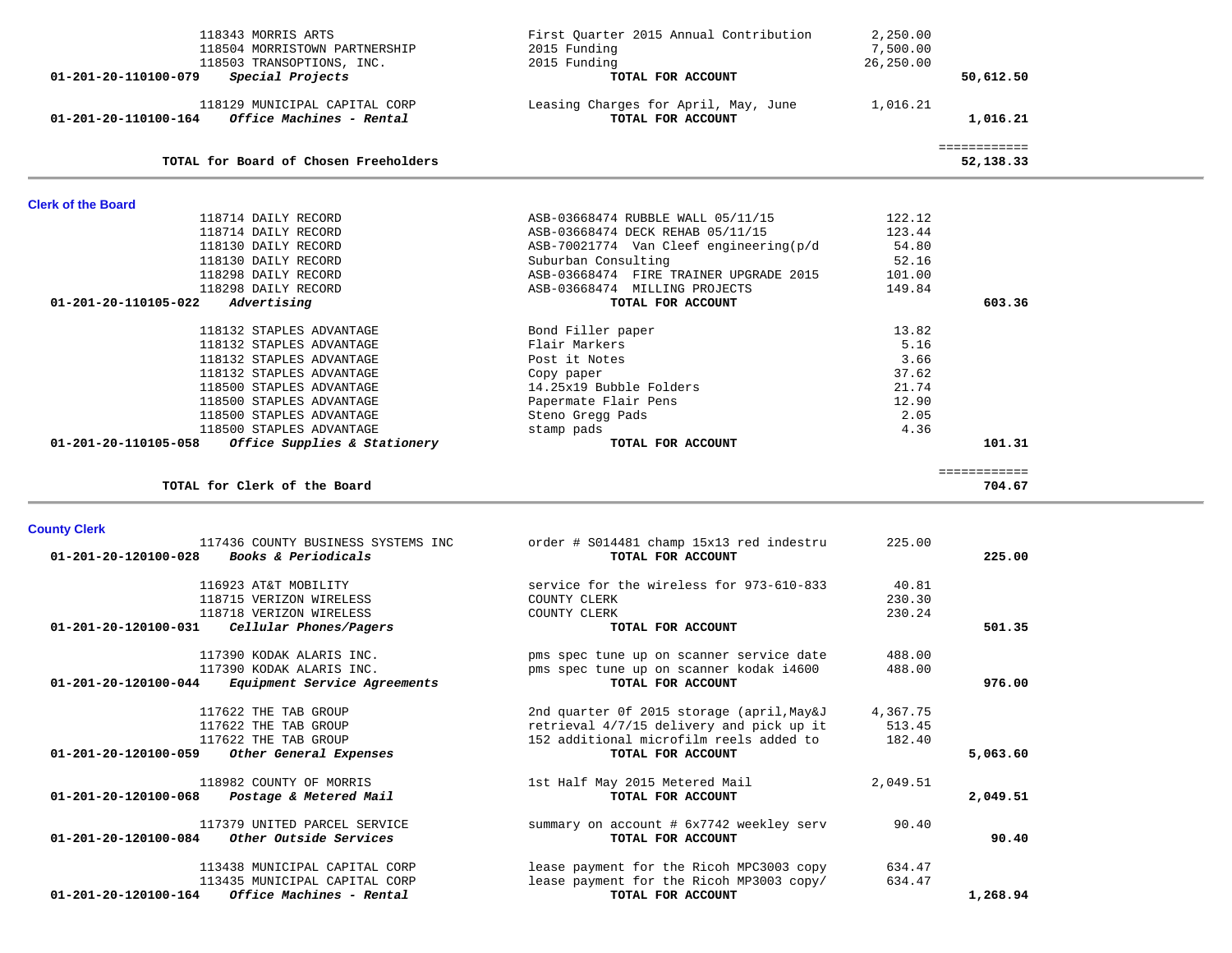| ============<br>TOTAL for Board of Chosen Freeholders<br>52,138.33<br><b>Clerk of the Board</b><br>118714 DAILY RECORD<br>ASB-03668474 RUBBLE WALL 05/11/15<br>122.12<br>118714 DAILY RECORD<br>ASB-03668474 DECK REHAB 05/11/15<br>123.44<br>118130 DAILY RECORD<br>ASB-70021774 Van Cleef engineering(p/d<br>54.80<br>52.16<br>118130 DAILY RECORD<br>Suburban Consulting<br>118298 DAILY RECORD<br>ASB-03668474 FIRE TRAINER UPGRADE 2015<br>101.00<br>118298 DAILY RECORD<br>ASB-03668474 MILLING PROJECTS<br>149.84<br>603.36<br>01-201-20-110105-022<br>Advertising<br>TOTAL FOR ACCOUNT<br>118132 STAPLES ADVANTAGE<br>Bond Filler paper<br>13.82<br>5.16<br>118132 STAPLES ADVANTAGE<br>Flair Markers<br>Post it Notes<br>3.66<br>118132 STAPLES ADVANTAGE<br>118132 STAPLES ADVANTAGE<br>37.62<br>Copy paper<br>118500 STAPLES ADVANTAGE<br>14.25x19 Bubble Folders<br>21.74<br>118500 STAPLES ADVANTAGE<br>12.90<br>Papermate Flair Pens<br>118500 STAPLES ADVANTAGE<br>2.05<br>Steno Gregg Pads<br>4.36<br>118500 STAPLES ADVANTAGE<br>stamp pads<br>01-201-20-110105-058<br>Office Supplies & Stationery<br>TOTAL FOR ACCOUNT<br>101.31<br>============<br>TOTAL for Clerk of the Board<br>704.67<br><b>County Clerk</b><br>117436 COUNTY BUSINESS SYSTEMS INC<br>order # S014481 champ 15x13 red indestru<br>225.00<br>Books & Periodicals<br>225.00<br>TOTAL FOR ACCOUNT<br>01-201-20-120100-028<br>service for the wireless for 973-610-833<br>116923 AT&T MOBILITY<br>40.81<br>118715 VERIZON WIRELESS<br>COUNTY CLERK<br>230.30<br>118718 VERIZON WIRELESS<br>COUNTY CLERK<br>230.24<br>Cellular Phones/Pagers<br>TOTAL FOR ACCOUNT<br>501.35<br>01-201-20-120100-031<br>pms spec tune up on scanner service date<br>117390 KODAK ALARIS INC.<br>488.00<br>pms spec tune up on scanner kodak i4600<br>117390 KODAK ALARIS INC.<br>488.00<br>01-201-20-120100-044<br>Equipment Service Agreements<br>TOTAL FOR ACCOUNT<br>976.00<br>117622 THE TAB GROUP<br>2nd quarter 0f 2015 storage (april, May&J<br>4,367.75<br>117622 THE TAB GROUP<br>retrieval 4/7/15 delivery and pick up it<br>513.45<br>117622 THE TAB GROUP<br>152 additional microfilm reels added to<br>182.40<br>TOTAL FOR ACCOUNT<br>01-201-20-120100-059<br>Other General Expenses<br>5,063.60<br>118982 COUNTY OF MORRIS<br>1st Half May 2015 Metered Mail<br>2,049.51<br>01-201-20-120100-068<br>Postage & Metered Mail<br>TOTAL FOR ACCOUNT<br>2,049.51<br>90.40<br>117379 UNITED PARCEL SERVICE<br>summary on account # 6x7742 weekley serv<br>Other Outside Services<br>TOTAL FOR ACCOUNT<br>90.40<br>01-201-20-120100-084<br>113438 MUNICIPAL CAPITAL CORP<br>lease payment for the Ricoh MPC3003 copy<br>634.47<br>lease payment for the Ricoh MP3003 copy/<br>634.47<br>113435 MUNICIPAL CAPITAL CORP |                                                                       |          |  |
|------------------------------------------------------------------------------------------------------------------------------------------------------------------------------------------------------------------------------------------------------------------------------------------------------------------------------------------------------------------------------------------------------------------------------------------------------------------------------------------------------------------------------------------------------------------------------------------------------------------------------------------------------------------------------------------------------------------------------------------------------------------------------------------------------------------------------------------------------------------------------------------------------------------------------------------------------------------------------------------------------------------------------------------------------------------------------------------------------------------------------------------------------------------------------------------------------------------------------------------------------------------------------------------------------------------------------------------------------------------------------------------------------------------------------------------------------------------------------------------------------------------------------------------------------------------------------------------------------------------------------------------------------------------------------------------------------------------------------------------------------------------------------------------------------------------------------------------------------------------------------------------------------------------------------------------------------------------------------------------------------------------------------------------------------------------------------------------------------------------------------------------------------------------------------------------------------------------------------------------------------------------------------------------------------------------------------------------------------------------------------------------------------------------------------------------------------------------------------------------------------------------------------------------------------------------------------------------------------------------------------------------------------------------------------------------------------------------------------------------------------------------------------------------------|-----------------------------------------------------------------------|----------|--|
|                                                                                                                                                                                                                                                                                                                                                                                                                                                                                                                                                                                                                                                                                                                                                                                                                                                                                                                                                                                                                                                                                                                                                                                                                                                                                                                                                                                                                                                                                                                                                                                                                                                                                                                                                                                                                                                                                                                                                                                                                                                                                                                                                                                                                                                                                                                                                                                                                                                                                                                                                                                                                                                                                                                                                                                                |                                                                       |          |  |
|                                                                                                                                                                                                                                                                                                                                                                                                                                                                                                                                                                                                                                                                                                                                                                                                                                                                                                                                                                                                                                                                                                                                                                                                                                                                                                                                                                                                                                                                                                                                                                                                                                                                                                                                                                                                                                                                                                                                                                                                                                                                                                                                                                                                                                                                                                                                                                                                                                                                                                                                                                                                                                                                                                                                                                                                |                                                                       |          |  |
|                                                                                                                                                                                                                                                                                                                                                                                                                                                                                                                                                                                                                                                                                                                                                                                                                                                                                                                                                                                                                                                                                                                                                                                                                                                                                                                                                                                                                                                                                                                                                                                                                                                                                                                                                                                                                                                                                                                                                                                                                                                                                                                                                                                                                                                                                                                                                                                                                                                                                                                                                                                                                                                                                                                                                                                                |                                                                       |          |  |
|                                                                                                                                                                                                                                                                                                                                                                                                                                                                                                                                                                                                                                                                                                                                                                                                                                                                                                                                                                                                                                                                                                                                                                                                                                                                                                                                                                                                                                                                                                                                                                                                                                                                                                                                                                                                                                                                                                                                                                                                                                                                                                                                                                                                                                                                                                                                                                                                                                                                                                                                                                                                                                                                                                                                                                                                |                                                                       |          |  |
|                                                                                                                                                                                                                                                                                                                                                                                                                                                                                                                                                                                                                                                                                                                                                                                                                                                                                                                                                                                                                                                                                                                                                                                                                                                                                                                                                                                                                                                                                                                                                                                                                                                                                                                                                                                                                                                                                                                                                                                                                                                                                                                                                                                                                                                                                                                                                                                                                                                                                                                                                                                                                                                                                                                                                                                                |                                                                       |          |  |
|                                                                                                                                                                                                                                                                                                                                                                                                                                                                                                                                                                                                                                                                                                                                                                                                                                                                                                                                                                                                                                                                                                                                                                                                                                                                                                                                                                                                                                                                                                                                                                                                                                                                                                                                                                                                                                                                                                                                                                                                                                                                                                                                                                                                                                                                                                                                                                                                                                                                                                                                                                                                                                                                                                                                                                                                |                                                                       |          |  |
|                                                                                                                                                                                                                                                                                                                                                                                                                                                                                                                                                                                                                                                                                                                                                                                                                                                                                                                                                                                                                                                                                                                                                                                                                                                                                                                                                                                                                                                                                                                                                                                                                                                                                                                                                                                                                                                                                                                                                                                                                                                                                                                                                                                                                                                                                                                                                                                                                                                                                                                                                                                                                                                                                                                                                                                                |                                                                       |          |  |
|                                                                                                                                                                                                                                                                                                                                                                                                                                                                                                                                                                                                                                                                                                                                                                                                                                                                                                                                                                                                                                                                                                                                                                                                                                                                                                                                                                                                                                                                                                                                                                                                                                                                                                                                                                                                                                                                                                                                                                                                                                                                                                                                                                                                                                                                                                                                                                                                                                                                                                                                                                                                                                                                                                                                                                                                |                                                                       |          |  |
|                                                                                                                                                                                                                                                                                                                                                                                                                                                                                                                                                                                                                                                                                                                                                                                                                                                                                                                                                                                                                                                                                                                                                                                                                                                                                                                                                                                                                                                                                                                                                                                                                                                                                                                                                                                                                                                                                                                                                                                                                                                                                                                                                                                                                                                                                                                                                                                                                                                                                                                                                                                                                                                                                                                                                                                                |                                                                       |          |  |
|                                                                                                                                                                                                                                                                                                                                                                                                                                                                                                                                                                                                                                                                                                                                                                                                                                                                                                                                                                                                                                                                                                                                                                                                                                                                                                                                                                                                                                                                                                                                                                                                                                                                                                                                                                                                                                                                                                                                                                                                                                                                                                                                                                                                                                                                                                                                                                                                                                                                                                                                                                                                                                                                                                                                                                                                |                                                                       |          |  |
|                                                                                                                                                                                                                                                                                                                                                                                                                                                                                                                                                                                                                                                                                                                                                                                                                                                                                                                                                                                                                                                                                                                                                                                                                                                                                                                                                                                                                                                                                                                                                                                                                                                                                                                                                                                                                                                                                                                                                                                                                                                                                                                                                                                                                                                                                                                                                                                                                                                                                                                                                                                                                                                                                                                                                                                                |                                                                       |          |  |
|                                                                                                                                                                                                                                                                                                                                                                                                                                                                                                                                                                                                                                                                                                                                                                                                                                                                                                                                                                                                                                                                                                                                                                                                                                                                                                                                                                                                                                                                                                                                                                                                                                                                                                                                                                                                                                                                                                                                                                                                                                                                                                                                                                                                                                                                                                                                                                                                                                                                                                                                                                                                                                                                                                                                                                                                |                                                                       |          |  |
|                                                                                                                                                                                                                                                                                                                                                                                                                                                                                                                                                                                                                                                                                                                                                                                                                                                                                                                                                                                                                                                                                                                                                                                                                                                                                                                                                                                                                                                                                                                                                                                                                                                                                                                                                                                                                                                                                                                                                                                                                                                                                                                                                                                                                                                                                                                                                                                                                                                                                                                                                                                                                                                                                                                                                                                                |                                                                       |          |  |
|                                                                                                                                                                                                                                                                                                                                                                                                                                                                                                                                                                                                                                                                                                                                                                                                                                                                                                                                                                                                                                                                                                                                                                                                                                                                                                                                                                                                                                                                                                                                                                                                                                                                                                                                                                                                                                                                                                                                                                                                                                                                                                                                                                                                                                                                                                                                                                                                                                                                                                                                                                                                                                                                                                                                                                                                |                                                                       |          |  |
|                                                                                                                                                                                                                                                                                                                                                                                                                                                                                                                                                                                                                                                                                                                                                                                                                                                                                                                                                                                                                                                                                                                                                                                                                                                                                                                                                                                                                                                                                                                                                                                                                                                                                                                                                                                                                                                                                                                                                                                                                                                                                                                                                                                                                                                                                                                                                                                                                                                                                                                                                                                                                                                                                                                                                                                                |                                                                       |          |  |
|                                                                                                                                                                                                                                                                                                                                                                                                                                                                                                                                                                                                                                                                                                                                                                                                                                                                                                                                                                                                                                                                                                                                                                                                                                                                                                                                                                                                                                                                                                                                                                                                                                                                                                                                                                                                                                                                                                                                                                                                                                                                                                                                                                                                                                                                                                                                                                                                                                                                                                                                                                                                                                                                                                                                                                                                |                                                                       |          |  |
|                                                                                                                                                                                                                                                                                                                                                                                                                                                                                                                                                                                                                                                                                                                                                                                                                                                                                                                                                                                                                                                                                                                                                                                                                                                                                                                                                                                                                                                                                                                                                                                                                                                                                                                                                                                                                                                                                                                                                                                                                                                                                                                                                                                                                                                                                                                                                                                                                                                                                                                                                                                                                                                                                                                                                                                                |                                                                       |          |  |
|                                                                                                                                                                                                                                                                                                                                                                                                                                                                                                                                                                                                                                                                                                                                                                                                                                                                                                                                                                                                                                                                                                                                                                                                                                                                                                                                                                                                                                                                                                                                                                                                                                                                                                                                                                                                                                                                                                                                                                                                                                                                                                                                                                                                                                                                                                                                                                                                                                                                                                                                                                                                                                                                                                                                                                                                |                                                                       |          |  |
|                                                                                                                                                                                                                                                                                                                                                                                                                                                                                                                                                                                                                                                                                                                                                                                                                                                                                                                                                                                                                                                                                                                                                                                                                                                                                                                                                                                                                                                                                                                                                                                                                                                                                                                                                                                                                                                                                                                                                                                                                                                                                                                                                                                                                                                                                                                                                                                                                                                                                                                                                                                                                                                                                                                                                                                                |                                                                       |          |  |
|                                                                                                                                                                                                                                                                                                                                                                                                                                                                                                                                                                                                                                                                                                                                                                                                                                                                                                                                                                                                                                                                                                                                                                                                                                                                                                                                                                                                                                                                                                                                                                                                                                                                                                                                                                                                                                                                                                                                                                                                                                                                                                                                                                                                                                                                                                                                                                                                                                                                                                                                                                                                                                                                                                                                                                                                |                                                                       |          |  |
|                                                                                                                                                                                                                                                                                                                                                                                                                                                                                                                                                                                                                                                                                                                                                                                                                                                                                                                                                                                                                                                                                                                                                                                                                                                                                                                                                                                                                                                                                                                                                                                                                                                                                                                                                                                                                                                                                                                                                                                                                                                                                                                                                                                                                                                                                                                                                                                                                                                                                                                                                                                                                                                                                                                                                                                                |                                                                       |          |  |
|                                                                                                                                                                                                                                                                                                                                                                                                                                                                                                                                                                                                                                                                                                                                                                                                                                                                                                                                                                                                                                                                                                                                                                                                                                                                                                                                                                                                                                                                                                                                                                                                                                                                                                                                                                                                                                                                                                                                                                                                                                                                                                                                                                                                                                                                                                                                                                                                                                                                                                                                                                                                                                                                                                                                                                                                |                                                                       |          |  |
|                                                                                                                                                                                                                                                                                                                                                                                                                                                                                                                                                                                                                                                                                                                                                                                                                                                                                                                                                                                                                                                                                                                                                                                                                                                                                                                                                                                                                                                                                                                                                                                                                                                                                                                                                                                                                                                                                                                                                                                                                                                                                                                                                                                                                                                                                                                                                                                                                                                                                                                                                                                                                                                                                                                                                                                                |                                                                       |          |  |
|                                                                                                                                                                                                                                                                                                                                                                                                                                                                                                                                                                                                                                                                                                                                                                                                                                                                                                                                                                                                                                                                                                                                                                                                                                                                                                                                                                                                                                                                                                                                                                                                                                                                                                                                                                                                                                                                                                                                                                                                                                                                                                                                                                                                                                                                                                                                                                                                                                                                                                                                                                                                                                                                                                                                                                                                |                                                                       |          |  |
|                                                                                                                                                                                                                                                                                                                                                                                                                                                                                                                                                                                                                                                                                                                                                                                                                                                                                                                                                                                                                                                                                                                                                                                                                                                                                                                                                                                                                                                                                                                                                                                                                                                                                                                                                                                                                                                                                                                                                                                                                                                                                                                                                                                                                                                                                                                                                                                                                                                                                                                                                                                                                                                                                                                                                                                                |                                                                       |          |  |
|                                                                                                                                                                                                                                                                                                                                                                                                                                                                                                                                                                                                                                                                                                                                                                                                                                                                                                                                                                                                                                                                                                                                                                                                                                                                                                                                                                                                                                                                                                                                                                                                                                                                                                                                                                                                                                                                                                                                                                                                                                                                                                                                                                                                                                                                                                                                                                                                                                                                                                                                                                                                                                                                                                                                                                                                |                                                                       |          |  |
|                                                                                                                                                                                                                                                                                                                                                                                                                                                                                                                                                                                                                                                                                                                                                                                                                                                                                                                                                                                                                                                                                                                                                                                                                                                                                                                                                                                                                                                                                                                                                                                                                                                                                                                                                                                                                                                                                                                                                                                                                                                                                                                                                                                                                                                                                                                                                                                                                                                                                                                                                                                                                                                                                                                                                                                                |                                                                       |          |  |
|                                                                                                                                                                                                                                                                                                                                                                                                                                                                                                                                                                                                                                                                                                                                                                                                                                                                                                                                                                                                                                                                                                                                                                                                                                                                                                                                                                                                                                                                                                                                                                                                                                                                                                                                                                                                                                                                                                                                                                                                                                                                                                                                                                                                                                                                                                                                                                                                                                                                                                                                                                                                                                                                                                                                                                                                |                                                                       |          |  |
|                                                                                                                                                                                                                                                                                                                                                                                                                                                                                                                                                                                                                                                                                                                                                                                                                                                                                                                                                                                                                                                                                                                                                                                                                                                                                                                                                                                                                                                                                                                                                                                                                                                                                                                                                                                                                                                                                                                                                                                                                                                                                                                                                                                                                                                                                                                                                                                                                                                                                                                                                                                                                                                                                                                                                                                                |                                                                       |          |  |
|                                                                                                                                                                                                                                                                                                                                                                                                                                                                                                                                                                                                                                                                                                                                                                                                                                                                                                                                                                                                                                                                                                                                                                                                                                                                                                                                                                                                                                                                                                                                                                                                                                                                                                                                                                                                                                                                                                                                                                                                                                                                                                                                                                                                                                                                                                                                                                                                                                                                                                                                                                                                                                                                                                                                                                                                |                                                                       |          |  |
|                                                                                                                                                                                                                                                                                                                                                                                                                                                                                                                                                                                                                                                                                                                                                                                                                                                                                                                                                                                                                                                                                                                                                                                                                                                                                                                                                                                                                                                                                                                                                                                                                                                                                                                                                                                                                                                                                                                                                                                                                                                                                                                                                                                                                                                                                                                                                                                                                                                                                                                                                                                                                                                                                                                                                                                                |                                                                       |          |  |
|                                                                                                                                                                                                                                                                                                                                                                                                                                                                                                                                                                                                                                                                                                                                                                                                                                                                                                                                                                                                                                                                                                                                                                                                                                                                                                                                                                                                                                                                                                                                                                                                                                                                                                                                                                                                                                                                                                                                                                                                                                                                                                                                                                                                                                                                                                                                                                                                                                                                                                                                                                                                                                                                                                                                                                                                |                                                                       |          |  |
|                                                                                                                                                                                                                                                                                                                                                                                                                                                                                                                                                                                                                                                                                                                                                                                                                                                                                                                                                                                                                                                                                                                                                                                                                                                                                                                                                                                                                                                                                                                                                                                                                                                                                                                                                                                                                                                                                                                                                                                                                                                                                                                                                                                                                                                                                                                                                                                                                                                                                                                                                                                                                                                                                                                                                                                                |                                                                       |          |  |
|                                                                                                                                                                                                                                                                                                                                                                                                                                                                                                                                                                                                                                                                                                                                                                                                                                                                                                                                                                                                                                                                                                                                                                                                                                                                                                                                                                                                                                                                                                                                                                                                                                                                                                                                                                                                                                                                                                                                                                                                                                                                                                                                                                                                                                                                                                                                                                                                                                                                                                                                                                                                                                                                                                                                                                                                |                                                                       |          |  |
|                                                                                                                                                                                                                                                                                                                                                                                                                                                                                                                                                                                                                                                                                                                                                                                                                                                                                                                                                                                                                                                                                                                                                                                                                                                                                                                                                                                                                                                                                                                                                                                                                                                                                                                                                                                                                                                                                                                                                                                                                                                                                                                                                                                                                                                                                                                                                                                                                                                                                                                                                                                                                                                                                                                                                                                                |                                                                       |          |  |
|                                                                                                                                                                                                                                                                                                                                                                                                                                                                                                                                                                                                                                                                                                                                                                                                                                                                                                                                                                                                                                                                                                                                                                                                                                                                                                                                                                                                                                                                                                                                                                                                                                                                                                                                                                                                                                                                                                                                                                                                                                                                                                                                                                                                                                                                                                                                                                                                                                                                                                                                                                                                                                                                                                                                                                                                |                                                                       |          |  |
|                                                                                                                                                                                                                                                                                                                                                                                                                                                                                                                                                                                                                                                                                                                                                                                                                                                                                                                                                                                                                                                                                                                                                                                                                                                                                                                                                                                                                                                                                                                                                                                                                                                                                                                                                                                                                                                                                                                                                                                                                                                                                                                                                                                                                                                                                                                                                                                                                                                                                                                                                                                                                                                                                                                                                                                                |                                                                       |          |  |
|                                                                                                                                                                                                                                                                                                                                                                                                                                                                                                                                                                                                                                                                                                                                                                                                                                                                                                                                                                                                                                                                                                                                                                                                                                                                                                                                                                                                                                                                                                                                                                                                                                                                                                                                                                                                                                                                                                                                                                                                                                                                                                                                                                                                                                                                                                                                                                                                                                                                                                                                                                                                                                                                                                                                                                                                |                                                                       |          |  |
|                                                                                                                                                                                                                                                                                                                                                                                                                                                                                                                                                                                                                                                                                                                                                                                                                                                                                                                                                                                                                                                                                                                                                                                                                                                                                                                                                                                                                                                                                                                                                                                                                                                                                                                                                                                                                                                                                                                                                                                                                                                                                                                                                                                                                                                                                                                                                                                                                                                                                                                                                                                                                                                                                                                                                                                                |                                                                       |          |  |
|                                                                                                                                                                                                                                                                                                                                                                                                                                                                                                                                                                                                                                                                                                                                                                                                                                                                                                                                                                                                                                                                                                                                                                                                                                                                                                                                                                                                                                                                                                                                                                                                                                                                                                                                                                                                                                                                                                                                                                                                                                                                                                                                                                                                                                                                                                                                                                                                                                                                                                                                                                                                                                                                                                                                                                                                |                                                                       |          |  |
|                                                                                                                                                                                                                                                                                                                                                                                                                                                                                                                                                                                                                                                                                                                                                                                                                                                                                                                                                                                                                                                                                                                                                                                                                                                                                                                                                                                                                                                                                                                                                                                                                                                                                                                                                                                                                                                                                                                                                                                                                                                                                                                                                                                                                                                                                                                                                                                                                                                                                                                                                                                                                                                                                                                                                                                                | Office Machines - Rental<br>TOTAL FOR ACCOUNT<br>01-201-20-120100-164 | 1,268.94 |  |

 118343 MORRIS ARTS First Quarter 2015 Annual Contribution 2,250.00 118504 MORRISTOWN PARTNERSHIP 2015 Funding 2015 Funding 26, 250.00 7, 500.00<br>118503 TRANSOPTIONS, INC. 2015 Funding 2015 Funding 26, 250.00

 **01-201-20-110100-079** *Special Projects* **TOTAL FOR ACCOUNT 50,612.50**

118503 TRANSOPTIONS, INC. 2015 Funding<br> **2015 Funding Propietions** 2015 Funding 2015 FOR ACCOUNT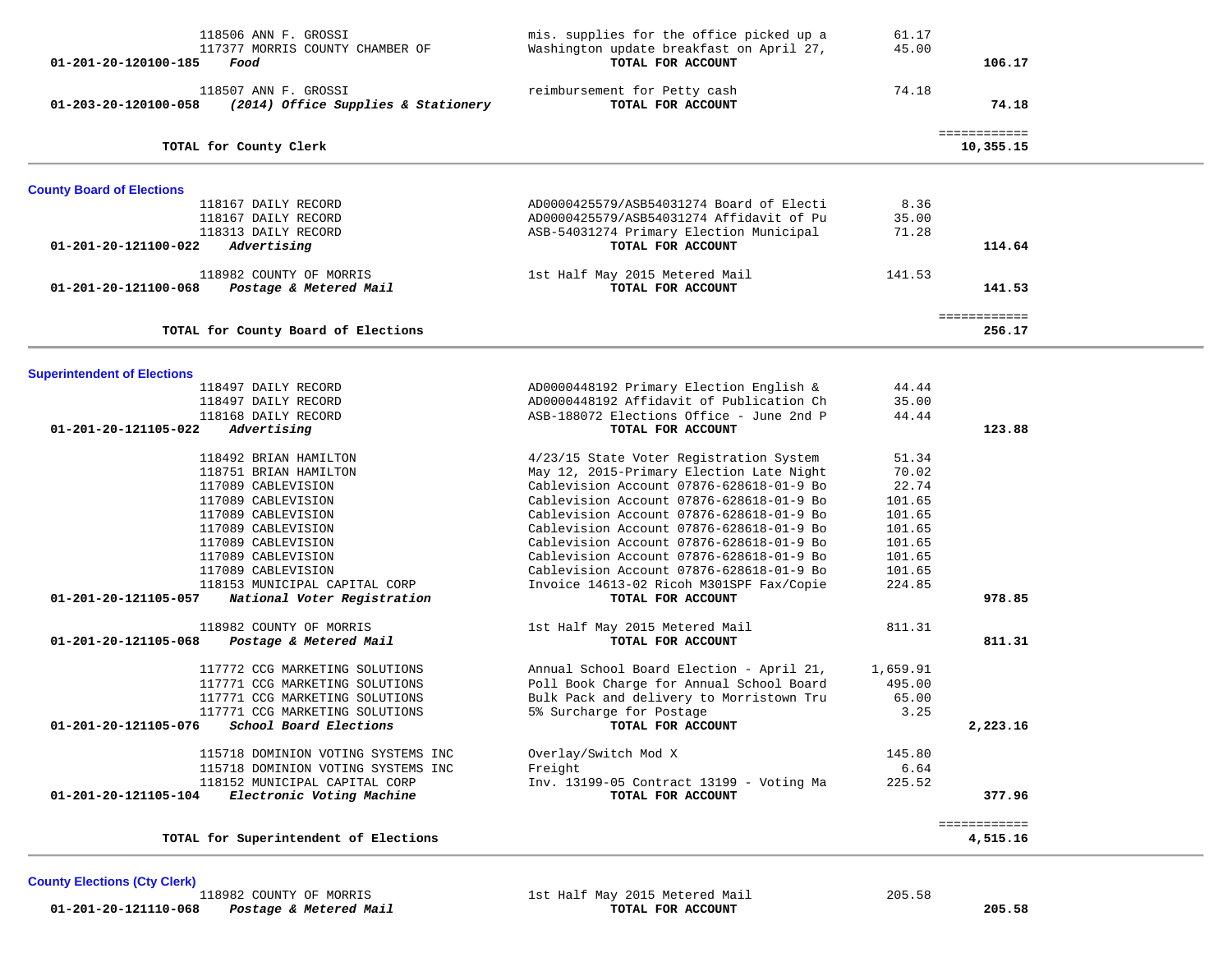| 118506 ANN F. GROSSI<br>117377 MORRIS COUNTY CHAMBER OF<br>01-201-20-120100-185<br>Food | mis. supplies for the office picked up a<br>Washington update breakfast on April 27,<br>TOTAL FOR ACCOUNT | 61.17<br>45.00   | 106.17                    |  |
|-----------------------------------------------------------------------------------------|-----------------------------------------------------------------------------------------------------------|------------------|---------------------------|--|
| 118507 ANN F. GROSSI<br>01-203-20-120100-058<br>(2014) Office Supplies & Stationery     | reimbursement for Petty cash<br>TOTAL FOR ACCOUNT                                                         | 74.18            | 74.18                     |  |
| TOTAL for County Clerk                                                                  |                                                                                                           |                  | ============<br>10,355.15 |  |
| <b>County Board of Elections</b>                                                        |                                                                                                           |                  |                           |  |
| 118167 DAILY RECORD                                                                     | AD0000425579/ASB54031274 Board of Electi                                                                  | 8.36             |                           |  |
| 118167 DAILY RECORD<br>118313 DAILY RECORD                                              | AD0000425579/ASB54031274 Affidavit of Pu<br>ASB-54031274 Primary Election Municipal                       | 35.00<br>71.28   |                           |  |
| Advertising<br>01-201-20-121100-022                                                     | TOTAL FOR ACCOUNT                                                                                         |                  | 114.64                    |  |
|                                                                                         |                                                                                                           |                  |                           |  |
| 118982 COUNTY OF MORRIS<br>Postage & Metered Mail<br>01-201-20-121100-068               | 1st Half May 2015 Metered Mail<br>TOTAL FOR ACCOUNT                                                       | 141.53           | 141.53                    |  |
| TOTAL for County Board of Elections                                                     |                                                                                                           |                  | ============<br>256.17    |  |
|                                                                                         |                                                                                                           |                  |                           |  |
| <b>Superintendent of Elections</b>                                                      |                                                                                                           |                  |                           |  |
| 118497 DAILY RECORD                                                                     | AD0000448192 Primary Election English &                                                                   | 44.44            |                           |  |
| 118497 DAILY RECORD                                                                     | AD0000448192 Affidavit of Publication Ch                                                                  | 35.00            |                           |  |
| 118168 DAILY RECORD<br>01-201-20-121105-022<br>Advertising                              | ASB-188072 Elections Office - June 2nd P<br>TOTAL FOR ACCOUNT                                             | 44.44            | 123.88                    |  |
| 118492 BRIAN HAMILTON                                                                   | 4/23/15 State Voter Registration System                                                                   | 51.34            |                           |  |
| 118751 BRIAN HAMILTON                                                                   | May 12, 2015-Primary Election Late Night                                                                  | 70.02            |                           |  |
| 117089 CABLEVISION                                                                      | Cablevision Account 07876-628618-01-9 Bo                                                                  | 22.74            |                           |  |
| 117089 CABLEVISION                                                                      | Cablevision Account 07876-628618-01-9 Bo                                                                  | 101.65           |                           |  |
| 117089 CABLEVISION                                                                      | Cablevision Account 07876-628618-01-9 Bo                                                                  | 101.65           |                           |  |
| 117089 CABLEVISION                                                                      | Cablevision Account 07876-628618-01-9 Bo                                                                  | 101.65           |                           |  |
| 117089 CABLEVISION<br>117089 CABLEVISION                                                | Cablevision Account 07876-628618-01-9 Bo<br>Cablevision Account 07876-628618-01-9 Bo                      | 101.65<br>101.65 |                           |  |
| 117089 CABLEVISION                                                                      | Cablevision Account 07876-628618-01-9 Bo                                                                  | 101.65           |                           |  |
| 118153 MUNICIPAL CAPITAL CORP                                                           | Invoice 14613-02 Ricoh M301SPF Fax/Copie                                                                  | 224.85           |                           |  |
| 01-201-20-121105-057<br>National Voter Registration                                     | TOTAL FOR ACCOUNT                                                                                         |                  | 978.85                    |  |
| 118982 COUNTY OF MORRIS                                                                 | 1st Half May 2015 Metered Mail                                                                            | 811.31           |                           |  |
| 01-201-20-121105-068<br>Postage & Metered Mail                                          | TOTAL FOR ACCOUNT                                                                                         |                  | 811.31                    |  |
| 117772 CCG MARKETING SOLUTIONS                                                          | Annual School Board Election - April 21,                                                                  | 1,659.91         |                           |  |
| 117771 CCG MARKETING SOLUTIONS                                                          | Poll Book Charge for Annual School Board                                                                  | 495.00           |                           |  |
| 117771 CCG MARKETING SOLUTIONS                                                          | Bulk Pack and delivery to Morristown Tru                                                                  | 65.00            |                           |  |
| 117771 CCG MARKETING SOLUTIONS                                                          | 5% Surcharge for Postage                                                                                  | 3.25             |                           |  |
| 01-201-20-121105-076<br>School Board Elections                                          | TOTAL FOR ACCOUNT                                                                                         |                  | 2,223.16                  |  |
| 115718 DOMINION VOTING SYSTEMS INC                                                      | Overlay/Switch Mod X                                                                                      | 145.80           |                           |  |
| 115718 DOMINION VOTING SYSTEMS INC                                                      | Freight                                                                                                   | 6.64             |                           |  |
| 118152 MUNICIPAL CAPITAL CORP<br>Electronic Voting Machine<br>01-201-20-121105-104      | Inv. 13199-05 Contract 13199 - Voting Ma<br>TOTAL FOR ACCOUNT                                             | 225.52           | 377.96                    |  |
|                                                                                         |                                                                                                           |                  | ============              |  |
| TOTAL for Superintendent of Elections                                                   |                                                                                                           |                  | 4,515.16                  |  |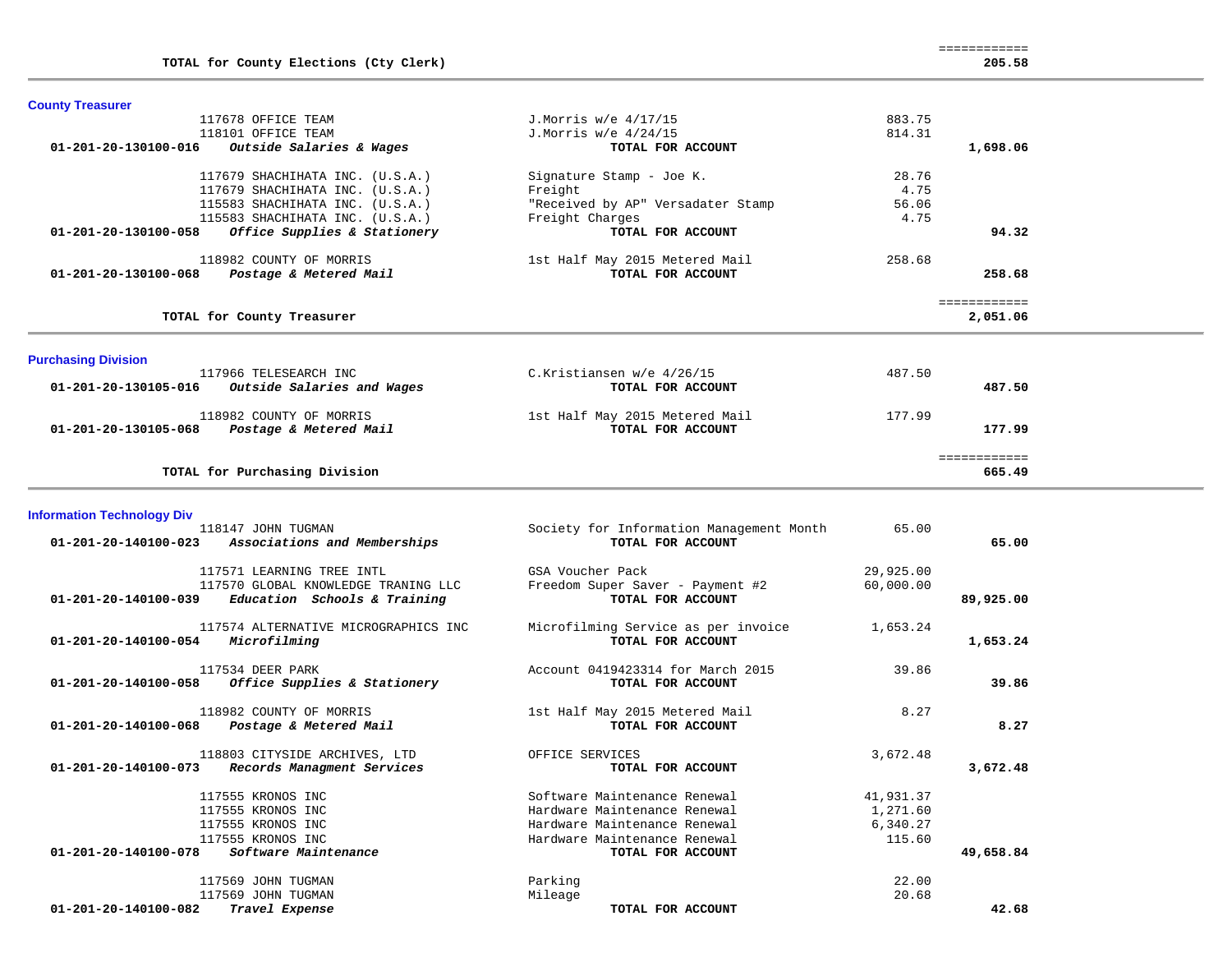| <b>County Treasurer</b>                     |                                                             |                                          |           |                                |  |
|---------------------------------------------|-------------------------------------------------------------|------------------------------------------|-----------|--------------------------------|--|
|                                             | 117678 OFFICE TEAM                                          | J. Morris w/e 4/17/15                    | 883.75    |                                |  |
|                                             | 118101 OFFICE TEAM                                          | J. Morris w/e 4/24/15                    | 814.31    |                                |  |
| 01-201-20-130100-016                        | Outside Salaries & Wages                                    | TOTAL FOR ACCOUNT                        |           | 1,698.06                       |  |
|                                             | 117679 SHACHIHATA INC. (U.S.A.)                             | Signature Stamp - Joe K.                 | 28.76     |                                |  |
|                                             | 117679 SHACHIHATA INC. (U.S.A.)                             | Freight                                  | 4.75      |                                |  |
|                                             | 115583 SHACHIHATA INC. (U.S.A.)                             | "Received by AP" Versadater Stamp        | 56.06     |                                |  |
|                                             | 115583 SHACHIHATA INC. (U.S.A.)                             | Freight Charges                          | 4.75      |                                |  |
| 01-201-20-130100-058                        | Office Supplies & Stationery                                | TOTAL FOR ACCOUNT                        |           | 94.32                          |  |
|                                             | 118982 COUNTY OF MORRIS                                     | 1st Half May 2015 Metered Mail           | 258.68    |                                |  |
| 01-201-20-130100-068                        | Postage & Metered Mail                                      | TOTAL FOR ACCOUNT                        |           | 258.68                         |  |
|                                             |                                                             |                                          |           |                                |  |
|                                             | TOTAL for County Treasurer                                  |                                          |           | <b>EEEEEEEEEEE</b><br>2,051.06 |  |
|                                             |                                                             |                                          |           |                                |  |
| <b>Purchasing Division</b>                  |                                                             |                                          |           |                                |  |
|                                             | 117966 TELESEARCH INC                                       | C.Kristiansen w/e 4/26/15                | 487.50    |                                |  |
| 01-201-20-130105-016                        | Outside Salaries and Wages                                  | TOTAL FOR ACCOUNT                        |           | 487.50                         |  |
|                                             |                                                             |                                          |           |                                |  |
|                                             | 118982 COUNTY OF MORRIS                                     | 1st Half May 2015 Metered Mail           | 177.99    |                                |  |
| 01-201-20-130105-068 Postage & Metered Mail |                                                             | TOTAL FOR ACCOUNT                        |           | 177.99                         |  |
|                                             |                                                             |                                          |           | ============                   |  |
|                                             | TOTAL for Purchasing Division                               |                                          |           | 665.49                         |  |
|                                             |                                                             |                                          |           |                                |  |
| <b>Information Technology Div</b>           |                                                             |                                          |           |                                |  |
|                                             | 118147 JOHN TUGMAN                                          | Society for Information Management Month | 65.00     |                                |  |
| 01-201-20-140100-023                        | Associations and Memberships                                | TOTAL FOR ACCOUNT                        |           | 65.00                          |  |
|                                             | 117571 LEARNING TREE INTL                                   | GSA Voucher Pack                         | 29,925.00 |                                |  |
|                                             | 117570 GLOBAL KNOWLEDGE TRANING LLC                         | Freedom Super Saver - Payment #2         | 60,000.00 |                                |  |
| 01-201-20-140100-039                        | Education Schools & Training                                | TOTAL FOR ACCOUNT                        |           | 89,925.00                      |  |
|                                             |                                                             |                                          |           |                                |  |
|                                             | 117574 ALTERNATIVE MICROGRAPHICS INC                        | Microfilming Service as per invoice      | 1,653.24  |                                |  |
| 01-201-20-140100-054 Microfilming           |                                                             | TOTAL FOR ACCOUNT                        |           | 1,653.24                       |  |
|                                             | 117534 DEER PARK                                            | Account 0419423314 for March 2015        | 39.86     |                                |  |
| 01-201-20-140100-058                        | Office Supplies & Stationery                                | TOTAL FOR ACCOUNT                        |           | 39.86                          |  |
|                                             |                                                             |                                          |           |                                |  |
|                                             | 118982 COUNTY OF MORRIS                                     | 1st Half May 2015 Metered Mail           | 8.27      |                                |  |
| 01-201-20-140100-068                        | Postage & Metered Mail                                      | TOTAL FOR ACCOUNT                        |           | 8.27                           |  |
|                                             |                                                             |                                          |           |                                |  |
| 01-201-20-140100-073                        | 118803 CITYSIDE ARCHIVES, LTD<br>Records Managment Services | OFFICE SERVICES                          | 3,672.48  |                                |  |
|                                             |                                                             | TOTAL FOR ACCOUNT                        |           | 3,672.48                       |  |
|                                             | 117555 KRONOS INC                                           | Software Maintenance Renewal             | 41,931.37 |                                |  |
|                                             | 117555 KRONOS INC                                           | Hardware Maintenance Renewal             | 1,271.60  |                                |  |
|                                             | 117555 KRONOS INC                                           | Hardware Maintenance Renewal             | 6,340.27  |                                |  |
|                                             | 117555 KRONOS INC                                           | Hardware Maintenance Renewal             | 115.60    |                                |  |
| 01-201-20-140100-078                        | Software Maintenance                                        | TOTAL FOR ACCOUNT                        |           | 49,658.84                      |  |
|                                             | 117569 JOHN TUGMAN                                          | Parking                                  | 22.00     |                                |  |
|                                             | 117569 JOHN TUGMAN                                          | Mileage                                  | 20.68     |                                |  |
| 01-201-20-140100-082                        | Travel Expense                                              | TOTAL FOR ACCOUNT                        |           | 42.68                          |  |
|                                             |                                                             |                                          |           |                                |  |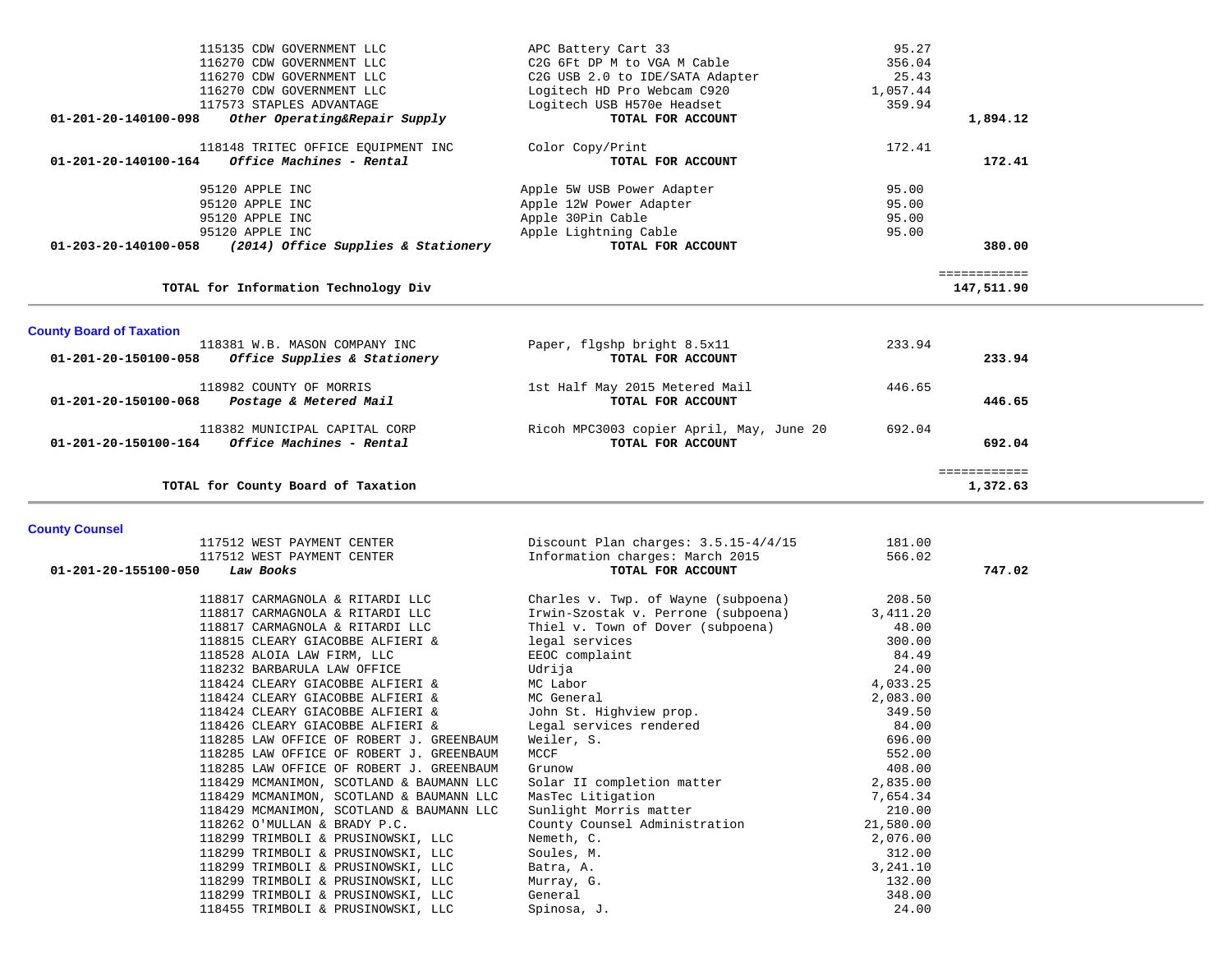|                                 | 115135 CDW GOVERNMENT LLC            | APC Battery Cart 33                      | 95.27        |        |
|---------------------------------|--------------------------------------|------------------------------------------|--------------|--------|
|                                 | 116270 CDW GOVERNMENT LLC            | C2G 6Ft DP M to VGA M Cable              | 356.04       |        |
|                                 | 116270 CDW GOVERNMENT LLC            | C2G USB 2.0 to IDE/SATA Adapter          | 25.43        |        |
|                                 | 116270 CDW GOVERNMENT LLC            | Logitech HD Pro Webcam C920              | 1,057.44     |        |
|                                 | 117573 STAPLES ADVANTAGE             | Logitech USB H570e Headset               | 359.94       |        |
| $01 - 201 - 20 - 140100 - 098$  | Other Operating&Repair Supply        | TOTAL FOR ACCOUNT                        | 1,894.12     |        |
|                                 | 118148 TRITEC OFFICE EQUIPMENT INC   | Color Copy/Print                         | 172.41       |        |
| 01-201-20-140100-164            | Office Machines - Rental             | TOTAL FOR ACCOUNT                        |              | 172.41 |
|                                 | 95120 APPLE INC                      | Apple 5W USB Power Adapter               | 95.00        |        |
|                                 | 95120 APPLE INC                      | Apple 12W Power Adapter                  | 95.00        |        |
|                                 | 95120 APPLE INC                      | Apple 30Pin Cable                        | 95.00        |        |
|                                 | 95120 APPLE INC                      | Apple Lightning Cable                    | 95.00        |        |
| 01-203-20-140100-058            | (2014) Office Supplies & Stationery  | TOTAL FOR ACCOUNT                        |              | 380.00 |
|                                 |                                      |                                          | ============ |        |
|                                 | TOTAL for Information Technology Div |                                          | 147,511.90   |        |
|                                 |                                      |                                          |              |        |
| <b>County Board of Taxation</b> | 118381 W.B. MASON COMPANY INC        | Paper, flgshp bright 8.5x11              | 233.94       |        |
| 01-201-20-150100-058            | Office Supplies & Stationery         | TOTAL FOR ACCOUNT                        |              | 233.94 |
|                                 |                                      |                                          |              |        |
|                                 | 118982 COUNTY OF MORRIS              | 1st Half May 2015 Metered Mail           | 446.65       |        |
| 01-201-20-150100-068            | Postage & Metered Mail               | TOTAL FOR ACCOUNT                        |              | 446.65 |
|                                 | 118382 MUNICIPAL CAPITAL CORP        | Ricoh MPC3003 copier April, May, June 20 | 692.04       |        |
| 01-201-20-150100-164            | Office Machines - Rental             | TOTAL FOR ACCOUNT                        |              | 692.04 |
|                                 |                                      |                                          | ============ |        |
|                                 | TOTAL for County Board of Taxation   |                                          | 1,372.63     |        |
|                                 |                                      |                                          |              |        |
| <b>County Counsel</b>           | 117512 WEST PAYMENT CENTER           | Discount Plan charges: $3.5.15 - 4/4/15$ | 181.00       |        |

| 117512 WEST PAYMENT CENTER               | Discount Plan charges: $3.5.15 - 4/4/15$ | 181.00    |        |
|------------------------------------------|------------------------------------------|-----------|--------|
| 117512 WEST PAYMENT CENTER               | Information charges: March 2015          | 566.02    |        |
| 01-201-20-155100-050<br>Law Books        | TOTAL FOR ACCOUNT                        |           | 747.02 |
|                                          |                                          |           |        |
| 118817 CARMAGNOLA & RITARDI LLC          | Charles v. Twp. of Wayne (subpoena)      | 208.50    |        |
| 118817 CARMAGNOLA & RITARDI LLC          | Irwin-Szostak v. Perrone (subpoena)      | 3,411.20  |        |
| 118817 CARMAGNOLA & RITARDI LLC          | Thiel v. Town of Dover (subpoena)        | 48.00     |        |
| 118815 CLEARY GIACOBBE ALFIERI &         | legal services                           | 300.00    |        |
| 118528 ALOIA LAW FIRM, LLC               | EEOC complaint                           | 84.49     |        |
| 118232 BARBARULA LAW OFFICE              | Udrija                                   | 24.00     |        |
| 118424 CLEARY GIACOBBE ALFIERI &         | MC Labor                                 | 4,033.25  |        |
| 118424 CLEARY GIACOBBE ALFIERI &         | MC General                               | 2,083.00  |        |
| 118424 CLEARY GIACOBBE ALFIERI &         | John St. Highview prop.                  | 349.50    |        |
| 118426 CLEARY GIACOBBE ALFIERI &         | Legal services rendered                  | 84.00     |        |
| 118285 LAW OFFICE OF ROBERT J. GREENBAUM | Weiler, S.                               | 696.00    |        |
| 118285 LAW OFFICE OF ROBERT J. GREENBAUM | MCCF                                     | 552.00    |        |
| 118285 LAW OFFICE OF ROBERT J. GREENBAUM | Grunow                                   | 408.00    |        |
| 118429 MCMANIMON, SCOTLAND & BAUMANN LLC | Solar II completion matter               | 2,835.00  |        |
| 118429 MCMANIMON, SCOTLAND & BAUMANN LLC | MasTec Litigation                        | 7,654.34  |        |
| 118429 MCMANIMON, SCOTLAND & BAUMANN LLC | Sunlight Morris matter                   | 210.00    |        |
| 118262 O'MULLAN & BRADY P.C.             | County Counsel Administration            | 21,580.00 |        |
| 118299 TRIMBOLI & PRUSINOWSKI, LLC       | Nemeth, C.                               | 2,076.00  |        |
| 118299 TRIMBOLI & PRUSINOWSKI, LLC       | Soules, M.                               | 312.00    |        |
| 118299 TRIMBOLI & PRUSINOWSKI, LLC       | Batra, A.                                | 3,241.10  |        |
| 118299 TRIMBOLI & PRUSINOWSKI, LLC       | Murray, G.                               | 132.00    |        |
| 118299 TRIMBOLI & PRUSINOWSKI, LLC       | General                                  | 348.00    |        |
| 118455 TRIMBOLI & PRUSINOWSKI, LLC       | Spinosa, J.                              | 24.00     |        |
|                                          |                                          |           |        |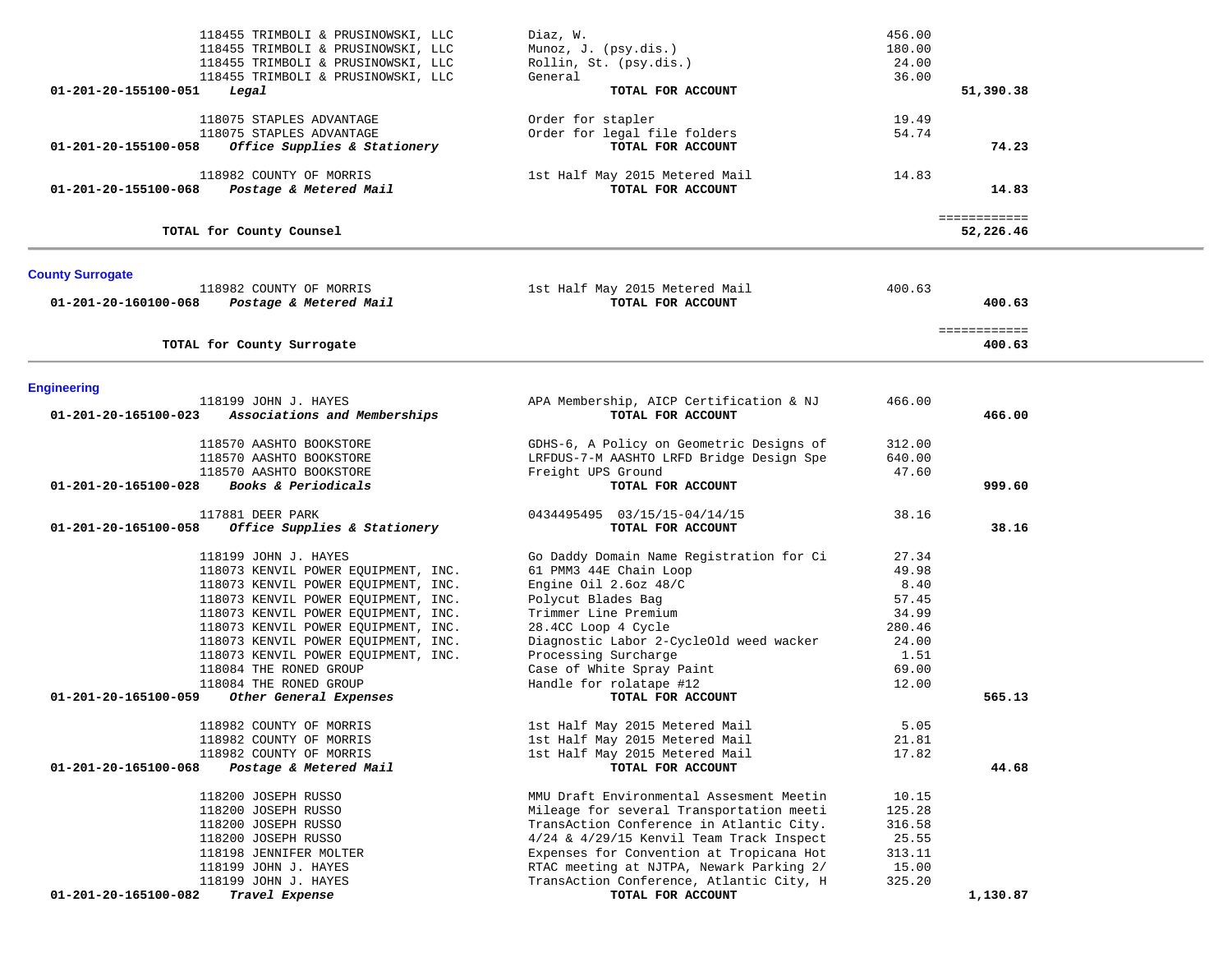| 118455 TRIMBOLI & PRUSINOWSKI, LLC<br>118455 TRIMBOLI & PRUSINOWSKI, LLC  | Diaz, W.<br>Munoz, J. (psy.dis.)                    | 456.00<br>180.00 |                        |  |
|---------------------------------------------------------------------------|-----------------------------------------------------|------------------|------------------------|--|
| 118455 TRIMBOLI & PRUSINOWSKI, LLC                                        | Rollin, St. (psy.dis.)                              | 24.00            |                        |  |
| 118455 TRIMBOLI & PRUSINOWSKI, LLC                                        | General                                             | 36.00            |                        |  |
| 01-201-20-155100-051<br>Legal                                             | TOTAL FOR ACCOUNT                                   |                  | 51,390.38              |  |
| 118075 STAPLES ADVANTAGE                                                  | Order for stapler                                   | 19.49            |                        |  |
| 118075 STAPLES ADVANTAGE                                                  | Order for legal file folders                        | 54.74            |                        |  |
| 01-201-20-155100-058<br>Office Supplies & Stationery                      | TOTAL FOR ACCOUNT                                   |                  | 74.23                  |  |
| 118982 COUNTY OF MORRIS<br>01-201-20-155100-068<br>Postage & Metered Mail | 1st Half May 2015 Metered Mail<br>TOTAL FOR ACCOUNT | 14.83            | 14.83                  |  |
|                                                                           |                                                     |                  | ============           |  |
| TOTAL for County Counsel                                                  |                                                     |                  | 52,226.46              |  |
| <b>County Surrogate</b>                                                   |                                                     |                  |                        |  |
| 118982 COUNTY OF MORRIS                                                   | 1st Half May 2015 Metered Mail                      | 400.63           |                        |  |
| 01-201-20-160100-068 Postage & Metered Mail                               | TOTAL FOR ACCOUNT                                   |                  | 400.63                 |  |
| TOTAL for County Surrogate                                                |                                                     |                  | ============<br>400.63 |  |
|                                                                           |                                                     |                  |                        |  |
| <b>Engineering</b><br>118199 JOHN J. HAYES                                | APA Membership, AICP Certification & NJ             | 466.00           |                        |  |
| Associations and Memberships<br>01-201-20-165100-023                      | TOTAL FOR ACCOUNT                                   |                  | 466.00                 |  |
| 118570 AASHTO BOOKSTORE                                                   | GDHS-6, A Policy on Geometric Designs of            | 312.00           |                        |  |
| 118570 AASHTO BOOKSTORE                                                   | LRFDUS-7-M AASHTO LRFD Bridge Design Spe            | 640.00           |                        |  |
| 118570 AASHTO BOOKSTORE                                                   | Freight UPS Ground                                  | 47.60            |                        |  |
| Books & Periodicals<br>01-201-20-165100-028                               | TOTAL FOR ACCOUNT                                   |                  | 999.60                 |  |
| 117881 DEER PARK                                                          | 0434495495  03/15/15-04/14/15                       | 38.16            |                        |  |
| 01-201-20-165100-058<br>Office Supplies & Stationery                      | TOTAL FOR ACCOUNT                                   |                  | 38.16                  |  |
| 118199 JOHN J. HAYES                                                      | Go Daddy Domain Name Registration for Ci            | 27.34            |                        |  |
| 118073 KENVIL POWER EQUIPMENT, INC.                                       | 61 PMM3 44E Chain Loop                              | 49.98            |                        |  |
| 118073 KENVIL POWER EQUIPMENT, INC.                                       | Engine Oil 2.6oz 48/C                               | 8.40             |                        |  |
| 118073 KENVIL POWER EQUIPMENT, INC.                                       | Polycut Blades Bag                                  | 57.45            |                        |  |
| 118073 KENVIL POWER EQUIPMENT, INC.                                       | Trimmer Line Premium                                | 34.99            |                        |  |
| 118073 KENVIL POWER EQUIPMENT, INC.                                       | 28.4CC Loop 4 Cycle                                 | 280.46           |                        |  |
| 118073 KENVIL POWER EQUIPMENT, INC.                                       | Diagnostic Labor 2-CycleOld weed wacker             | 24.00            |                        |  |
| 118073 KENVIL POWER EQUIPMENT, INC.                                       | Processing Surcharge                                | 1.51             |                        |  |
| 118084 THE RONED GROUP                                                    | Case of White Spray Paint                           | 69.00            |                        |  |
| 118084 THE RONED GROUP                                                    | Handle for rolatape #12                             | 12.00            |                        |  |
| Other General Expenses<br>01-201-20-165100-059                            | TOTAL FOR ACCOUNT                                   |                  | 565.13                 |  |
| 118982 COUNTY OF MORRIS                                                   | 1st Half May 2015 Metered Mail                      | 5.05             |                        |  |
| 118982 COUNTY OF MORRIS                                                   | 1st Half May 2015 Metered Mail                      | 21.81            |                        |  |
| 118982 COUNTY OF MORRIS                                                   | 1st Half May 2015 Metered Mail                      | 17.82            |                        |  |
| 01-201-20-165100-068<br>Postage & Metered Mail                            | TOTAL FOR ACCOUNT                                   |                  | 44.68                  |  |
| 118200 JOSEPH RUSSO                                                       | MMU Draft Environmental Assesment Meetin            | 10.15            |                        |  |
| 118200 JOSEPH RUSSO                                                       | Mileage for several Transportation meeti            | 125.28           |                        |  |
| 118200 JOSEPH RUSSO                                                       | TransAction Conference in Atlantic City.            | 316.58           |                        |  |
| 118200 JOSEPH RUSSO                                                       | $4/24$ & $4/29/15$ Kenvil Team Track Inspect        | 25.55            |                        |  |
| 118198 JENNIFER MOLTER                                                    | Expenses for Convention at Tropicana Hot            | 313.11           |                        |  |
| 118199 JOHN J. HAYES                                                      | RTAC meeting at NJTPA, Newark Parking 2/            | 15.00            |                        |  |
| 118199 JOHN J. HAYES                                                      | TransAction Conference, Atlantic City, H            | 325.20           |                        |  |
| 01-201-20-165100-082<br>Travel Expense                                    | TOTAL FOR ACCOUNT                                   |                  | 1,130.87               |  |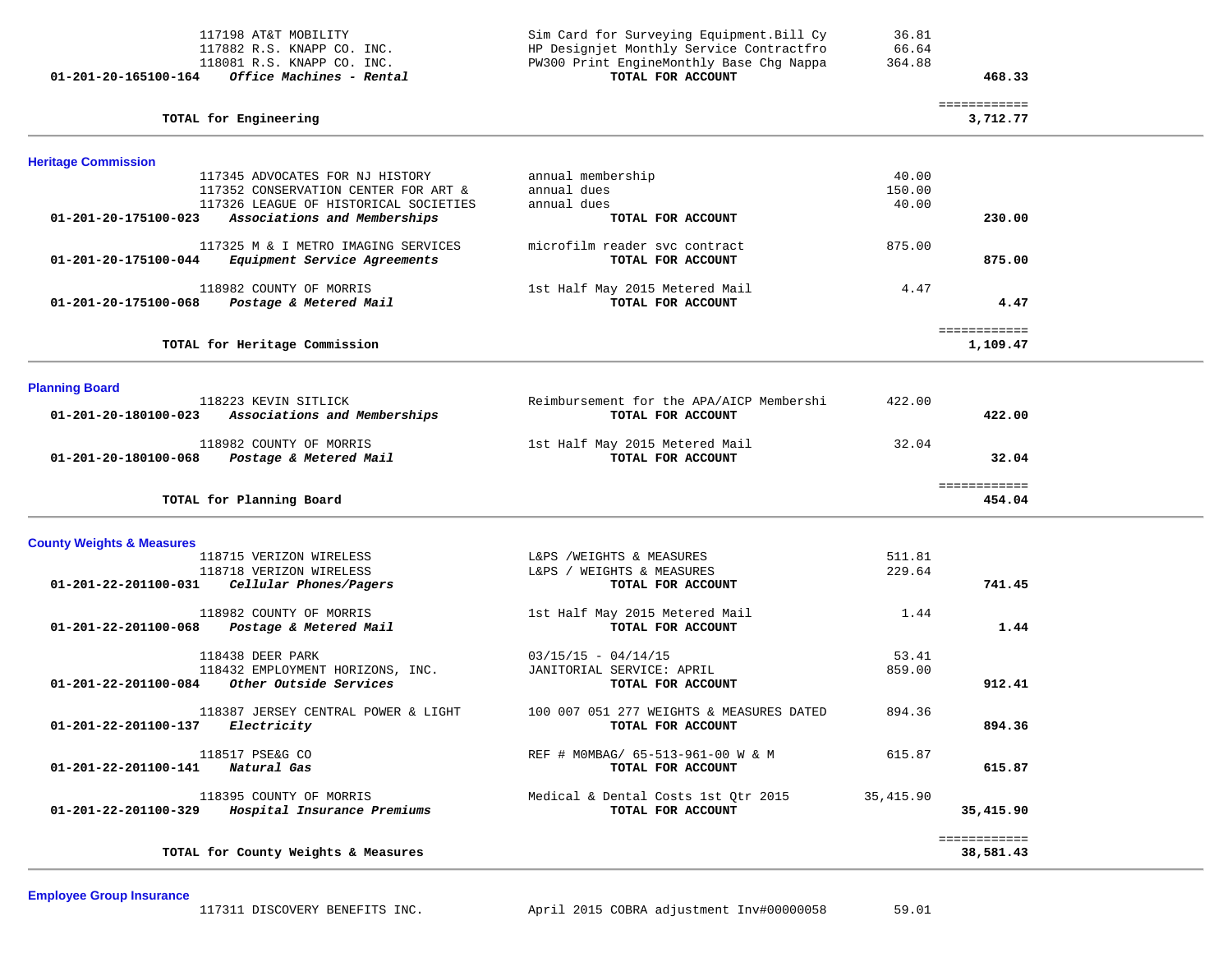| 117198 AT&T MOBILITY<br>117882 R.S. KNAPP CO. INC.<br>118081 R.S. KNAPP CO. INC.<br>Office Machines - Rental<br>01-201-20-165100-164                                     | Sim Card for Surveying Equipment. Bill Cy<br>HP Designjet Monthly Service Contractfro<br>PW300 Print EngineMonthly Base Chg Nappa<br>TOTAL FOR ACCOUNT | 36.81<br>66.64<br>364.88 | 468.33                    |  |
|--------------------------------------------------------------------------------------------------------------------------------------------------------------------------|--------------------------------------------------------------------------------------------------------------------------------------------------------|--------------------------|---------------------------|--|
| TOTAL for Engineering                                                                                                                                                    |                                                                                                                                                        |                          | ============<br>3,712.77  |  |
| <b>Heritage Commission</b>                                                                                                                                               |                                                                                                                                                        |                          |                           |  |
| 117345 ADVOCATES FOR NJ HISTORY<br>117352 CONSERVATION CENTER FOR ART &<br>117326 LEAGUE OF HISTORICAL SOCIETIES<br>01-201-20-175100-023<br>Associations and Memberships | annual membership<br>annual dues<br>annual dues<br>TOTAL FOR ACCOUNT                                                                                   | 40.00<br>150.00<br>40.00 | 230.00                    |  |
| 117325 M & I METRO IMAGING SERVICES<br>01-201-20-175100-044<br>Equipment Service Agreements                                                                              | microfilm reader svc contract<br>TOTAL FOR ACCOUNT                                                                                                     | 875.00                   | 875.00                    |  |
| 118982 COUNTY OF MORRIS<br>01-201-20-175100-068<br>Postage & Metered Mail                                                                                                | 1st Half May 2015 Metered Mail<br>TOTAL FOR ACCOUNT                                                                                                    | 4.47                     | 4.47                      |  |
| TOTAL for Heritage Commission                                                                                                                                            |                                                                                                                                                        |                          | ============<br>1,109.47  |  |
| <b>Planning Board</b>                                                                                                                                                    |                                                                                                                                                        |                          |                           |  |
| 118223 KEVIN SITLICK<br>Associations and Memberships<br>01-201-20-180100-023                                                                                             | Reimbursement for the APA/AICP Membershi<br>TOTAL FOR ACCOUNT                                                                                          | 422.00                   | 422.00                    |  |
| 118982 COUNTY OF MORRIS<br>01-201-20-180100-068<br>Postage & Metered Mail                                                                                                | 1st Half May 2015 Metered Mail<br>TOTAL FOR ACCOUNT                                                                                                    | 32.04                    | 32.04                     |  |
| TOTAL for Planning Board                                                                                                                                                 |                                                                                                                                                        |                          | ============<br>454.04    |  |
| <b>County Weights &amp; Measures</b>                                                                                                                                     |                                                                                                                                                        |                          |                           |  |
| 118715 VERIZON WIRELESS<br>118718 VERIZON WIRELESS<br>Cellular Phones/Pagers<br>01-201-22-201100-031                                                                     | L&PS /WEIGHTS & MEASURES<br>L&PS / WEIGHTS & MEASURES<br>TOTAL FOR ACCOUNT                                                                             | 511.81<br>229.64         | 741.45                    |  |
| 118982 COUNTY OF MORRIS<br>01-201-22-201100-068<br>Postage & Metered Mail                                                                                                | 1st Half May 2015 Metered Mail<br>TOTAL FOR ACCOUNT                                                                                                    | 1.44                     | 1.44                      |  |
| 118438 DEER PARK<br>118432 EMPLOYMENT HORIZONS, INC.<br>01-201-22-201100-084<br>Other Outside Services                                                                   | $03/15/15 - 04/14/15$<br>JANITORIAL SERVICE: APRIL<br>TOTAL FOR ACCOUNT                                                                                | 53.41<br>859.00          | 912.41                    |  |
| 118387 JERSEY CENTRAL POWER & LIGHT<br>01-201-22-201100-137<br><i>Electricity</i>                                                                                        | 100 007 051 277 WEIGHTS & MEASURES DATED<br>TOTAL FOR ACCOUNT                                                                                          | 894.36                   | 894.36                    |  |
| 118517 PSE&G CO<br>01-201-22-201100-141<br>Natural Gas                                                                                                                   | REF # MOMBAG/ 65-513-961-00 W & M<br>TOTAL FOR ACCOUNT                                                                                                 | 615.87                   | 615.87                    |  |
| 118395 COUNTY OF MORRIS<br>01-201-22-201100-329<br>Hospital Insurance Premiums                                                                                           | Medical & Dental Costs 1st Qtr 2015<br>TOTAL FOR ACCOUNT                                                                                               | 35,415.90                | 35,415.90                 |  |
| TOTAL for County Weights & Measures                                                                                                                                      |                                                                                                                                                        |                          | ============<br>38,581.43 |  |

**Employee Group Insurance**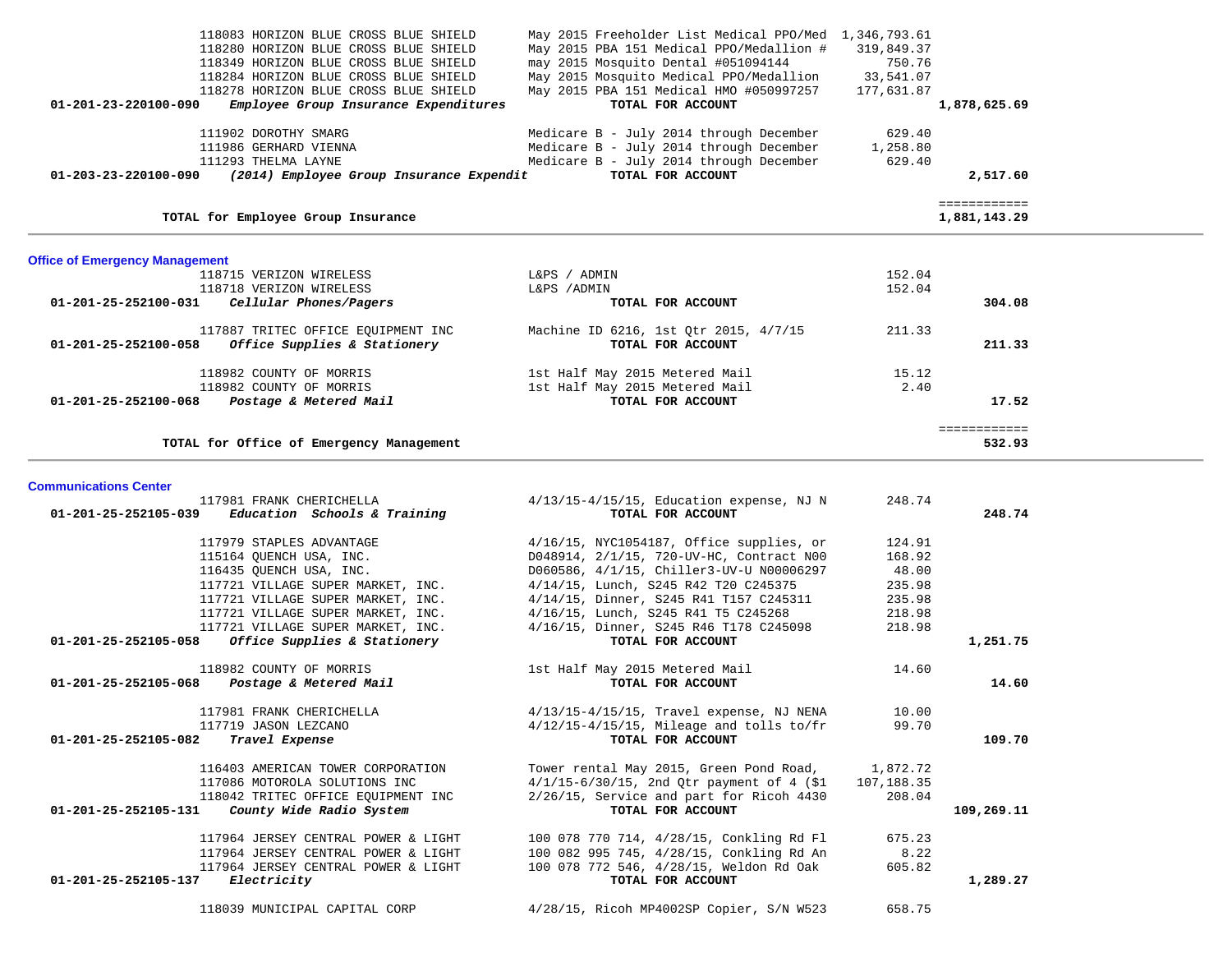|                                       | 118083 HORIZON BLUE CROSS BLUE SHIELD                                          | May 2015 Freeholder List Medical PPO/Med 1,346,793.61                          |                     |              |  |
|---------------------------------------|--------------------------------------------------------------------------------|--------------------------------------------------------------------------------|---------------------|--------------|--|
|                                       | 118280 HORIZON BLUE CROSS BLUE SHIELD                                          | May 2015 PBA 151 Medical PPO/Medallion #                                       | 319,849.37          |              |  |
|                                       | 118349 HORIZON BLUE CROSS BLUE SHIELD<br>118284 HORIZON BLUE CROSS BLUE SHIELD | may 2015 Mosquito Dental #051094144<br>May 2015 Mosquito Medical PPO/Medallion | 750.76<br>33,541.07 |              |  |
|                                       | 118278 HORIZON BLUE CROSS BLUE SHIELD                                          | May 2015 PBA 151 Medical HMO #050997257                                        | 177,631.87          |              |  |
| 01-201-23-220100-090                  | Employee Group Insurance Expenditures                                          | TOTAL FOR ACCOUNT                                                              |                     | 1,878,625.69 |  |
|                                       |                                                                                |                                                                                |                     |              |  |
|                                       | 111902 DOROTHY SMARG                                                           | Medicare B - July 2014 through December                                        | 629.40              |              |  |
|                                       | 111986 GERHARD VIENNA                                                          | Medicare B - July 2014 through December                                        | 1,258.80            |              |  |
|                                       | 111293 THELMA LAYNE                                                            | Medicare B - July 2014 through December                                        | 629.40              |              |  |
|                                       | $01-203-23-220100-090$ (2014) Employee Group Insurance Expendit                | TOTAL FOR ACCOUNT                                                              |                     | 2,517.60     |  |
|                                       |                                                                                |                                                                                |                     | ============ |  |
|                                       | TOTAL for Employee Group Insurance                                             |                                                                                |                     | 1,881,143.29 |  |
|                                       |                                                                                |                                                                                |                     |              |  |
| <b>Office of Emergency Management</b> |                                                                                |                                                                                |                     |              |  |
|                                       | 118715 VERIZON WIRELESS                                                        | L&PS / ADMIN                                                                   | 152.04              |              |  |
|                                       | 118718 VERIZON WIRELESS                                                        | L&PS / ADMIN                                                                   | 152.04              |              |  |
| 01-201-25-252100-031                  | Cellular Phones/Pagers                                                         | TOTAL FOR ACCOUNT                                                              |                     | 304.08       |  |
|                                       | 117887 TRITEC OFFICE EQUIPMENT INC                                             | Machine ID 6216, 1st Qtr 2015, 4/7/15                                          | 211.33              |              |  |
| 01-201-25-252100-058                  | Office Supplies & Stationery                                                   | TOTAL FOR ACCOUNT                                                              |                     | 211.33       |  |
|                                       | 118982 COUNTY OF MORRIS                                                        | 1st Half May 2015 Metered Mail                                                 | 15.12               |              |  |
|                                       | 118982 COUNTY OF MORRIS                                                        | 1st Half May 2015 Metered Mail                                                 | 2.40                |              |  |
|                                       | 01-201-25-252100-068 Postage & Metered Mail                                    | TOTAL FOR ACCOUNT                                                              |                     | 17.52        |  |
|                                       |                                                                                |                                                                                |                     | ============ |  |
|                                       | TOTAL for Office of Emergency Management                                       |                                                                                |                     | 532.93       |  |
|                                       |                                                                                |                                                                                |                     |              |  |
| <b>Communications Center</b>          |                                                                                |                                                                                |                     |              |  |
|                                       | 117981 FRANK CHERICHELLA                                                       | $4/13/15-4/15/15$ , Education expense, NJ N                                    | 248.74              |              |  |
| 01-201-25-252105-039                  | Education Schools & Training                                                   | TOTAL FOR ACCOUNT                                                              |                     | 248.74       |  |
|                                       | 117979 STAPLES ADVANTAGE                                                       | 4/16/15, NYC1054187, Office supplies, or                                       | 124.91              |              |  |
|                                       | 115164 QUENCH USA, INC.                                                        | D048914, 2/1/15, 720-UV-HC, Contract N00                                       | 168.92              |              |  |
|                                       | 116435 QUENCH USA, INC.                                                        | D060586, 4/1/15, Chiller3-UV-U N00006297                                       | 48.00               |              |  |
|                                       | 117721 VILLAGE SUPER MARKET, INC.                                              | 4/14/15, Lunch, S245 R42 T20 C245375                                           | 235.98              |              |  |
|                                       | 117721 VILLAGE SUPER MARKET, INC.                                              | 4/14/15, Dinner, S245 R41 T157 C245311                                         | 235.98              |              |  |
|                                       | 117721 VILLAGE SUPER MARKET, INC.                                              | 4/16/15, Lunch, S245 R41 T5 C245268                                            | 218.98              |              |  |

 **01-201-25-252105-058** *Office Supplies & Stationery* **TOTAL FOR ACCOUNT 1,251.75** 118982 COUNTY OF MORRIS 14.60  **01-201-25-252105-068** *Postage & Metered Mail* **TOTAL FOR ACCOUNT 14.60** 117981 FRANK CHERICHELLA 4/13/15-4/15/15, Travel expense, NJ NENA 10.00 117719 JASON LEZCANO 4/12/15-4/15/15, Mileage and tolls to/fr 99.70  **01-201-25-252105-082** *Travel Expense* **TOTAL FOR ACCOUNT 109.70** 116403 AMERICAN TOWER CORPORATION Tower rental May 2015, Green Pond Road, 1,872.72 117086 MOTOROLA SOLUTIONS INC 4/1/15-6/30/15, 2nd Qtr payment of 4 (\$1 107,188.35 118042 TRITEC OFFICE EQUIPMENT INC 2/26/15, Service and part for Ricoh 4430 208.04  **01-201-25-252105-131** *County Wide Radio System* **TOTAL FOR ACCOUNT 109,269.11** 117964 JERSEY CENTRAL POWER & LIGHT 100 078 770 714, 4/28/15, Conkling Rd Fl 675.23 117964 JERSEY CENTRAL POWER & LIGHT 100 082 995 745, 4/28/15, Conkling Rd An 8.22 117964 JERSEY CENTRAL POWER & LIGHT 100 078 772 546, 4/28/15, Weldon Rd Oak 605.82  **01-201-25-252105-137** *Electricity* **TOTAL FOR ACCOUNT 1,289.27** 118039 MUNICIPAL CAPITAL CORP 4/28/15, Ricoh MP4002SP Copier, S/N W523 658.75

117721 VILLAGE SUPER MARKET, INC. 4/16/15, Dinner, S245 R46 T178 C245098 218.98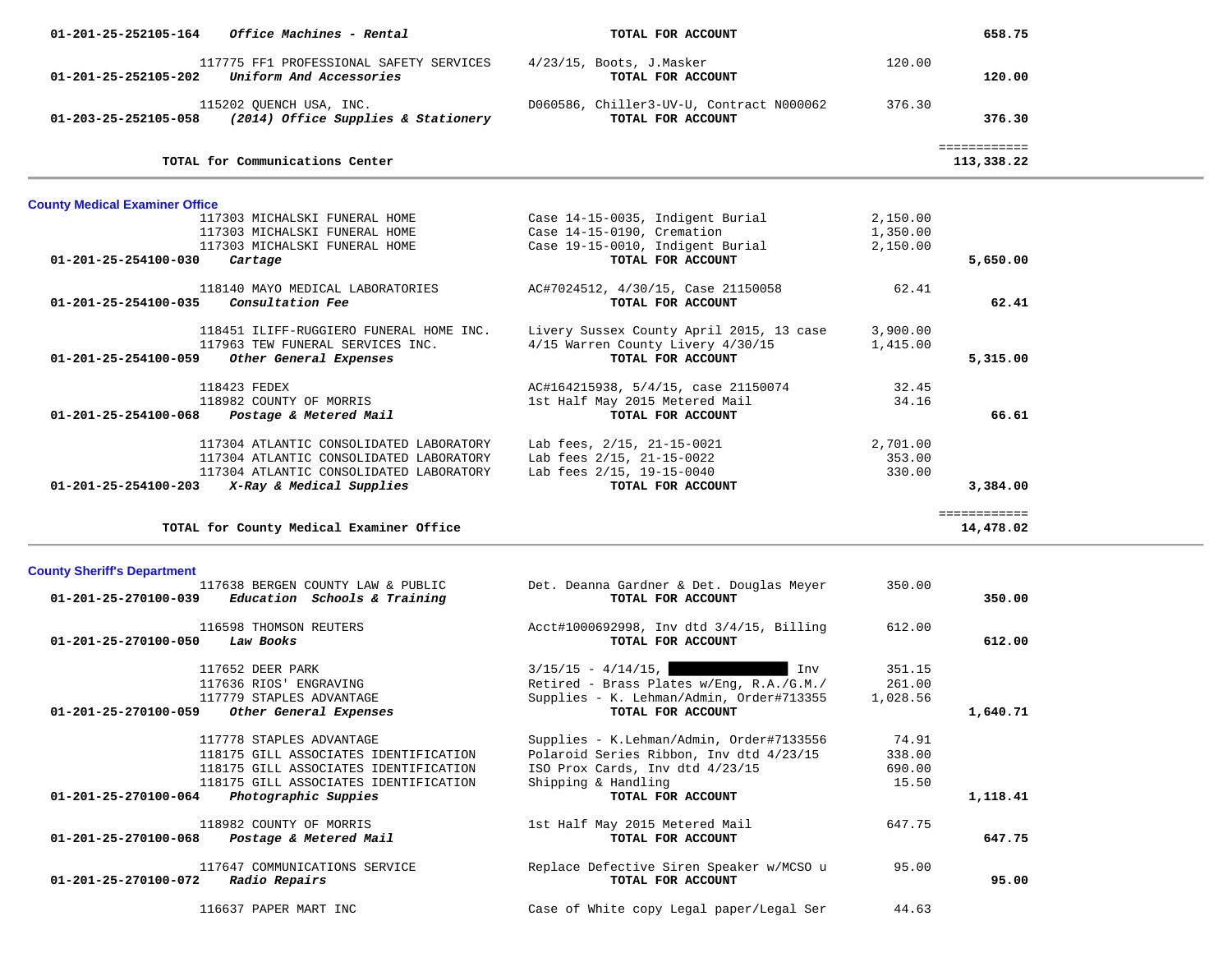| 01-201-25-252105-164                  | Office Machines - Rental                                                              | TOTAL FOR ACCOUNT                                             |          | 658.75                     |  |
|---------------------------------------|---------------------------------------------------------------------------------------|---------------------------------------------------------------|----------|----------------------------|--|
| 01-201-25-252105-202                  | 117775 FF1 PROFESSIONAL SAFETY SERVICES<br>Uniform And Accessories                    | $4/23/15$ , Boots, J.Masker<br>TOTAL FOR ACCOUNT              | 120.00   | 120.00                     |  |
|                                       | 115202 QUENCH USA, INC.<br>$01-203-25-252105-058$ (2014) Office Supplies & Stationery | D060586, Chiller3-UV-U, Contract N000062<br>TOTAL FOR ACCOUNT | 376.30   | 376.30                     |  |
|                                       | TOTAL for Communications Center                                                       |                                                               |          | ============<br>113,338.22 |  |
| <b>County Medical Examiner Office</b> |                                                                                       |                                                               |          |                            |  |
|                                       | 117303 MICHALSKI FUNERAL HOME                                                         | Case 14-15-0035, Indigent Burial                              | 2,150.00 |                            |  |
|                                       | 117303 MICHALSKI FUNERAL HOME                                                         | Case 14-15-0190, Cremation                                    | 1,350.00 |                            |  |
|                                       | 117303 MICHALSKI FUNERAL HOME                                                         | Case 19-15-0010, Indigent Burial                              | 2,150.00 |                            |  |
| 01-201-25-254100-030                  | Cartage                                                                               | TOTAL FOR ACCOUNT                                             |          | 5,650.00                   |  |
|                                       | 118140 MAYO MEDICAL LABORATORIES                                                      | AC#7024512, 4/30/15, Case 21150058                            | 62.41    |                            |  |
| 01-201-25-254100-035                  | Consultation Fee                                                                      | TOTAL FOR ACCOUNT                                             |          | 62.41                      |  |
|                                       | 118451 ILIFF-RUGGIERO FUNERAL HOME INC.                                               | Livery Sussex County April 2015, 13 case                      | 3,900.00 |                            |  |
|                                       | 117963 TEW FUNERAL SERVICES INC.                                                      | 4/15 Warren County Livery 4/30/15                             | 1,415.00 |                            |  |
| 01-201-25-254100-059                  | Other General Expenses                                                                | TOTAL FOR ACCOUNT                                             |          | 5,315.00                   |  |
|                                       |                                                                                       |                                                               |          |                            |  |
|                                       | 118423 FEDEX                                                                          | AC#164215938, 5/4/15, case 21150074                           | 32.45    |                            |  |
|                                       | 118982 COUNTY OF MORRIS                                                               | 1st Half May 2015 Metered Mail                                | 34.16    |                            |  |
| 01-201-25-254100-068                  | Postage & Metered Mail                                                                | TOTAL FOR ACCOUNT                                             |          | 66.61                      |  |
|                                       | 117304 ATLANTIC CONSOLIDATED LABORATORY                                               | Lab fees, 2/15, 21-15-0021                                    | 2,701.00 |                            |  |
|                                       | 117304 ATLANTIC CONSOLIDATED LABORATORY                                               | Lab fees 2/15, 21-15-0022                                     | 353.00   |                            |  |
|                                       | 117304 ATLANTIC CONSOLIDATED LABORATORY                                               | Lab fees 2/15, 19-15-0040                                     | 330.00   |                            |  |
|                                       | $01-201-25-254100-203$ X-Ray & Medical Supplies                                       | TOTAL FOR ACCOUNT                                             |          | 3,384.00                   |  |
|                                       |                                                                                       |                                                               |          | ============               |  |
|                                       | TOTAL for County Medical Examiner Office                                              |                                                               |          | 14,478.02                  |  |
| <b>County Sheriff's Department</b>    |                                                                                       |                                                               |          |                            |  |
|                                       | 117638 BERGEN COUNTY LAW & PUBLIC                                                     | Det. Deanna Gardner & Det. Douglas Meyer                      | 350.00   |                            |  |
| 01-201-25-270100-039                  | Education Schools & Training                                                          | TOTAL FOR ACCOUNT                                             |          | 350.00                     |  |
|                                       | 116598 THOMSON REUTERS                                                                | Acct#1000692998, Inv dtd 3/4/15, Billing                      | 612.00   |                            |  |
| 01-201-25-270100-050                  | Law Books                                                                             | TOTAL FOR ACCOUNT                                             |          | 612.00                     |  |
|                                       |                                                                                       |                                                               |          |                            |  |
|                                       | 117652 DEER PARK                                                                      | $3/15/15 - 4/14/15$ ,<br>Inv                                  | 351.15   |                            |  |
|                                       | 117636 RIOS' ENGRAVING                                                                | Retired - Brass Plates w/Eng, R.A./G.M./                      | 261.00   |                            |  |
|                                       | 117779 STAPLES ADVANTAGE                                                              | Supplies - K. Lehman/Admin, Order#713355<br>TOTAL FOR ACCOUNT | 1,028.56 | 1,640.71                   |  |
| 01-201-25-270100-059                  | Other General Expenses                                                                |                                                               |          |                            |  |
|                                       | 117778 STAPLES ADVANTAGE                                                              | Supplies - K.Lehman/Admin, Order#7133556                      | 74.91    |                            |  |
|                                       | 118175 GILL ASSOCIATES IDENTIFICATION                                                 | Polaroid Series Ribbon, Inv dtd 4/23/15                       | 338.00   |                            |  |
|                                       | 118175 GILL ASSOCIATES IDENTIFICATION                                                 | ISO Prox Cards, Inv dtd 4/23/15                               | 690.00   |                            |  |
|                                       | 118175 GILL ASSOCIATES IDENTIFICATION                                                 | Shipping & Handling                                           | 15.50    |                            |  |
| 01-201-25-270100-064                  | Photographic Suppies                                                                  | TOTAL FOR ACCOUNT                                             |          | 1,118.41                   |  |
|                                       | 118982 COUNTY OF MORRIS                                                               | 1st Half May 2015 Metered Mail                                | 647.75   |                            |  |
| 01-201-25-270100-068                  | Postage & Metered Mail                                                                | TOTAL FOR ACCOUNT                                             |          | 647.75                     |  |
|                                       |                                                                                       |                                                               |          |                            |  |
|                                       | 117647 COMMUNICATIONS SERVICE                                                         | Replace Defective Siren Speaker w/MCSO u                      | 95.00    |                            |  |
| 01-201-25-270100-072                  | Radio Repairs                                                                         | TOTAL FOR ACCOUNT                                             |          | 95.00                      |  |
|                                       |                                                                                       |                                                               |          |                            |  |
|                                       | 116637 PAPER MART INC                                                                 | Case of White copy Legal paper/Legal Ser                      | 44.63    |                            |  |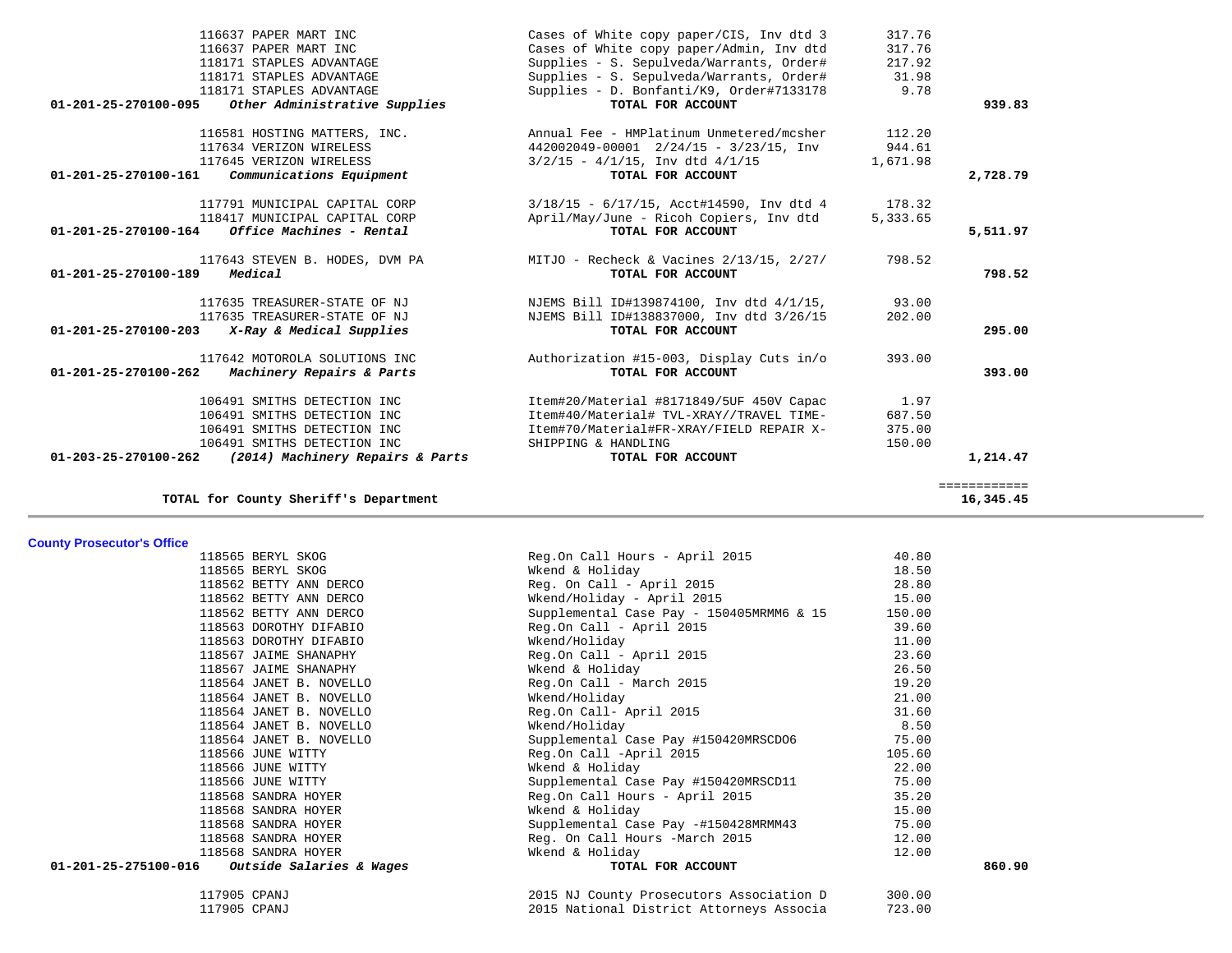|              | 317.76   | Cases of White copy paper/CIS, Inv dtd 3      | 116637 PAPER MART INC                                           |                                |
|--------------|----------|-----------------------------------------------|-----------------------------------------------------------------|--------------------------------|
|              | 317.76   | Cases of White copy paper/Admin, Inv dtd      | 116637 PAPER MART INC                                           |                                |
|              | 217.92   | Supplies - S. Sepulveda/Warrants, Order#      | 118171 STAPLES ADVANTAGE                                        |                                |
|              | 31.98    | Supplies - S. Sepulveda/Warrants, Order#      | 118171 STAPLES ADVANTAGE                                        |                                |
|              | 9.78     | Supplies - D. Bonfanti/K9, Order#7133178      | 118171 STAPLES ADVANTAGE                                        |                                |
| 939.83       |          | TOTAL FOR ACCOUNT                             | Other Administrative Supplies                                   | 01-201-25-270100-095           |
|              | 112.20   | Annual Fee - HMPlatinum Unmetered/mcsher      | 116581 HOSTING MATTERS, INC.                                    |                                |
|              | 944.61   | 442002049-00001 2/24/15 - 3/23/15, Inv        | 117634 VERIZON WIRELESS                                         |                                |
|              | 1,671.98 | $3/2/15 - 4/1/15$ , Inv dtd $4/1/15$          | 117645 VERIZON WIRELESS                                         |                                |
| 2,728.79     |          | TOTAL FOR ACCOUNT                             | Communications Equipment                                        | 01-201-25-270100-161           |
|              | 178.32   | $3/18/15$ - $6/17/15$ , Acct#14590, Inv dtd 4 | 117791 MUNICIPAL CAPITAL CORP                                   |                                |
|              | 5,333.65 | April/May/June - Ricoh Copiers, Inv dtd       | 118417 MUNICIPAL CAPITAL CORP                                   |                                |
| 5,511.97     |          | TOTAL FOR ACCOUNT                             | Office Machines - Rental                                        | 01-201-25-270100-164           |
|              | 798.52   | MITJO - Recheck & Vacines $2/13/15$ , $2/27/$ | 117643 STEVEN B. HODES, DVM PA                                  |                                |
| 798.52       |          | TOTAL FOR ACCOUNT                             | Medical                                                         | $01 - 201 - 25 - 270100 - 189$ |
|              | 93.00    | NJEMS Bill ID#139874100, Inv dtd 4/1/15,      | 117635 TREASURER-STATE OF NJ                                    |                                |
|              | 202.00   | NJEMS Bill ID#138837000, Inv dtd 3/26/15      | 117635 TREASURER-STATE OF NJ                                    |                                |
| 295.00       |          | TOTAL FOR ACCOUNT                             | $01-201-25-270100-203$ X-Ray & Medical Supplies                 |                                |
|              | 393.00   | Authorization #15-003, Display Cuts in/o      | 117642 MOTOROLA SOLUTIONS INC                                   |                                |
| 393.00       |          | TOTAL FOR ACCOUNT                             | Machinery Repairs & Parts                                       | 01-201-25-270100-262           |
|              | 1.97     | Item#20/Material #8171849/5UF 450V Capac      | 106491 SMITHS DETECTION INC                                     |                                |
|              | 687.50   | Item#40/Material# TVL-XRAY//TRAVEL TIME-      | 106491 SMITHS DETECTION INC                                     |                                |
|              | 375.00   | Item#70/Material#FR-XRAY/FIELD REPAIR X-      | 106491 SMITHS DETECTION INC                                     |                                |
|              | 150.00   | SHIPPING & HANDLING                           | 106491 SMITHS DETECTION INC                                     |                                |
| 1,214.47     |          | TOTAL FOR ACCOUNT                             | $01 - 203 - 25 - 270100 - 262$ (2014) Machinery Repairs & Parts |                                |
| ============ |          |                                               |                                                                 |                                |
| 16,345.45    |          |                                               | TOTAL for County Sheriff's Department                           |                                |

**TOTAL for County Sheriff's Department 16,345.45**

# **County Prosecutor's Office**

| sounty + 199600001 9 Sinoc                      |                                          |        |        |
|-------------------------------------------------|------------------------------------------|--------|--------|
| 118565 BERYL SKOG                               | Reg.On Call Hours - April 2015           | 40.80  |        |
| 118565 BERYL SKOG                               | Wkend & Holiday                          | 18.50  |        |
| 118562 BETTY ANN DERCO                          | Reg. On Call - April 2015                | 28.80  |        |
| 118562 BETTY ANN DERCO                          | Wkend/Holiday - April 2015               | 15.00  |        |
| 118562 BETTY ANN DERCO                          | Supplemental Case Pay - 150405MRMM6 & 15 | 150.00 |        |
| 118563 DOROTHY DIFABIO                          | Reg.On Call - April 2015                 | 39.60  |        |
| 118563 DOROTHY DIFABIO                          | Wkend/Holiday                            | 11.00  |        |
| 118567 JAIME SHANAPHY                           | Reg.On Call - April 2015                 | 23.60  |        |
| 118567 JAIME SHANAPHY                           | Wkend & Holiday                          | 26.50  |        |
| 118564 JANET B. NOVELLO                         | Reg.On Call - March 2015                 | 19.20  |        |
| 118564 JANET B. NOVELLO                         | Wkend/Holiday                            | 21.00  |        |
| 118564 JANET B. NOVELLO                         | Reg.On Call- April 2015                  | 31.60  |        |
| 118564 JANET B. NOVELLO                         | Wkend/Holiday                            | 8.50   |        |
| 118564 JANET B. NOVELLO                         | Supplemental Case Pay #150420MRSCD06     | 75.00  |        |
| 118566 JUNE WITTY                               | Reg.On Call -April 2015                  | 105.60 |        |
| 118566 JUNE WITTY                               | Wkend & Holiday                          | 22.00  |        |
| 118566 JUNE WITTY                               | Supplemental Case Pay #150420MRSCD11     | 75.00  |        |
| 118568 SANDRA HOYER                             | Reg.On Call Hours - April 2015           | 35.20  |        |
| 118568 SANDRA HOYER                             | Wkend & Holiday                          | 15.00  |        |
| 118568 SANDRA HOYER                             | Supplemental Case Pay -#150428MRMM43     | 75.00  |        |
| 118568 SANDRA HOYER                             | Reg. On Call Hours -March 2015           | 12.00  |        |
| 118568 SANDRA HOYER                             | Wkend & Holiday                          | 12.00  |        |
| $01-201-25-275100-016$ Outside Salaries & Wages | TOTAL FOR ACCOUNT                        |        | 860.90 |
| 117905 CPANJ                                    | 2015 NJ County Prosecutors Association D | 300.00 |        |
| 117905 CPANJ                                    | 2015 National District Attorneys Associa | 723.00 |        |
|                                                 |                                          |        |        |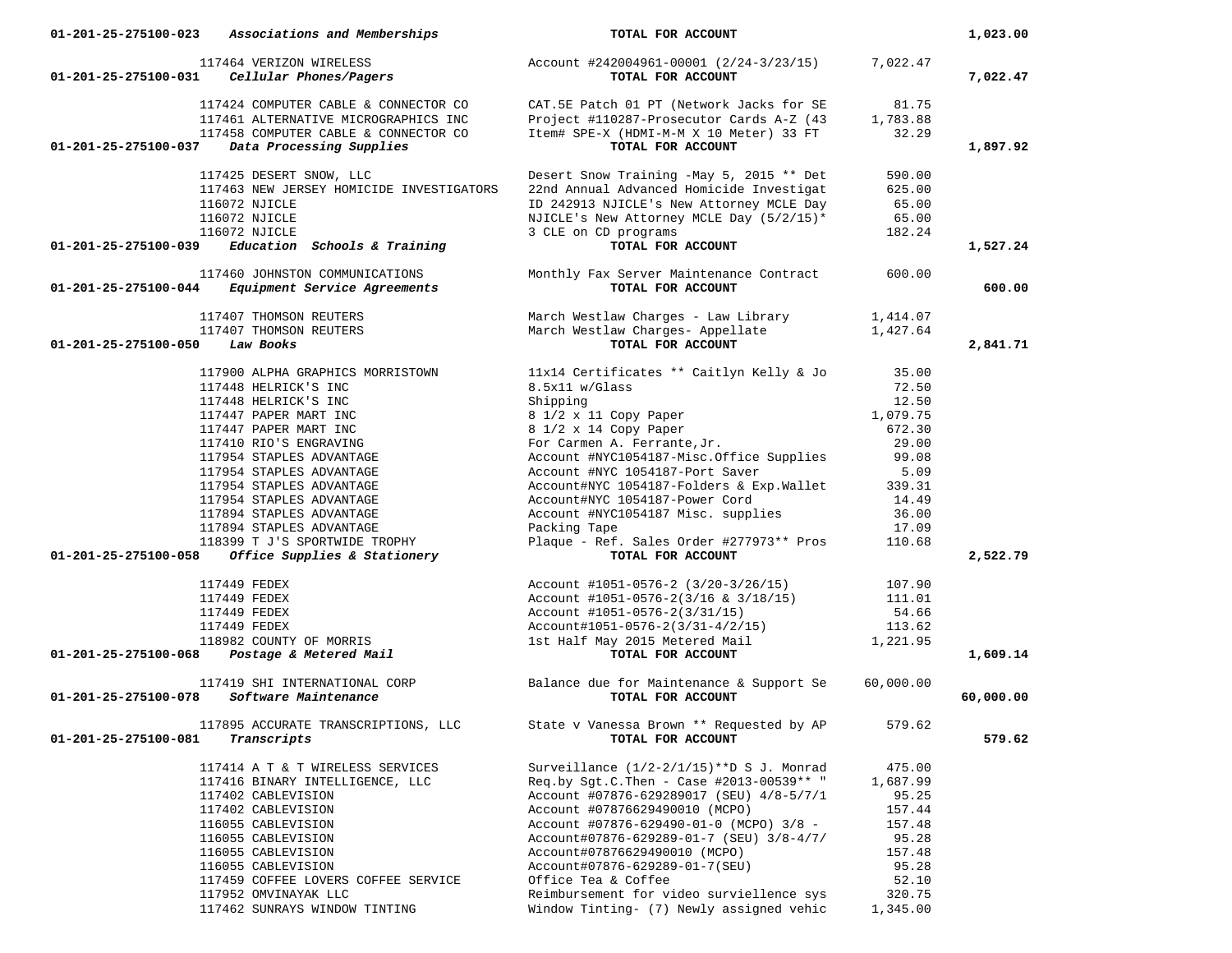| 01-201-25-275100-023<br>Associations and Memberships                  | TOTAL FOR ACCOUNT                                                                                                                             |                      | 1,023.00  |
|-----------------------------------------------------------------------|-----------------------------------------------------------------------------------------------------------------------------------------------|----------------------|-----------|
| 117464 VERIZON WIRELESS                                               | Account #242004961-00001 (2/24-3/23/15)                                                                                                       | 7,022.47             |           |
| 01-201-25-275100-031<br>Cellular Phones/Pagers                        | TOTAL FOR ACCOUNT                                                                                                                             |                      | 7,022.47  |
| 117424 COMPUTER CABLE & CONNECTOR CO                                  | CAT.5E Patch 01 PT (Network Jacks for SE                                                                                                      | 81.75                |           |
| 117461 ALTERNATIVE MICROGRAPHICS INC                                  |                                                                                                                                               |                      |           |
| 117458 COMPUTER CABLE & CONNECTOR CO                                  | Project #110287-Prosecutor Cards A-Z (43 1,783.88<br>Item# SPE-X (HDMI-M-M X 10 Meter) 33 FT 32.29<br>Item# SPE-X (HDMI-M-M X 10 Meter) 33 FT | 32.29                |           |
| Data Processing Supplies<br>01-201-25-275100-037                      | TOTAL FOR ACCOUNT                                                                                                                             |                      | 1,897.92  |
|                                                                       |                                                                                                                                               |                      |           |
| 117425 DESERT SNOW, LLC                                               | Desert Snow Training -May 5, 2015 ** Det                                                                                                      | 590.00               |           |
| 117463 NEW JERSEY HOMICIDE INVESTIGATORS                              | 22nd Annual Advanced Homicide Investigat                                                                                                      | 625.00               |           |
| 116072 NJICLE                                                         | ID 242913 NJICLE's New Attorney MCLE Day                                                                                                      | 65.00                |           |
| 116072 NJICLE                                                         | NJICLE's New Attorney MCLE Day (5/2/15)*                                                                                                      | 65.00                |           |
| 116072 NJICLE<br>01-201-25-275100-039<br>Education Schools & Training | 3 CLE on CD programs<br>) programs<br><b>TOTAL FOR ACCOUNT</b>                                                                                | 182.24               | 1,527.24  |
|                                                                       |                                                                                                                                               |                      |           |
| 117460 JOHNSTON COMMUNICATIONS                                        | Monthly Fax Server Maintenance Contract 600.00                                                                                                |                      |           |
| <i>Equipment Service Agreements</i><br>01-201-25-275100-044           | TOTAL FOR ACCOUNT                                                                                                                             |                      | 600.00    |
| 117407 THOMSON REUTERS                                                | March Westlaw Charges - Law Library 1,414.07                                                                                                  |                      |           |
| 117407 THOMSON REUTERS                                                | March Westlaw Charges- Appellate                                                                                                              | 1,427.64             |           |
| 01-201-25-275100-050<br>Law Books                                     | TOTAL FOR ACCOUNT                                                                                                                             |                      | 2,841.71  |
| 117900 ALPHA GRAPHICS MORRISTOWN                                      | 11x14 Certificates ** Caitlyn Kelly & Jo 35.00                                                                                                |                      |           |
| 117448 HELRICK'S INC                                                  | 8.5x11 w/Glass                                                                                                                                | 72.50                |           |
| 117448 HELRICK'S INC                                                  | Shipping                                                                                                                                      | 12.50                |           |
| 117447 PAPER MART INC                                                 | 8 1/2 x 11 Copy Paper                                                                                                                         | 1,079.75             |           |
| 117447 PAPER MART INC                                                 |                                                                                                                                               | 672.30               |           |
| 117410 RIO'S ENGRAVING                                                | 8 1/2 x 14 Copy Paper<br>For Carmen A. Ferrante, Jr.                                                                                          | 29.00                |           |
| 117954 STAPLES ADVANTAGE                                              | Account #NYC1054187-Misc.Office Supplies 99.08                                                                                                |                      |           |
| 117954 STAPLES ADVANTAGE                                              | Account #NYC 1054187-Port Saver                                                                                                               | 5.09                 |           |
| 117954 STAPLES ADVANTAGE                                              | Account#NYC 1054187-Folders & Exp.Wallet 339.31                                                                                               |                      |           |
| 117954 STAPLES ADVANTAGE                                              | Account#NYC 1054187-Power Cord<br>Account #NYC1054187 Misc. supplies                                                                          | 14.49                |           |
| 117894 STAPLES ADVANTAGE                                              |                                                                                                                                               | 36.00                |           |
| 117894 STAPLES ADVANTAGE                                              | Packing Tape                                                                                                                                  | 17.09                |           |
| 118399 T J'S SPORTWIDE TROPHY                                         | Plaque - Ref. Sales Order #277973** Pros 110.68                                                                                               |                      |           |
| $01-201-25-275100-058$ Office Supplies & Stationery                   | TOTAL FOR ACCOUNT                                                                                                                             |                      | 2,522.79  |
| 117449 FEDEX                                                          | Account #1051-0576-2 (3/20-3/26/15)                                                                                                           | 107.90               |           |
| 117449 FEDEX                                                          | Account #1051-0576-2(3/16 & 3/18/15) 111.01                                                                                                   |                      |           |
| 117449 FEDEX                                                          | Account #1051-0576-2(3/31/15)                                                                                                                 | 54.66                |           |
| 117449 FEDEX                                                          | Account#1051-0576-2(3/31-4/2/15)                                                                                                              | $113.62$<br>1,221.95 |           |
| 117112 PEDEA<br>118982 COUNTY OF MORRIS                               | 1st Half May 2015 Metered Mail<br>TOTAL FOR ACCOUNT                                                                                           |                      |           |
| 01-201-25-275100-068 Postage & Metered Mail                           | TOTAL FOR ACCOUNT                                                                                                                             |                      | 1,609.14  |
|                                                                       | 117419 SHI INTERNATIONAL CORP Balance due for Maintenance & Support Se                                                                        | 60,000.00            |           |
| 01-201-25-275100-078 Software Maintenance                             | TOTAL FOR ACCOUNT                                                                                                                             |                      | 60,000.00 |
| 117895 ACCURATE TRANSCRIPTIONS, LLC                                   | State v Vanessa Brown ** Requested by AP                                                                                                      | 579.62               |           |
| 01-201-25-275100-081<br>Transcripts                                   | TOTAL FOR ACCOUNT                                                                                                                             |                      | 579.62    |
|                                                                       |                                                                                                                                               |                      |           |
| 117414 A T & T WIRELESS SERVICES                                      | Surveillance $(1/2-2/1/15)$ **D S J. Monrad                                                                                                   | 475.00               |           |
| 117416 BINARY INTELLIGENCE, LLC                                       | Reg.by Sqt.C.Then - Case #2013-00539 ** "                                                                                                     | 1,687.99             |           |
| 117402 CABLEVISION                                                    | Account #07876-629289017 (SEU) 4/8-5/7/1                                                                                                      | 95.25                |           |
| 117402 CABLEVISION                                                    | Account #07876629490010 (MCPO)                                                                                                                | 157.44<br>157.48     |           |
| 116055 CABLEVISION<br>116055 CABLEVISION                              | Account #07876-629490-01-0 (MCPO) 3/8 -<br>Account#07876-629289-01-7 (SEU) 3/8-4/7/                                                           | 95.28                |           |
| 116055 CABLEVISION                                                    | Account#07876629490010 (MCPO)                                                                                                                 | 157.48               |           |
| 116055 CABLEVISION                                                    | Account#07876-629289-01-7(SEU)                                                                                                                | 95.28                |           |
| 117459 COFFEE LOVERS COFFEE SERVICE                                   | Office Tea & Coffee                                                                                                                           | 52.10                |           |
| 117952 OMVINAYAK LLC                                                  | Reimbursement for video surviellence sys                                                                                                      | 320.75               |           |
| 117462 SUNRAYS WINDOW TINTING                                         | Window Tinting- (7) Newly assigned vehic                                                                                                      | 1,345.00             |           |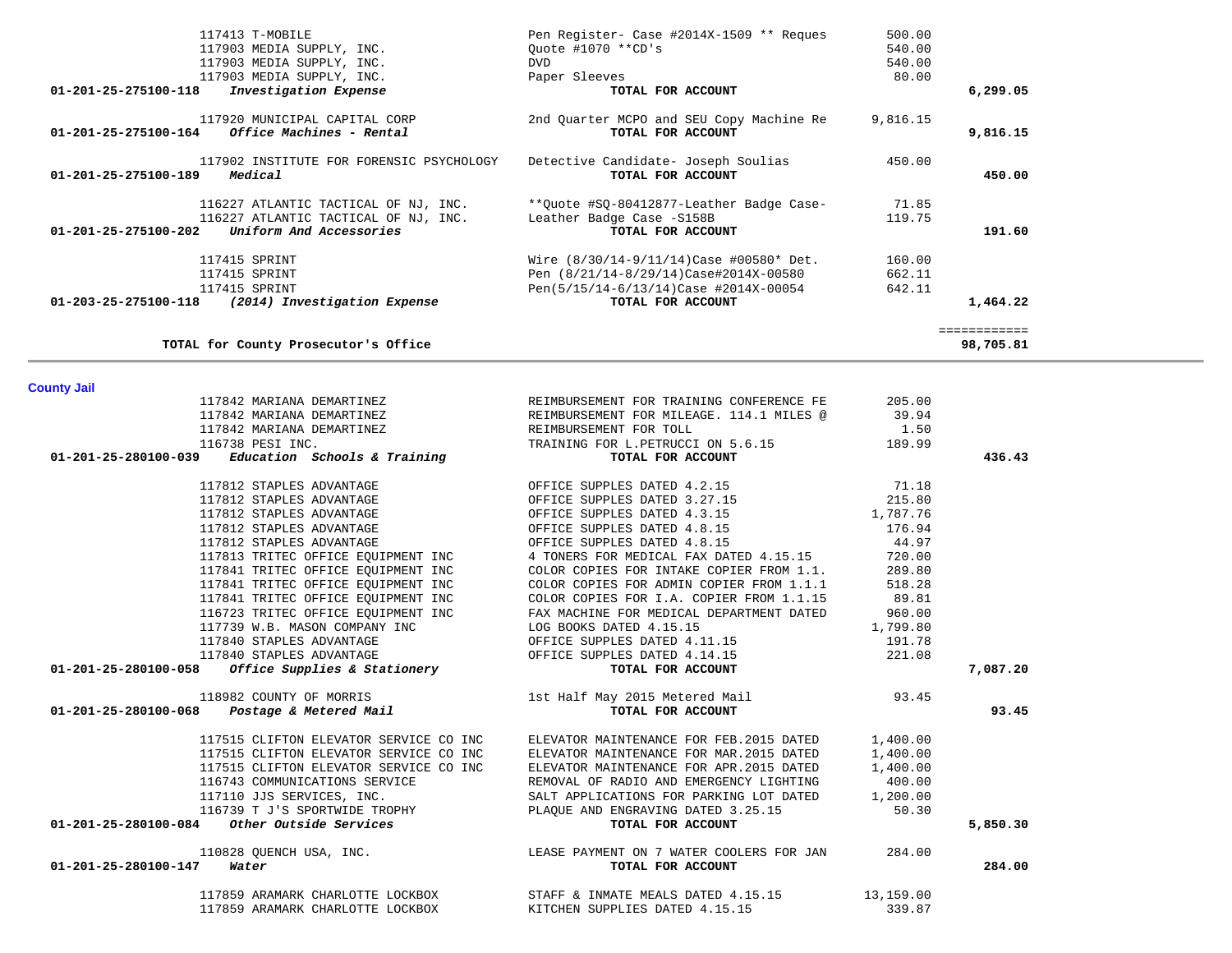| 117413 T-MOBILE                                                                   | Pen Register- Case #2014X-1509 ** Reques                      | 500.00   |              |
|-----------------------------------------------------------------------------------|---------------------------------------------------------------|----------|--------------|
| 117903 MEDIA SUPPLY, INC.                                                         | Ouote #1070 **CD's                                            | 540.00   |              |
| 117903 MEDIA SUPPLY, INC.                                                         | DVD.                                                          | 540.00   |              |
| 117903 MEDIA SUPPLY, INC.                                                         | Paper Sleeves                                                 | 80.00    |              |
| Investigation Expense<br>01-201-25-275100-118                                     | TOTAL FOR ACCOUNT                                             |          | 6,299.05     |
| 117920 MUNICIPAL CAPITAL CORP<br>01-201-25-275100-164<br>Office Machines - Rental | 2nd Ouarter MCPO and SEU Copy Machine Re<br>TOTAL FOR ACCOUNT | 9,816.15 | 9,816.15     |
|                                                                                   |                                                               |          |              |
| 117902 INSTITUTE FOR FORENSIC PSYCHOLOGY                                          | Detective Candidate- Joseph Soulias                           | 450.00   |              |
| 01-201-25-275100-189<br>Medical                                                   | TOTAL FOR ACCOUNT                                             |          | 450.00       |
| 116227 ATLANTIC TACTICAL OF NJ, INC.                                              | **Ouote #SO-80412877-Leather Badge Case-                      | 71.85    |              |
| 116227 ATLANTIC TACTICAL OF NJ, INC.                                              | Leather Badge Case -S158B                                     | 119.75   |              |
| 01-201-25-275100-202<br>Uniform And Accessories                                   | TOTAL FOR ACCOUNT                                             |          | 191.60       |
| 117415 SPRINT                                                                     | Wire $(8/30/14-9/11/14)$ Case #00580* Det.                    | 160.00   |              |
| 117415 SPRINT                                                                     | Pen (8/21/14-8/29/14)Case#2014X-00580                         | 662.11   |              |
| 117415 SPRINT                                                                     | Pen(5/15/14-6/13/14) Case #2014X-00054                        | 642.11   |              |
| 01-203-25-275100-118<br>(2014) Investigation Expense                              | TOTAL FOR ACCOUNT                                             |          | 1,464.22     |
|                                                                                   |                                                               |          | ============ |
| TOTAL for County Prosecutor's Office                                              |                                                               |          | 98,705.81    |

# **County Jail**

|                      | 117842 MARIANA DEMARTINEZ                           | REIMBURSEMENT FOR TRAINING CONFERENCE FE                                                                              | 205.00    |          |
|----------------------|-----------------------------------------------------|-----------------------------------------------------------------------------------------------------------------------|-----------|----------|
|                      | 117842 MARIANA DEMARTINEZ                           | REIMBURSEMENT FOR MILEAGE. 114.1 MILES @ 39.94                                                                        |           |          |
|                      | 117842 MARIANA DEMARTINEZ                           | REIMBURSEMENT FOR TOLL                                                                                                | 1.50      |          |
|                      | 116738 PESI INC.                                    | TRAINING FOR L.PETRUCCI ON 5.6.15 189.99                                                                              |           |          |
|                      | $01-201-25-280100-039$ Education Schools & Training | TOTAL FOR ACCOUNT                                                                                                     |           | 436.43   |
|                      | 117812 STAPLES ADVANTAGE                            | OFFICE SUPPLES DATED 4.2.15                                                                                           | 71.18     |          |
|                      | 117812 STAPLES ADVANTAGE                            | OFFICE SUPPLES DATED 3.27.15 215.80                                                                                   |           |          |
|                      | 117812 STAPLES ADVANTAGE                            | OFFICE SUPPLES DATED 4.3.15 1,787.76                                                                                  |           |          |
|                      |                                                     | 117812 STAPLES ADVANTAGE THE STRIPLE SUPPLES DATED 4.8.15                                                             | 176.94    |          |
|                      | 117812 STAPLES ADVANTAGE                            | OFFICE SUPPLES DATED 4.8.15                                                                                           | 44.97     |          |
|                      |                                                     | 117813 TRITEC OFFICE EOUIPMENT INC 4 TONERS FOR MEDICAL FAX DATED 4.15.15 720.00                                      |           |          |
|                      |                                                     | 117841 TRITEC OFFICE EOUIPMENT INC COLOR COPIES FOR INTAKE COPIER FROM 1.1.                                           | 289.80    |          |
|                      | 117841 TRITEC OFFICE EQUIPMENT INC                  | COLOR COPIES FOR ADMIN COPIER FROM 1.1.1 518.28                                                                       |           |          |
|                      |                                                     | 117841 TRITEC OFFICE EQUIPMENT INC COLOR COPIES FOR I.A. COPIER FROM 1.1.15 89.81                                     |           |          |
|                      |                                                     | 116723 TRITEC OFFICE EOUIPMENT INC FAX MACHINE FOR MEDICAL DEPARTMENT DATED 960.00                                    |           |          |
|                      | 117739 W.B. MASON COMPANY INC                       | LOG BOOKS DATED 4.15.15                                                                                               | 1,799.80  |          |
|                      | 117840 STAPLES ADVANTAGE                            | OFFICE SUPPLES DATED 4.11.15                                                                                          | 191.78    |          |
|                      |                                                     | 117840 STAPLES ADVANTAGE<br>01-201-25-280100-058 <i>Office Supplies &amp; Stationery</i> OFFICE SUPPLES DATED 4.14.15 | 221.08    |          |
|                      |                                                     |                                                                                                                       |           | 7,087.20 |
|                      | 118982 COUNTY OF MORRIS                             | 1st Half May 2015 Metered Mail 33.45                                                                                  |           |          |
|                      | 01-201-25-280100-068 Postage & Metered Mail         | TOTAL FOR ACCOUNT                                                                                                     |           | 93.45    |
|                      |                                                     | 117515 CLIFTON ELEVATOR SERVICE CO INC BLEVATOR MAINTENANCE FOR FEB. 2015 DATED 1,400.00                              |           |          |
|                      |                                                     | 117515 CLIFTON ELEVATOR SERVICE CO INC ELEVATOR MAINTENANCE FOR MAR. 2015 DATED                                       | 1,400.00  |          |
|                      | 117515 CLIFTON ELEVATOR SERVICE CO INC              | ELEVATOR MAINTENANCE FOR APR.2015 DATED                                                                               | 1,400.00  |          |
|                      | 116743 COMMUNICATIONS SERVICE                       | REMOVAL OF RADIO AND EMERGENCY LIGHTING                                                                               | 400.00    |          |
|                      | 117110 JJS SERVICES, INC.                           | SALT APPLICATIONS FOR PARKING LOT DATED 1,200.00<br>PLAQUE AND ENGRAVING DATED 3.25.15 50.30                          |           |          |
|                      |                                                     |                                                                                                                       |           |          |
|                      |                                                     | TOTAL FOR ACCOUNT                                                                                                     |           | 5,850.30 |
|                      | 110828 QUENCH USA, INC.                             | LEASE PAYMENT ON 7 WATER COOLERS FOR JAN                                                                              | 284.00    |          |
| 01-201-25-280100-147 | Water                                               | TOTAL FOR ACCOUNT                                                                                                     |           | 284.00   |
|                      | 117859 ARAMARK CHARLOTTE LOCKBOX                    | STAFF & INMATE MEALS DATED 4.15.15                                                                                    | 13,159.00 |          |
|                      | 117859 ARAMARK CHARLOTTE LOCKBOX                    | KITCHEN SUPPLIES DATED 4.15.15                                                                                        | 339.87    |          |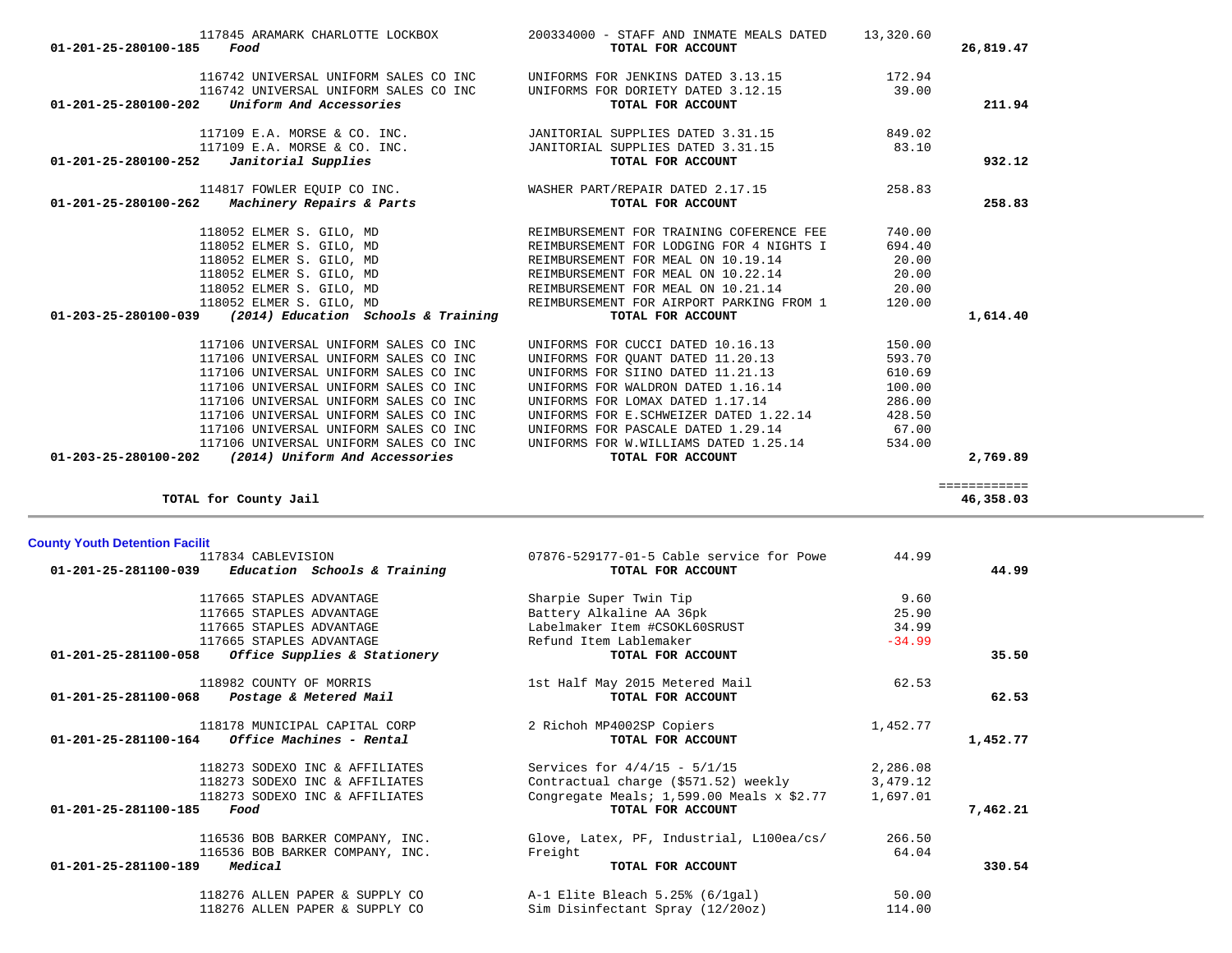| 01-201-25-280100-185 Food                                          | 13,320.60 13,320.60 120716 IOCKBOX 200334000 - STAFF AND INMATE MEALS DATED<br>TOTAL FOR ACCOUNT                                                                                                                     |        | 26,819.47    |
|--------------------------------------------------------------------|----------------------------------------------------------------------------------------------------------------------------------------------------------------------------------------------------------------------|--------|--------------|
|                                                                    | 116742 UNIVERSAL UNIFORM SALES CO INC UNIFORMS FOR JENKINS DATED 3.13.15 172.94                                                                                                                                      |        |              |
|                                                                    | 116742 UNIVERSAL UNIFORM SALES CO INC UNIFORMS FOR DORIETY DATED 3.12.15                                                                                                                                             | 39.00  |              |
| $01-201-25-280100-202$ Uniform And Accessories                     | TOTAL FOR ACCOUNT                                                                                                                                                                                                    |        | 211.94       |
|                                                                    | 117109 E.A. MORSE & CO. INC.       JANITORIAL SUPPLIES DATED 3.31.15         849.02                                                                                                                                  |        |              |
|                                                                    | 117109 E.A. MORSE & CO. INC.         JANITORIAL SUPPLIES DATED 3.31.15         83.10                                                                                                                                 |        |              |
| $01-201-25-280100-252$ <i>Janitorial Supplies</i>                  | TOTAL FOR ACCOUNT                                                                                                                                                                                                    |        | 932.12       |
|                                                                    | 114817 FOWLER EQUIP CO INC. WASHER PART/REPAIR DATED 2.17.15                                                                                                                                                         | 258.83 |              |
| 01-201-25-280100-262 Machinery Repairs & Parts                     | TOTAL FOR ACCOUNT                                                                                                                                                                                                    |        | 258.83       |
|                                                                    | 118052 ELMER S. GILO, MD<br>118052 ELMER S. GILO, MD<br>118052 ELMER S. GILO, MD<br>118052 ELMER S. GILO, MD<br>118052 ELMER S. GILO, MD<br>REIMBURSEMENT FOR MEAL ON 10.19.14<br>REIMBURSEMENT FOR MEAL ON 10.22.14 | 740.00 |              |
|                                                                    |                                                                                                                                                                                                                      | 694.40 |              |
|                                                                    |                                                                                                                                                                                                                      | 20.00  |              |
|                                                                    |                                                                                                                                                                                                                      | 20.00  |              |
| 118052 ELMER S. GILO, MD                                           | REIMBURSEMENT FOR MEAL ON 10.21.14 20.00                                                                                                                                                                             |        |              |
| 118052 ELMER S. GILO, MD                                           | REIMBURSEMENT FOR AIRPORT PARKING FROM 1                                                                                                                                                                             | 120.00 |              |
| $01 - 203 - 25 - 280100 - 039$ (2014) Education Schools & Training | TOTAL FOR ACCOUNT                                                                                                                                                                                                    |        | 1,614.40     |
| 117106 UNIVERSAL UNIFORM SALES CO INC                              | UNIFORMS FOR CUCCI DATED 10.16.13                                                                                                                                                                                    | 150.00 |              |
| 117106 UNIVERSAL UNIFORM SALES CO INC                              | UNIFORMS FOR QUANT DATED 11.20.13                                                                                                                                                                                    | 593.70 |              |
| 117106 UNIVERSAL UNIFORM SALES CO INC                              | UNIFORMS FOR SIINO DATED 11.21.13                                                                                                                                                                                    | 610.69 |              |
| 117106 UNIVERSAL UNIFORM SALES CO INC                              | UNIFORMS FOR WALDRON DATED 1.16.14                                                                                                                                                                                   | 100.00 |              |
| 117106 UNIVERSAL UNIFORM SALES CO INC                              | UNIFORMS FOR LOMAX DATED 1.17.14                                                                                                                                                                                     | 286.00 |              |
| 117106 UNIVERSAL UNIFORM SALES CO INC                              | UNIFORMS FOR E.SCHWEIZER DATED 1.22.14                                                                                                                                                                               | 428.50 |              |
| 117106 UNIVERSAL UNIFORM SALES CO INC                              | UNIFORMS FOR PASCALE DATED 1.29.14                                                                                                                                                                                   | 67.00  |              |
| 117106 UNIVERSAL UNIFORM SALES CO INC                              | UNIFORMS FOR W.WILLIAMS DATED 1.25.14                                                                                                                                                                                | 534.00 |              |
| $01-203-25-280100-202$ (2014) Uniform And Accessories              | TOTAL FOR ACCOUNT                                                                                                                                                                                                    |        | 2,769.89     |
|                                                                    |                                                                                                                                                                                                                      |        | ============ |

**TOTAL for County Jail 46,358.03**

46,358.03

| <b>County Youth Detention Facilit</b>                 |                                               |          |          |
|-------------------------------------------------------|-----------------------------------------------|----------|----------|
| 117834 CABLEVISION                                    | 07876-529177-01-5 Cable service for Powe      | 44.99    |          |
| Education Schools & Training<br>01-201-25-281100-039  | TOTAL FOR ACCOUNT                             |          | 44.99    |
| 117665 STAPLES ADVANTAGE                              | Sharpie Super Twin Tip                        | 9.60     |          |
| 117665 STAPLES ADVANTAGE                              | Battery Alkaline AA 36pk                      | 25.90    |          |
| 117665 STAPLES ADVANTAGE                              | Labelmaker Item #CSOKL60SRUST                 | 34.99    |          |
| 117665 STAPLES ADVANTAGE                              | Refund Item Lablemaker                        | $-34.99$ |          |
| $01-201-25-281100-058$ Office Supplies & Stationery   | TOTAL FOR ACCOUNT                             |          | 35.50    |
| 118982 COUNTY OF MORRIS                               | 1st Half May 2015 Metered Mail                | 62.53    |          |
| $01 - 201 - 25 - 281100 - 068$ Postage & Metered Mail | TOTAL FOR ACCOUNT                             |          | 62.53    |
| 118178 MUNICIPAL CAPITAL CORP                         | 2 Richoh MP4002SP Copiers                     | 1,452.77 |          |
| $01-201-25-281100-164$ Office Machines - Rental       | TOTAL FOR ACCOUNT                             |          | 1,452.77 |
| 118273 SODEXO INC & AFFILIATES                        | Services for $4/4/15 - 5/1/15$                | 2,286.08 |          |
| 118273 SODEXO INC & AFFILIATES                        | Contractual charge (\$571.52) weekly          | 3,479.12 |          |
| 118273 SODEXO INC & AFFILIATES                        | Congregate Meals; $1,599.00$ Meals $x$ \$2.77 | 1,697.01 |          |
| $01 - 201 - 25 - 281100 - 185$<br>Food                | TOTAL FOR ACCOUNT                             |          | 7,462.21 |
| 116536 BOB BARKER COMPANY, INC.                       | Glove, Latex, PF, Industrial, L100ea/cs/      | 266.50   |          |
| 116536 BOB BARKER COMPANY, INC.                       | Freight                                       | 64.04    |          |
| $01 - 201 - 25 - 281100 - 189$<br>Medical             | TOTAL FOR ACCOUNT                             |          | 330.54   |
| 118276 ALLEN PAPER & SUPPLY CO                        | A-1 Elite Bleach 5.25% (6/1gal)               | 50.00    |          |
| 118276 ALLEN PAPER & SUPPLY CO                        | Sim Disinfectant Spray (12/20oz)              | 114.00   |          |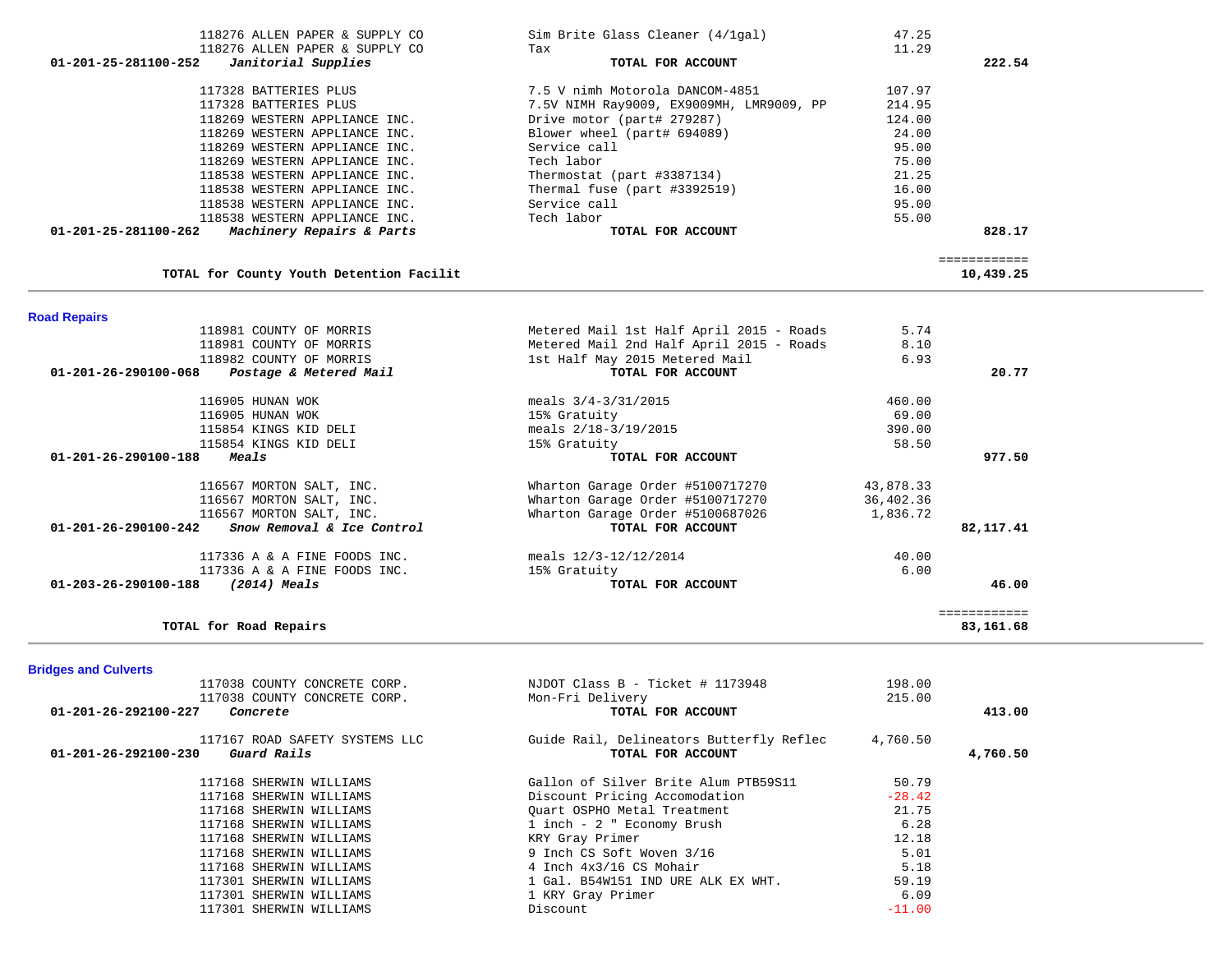| $01 - 201 - 25 - 281100 - 252$<br>Janitorial Supplies    | TOTAL FOR ACCOUNT                        |           | 222.54                    |
|----------------------------------------------------------|------------------------------------------|-----------|---------------------------|
| 117328 BATTERIES PLUS                                    | 7.5 V nimh Motorola DANCOM-4851          | 107.97    |                           |
| 117328 BATTERIES PLUS                                    | 7.5V NIMH Ray9009, EX9009MH, LMR9009, PP | 214.95    |                           |
| 118269 WESTERN APPLIANCE INC.                            | Drive motor (part# 279287)               | 124.00    |                           |
| 118269 WESTERN APPLIANCE INC.                            | Blower wheel (part# 694089)              | 24.00     |                           |
| 118269 WESTERN APPLIANCE INC.                            | Service call                             | 95.00     |                           |
| 118269 WESTERN APPLIANCE INC.                            | Tech labor                               | 75.00     |                           |
| 118538 WESTERN APPLIANCE INC.                            | Thermostat (part #3387134)               | 21.25     |                           |
| 118538 WESTERN APPLIANCE INC.                            | Thermal fuse (part #3392519)             | 16.00     |                           |
| 118538 WESTERN APPLIANCE INC.                            | Service call                             | 95.00     |                           |
| 118538 WESTERN APPLIANCE INC.                            | Tech labor                               | 55.00     |                           |
| 01-201-25-281100-262<br>Machinery Repairs & Parts        | TOTAL FOR ACCOUNT                        |           | 828.17                    |
|                                                          |                                          |           | ============              |
| TOTAL for County Youth Detention Facilit                 |                                          |           | 10,439.25                 |
| <b>Road Repairs</b>                                      |                                          |           |                           |
| 118981 COUNTY OF MORRIS                                  | Metered Mail 1st Half April 2015 - Roads | 5.74      |                           |
| 118981 COUNTY OF MORRIS                                  | Metered Mail 2nd Half April 2015 - Roads | 8.10      |                           |
| 118982 COUNTY OF MORRIS                                  | 1st Half May 2015 Metered Mail           | 6.93      |                           |
| $01 - 201 - 26 - 290100 - 068$<br>Postage & Metered Mail | TOTAL FOR ACCOUNT                        |           | 20.77                     |
| 116905 HUNAN WOK                                         | meals $3/4-3/31/2015$                    | 460.00    |                           |
| 116905 HUNAN WOK                                         | 15% Gratuity                             | 69.00     |                           |
| 115854 KINGS KID DELI                                    | meals 2/18-3/19/2015                     | 390.00    |                           |
| 115854 KINGS KID DELI                                    | 15% Gratuity                             | 58.50     |                           |
| Meals<br>$01 - 201 - 26 - 290100 - 188$                  | TOTAL FOR ACCOUNT                        |           | 977.50                    |
| 116567 MORTON SALT, INC.                                 | Wharton Garage Order #5100717270         | 43,878.33 |                           |
| 116567 MORTON SALT, INC.                                 | Wharton Garage Order #5100717270         | 36,402.36 |                           |
| 116567 MORTON SALT, INC.                                 | Wharton Garage Order #5100687026         | 1,836.72  |                           |
| Snow Removal & Ice Control<br>01-201-26-290100-242       | TOTAL FOR ACCOUNT                        |           | 82,117.41                 |
| 117336 A & A FINE FOODS INC.                             | meals 12/3-12/12/2014                    | 40.00     |                           |
| 117336 A & A FINE FOODS INC.                             | 15% Gratuity                             | 6.00      |                           |
| 01-203-26-290100-188<br>$(2014)$ Meals                   | TOTAL FOR ACCOUNT                        |           | 46.00                     |
| TOTAL for Road Repairs                                   |                                          |           | ============<br>83,161.68 |

 118276 ALLEN PAPER & SUPPLY CO Sim Brite Glass Cleaner (4/1gal) 47.25 118276 ALLEN PAPER & SUPPLY CO Tax 11.29

**Bridges and Culverts** 

| 117038 COUNTY CONCRETE CORP.                  | NJDOT Class B - Ticket # 1173948         | 198.00   |          |
|-----------------------------------------------|------------------------------------------|----------|----------|
| 117038 COUNTY CONCRETE CORP.                  | Mon-Fri Delivery                         | 215.00   |          |
| $01 - 201 - 26 - 292100 - 227$<br>Concrete    | TOTAL FOR ACCOUNT                        |          | 413.00   |
| 117167 ROAD SAFETY SYSTEMS LLC                | Guide Rail, Delineators Butterfly Reflec | 4,760.50 |          |
| $01 - 201 - 26 - 292100 - 230$<br>Guard Rails | TOTAL FOR ACCOUNT                        |          | 4,760.50 |
| 117168 SHERWIN WILLIAMS                       | Gallon of Silver Brite Alum PTB59S11     | 50.79    |          |
| 117168 SHERWIN WILLIAMS                       | Discount Pricing Accomodation            | $-28.42$ |          |
| 117168 SHERWIN WILLIAMS                       | Ouart OSPHO Metal Treatment              | 21.75    |          |
| 117168 SHERWIN WILLIAMS                       | 1 inch - 2 " Economy Brush               | 6.28     |          |
| 117168 SHERWIN WILLIAMS                       | KRY Gray Primer                          | 12.18    |          |
| 117168 SHERWIN WILLIAMS                       | 9 Inch CS Soft Woven 3/16                | 5.01     |          |
| 117168 SHERWIN WILLIAMS                       | 4 Inch 4x3/16 CS Mohair                  | 5.18     |          |
| 117301 SHERWIN WILLIAMS                       | 1 Gal. B54W151 IND URE ALK EX WHT.       | 59.19    |          |
| 117301 SHERWIN WILLIAMS                       | 1 KRY Gray Primer                        | 6.09     |          |
| 117301 SHERWIN WILLIAMS                       | Discount                                 | $-11.00$ |          |
|                                               |                                          |          |          |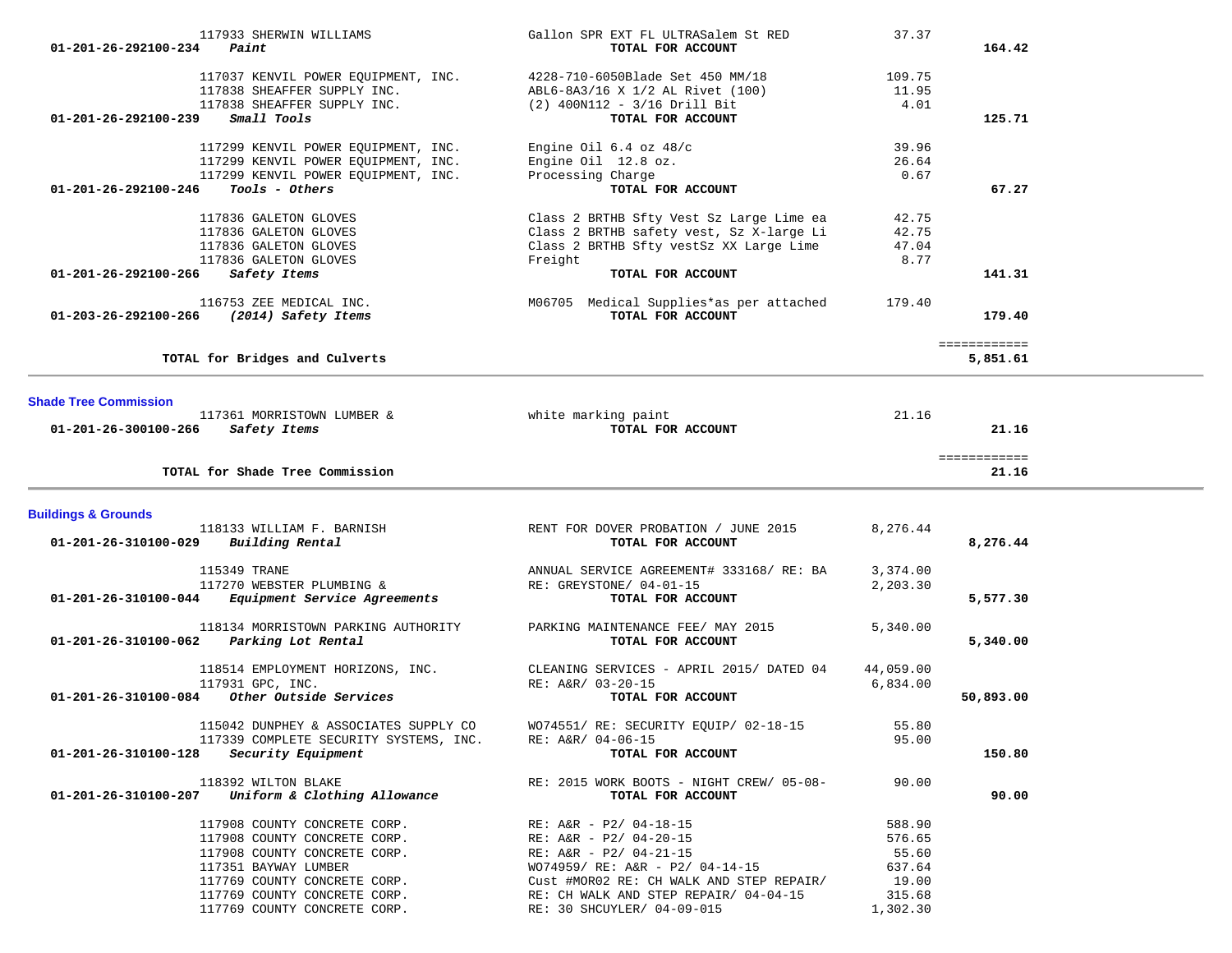| 01-201-26-292100-234           | 117933 SHERWIN WILLIAMS<br>Paint                                                                                     | Gallon SPR EXT FL ULTRASalem St RED<br>TOTAL FOR ACCOUNT                                                                                                        | 37.37                              | 164.42                   |  |
|--------------------------------|----------------------------------------------------------------------------------------------------------------------|-----------------------------------------------------------------------------------------------------------------------------------------------------------------|------------------------------------|--------------------------|--|
|                                | 117037 KENVIL POWER EQUIPMENT, INC.<br>117838 SHEAFFER SUPPLY INC.                                                   | 4228-710-6050Blade Set 450 MM/18<br>ABL6-8A3/16 X 1/2 AL Rivet (100)                                                                                            | 109.75<br>11.95                    |                          |  |
| 01-201-26-292100-239           | 117838 SHEAFFER SUPPLY INC.<br>Small Tools                                                                           | $(2)$ 400N112 - 3/16 Drill Bit<br>TOTAL FOR ACCOUNT                                                                                                             | 4.01                               | 125.71                   |  |
|                                | 117299 KENVIL POWER EQUIPMENT, INC.<br>117299 KENVIL POWER EQUIPMENT, INC.<br>117299 KENVIL POWER EQUIPMENT, INC.    | Engine Oil $6.4$ oz $48/c$<br>Engine Oil 12.8 oz.<br>Processing Charge                                                                                          | 39.96<br>26.64<br>0.67             |                          |  |
| 01-201-26-292100-246           | Tools - Others                                                                                                       | TOTAL FOR ACCOUNT                                                                                                                                               |                                    | 67.27                    |  |
| 01-201-26-292100-266           | 117836 GALETON GLOVES<br>117836 GALETON GLOVES<br>117836 GALETON GLOVES<br>117836 GALETON GLOVES<br>Safety Items     | Class 2 BRTHB Sfty Vest Sz Large Lime ea<br>Class 2 BRTHB safety vest, Sz X-large Li<br>Class 2 BRTHB Sfty vestSz XX Large Lime<br>Freight<br>TOTAL FOR ACCOUNT | 42.75<br>42.75<br>47.04<br>8.77    | 141.31                   |  |
| 01-203-26-292100-266           | 116753 ZEE MEDICAL INC.<br>(2014) Safety Items                                                                       | M06705 Medical Supplies*as per attached<br>TOTAL FOR ACCOUNT                                                                                                    | 179.40                             | 179.40                   |  |
|                                | TOTAL for Bridges and Culverts                                                                                       |                                                                                                                                                                 |                                    | ============<br>5,851.61 |  |
| <b>Shade Tree Commission</b>   |                                                                                                                      |                                                                                                                                                                 |                                    |                          |  |
| 01-201-26-300100-266           | 117361 MORRISTOWN LUMBER &<br>Safety Items                                                                           | white marking paint<br>TOTAL FOR ACCOUNT                                                                                                                        | 21.16                              | 21.16                    |  |
|                                | TOTAL for Shade Tree Commission                                                                                      |                                                                                                                                                                 |                                    | ============<br>21.16    |  |
| <b>Buildings &amp; Grounds</b> |                                                                                                                      |                                                                                                                                                                 |                                    |                          |  |
| 01-201-26-310100-029           | 118133 WILLIAM F. BARNISH<br>Building Rental                                                                         | RENT FOR DOVER PROBATION / JUNE 2015<br>TOTAL FOR ACCOUNT                                                                                                       | 8,276.44                           | 8,276.44                 |  |
| 01-201-26-310100-044           | 115349 TRANE<br>117270 WEBSTER PLUMBING &<br>Equipment Service Agreements                                            | ANNUAL SERVICE AGREEMENT# 333168/ RE: BA<br>RE: GREYSTONE/ 04-01-15<br>TOTAL FOR ACCOUNT                                                                        | 3,374.00<br>2,203.30               | 5,577.30                 |  |
| 01-201-26-310100-062           | 118134 MORRISTOWN PARKING AUTHORITY<br>Parking Lot Rental                                                            | PARKING MAINTENANCE FEE/ MAY 2015<br>TOTAL FOR ACCOUNT                                                                                                          | 5,340.00                           | 5,340.00                 |  |
| $01 - 201 - 26 - 310100 - 084$ | 118514 EMPLOYMENT HORIZONS, INC.<br>117931 GPC, INC.<br>Other Outside Services                                       | CLEANING SERVICES - APRIL 2015/ DATED 04<br>RE: A&R/ 03-20-15<br>TOTAL FOR ACCOUNT                                                                              | 44,059.00<br>6,834.00              | 50,893.00                |  |
| 01-201-26-310100-128           | 115042 DUNPHEY & ASSOCIATES SUPPLY CO<br>117339 COMPLETE SECURITY SYSTEMS, INC.<br><i>Security Equipment</i>         | WO74551/ RE: SECURITY EQUIP/ 02-18-15<br>RE: A&R/ 04-06-15<br>TOTAL FOR ACCOUNT                                                                                 | 55.80<br>95.00                     | 150.80                   |  |
| 01-201-26-310100-207           | 118392 WILTON BLAKE<br>Uniform & Clothing Allowance                                                                  | RE: 2015 WORK BOOTS - NIGHT CREW/ 05-08-<br>TOTAL FOR ACCOUNT                                                                                                   | 90.00                              | 90.00                    |  |
|                                | 117908 COUNTY CONCRETE CORP.<br>117908 COUNTY CONCRETE CORP.                                                         | RE: A&R - P2/ 04-18-15<br>RE: $A&R - P2/04-20-15$                                                                                                               | 588.90<br>576.65                   |                          |  |
|                                | 117908 COUNTY CONCRETE CORP.<br>117351 BAYWAY LUMBER<br>117769 COUNTY CONCRETE CORP.<br>117769 COUNTY CONCRETE CORP. | RE: $A&R - P2/04-21-15$<br>WO74959/ RE: A&R - P2/ 04-14-15<br>Cust #MOR02 RE: CH WALK AND STEP REPAIR/<br>RE: CH WALK AND STEP REPAIR/ 04-04-15                 | 55.60<br>637.64<br>19.00<br>315.68 |                          |  |
|                                |                                                                                                                      |                                                                                                                                                                 |                                    |                          |  |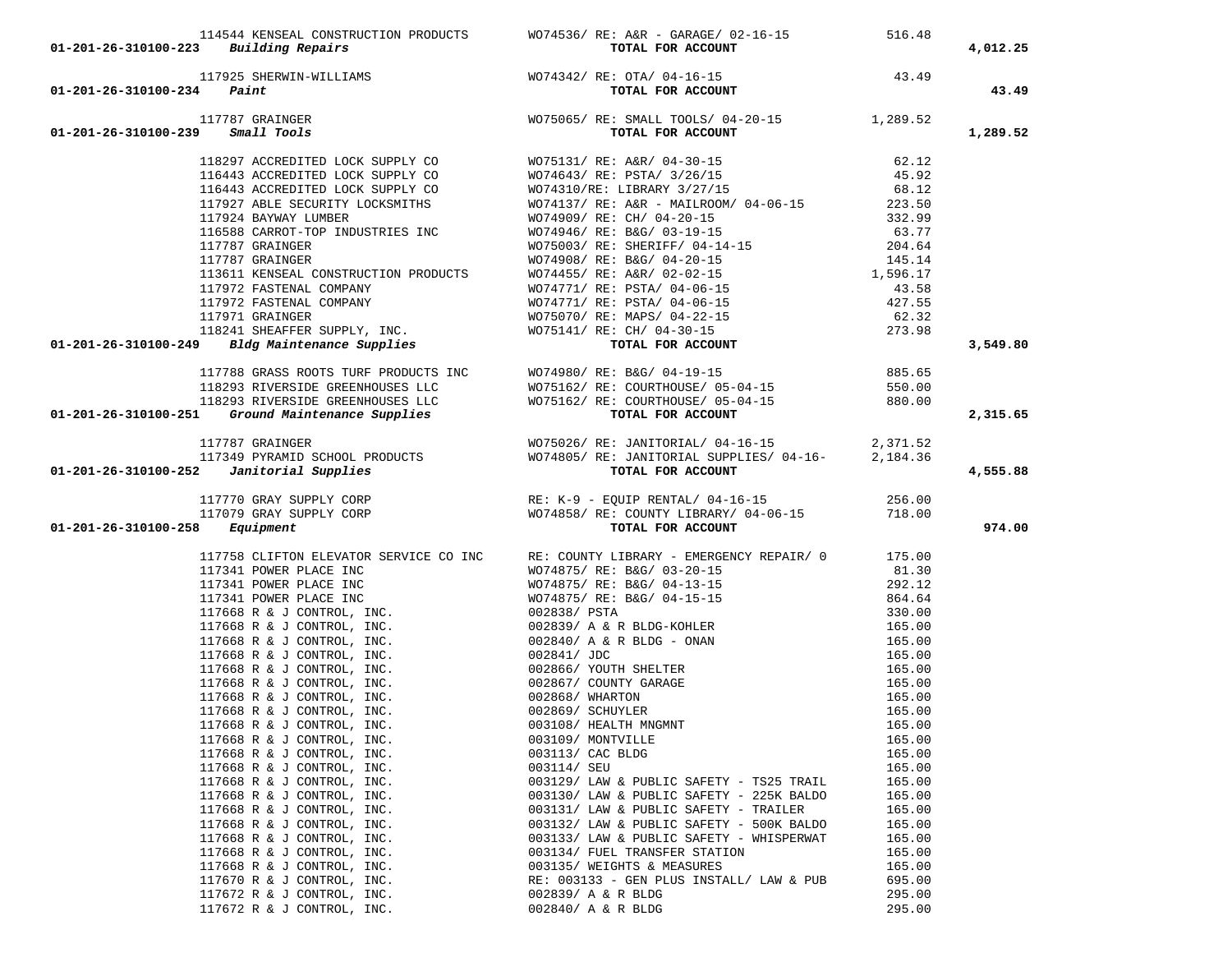| $01 - 201 - 26 - 310100 - 223$ Building Repairs                                                                                                                                                                                                                                                                                                          |                                                                                                                                                                                                                                                       |                  | 4,012.25 |
|----------------------------------------------------------------------------------------------------------------------------------------------------------------------------------------------------------------------------------------------------------------------------------------------------------------------------------------------------------|-------------------------------------------------------------------------------------------------------------------------------------------------------------------------------------------------------------------------------------------------------|------------------|----------|
|                                                                                                                                                                                                                                                                                                                                                          |                                                                                                                                                                                                                                                       |                  |          |
|                                                                                                                                                                                                                                                                                                                                                          |                                                                                                                                                                                                                                                       |                  |          |
| $01 - 201 - 26 - 310100 - 234$ Paint                                                                                                                                                                                                                                                                                                                     | 114544 KENSEAL CONSTRUCTION PRODUCTS<br>3 Building Repairs<br>117925 SHERWIN-WILLIAMS<br>4 Paint<br>117787 GRAINGER<br>9 Small Tools<br>117787 GRAINGER<br>117787 GRAINGER<br>117787 GRAINGER<br>117787 GRAINGER<br>117787 GRAINGER<br>1289.52<br>128 |                  | 43.49    |
|                                                                                                                                                                                                                                                                                                                                                          |                                                                                                                                                                                                                                                       |                  |          |
|                                                                                                                                                                                                                                                                                                                                                          |                                                                                                                                                                                                                                                       |                  |          |
| $01 - 201 - 26 - 310100 - 239$ Small Tools                                                                                                                                                                                                                                                                                                               |                                                                                                                                                                                                                                                       |                  | 1,289.52 |
|                                                                                                                                                                                                                                                                                                                                                          |                                                                                                                                                                                                                                                       |                  |          |
|                                                                                                                                                                                                                                                                                                                                                          |                                                                                                                                                                                                                                                       |                  |          |
|                                                                                                                                                                                                                                                                                                                                                          |                                                                                                                                                                                                                                                       |                  |          |
|                                                                                                                                                                                                                                                                                                                                                          |                                                                                                                                                                                                                                                       |                  |          |
|                                                                                                                                                                                                                                                                                                                                                          |                                                                                                                                                                                                                                                       |                  |          |
|                                                                                                                                                                                                                                                                                                                                                          |                                                                                                                                                                                                                                                       |                  |          |
|                                                                                                                                                                                                                                                                                                                                                          |                                                                                                                                                                                                                                                       |                  |          |
|                                                                                                                                                                                                                                                                                                                                                          |                                                                                                                                                                                                                                                       |                  |          |
|                                                                                                                                                                                                                                                                                                                                                          |                                                                                                                                                                                                                                                       |                  |          |
|                                                                                                                                                                                                                                                                                                                                                          |                                                                                                                                                                                                                                                       |                  |          |
|                                                                                                                                                                                                                                                                                                                                                          |                                                                                                                                                                                                                                                       |                  |          |
|                                                                                                                                                                                                                                                                                                                                                          |                                                                                                                                                                                                                                                       |                  |          |
|                                                                                                                                                                                                                                                                                                                                                          |                                                                                                                                                                                                                                                       |                  |          |
|                                                                                                                                                                                                                                                                                                                                                          |                                                                                                                                                                                                                                                       |                  | 3,549.80 |
| $[16443 \n    {\it ACCREDITED LOCK SUPPLY CO} {\it MOT4643/ RE: BSTA / 3/26/15} \eqno{62.12\n 116443 \n    {\it ACCREDITED LOCK SUPPLY CO} {\it MOT4643/ RE: FSTA / 3/26/15} \eqno{63.12\n 116443 \n    {\it ACCREDITED LOCK SUPPLY CO} {\it MOT4643/ RE: FSTA / 3/26/15} \eqno{63.12\n 117927 \n    {\it ABE SECLRITY LOCKSMITHS} \eqno{63.13\n 117927$ |                                                                                                                                                                                                                                                       |                  |          |
| 117788 GRASS ROOTS TURF PRODUCTS INC<br>118293 RIVERSIDE GREENHOUSES LLC<br>118293 RIVERSIDE GREENHOUSES LLC<br>118293 RIVERSIDE GREENHOUSES LLC<br>118293 RIVERSIDE GREENHOUSES LLC<br>118293 RIVERSIDE GREENHOUSES LLC<br>118293 RIVERSIDE GRE                                                                                                         |                                                                                                                                                                                                                                                       |                  |          |
|                                                                                                                                                                                                                                                                                                                                                          |                                                                                                                                                                                                                                                       |                  |          |
|                                                                                                                                                                                                                                                                                                                                                          |                                                                                                                                                                                                                                                       |                  |          |
|                                                                                                                                                                                                                                                                                                                                                          |                                                                                                                                                                                                                                                       |                  | 2,315.65 |
|                                                                                                                                                                                                                                                                                                                                                          |                                                                                                                                                                                                                                                       |                  |          |
|                                                                                                                                                                                                                                                                                                                                                          |                                                                                                                                                                                                                                                       |                  |          |
|                                                                                                                                                                                                                                                                                                                                                          |                                                                                                                                                                                                                                                       |                  |          |
| 117787 GRAINGER<br>117349 PYRAMID SCHOOL PRODUCTS WO75026/RE: JANITORIAL/04-16-15<br>01-201-26-310100-252 Janitorial Supplies<br>TOTAL FOR ACCOUNT                                                                                                                                                                                                       |                                                                                                                                                                                                                                                       |                  | 4,555.88 |
|                                                                                                                                                                                                                                                                                                                                                          |                                                                                                                                                                                                                                                       |                  |          |
|                                                                                                                                                                                                                                                                                                                                                          | 117770 GRAY SUPPLY CORP<br>117079 GRAY SUPPLY CORP RE: K-9 - EQUIP RENTAL/04-16-15<br>117079 GRAY SUPPLY CORP WO74858/RE: COUNTY LIBRARY/04-06-15<br><b>718.00</b><br><b>718.00</b><br><b>707AL FOR ACCOUNT</b>                                       |                  |          |
|                                                                                                                                                                                                                                                                                                                                                          |                                                                                                                                                                                                                                                       |                  |          |
| $01 - 201 - 26 - 310100 - 258$ Equipment                                                                                                                                                                                                                                                                                                                 |                                                                                                                                                                                                                                                       |                  | 974.00   |
|                                                                                                                                                                                                                                                                                                                                                          |                                                                                                                                                                                                                                                       |                  |          |
|                                                                                                                                                                                                                                                                                                                                                          | 117758 CLIFTON ELEVATOR SERVICE CO INC RE: COUNTY LIBRARY - EMERGENCY REPAIR/ 0 175.00                                                                                                                                                                |                  |          |
|                                                                                                                                                                                                                                                                                                                                                          |                                                                                                                                                                                                                                                       | 81.30            |          |
|                                                                                                                                                                                                                                                                                                                                                          |                                                                                                                                                                                                                                                       | 292.12           |          |
|                                                                                                                                                                                                                                                                                                                                                          |                                                                                                                                                                                                                                                       | 864.64           |          |
|                                                                                                                                                                                                                                                                                                                                                          |                                                                                                                                                                                                                                                       | 330.00           |          |
|                                                                                                                                                                                                                                                                                                                                                          |                                                                                                                                                                                                                                                       | 165.00           |          |
|                                                                                                                                                                                                                                                                                                                                                          |                                                                                                                                                                                                                                                       | 165.00           |          |
|                                                                                                                                                                                                                                                                                                                                                          |                                                                                                                                                                                                                                                       | 165.00           |          |
|                                                                                                                                                                                                                                                                                                                                                          | 117758 CLIFTON ELEVATOR SERVICE CO INC RE: COUNTY LIBRARY - EMERGENCY REPAIR/ 0<br>17341 POWER PLACE INC WO74875/RE: B&G/03-10-15<br>17341 POWER PLACE INC WO74875/RE: B&G/03-10-15<br>17341 POWER PLACE INC WO74875/RE: B&G/04-13-                   | 165.00           |          |
|                                                                                                                                                                                                                                                                                                                                                          |                                                                                                                                                                                                                                                       | 165.00<br>165.00 |          |
|                                                                                                                                                                                                                                                                                                                                                          |                                                                                                                                                                                                                                                       | 165.00           |          |
|                                                                                                                                                                                                                                                                                                                                                          |                                                                                                                                                                                                                                                       | 165.00           |          |
| 117668 R & J CONTROL, INC.                                                                                                                                                                                                                                                                                                                               | 003109/ MONTVILLE                                                                                                                                                                                                                                     | 165.00           |          |
| 117668 R & J CONTROL, INC.                                                                                                                                                                                                                                                                                                                               | 003113/ CAC BLDG                                                                                                                                                                                                                                      | 165.00           |          |
| 117668 R & J CONTROL, INC.                                                                                                                                                                                                                                                                                                                               | 003114/ SEU                                                                                                                                                                                                                                           | 165.00           |          |
| 117668 R & J CONTROL, INC.                                                                                                                                                                                                                                                                                                                               | 003129/ LAW & PUBLIC SAFETY - TS25 TRAIL                                                                                                                                                                                                              | 165.00           |          |
| 117668 R & J CONTROL, INC.                                                                                                                                                                                                                                                                                                                               | 003130/ LAW & PUBLIC SAFETY - 225K BALDO                                                                                                                                                                                                              | 165.00           |          |
| 117668 R & J CONTROL, INC.                                                                                                                                                                                                                                                                                                                               | 003131/ LAW & PUBLIC SAFETY - TRAILER                                                                                                                                                                                                                 | 165.00           |          |
| 117668 R & J CONTROL, INC.                                                                                                                                                                                                                                                                                                                               | 003132/ LAW & PUBLIC SAFETY - 500K BALDO                                                                                                                                                                                                              | 165.00           |          |
| 117668 R & J CONTROL, INC.                                                                                                                                                                                                                                                                                                                               | 003133/ LAW & PUBLIC SAFETY - WHISPERWAT                                                                                                                                                                                                              | 165.00           |          |
| 117668 R & J CONTROL, INC.                                                                                                                                                                                                                                                                                                                               | 003134/ FUEL TRANSFER STATION                                                                                                                                                                                                                         | 165.00           |          |
| 117668 R & J CONTROL, INC.                                                                                                                                                                                                                                                                                                                               | 003135/ WEIGHTS & MEASURES                                                                                                                                                                                                                            | 165.00           |          |
| 117670 R & J CONTROL, INC.                                                                                                                                                                                                                                                                                                                               | RE: 003133 - GEN PLUS INSTALL/ LAW & PUB                                                                                                                                                                                                              | 695.00           |          |
| 117672 R & J CONTROL, INC.                                                                                                                                                                                                                                                                                                                               | 002839/ A & R BLDG                                                                                                                                                                                                                                    | 295.00           |          |
| 117672 R & J CONTROL, INC.                                                                                                                                                                                                                                                                                                                               | 002840/ A & R BLDG                                                                                                                                                                                                                                    | 295.00           |          |
|                                                                                                                                                                                                                                                                                                                                                          |                                                                                                                                                                                                                                                       |                  |          |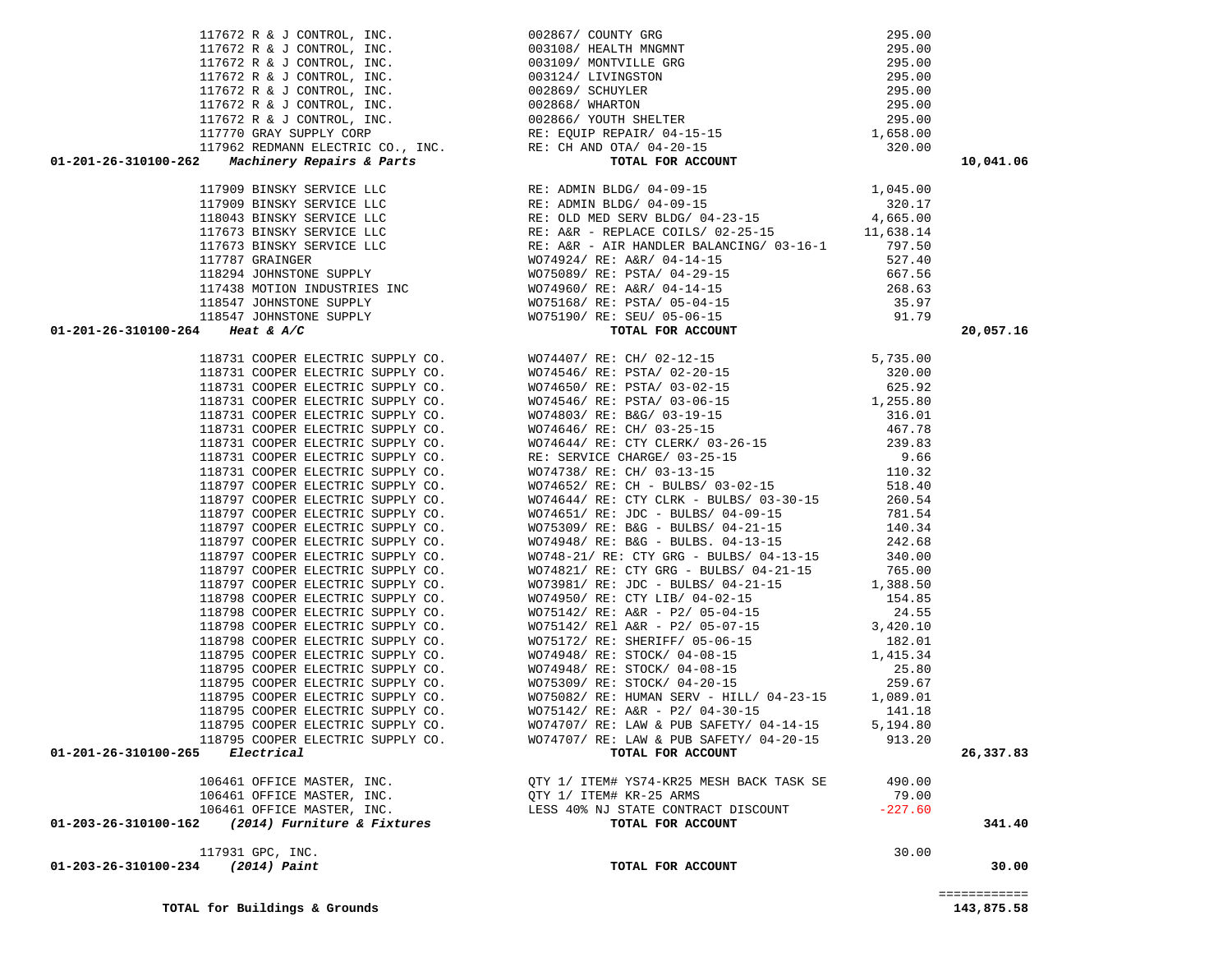| 19975 & C. COPYS (1997) A. (1997) $\frac{1}{2}$ (1997) $\frac{1}{2}$ (1997) $\frac{1}{2}$ (1997) $\frac{1}{2}$ (1997) $\frac{1}{2}$ (1997) $\frac{1}{2}$ (1997) $\frac{1}{2}$ (1997) $\frac{1}{2}$ (1997) $\frac{1}{2}$ (1997) $\frac{1}{2}$ (1997) $\frac{1}{2}$ (1997) |                                          |           |        |
|--------------------------------------------------------------------------------------------------------------------------------------------------------------------------------------------------------------------------------------------------------------------------|------------------------------------------|-----------|--------|
|                                                                                                                                                                                                                                                                          |                                          |           |        |
|                                                                                                                                                                                                                                                                          |                                          |           |        |
|                                                                                                                                                                                                                                                                          |                                          |           |        |
|                                                                                                                                                                                                                                                                          |                                          |           |        |
|                                                                                                                                                                                                                                                                          |                                          |           |        |
|                                                                                                                                                                                                                                                                          |                                          |           |        |
|                                                                                                                                                                                                                                                                          |                                          |           |        |
|                                                                                                                                                                                                                                                                          |                                          |           |        |
|                                                                                                                                                                                                                                                                          |                                          |           |        |
|                                                                                                                                                                                                                                                                          |                                          |           |        |
|                                                                                                                                                                                                                                                                          |                                          |           |        |
|                                                                                                                                                                                                                                                                          |                                          |           |        |
|                                                                                                                                                                                                                                                                          |                                          |           |        |
|                                                                                                                                                                                                                                                                          |                                          |           |        |
|                                                                                                                                                                                                                                                                          |                                          |           |        |
|                                                                                                                                                                                                                                                                          |                                          |           |        |
|                                                                                                                                                                                                                                                                          |                                          |           |        |
|                                                                                                                                                                                                                                                                          |                                          |           |        |
|                                                                                                                                                                                                                                                                          |                                          |           |        |
|                                                                                                                                                                                                                                                                          |                                          |           |        |
|                                                                                                                                                                                                                                                                          |                                          |           |        |
|                                                                                                                                                                                                                                                                          |                                          |           |        |
|                                                                                                                                                                                                                                                                          |                                          |           |        |
|                                                                                                                                                                                                                                                                          |                                          |           |        |
|                                                                                                                                                                                                                                                                          |                                          |           |        |
|                                                                                                                                                                                                                                                                          |                                          |           |        |
|                                                                                                                                                                                                                                                                          |                                          |           |        |
|                                                                                                                                                                                                                                                                          |                                          |           |        |
|                                                                                                                                                                                                                                                                          |                                          |           |        |
|                                                                                                                                                                                                                                                                          |                                          |           |        |
|                                                                                                                                                                                                                                                                          |                                          |           |        |
|                                                                                                                                                                                                                                                                          |                                          |           |        |
|                                                                                                                                                                                                                                                                          |                                          |           |        |
|                                                                                                                                                                                                                                                                          |                                          |           |        |
|                                                                                                                                                                                                                                                                          |                                          |           |        |
|                                                                                                                                                                                                                                                                          |                                          |           |        |
|                                                                                                                                                                                                                                                                          |                                          |           |        |
|                                                                                                                                                                                                                                                                          |                                          |           |        |
|                                                                                                                                                                                                                                                                          |                                          |           |        |
|                                                                                                                                                                                                                                                                          |                                          |           |        |
|                                                                                                                                                                                                                                                                          |                                          |           |        |
| 106461 OFFICE MASTER, INC.                                                                                                                                                                                                                                               | QTY 1/ ITEM# YS74-KR25 MESH BACK TASK SE | 490.00    |        |
| 106461 OFFICE MASTER, INC.                                                                                                                                                                                                                                               | OTY 1/ ITEM# KR-25 ARMS                  | 79.00     |        |
| 106461 OFFICE MASTER, INC.                                                                                                                                                                                                                                               | LESS 40% NJ STATE CONTRACT DISCOUNT      | $-227.60$ |        |
| (2014) Furniture & Fixtures<br>01-203-26-310100-162                                                                                                                                                                                                                      | TOTAL FOR ACCOUNT                        |           | 341.40 |
| 117931 GPC, INC.                                                                                                                                                                                                                                                         |                                          | 30.00     |        |
| 01-203-26-310100-234 (2014) Paint                                                                                                                                                                                                                                        | TOTAL FOR ACCOUNT                        |           | 30.00  |
|                                                                                                                                                                                                                                                                          |                                          |           |        |

 117672 R & J CONTROL, INC. 002867/ COUNTY GRG 295.00 117672 R & J CONTROL, INC. 003108/ HEALTH MNGMNT 295.00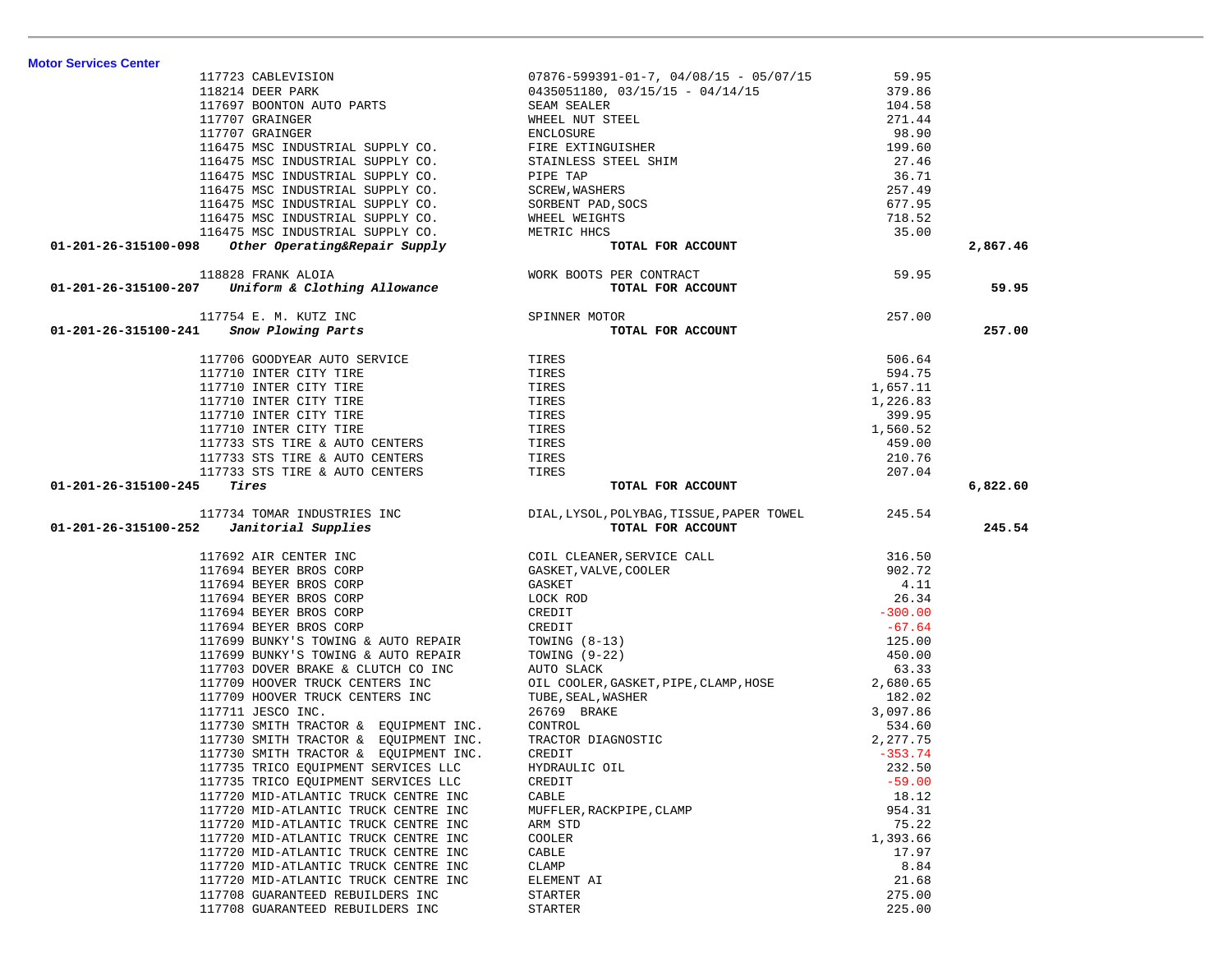| 117723 CABLEVISION                                                                                                                         | $07876 - 599391 - 01 - 7$ , $04/08/15$ - $05/07/15$                                                                                                                                                                                                                | 59.95     |          |
|--------------------------------------------------------------------------------------------------------------------------------------------|--------------------------------------------------------------------------------------------------------------------------------------------------------------------------------------------------------------------------------------------------------------------|-----------|----------|
| 117723 COMMELTER<br>118214 DEER PARK 117697 BOONTON AUTO PARTS SEAM SEALER                                                                 | 0435051180, 03/15/15 - 04/14/15<br>SEAM SEALER                                                                                                                                                                                                                     | 379.86    |          |
|                                                                                                                                            |                                                                                                                                                                                                                                                                    | 104.58    |          |
|                                                                                                                                            |                                                                                                                                                                                                                                                                    | 271.44    |          |
|                                                                                                                                            |                                                                                                                                                                                                                                                                    | 98.90     |          |
|                                                                                                                                            |                                                                                                                                                                                                                                                                    | 199.60    |          |
|                                                                                                                                            |                                                                                                                                                                                                                                                                    | 27.46     |          |
|                                                                                                                                            |                                                                                                                                                                                                                                                                    | 36.71     |          |
|                                                                                                                                            |                                                                                                                                                                                                                                                                    | 257.49    |          |
|                                                                                                                                            |                                                                                                                                                                                                                                                                    | 677.95    |          |
|                                                                                                                                            |                                                                                                                                                                                                                                                                    | 718.52    |          |
|                                                                                                                                            |                                                                                                                                                                                                                                                                    | 35.00     |          |
| 116475 MSC INDUSTRIAL SUPPLY CO.<br>8 Other Operating&Repair Supply                                                                        |                                                                                                                                                                                                                                                                    |           |          |
| 01-201-26-315100-098                                                                                                                       | 117697 BOONTON AUTO PARTS<br>117707 GRAINGER WHEEL NUT STEEL<br>117707 GRAINGER<br>116475 MSC INDUSTRIAL SUPPLY CO.<br>116475 MSC INDUSTRIAL SUPPLY CO.<br>116475 MSC INDUSTRIAL SUPPLY CO.<br>116475 MSC INDUSTRIAL SUPPLY CO.<br>116475 MS                       |           | 2,867.46 |
| 118828 FRANK ALOIA WORK BOOTS PER CONTRACT 59.95<br>01-201-26-315100-207 Uniform & Clothing Allowance TOTAL FOR ACCOUNT                    |                                                                                                                                                                                                                                                                    |           |          |
|                                                                                                                                            |                                                                                                                                                                                                                                                                    |           | 59.95    |
| SPINNER MOTOR<br>TOT<br>117754 E. M. KUTZ INC                                                                                              | TOR<br><b>TOTAL FOR ACCOUNT</b>                                                                                                                                                                                                                                    | 257.00    |          |
| 01-201-26-315100-241 Snow Plowing Parts                                                                                                    |                                                                                                                                                                                                                                                                    |           | 257.00   |
|                                                                                                                                            |                                                                                                                                                                                                                                                                    |           |          |
| 117706 GOODYEAR AUTO SERVICE TIRES                                                                                                         |                                                                                                                                                                                                                                                                    | 506.64    |          |
| 117710 INTER CITY TIRE<br>117710 INTER CITY TIRE                                                                                           | TIRES                                                                                                                                                                                                                                                              | 594.75    |          |
| 117710 INTER CITY TIRE                                                                                                                     | TIRES                                                                                                                                                                                                                                                              | 1,657.11  |          |
| 117710 INTER CITY TIRE                                                                                                                     | TIRES                                                                                                                                                                                                                                                              | 1,226.83  |          |
| 117710 INTER CITY TIRE                                                                                                                     | TIRES                                                                                                                                                                                                                                                              | 399.95    |          |
| 117710 INTER CITY TIRE<br>117733 STS TIRE & AUTO CENTERS                                                                                   | TIRES                                                                                                                                                                                                                                                              | 1,560.52  |          |
|                                                                                                                                            | TIRES                                                                                                                                                                                                                                                              | 459.00    |          |
| 117733 STS TIRE & AUTO CENTERS                                                                                                             | TIRES                                                                                                                                                                                                                                                              | 210.76    |          |
| 117733 STS TIRE & AUTO CENTERS                                                                                                             | TIRES                                                                                                                                                                                                                                                              | 207.04    |          |
| Tires<br>01-201-26-315100-245                                                                                                              | TOTAL FOR ACCOUNT                                                                                                                                                                                                                                                  |           | 6,822.60 |
|                                                                                                                                            |                                                                                                                                                                                                                                                                    |           |          |
|                                                                                                                                            |                                                                                                                                                                                                                                                                    |           |          |
|                                                                                                                                            |                                                                                                                                                                                                                                                                    |           |          |
| 117734 TOMAR INDUSTRIES INC DIAL, LYSOL, POLYBAG, TISSUE, PAPER TOWEL 245.54<br>01-201-26-315100-252 Janitorial Supplies TOTAL FOR ACCOUNT |                                                                                                                                                                                                                                                                    |           | 245.54   |
|                                                                                                                                            |                                                                                                                                                                                                                                                                    |           |          |
|                                                                                                                                            |                                                                                                                                                                                                                                                                    | 316.50    |          |
|                                                                                                                                            |                                                                                                                                                                                                                                                                    | 902.72    |          |
| 117692 AIR CENTER INC<br>117694 BEYER BROS CORP<br>117694 BEYER BROS CORP                                                                  |                                                                                                                                                                                                                                                                    | 4.11      |          |
| 117694 BEYER BROS CORP                                                                                                                     |                                                                                                                                                                                                                                                                    | 26.34     |          |
| 117694 BEYER BROS CORP                                                                                                                     |                                                                                                                                                                                                                                                                    | $-300.00$ |          |
| 117694 BEYER BROS CORP                                                                                                                     |                                                                                                                                                                                                                                                                    | $-67.64$  |          |
| 117699 BUNKY'S TOWING & AUTO REPAIR                                                                                                        |                                                                                                                                                                                                                                                                    | 125.00    |          |
| 117699 BUNKY'S TOWING & AUTO REPAIR                                                                                                        |                                                                                                                                                                                                                                                                    | 450.00    |          |
| 117703 DOVER BRAKE & CLUTCH CO INC                                                                                                         |                                                                                                                                                                                                                                                                    | 63.33     |          |
| 117709 HOOVER TRUCK CENTERS INC                                                                                                            |                                                                                                                                                                                                                                                                    | 2,680.65  |          |
| 117709 HOOVER TRUCK CENTERS INC                                                                                                            |                                                                                                                                                                                                                                                                    | 182.02    |          |
| 117711 JESCO INC.                                                                                                                          |                                                                                                                                                                                                                                                                    | 3,097.86  |          |
| 117730 SMITH TRACTOR & EQUIPMENT INC.                                                                                                      |                                                                                                                                                                                                                                                                    | 534.60    |          |
| 117730 SMITH TRACTOR & EOUIPMENT INC.                                                                                                      |                                                                                                                                                                                                                                                                    | 2,277.75  |          |
| 117730 SMITH TRACTOR & EQUIPMENT INC.                                                                                                      |                                                                                                                                                                                                                                                                    | $-353.74$ |          |
| 117735 TRICO EQUIPMENT SERVICES LLC                                                                                                        |                                                                                                                                                                                                                                                                    | 232.50    |          |
| 117735 TRICO EQUIPMENT SERVICES LLC                                                                                                        | COIL CLEANER, SERVICE CALL<br>GASKET, VALVE, COOLER<br>GASKET<br>LOCK ROD<br>CREDIT<br>TOWING (8-13)<br>TOWING (9-22)<br>AUTO SLACK<br>OIL COOLER, GASKET, PIPE, CLAMP, HOSE<br>TUBE, SEAL, WASHER<br>Z6769 BRAKE<br>CONTROL<br>TRACTOR DIAGNOSTIC<br>CR<br>CREDIT | $-59.00$  |          |
| 117720 MID-ATLANTIC TRUCK CENTRE INC                                                                                                       | CABLE                                                                                                                                                                                                                                                              | 18.12     |          |
| 117720 MID-ATLANTIC TRUCK CENTRE INC                                                                                                       | MUFFLER, RACKPIPE, CLAMP                                                                                                                                                                                                                                           | 954.31    |          |
| 117720 MID-ATLANTIC TRUCK CENTRE INC                                                                                                       | ARM STD                                                                                                                                                                                                                                                            | 75.22     |          |
| 117720 MID-ATLANTIC TRUCK CENTRE INC                                                                                                       | COOLER                                                                                                                                                                                                                                                             | 1,393.66  |          |
| 117720 MID-ATLANTIC TRUCK CENTRE INC                                                                                                       | CABLE                                                                                                                                                                                                                                                              | 17.97     |          |
| 117720 MID-ATLANTIC TRUCK CENTRE INC                                                                                                       | CLAMP                                                                                                                                                                                                                                                              | 8.84      |          |
| 117720 MID-ATLANTIC TRUCK CENTRE INC                                                                                                       | ELEMENT AI                                                                                                                                                                                                                                                         | 21.68     |          |
| 117708 GUARANTEED REBUILDERS INC                                                                                                           | <b>STARTER</b>                                                                                                                                                                                                                                                     | 275.00    |          |

**Motor Services Center**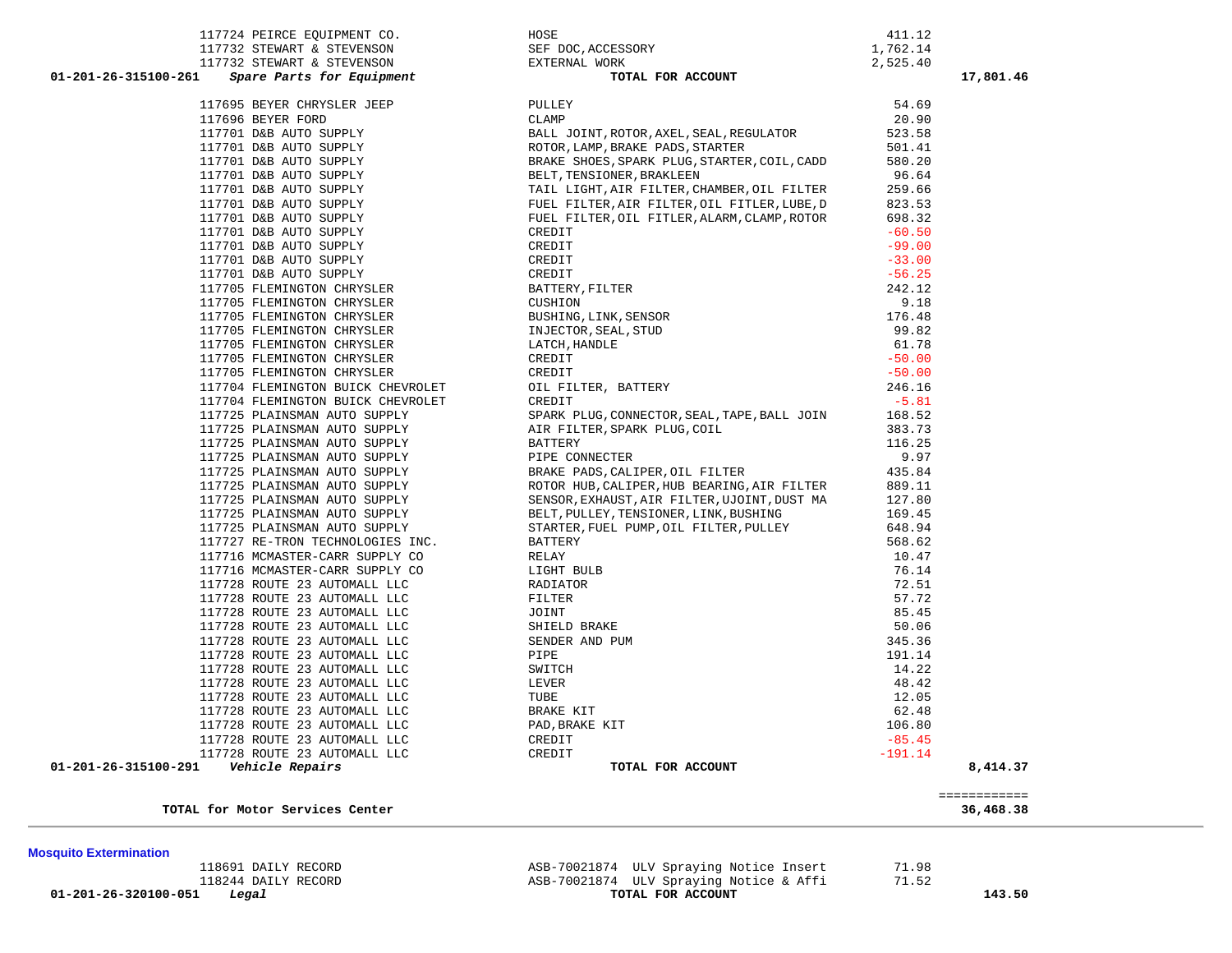**Mosquito Extermination 01-201-26-320100-051** *Legal* **TOTAL FOR ACCOUNT 143.50**

118244 DAILY RECORD ASB-70021874 ULV Spraying Notice & Affi 71.52

| <b>Mosquito Extermination</b> |                     |                                          |       |
|-------------------------------|---------------------|------------------------------------------|-------|
|                               | 118691 DAILY RECORD | ASB-70021874 ULV Spraying Notice Insert  | 71.98 |
|                               | 118244 DATLY RECORD | ASB-70021874 IILV Spraving Notice & Affi | 71.52 |

|                                      | ---------------<br>------------ |
|--------------------------------------|---------------------------------|
| TOTAL<br>∟ for Motor Services Center | 36,468.38                       |

| 117724 PEIRCE EQUIPMENT CO.                                                                                                                                                                                                                              |                                                                                                                                                                              | 411.12    |
|----------------------------------------------------------------------------------------------------------------------------------------------------------------------------------------------------------------------------------------------------------|------------------------------------------------------------------------------------------------------------------------------------------------------------------------------|-----------|
|                                                                                                                                                                                                                                                          | HOSE<br>SEF DOC,ACCESSORY<br>EXTERNAL WORK                                                                                                                                   | 1,762.14  |
|                                                                                                                                                                                                                                                          |                                                                                                                                                                              | 2,525.40  |
|                                                                                                                                                                                                                                                          | TOTAL FOR ACCOUNT                                                                                                                                                            |           |
| 11//32 STEWART & STEVENSON<br>117732 STEWART & STEVENSON<br>117732 STEWART & STEVENSON<br>201-201-26-315100-261 <i>Spare Parts for Equipment</i><br>201-201-26-315100-261 <i>Spare Parts for Equipment</i>                                               |                                                                                                                                                                              |           |
|                                                                                                                                                                                                                                                          | PULLEY                                                                                                                                                                       | 54.69     |
|                                                                                                                                                                                                                                                          | CLAMP                                                                                                                                                                        | 20.90     |
| 117695 BEYER CHRYSLER JEEP<br>117696 BEYER FORD<br>117701 D&B AUTO SUPPLY<br>117701 D&B AUTO SUPPLY<br>117701 D&B AUTO SUPPLY<br>117701 D&B AUTO SUPPLY<br>117701 D&B AUTO SUPPLY<br>117701 D&B AUTO SUPPLY<br>117701 D&B AUTO SUPPLY<br>117701 D&B AUTO | BALL JOINT, ROTOR, AXEL, SEAL, REGULATOR                                                                                                                                     | 523.58    |
|                                                                                                                                                                                                                                                          | ROTOR, LAMP, BRAKE PADS, STARTER<br>ROTOR , LAMP , BRAKE PADS , STARTER<br>BRAKE SHOES , SPARK PLUG , STARTER , COIL , CADD                                                  | 501.41    |
|                                                                                                                                                                                                                                                          |                                                                                                                                                                              | 580.20    |
|                                                                                                                                                                                                                                                          | BELT, TENSIONER, BRAKLEEN                                                                                                                                                    | 96.64     |
|                                                                                                                                                                                                                                                          | TAIL LIGHT, AIR FILTER, CHAMBER, OIL FILTER                                                                                                                                  | 259.66    |
|                                                                                                                                                                                                                                                          | FUEL FILTER, AIR FILTER, OIL FITLER, LUBE, D                                                                                                                                 | 823.53    |
|                                                                                                                                                                                                                                                          | FUEL FILTER, OIL FITLER, ALARM, CLAMP, ROTOR                                                                                                                                 | 698.32    |
|                                                                                                                                                                                                                                                          |                                                                                                                                                                              | $-60.50$  |
| 117701 D&B AUTO SUPPLY<br>117701 D&B AUTO SUPPLY<br>117701 D&B AUTO SUPPLY<br>117701 D&B AUTO SUPPLY<br>117705 FLEMINGTON CHRYSLER                                                                                                                       |                                                                                                                                                                              | $-99.00$  |
|                                                                                                                                                                                                                                                          |                                                                                                                                                                              | $-33.00$  |
|                                                                                                                                                                                                                                                          |                                                                                                                                                                              | $-56.25$  |
|                                                                                                                                                                                                                                                          |                                                                                                                                                                              | 242.12    |
| 117705 FLEMINGTON CHRYSLER<br>117705 FLEMINGTON CHRYSLER                                                                                                                                                                                                 |                                                                                                                                                                              | 9.18      |
|                                                                                                                                                                                                                                                          |                                                                                                                                                                              | 176.48    |
| 117705 FLEMINGTON CHRYSLER                                                                                                                                                                                                                               |                                                                                                                                                                              | 99.82     |
| 117705 FLEMINGTON CHRYSLER                                                                                                                                                                                                                               |                                                                                                                                                                              | 61.78     |
| 117705 FLEMINGTON CHRYSLER                                                                                                                                                                                                                               |                                                                                                                                                                              | $-50.00$  |
| 117705 FLEMINGTON CHRYSLER                                                                                                                                                                                                                               |                                                                                                                                                                              | $-50.00$  |
| 117704 FLEMINGTON BUICK CHEVROLET                                                                                                                                                                                                                        |                                                                                                                                                                              | 246.16    |
| 117704 FLEMINGTON BUICK CHEVROLET                                                                                                                                                                                                                        | L<br>LE FILTER,<br>EDIT<br>REDIT<br>REDIT<br>REDIT<br>DETT<br>DETT<br>BATTERY, FILTER<br>CUSHION<br>BUSHING, LINK, SENSOR<br>INJECTOR, SEAL, STUD<br>LATCH, HANDLE<br>CREDIT | $-5.81$   |
| 117725 PLAINSMAN AUTO SUPPLY                                                                                                                                                                                                                             | SPARK PLUG, CONNECTOR, SEAL, TAPE, BALL JOIN                                                                                                                                 | 168.52    |
| 117725 PLAINSMAN AUTO SUPPLY                                                                                                                                                                                                                             | AIR FILTER, SPARK PLUG, COIL                                                                                                                                                 | 383.73    |
| 117725 PLAINSMAN AUTO SUPPLY                                                                                                                                                                                                                             | BATTERY                                                                                                                                                                      | 116.25    |
| 117725 PLAINSMAN AUTO SUPPLY                                                                                                                                                                                                                             | PIPE CONNECTER                                                                                                                                                               | 9.97      |
| 117725 PLAINSMAN AUTO SUPPLY                                                                                                                                                                                                                             | BRAKE PADS, CALIPER, OIL FILTER                                                                                                                                              | 435.84    |
| 117725 PLAINSMAN AUTO SUPPLY                                                                                                                                                                                                                             | ROTOR HUB, CALIPER, HUB BEARING, AIR FILTER                                                                                                                                  | 889.11    |
| 117725 PLAINSMAN AUTO SUPPLY                                                                                                                                                                                                                             | SENSOR, EXHAUST, AIR FILTER, UJOINT, DUST MA                                                                                                                                 | 127.80    |
| 117725 PLAINSMAN AUTO SUPPLY                                                                                                                                                                                                                             | BELT, PULLEY, TENSIONER, LINK, BUSHING                                                                                                                                       | 169.45    |
| 117725 PLAINSMAN AUTO SUPPLY                                                                                                                                                                                                                             | STARTER, FUEL PUMP, OIL FILTER, PULLEY                                                                                                                                       | 648.94    |
| 117727 RE-TRON TECHNOLOGIES INC.                                                                                                                                                                                                                         | <b>BATTERY</b>                                                                                                                                                               | 568.62    |
| 117716 MCMASTER-CARR SUPPLY CO                                                                                                                                                                                                                           | RELAY                                                                                                                                                                        | 10.47     |
| 117716 MCMASTER-CARR SUPPLY CO                                                                                                                                                                                                                           | LIGHT BULB                                                                                                                                                                   | 76.14     |
| 117728 ROUTE 23 AUTOMALL LLC                                                                                                                                                                                                                             | RADIATOR                                                                                                                                                                     | 72.51     |
| 117728 ROUTE 23 AUTOMALL LLC                                                                                                                                                                                                                             | FILTER                                                                                                                                                                       | 57.72     |
| 117728 ROUTE 23 AUTOMALL LLC                                                                                                                                                                                                                             | JOINT                                                                                                                                                                        | 85.45     |
| 117728 ROUTE 23 AUTOMALL LLC                                                                                                                                                                                                                             | SHIELD BRAKE                                                                                                                                                                 | 50.06     |
| 117728 ROUTE 23 AUTOMALL LLC                                                                                                                                                                                                                             | SENDER AND PUM                                                                                                                                                               | 345.36    |
| 117728 ROUTE 23 AUTOMALL LLC                                                                                                                                                                                                                             | PIPE                                                                                                                                                                         | 191.14    |
| 117728 ROUTE 23 AUTOMALL LLC<br>117728 ROUTE 23 AUTOMALL LLC<br>117728 ROUTE 23 AUTOMALL LLC                                                                                                                                                             | SWITCH                                                                                                                                                                       | 14.22     |
|                                                                                                                                                                                                                                                          | LEVER                                                                                                                                                                        | 48.42     |
|                                                                                                                                                                                                                                                          | TUBE                                                                                                                                                                         | 12.05     |
| 117728 ROUTE 23 AUTOMALL LLC                                                                                                                                                                                                                             | BRAKE KIT                                                                                                                                                                    | 62.48     |
| 117728 ROUTE 23 AUTOMALL LLC                                                                                                                                                                                                                             | PAD, BRAKE KIT                                                                                                                                                               | 106.80    |
| 117728 ROUTE 23 AUTOMALL LLC                                                                                                                                                                                                                             | CREDIT                                                                                                                                                                       | $-85.45$  |
| 117728 ROUTE 23 AUTOMALL LLC                                                                                                                                                                                                                             | CREDIT                                                                                                                                                                       | $-191.14$ |
|                                                                                                                                                                                                                                                          |                                                                                                                                                                              |           |

|                                                                                                                                                                                                              |                                                                                                                                                | 411.12    |           |
|--------------------------------------------------------------------------------------------------------------------------------------------------------------------------------------------------------------|------------------------------------------------------------------------------------------------------------------------------------------------|-----------|-----------|
|                                                                                                                                                                                                              |                                                                                                                                                | 1,762.14  |           |
|                                                                                                                                                                                                              |                                                                                                                                                | 2,525.40  |           |
| 117724 PEIRCE EQUIPMENT CO.<br>117732 STEWART & STEVENSON SEF DOC, ACCESSORY<br>117732 STEWART & STEVENSON EXTERNAL WORK TOTAL FOR ACCOUNT<br>01-201-26-315100-261                                           |                                                                                                                                                |           | 17,801.46 |
| 117695 BEYER CHRYSLER JEEP                                                                                                                                                                                   | PULLEY                                                                                                                                         | 54.69     |           |
| 117696 BEYER FORD                                                                                                                                                                                            | CLAMP                                                                                                                                          | 20.90     |           |
|                                                                                                                                                                                                              | BALL JOINT, ROTOR, AXEL, SEAL, REGULATOR                                                                                                       | 523.58    |           |
| 117701 D&B AUTO SUPPLY<br>117701 D&B AUTO SUPPLY                                                                                                                                                             | ROTOR, LAMP, BRAKE PADS, STARTER                                                                                                               | 501.41    |           |
|                                                                                                                                                                                                              | BRAKE SHOES, SPARK PLUG, STARTER, COIL, CADD                                                                                                   | 580.20    |           |
|                                                                                                                                                                                                              | BELT, TENSIONER, BRAKLEEN                                                                                                                      | 96.64     |           |
|                                                                                                                                                                                                              | TAIL LIGHT, AIR FILTER, CHAMBER, OIL FILTER                                                                                                    | 259.66    |           |
| 117701 D&B AUTO SUPPLY<br>117701 D&B AUTO SUPPLY<br>117701 D&B AUTO SUPPLY<br>117701 D&B AUTO SUPPLY<br>117701 D&B AUTO SUPPLY<br>117701 D&B AUTO SUPPLY<br>117701 D&B AUTO SUPPLY<br>117701 D&B AUTO SUPPLY | FUEL FILTER, AIR FILTER, OIL FITLER, LUBE, D                                                                                                   | 823.53    |           |
|                                                                                                                                                                                                              | FUEL FILTER, OIL FITLER, ALARM, CLAMP, ROTOR                                                                                                   | 698.32    |           |
|                                                                                                                                                                                                              | CREDIT                                                                                                                                         | $-60.50$  |           |
|                                                                                                                                                                                                              | CREDIT                                                                                                                                         | $-99.00$  |           |
| 117701 D&B AUTO SUPPLY                                                                                                                                                                                       |                                                                                                                                                | $-33.00$  |           |
| 117701 D&B AUTO SUPPLY                                                                                                                                                                                       |                                                                                                                                                | $-56.25$  |           |
| 117705 FLEMINGTON CHRYSLER                                                                                                                                                                                   |                                                                                                                                                | 242.12    |           |
| 117705 FLEMINGTON CHRYSLER                                                                                                                                                                                   |                                                                                                                                                | 9.18      |           |
| 117705 FLEMINGTON CHRYSLER                                                                                                                                                                                   |                                                                                                                                                | 176.48    |           |
| 117705 FLEMINGTON CHRYSLER                                                                                                                                                                                   |                                                                                                                                                | 99.82     |           |
| 117705 FLEMINGTON CHRYSLER                                                                                                                                                                                   |                                                                                                                                                | 61.78     |           |
| 117705 FLEMINGTON CHRYSLER                                                                                                                                                                                   |                                                                                                                                                | $-50.00$  |           |
| 117705 FLEMINGTON CHRYSLER                                                                                                                                                                                   | CREDIT<br>CREDIT<br>BATTERY, FILTER<br>CUSHION<br>BUSHING, LINK, SENSOR<br>INJECTOR, SEAL, STUD<br>LATCH, HANDLE<br>CREDIT<br>CREDIT<br>CREDIT | $-50.00$  |           |
| 117704 FLEMINGTON BUICK CHEVROLET                                                                                                                                                                            | OIL FILTER, BATTERY<br>CREDIT                                                                                                                  | 246.16    |           |
| 117704 FLEMINGTON BUICK CHEVROLET                                                                                                                                                                            | CREDIT                                                                                                                                         | $-5.81$   |           |
| 117725 PLAINSMAN AUTO SUPPLY                                                                                                                                                                                 | SPARK PLUG, CONNECTOR, SEAL, TAPE, BALL JOIN                                                                                                   | 168.52    |           |
| 117725 PLAINSMAN AUTO SUPPLY                                                                                                                                                                                 | AIR FILTER, SPARK PLUG, COIL                                                                                                                   | 383.73    |           |
| 117725 PLAINSMAN AUTO SUPPLY                                                                                                                                                                                 | BATTERY                                                                                                                                        | 116.25    |           |
| 117725 PLAINSMAN AUTO SUPPLY                                                                                                                                                                                 | PIPE CONNECTER                                                                                                                                 | 9.97      |           |
| 117725 PLAINSMAN AUTO SUPPLY                                                                                                                                                                                 | BRAKE PADS, CALIPER, OIL FILTER                                                                                                                | 435.84    |           |
| 117725 PLAINSMAN AUTO SUPPLY                                                                                                                                                                                 | ROTOR HUB, CALIPER, HUB BEARING, AIR FILTER                                                                                                    | 889.11    |           |
| 117725 PLAINSMAN AUTO SUPPLY                                                                                                                                                                                 | SENSOR, EXHAUST, AIR FILTER, UJOINT, DUST MA                                                                                                   | 127.80    |           |
| 117725 PLAINSMAN AUTO SUPPLY                                                                                                                                                                                 | BELT, PULLEY, TENSIONER, LINK, BUSHING                                                                                                         | 169.45    |           |
| 117725 PLAINSMAN AUTO SUPPLY                                                                                                                                                                                 | STARTER, FUEL PUMP, OIL FILTER, PULLEY                                                                                                         | 648.94    |           |
| 117727 RE-TRON TECHNOLOGIES INC.                                                                                                                                                                             | BATTERY                                                                                                                                        | 568.62    |           |
| 117716 MCMASTER-CARR SUPPLY CO                                                                                                                                                                               | RELAY                                                                                                                                          | 10.47     |           |
| 117716 MCMASTER-CARR SUPPLY CO                                                                                                                                                                               | LIGHT BULB                                                                                                                                     | 76.14     |           |
| 117728 ROUTE 23 AUTOMALL LLC                                                                                                                                                                                 | RADIATOR                                                                                                                                       | 72.51     |           |
| 117728 ROUTE 23 AUTOMALL LLC                                                                                                                                                                                 | FILTER                                                                                                                                         | 57.72     |           |
| 117728 ROUTE 23 AUTOMALL LLC                                                                                                                                                                                 | JOINT                                                                                                                                          | 85.45     |           |
| 117728 ROUTE 23 AUTOMALL LLC                                                                                                                                                                                 | SHIELD BRAKE                                                                                                                                   | 50.06     |           |
| 117728 ROUTE 23 AUTOMALL LLC                                                                                                                                                                                 | SENDER AND PUM                                                                                                                                 | 345.36    |           |
| 117728 ROUTE 23 AUTOMALL LLC                                                                                                                                                                                 | PIPE                                                                                                                                           | 191.14    |           |
| 117728 ROUTE 23 AUTOMALL LLC                                                                                                                                                                                 | SWITCH                                                                                                                                         | 14.22     |           |
| 117728 ROUTE 23 AUTOMALL LLC                                                                                                                                                                                 | LEVER                                                                                                                                          | 48.42     |           |
| 117728 ROUTE 23 AUTOMALL LLC                                                                                                                                                                                 | TUBE                                                                                                                                           | 12.05     |           |
| 117728 ROUTE 23 AUTOMALL LLC                                                                                                                                                                                 | BRAKE KIT                                                                                                                                      | 62.48     |           |
| 117728 ROUTE 23 AUTOMALL LLC                                                                                                                                                                                 | PAD, BRAKE KIT                                                                                                                                 | 106.80    |           |
| 117728 ROUTE 23 AUTOMALL LLC                                                                                                                                                                                 | CREDIT                                                                                                                                         | $-85.45$  |           |
| 117728 ROUTE 23 AUTOMALL LLC                                                                                                                                                                                 | CREDIT                                                                                                                                         | $-191.14$ |           |
| 01-201-26-315100-291<br>Vehicle Repairs                                                                                                                                                                      | TOTAL FOR ACCOUNT                                                                                                                              |           | 8,414.37  |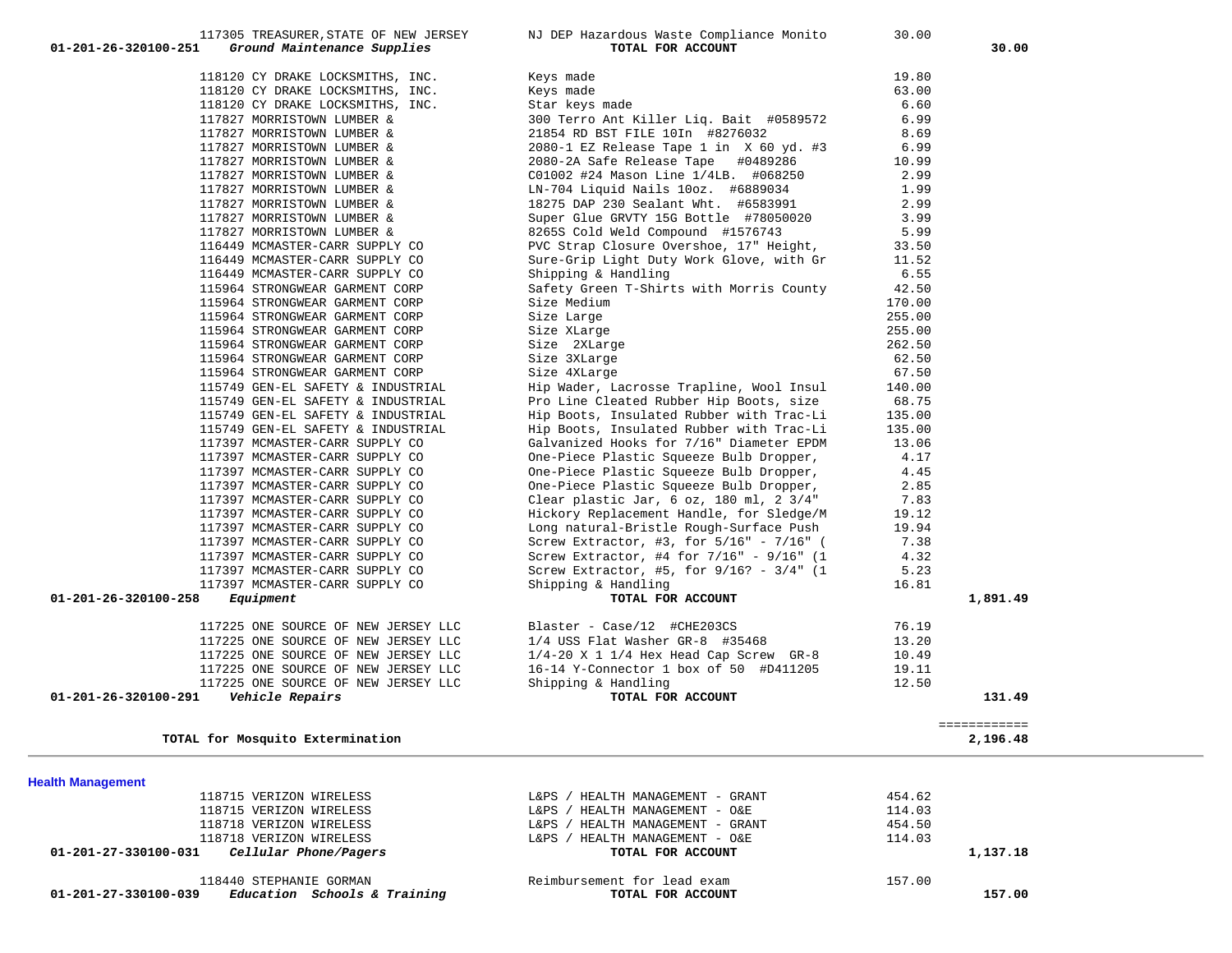| 118440 STEPHANIE GORMAN<br>Education Schools & Training<br>01-201-27-330100-039 | Reimbursement for lead exam<br>TOTAL FOR ACCOUNT | 157.00<br>157.00 |
|---------------------------------------------------------------------------------|--------------------------------------------------|------------------|
| Cellular Phone/Pagers<br>01-201-27-330100-031                                   | TOTAL FOR ACCOUNT                                | 1,137.18         |
| 118718 VERIZON WIRELESS                                                         | HEALTH MANAGEMENT - O&E<br>L&PS                  | 114.03           |
| 118718 VERIZON WIRELESS                                                         | HEALTH MANAGEMENT - GRANT<br>$L\&PS$ /           | 454.50           |
| 118715 VERIZON WIRELESS                                                         | HEALTH MANAGEMENT - O&E<br>L& PS                 | 114.03           |
| 118715 VERIZON WIRELESS                                                         | HEALTH MANAGEMENT - GRANT<br>$L\&PS$ /           | 454.62           |

**Health Management** 

| 118120 CY DRAKE LOCKSMITHS, INC.        | Keys made                                        | 19.80  |              |
|-----------------------------------------|--------------------------------------------------|--------|--------------|
| 118120 CY DRAKE LOCKSMITHS, INC.        | Keys made                                        | 63.00  |              |
| 118120 CY DRAKE LOCKSMITHS, INC.        | Star keys made                                   | 6.60   |              |
| 117827 MORRISTOWN LUMBER &              | 300 Terro Ant Killer Lig. Bait #0589572          | 6.99   |              |
| 117827 MORRISTOWN LUMBER &              | 21854 RD BST FILE 10In #8276032                  | 8.69   |              |
| 117827 MORRISTOWN LUMBER &              | 2080-1 EZ Release Tape 1 in X 60 yd. #3          | 6.99   |              |
| 117827 MORRISTOWN LUMBER &              | 2080-2A Safe Release Tape #0489286               | 10.99  |              |
| 117827 MORRISTOWN LUMBER &              | C01002 #24 Mason Line 1/4LB. #068250             | 2.99   |              |
| 117827 MORRISTOWN LUMBER &              | LN-704 Liquid Nails 10oz. #6889034               | 1.99   |              |
| 117827 MORRISTOWN LUMBER &              | 18275 DAP 230 Sealant Wht. #6583991              | 2.99   |              |
| 117827 MORRISTOWN LUMBER &              | Super Glue GRVTY 15G Bottle #78050020            | 3.99   |              |
| 117827 MORRISTOWN LUMBER &              | 8265S Cold Weld Compound #1576743                | 5.99   |              |
| 116449 MCMASTER-CARR SUPPLY CO          | PVC Strap Closure Overshoe, 17" Height,          | 33.50  |              |
| 116449 MCMASTER-CARR SUPPLY CO          | Sure-Grip Light Duty Work Glove, with Gr         | 11.52  |              |
| 116449 MCMASTER-CARR SUPPLY CO          | Shipping & Handling                              | 6.55   |              |
| 115964 STRONGWEAR GARMENT CORP          | Safety Green T-Shirts with Morris County         | 42.50  |              |
| 115964 STRONGWEAR GARMENT CORP          | Size Medium                                      | 170.00 |              |
| 115964 STRONGWEAR GARMENT CORP          | Size Large                                       | 255.00 |              |
| 115964 STRONGWEAR GARMENT CORP          | Size XLarge                                      | 255.00 |              |
| 115964 STRONGWEAR GARMENT CORP          | Size 2XLarge                                     | 262.50 |              |
| 115964 STRONGWEAR GARMENT CORP          | Size 3XLarge                                     | 62.50  |              |
| 115964 STRONGWEAR GARMENT CORP          | Size 4XLarge                                     | 67.50  |              |
| 115749 GEN-EL SAFETY & INDUSTRIAL       | Hip Wader, Lacrosse Trapline, Wool Insul         | 140.00 |              |
| 115749 GEN-EL SAFETY & INDUSTRIAL       | Pro Line Cleated Rubber Hip Boots, size          | 68.75  |              |
| 115749 GEN-EL SAFETY & INDUSTRIAL       | Hip Boots, Insulated Rubber with Trac-Li         | 135.00 |              |
| 115749 GEN-EL SAFETY & INDUSTRIAL       | Hip Boots, Insulated Rubber with Trac-Li         | 135.00 |              |
| 117397 MCMASTER-CARR SUPPLY CO          | Galvanized Hooks for 7/16" Diameter EPDM         | 13.06  |              |
| 117397 MCMASTER-CARR SUPPLY CO          | One-Piece Plastic Squeeze Bulb Dropper,          | 4.17   |              |
| 117397 MCMASTER-CARR SUPPLY CO          | One-Piece Plastic Squeeze Bulb Dropper,          | 4.45   |              |
| 117397 MCMASTER-CARR SUPPLY CO          | One-Piece Plastic Squeeze Bulb Dropper,          | 2.85   |              |
| 117397 MCMASTER-CARR SUPPLY CO          | Clear plastic Jar, $6$ oz, $180$ ml, $2$ $3/4$ " | 7.83   |              |
| 117397 MCMASTER-CARR SUPPLY CO          | Hickory Replacement Handle, for Sledge/M         | 19.12  |              |
| 117397 MCMASTER-CARR SUPPLY CO          | Long natural-Bristle Rough-Surface Push          | 19.94  |              |
| 117397 MCMASTER-CARR SUPPLY CO          | Screw Extractor, #3, for 5/16" - 7/16" (         | 7.38   |              |
| 117397 MCMASTER-CARR SUPPLY CO          | Screw Extractor, #4 for 7/16" - 9/16" (1         | 4.32   |              |
| 117397 MCMASTER-CARR SUPPLY CO          | Screw Extractor, #5, for $9/16$ ? - $3/4$ " (1   | 5.23   |              |
| 117397 MCMASTER-CARR SUPPLY CO          | Shipping & Handling                              | 16.81  |              |
| 01-201-26-320100-258<br>Equipment       | TOTAL FOR ACCOUNT                                |        | 1,891.49     |
|                                         |                                                  |        |              |
| 117225 ONE SOURCE OF NEW JERSEY LLC     | Blaster - Case/12 #CHE203CS                      | 76.19  |              |
| 117225 ONE SOURCE OF NEW JERSEY LLC     | 1/4 USS Flat Washer GR-8 #35468                  | 13.20  |              |
| 117225 ONE SOURCE OF NEW JERSEY LLC     | $1/4-20$ X 1 $1/4$ Hex Head Cap Screw GR-8       | 10.49  |              |
| 117225 ONE SOURCE OF NEW JERSEY LLC     | 16-14 Y-Connector 1 box of 50 #D411205           | 19.11  |              |
| 117225 ONE SOURCE OF NEW JERSEY LLC     | Shipping & Handling                              | 12.50  |              |
| 01-201-26-320100-291<br>Vehicle Repairs | TOTAL FOR ACCOUNT                                |        | 131.49       |
|                                         |                                                  |        |              |
|                                         |                                                  |        |              |
|                                         |                                                  |        | ============ |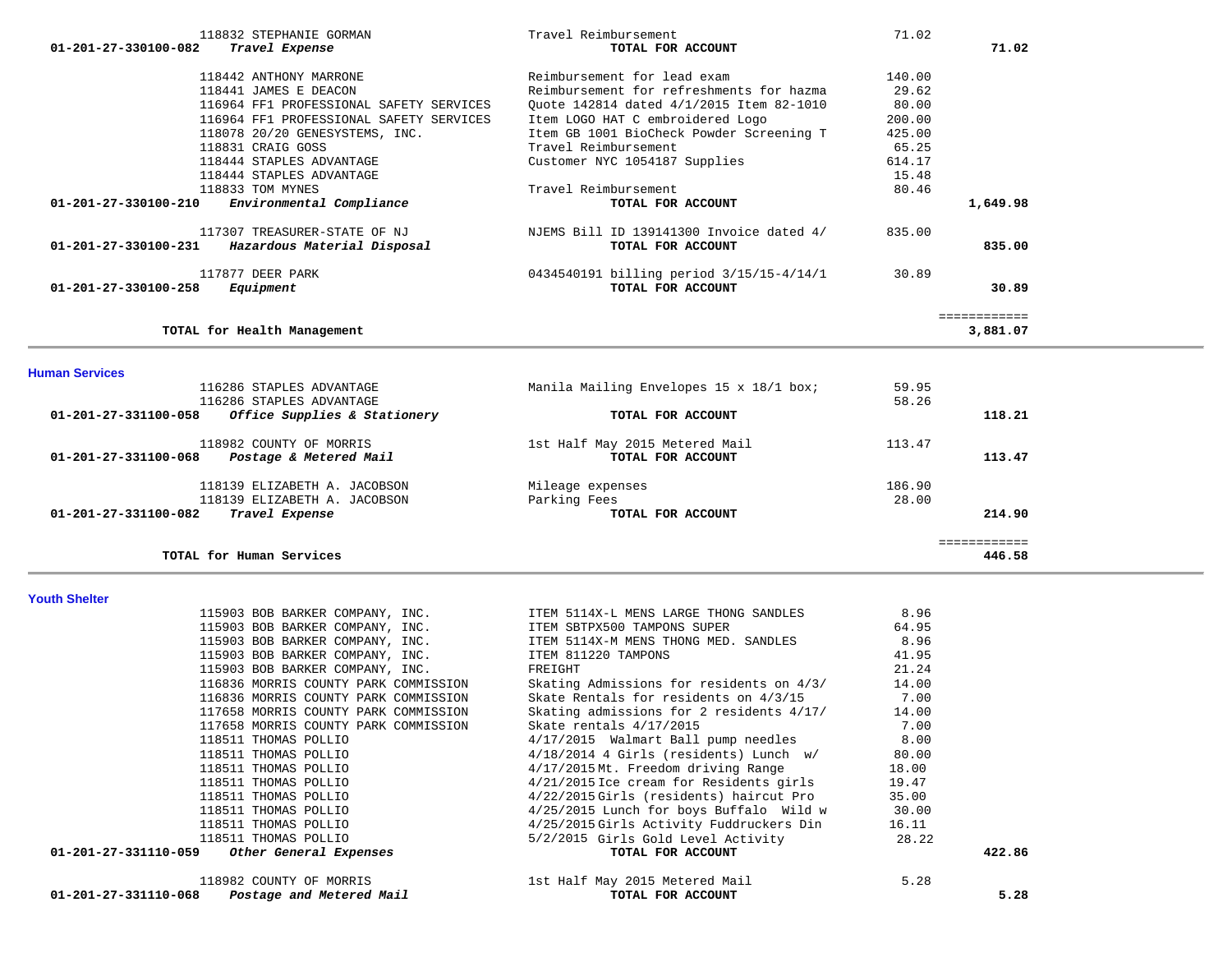| 115903 BOB BARKER COMPANY, INC.                  | ITEM 811220 TAMPONS                      | 41.95 |        |
|--------------------------------------------------|------------------------------------------|-------|--------|
| 115903 BOB BARKER COMPANY, INC.                  | FREIGHT                                  | 21.24 |        |
| 116836 MORRIS COUNTY PARK COMMISSION             | Skating Admissions for residents on 4/3/ | 14.00 |        |
| 116836 MORRIS COUNTY PARK COMMISSION             | Skate Rentals for residents on 4/3/15    | 7.00  |        |
| 117658 MORRIS COUNTY PARK COMMISSION             | Skating admissions for 2 residents 4/17/ | 14.00 |        |
| 117658 MORRIS COUNTY PARK COMMISSION             | Skate rentals 4/17/2015                  | 7.00  |        |
| 118511 THOMAS POLLIO                             | 4/17/2015 Walmart Ball pump needles      | 8.00  |        |
| 118511 THOMAS POLLIO                             | $4/18/2014$ 4 Girls (residents) Lunch w/ | 80.00 |        |
| 118511 THOMAS POLLIO                             | 4/17/2015Mt. Freedom driving Range       | 18.00 |        |
| 118511 THOMAS POLLIO                             | 4/21/2015 Ice cream for Residents girls  | 19.47 |        |
| 118511 THOMAS POLLIO                             | 4/22/2015 Girls (residents) haircut Pro  | 35.00 |        |
| 118511 THOMAS POLLIO                             | 4/25/2015 Lunch for boys Buffalo Wild w  | 30.00 |        |
| 118511 THOMAS POLLIO                             | 4/25/2015 Girls Activity Fuddruckers Din | 16.11 |        |
| 118511 THOMAS POLLIO                             | 5/2/2015 Girls Gold Level Activity       | 28.22 |        |
| 01-201-27-331110-059<br>Other General Expenses   | TOTAL FOR ACCOUNT                        |       | 422.86 |
| 118982 COUNTY OF MORRIS                          | 1st Half May 2015 Metered Mail           | 5.28  |        |
| 01-201-27-331110-068<br>Postage and Metered Mail | TOTAL FOR ACCOUNT                        |       | 5.28   |

115903 BOB BARKER COMPANY, INC. ITEM 5114X-L MENS LARGE THONG SANDLES 8.96 115903 BOB BARKER COMPANY, INC. ITEM SBTPX500 TAMPONS SUPER 64.95

|  |  | <b>Youth Shelter</b> |  |  |
|--|--|----------------------|--|--|
|  |  |                      |  |  |

|                      | 116286 STAPLES ADVANTAGE<br>116286 STAPLES ADVANTAGE | Manila Mailing Envelopes 15 x 18/1 box; | 59.95<br>58.26 |        |
|----------------------|------------------------------------------------------|-----------------------------------------|----------------|--------|
| 01-201-27-331100-058 | Office Supplies & Stationery                         | TOTAL FOR ACCOUNT                       |                | 118.21 |
|                      | 118982 COUNTY OF MORRIS                              | 1st Half May 2015 Metered Mail          | 113.47         |        |
| 01-201-27-331100-068 | Postage & Metered Mail                               | TOTAL FOR ACCOUNT                       |                | 113.47 |
|                      | 118139 ELIZABETH A. JACOBSON                         | Mileage expenses                        | 186.90         |        |
|                      | 118139 ELIZABETH A. JACOBSON                         | Parking Fees                            | 28.00          |        |
| 01-201-27-331100-082 | Travel Expense                                       | TOTAL FOR ACCOUNT                       |                | 214.90 |

115903 BOB BARKER COMPANY, INC. ITEM 5114X-M MENS THONG MED. SANDLES 8.96

| 118442 ANTHONY MARRONE                              | Reimbursement for lead exam              | 140.00 |          |
|-----------------------------------------------------|------------------------------------------|--------|----------|
| 118441 JAMES E DEACON                               | Reimbursement for refreshments for hazma | 29.62  |          |
| 116964 FF1 PROFESSIONAL SAFETY SERVICES             | Quote 142814 dated 4/1/2015 Item 82-1010 | 80.00  |          |
| 116964 FF1 PROFESSIONAL SAFETY SERVICES             | Item LOGO HAT C embroidered Logo         | 200.00 |          |
| 118078 20/20 GENESYSTEMS, INC.                      | Item GB 1001 BioCheck Powder Screening T | 425.00 |          |
| 118831 CRAIG GOSS                                   | Travel Reimbursement                     | 65.25  |          |
| 118444 STAPLES ADVANTAGE                            | Customer NYC 1054187 Supplies            | 614.17 |          |
| 118444 STAPLES ADVANTAGE                            |                                          | 15.48  |          |
| 118833 TOM MYNES                                    | Travel Reimbursement                     | 80.46  |          |
| 01-201-27-330100-210<br>Environmental Compliance    | TOTAL FOR ACCOUNT                        |        | 1,649.98 |
| 117307 TREASURER-STATE OF NJ                        | NJEMS Bill ID 139141300 Invoice dated 4/ | 835.00 |          |
| 01-201-27-330100-231<br>Hazardous Material Disposal | TOTAL FOR ACCOUNT                        |        | 835.00   |
| 117877 DEER PARK                                    | 0434540191 billing period 3/15/15-4/14/1 | 30.89  |          |
| 01-201-27-330100-258<br>Equipment                   | TOTAL FOR ACCOUNT                        |        | 30.89    |
|                                                     |                                          |        |          |
| TOTAL for Health Management                         |                                          |        | 3,881.07 |

 118832 STEPHANIE GORMAN Travel Reimbursement 71.02  **01-201-27-330100-082** *Travel Expense* **TOTAL FOR ACCOUNT 71.02**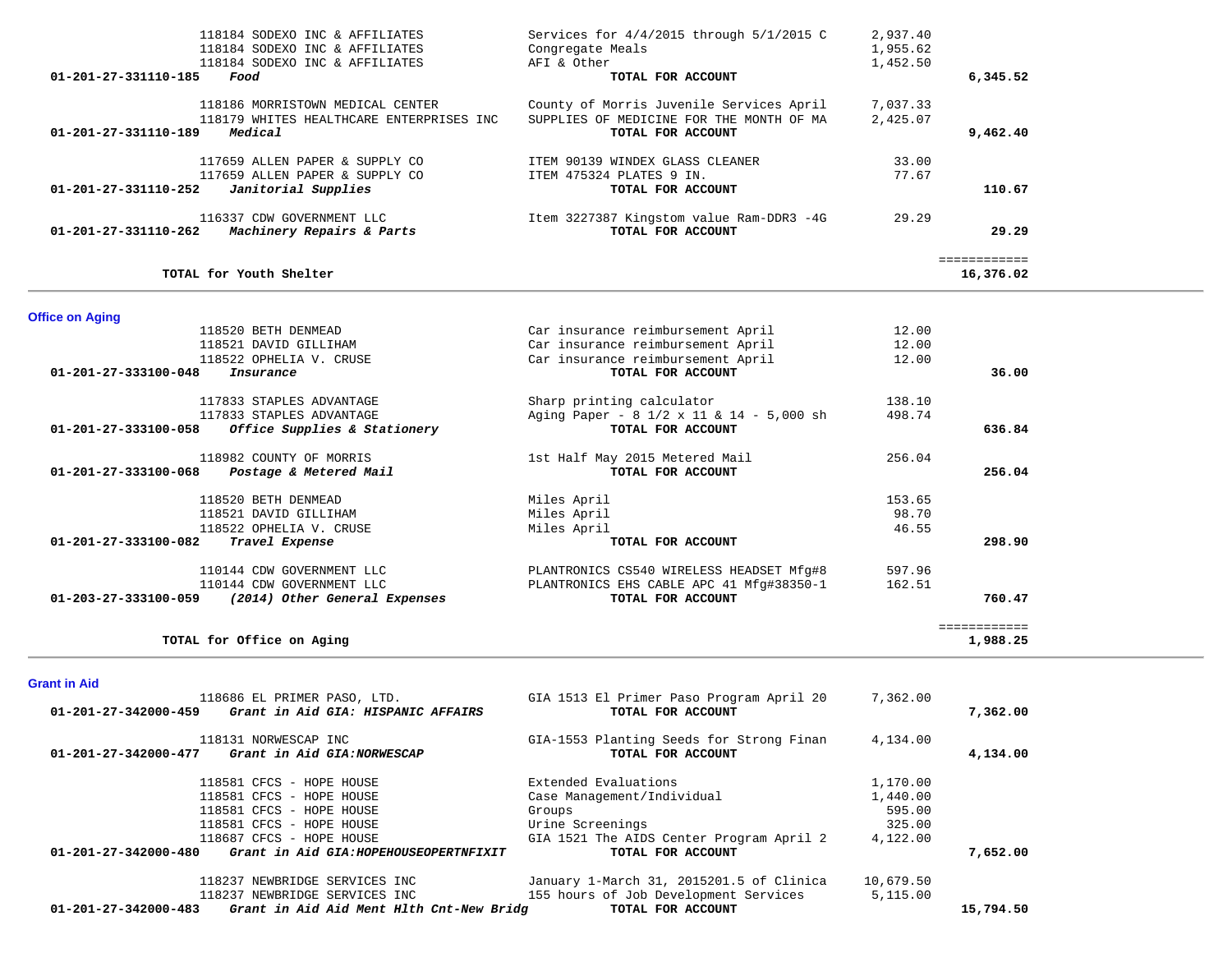|                        | 118184 SODEXO INC & AFFILIATES                     | Services for $4/4/2015$ through $5/1/2015$ C | 2,937.40 |                           |  |
|------------------------|----------------------------------------------------|----------------------------------------------|----------|---------------------------|--|
|                        | 118184 SODEXO INC & AFFILIATES                     | Congregate Meals                             | 1,955.62 |                           |  |
|                        | 118184 SODEXO INC & AFFILIATES                     | AFI & Other                                  | 1,452.50 |                           |  |
| 01-201-27-331110-185   | Food                                               | TOTAL FOR ACCOUNT                            |          | 6,345.52                  |  |
|                        | 118186 MORRISTOWN MEDICAL CENTER                   | County of Morris Juvenile Services April     | 7,037.33 |                           |  |
|                        | 118179 WHITES HEALTHCARE ENTERPRISES INC           | SUPPLIES OF MEDICINE FOR THE MONTH OF MA     | 2,425.07 |                           |  |
| 01-201-27-331110-189   | Medical                                            | TOTAL FOR ACCOUNT                            |          | 9,462.40                  |  |
|                        |                                                    |                                              |          |                           |  |
|                        | 117659 ALLEN PAPER & SUPPLY CO                     | ITEM 90139 WINDEX GLASS CLEANER              | 33.00    |                           |  |
|                        | 117659 ALLEN PAPER & SUPPLY CO                     | ITEM 475324 PLATES 9 IN.                     | 77.67    |                           |  |
| 01-201-27-331110-252   | Janitorial Supplies                                | TOTAL FOR ACCOUNT                            |          | 110.67                    |  |
|                        | 116337 CDW GOVERNMENT LLC                          | Item 3227387 Kingstom value Ram-DDR3 -4G     | 29.29    |                           |  |
| 01-201-27-331110-262   | Machinery Repairs & Parts                          | TOTAL FOR ACCOUNT                            |          | 29.29                     |  |
|                        |                                                    |                                              |          |                           |  |
|                        | TOTAL for Youth Shelter                            |                                              |          | ============<br>16,376.02 |  |
|                        |                                                    |                                              |          |                           |  |
| <b>Office on Aging</b> |                                                    |                                              |          |                           |  |
|                        | 118520 BETH DENMEAD                                | Car insurance reimbursement April            | 12.00    |                           |  |
|                        | 118521 DAVID GILLIHAM                              | Car insurance reimbursement April            | 12.00    |                           |  |
|                        | 118522 OPHELIA V. CRUSE                            | Car insurance reimbursement April            | 12.00    |                           |  |
| 01-201-27-333100-048   | Insurance                                          | TOTAL FOR ACCOUNT                            |          | 36.00                     |  |
|                        |                                                    |                                              |          |                           |  |
|                        | 117833 STAPLES ADVANTAGE                           | Sharp printing calculator                    | 138.10   |                           |  |
|                        | 117833 STAPLES ADVANTAGE                           | Aging Paper - 8 1/2 x 11 & 14 - 5,000 sh     | 498.74   |                           |  |
|                        | 01-201-27-333100-058 Office Supplies & Stationery  | TOTAL FOR ACCOUNT                            |          | 636.84                    |  |
|                        | 118982 COUNTY OF MORRIS                            | 1st Half May 2015 Metered Mail               | 256.04   |                           |  |
|                        | 01-201-27-333100-068 Postage & Metered Mail        | TOTAL FOR ACCOUNT                            |          | 256.04                    |  |
|                        |                                                    |                                              |          |                           |  |
|                        | 118520 BETH DENMEAD                                | Miles April                                  | 153.65   |                           |  |
|                        | 118521 DAVID GILLIHAM                              | Miles April                                  | 98.70    |                           |  |
|                        | 118522 OPHELIA V. CRUSE                            | Miles April                                  | 46.55    |                           |  |
| 01-201-27-333100-082   | Travel Expense                                     | TOTAL FOR ACCOUNT                            |          | 298.90                    |  |
|                        |                                                    |                                              |          |                           |  |
|                        | 110144 CDW GOVERNMENT LLC                          | PLANTRONICS CS540 WIRELESS HEADSET Mfg#8     | 597.96   |                           |  |
|                        | 110144 CDW GOVERNMENT LLC                          | PLANTRONICS EHS CABLE APC 41 Mfg#38350-1     | 162.51   |                           |  |
|                        | 01-203-27-333100-059 (2014) Other General Expenses | TOTAL FOR ACCOUNT                            |          | 760.47                    |  |
|                        |                                                    |                                              |          | ============              |  |
|                        | TOTAL for Office on Aging                          |                                              |          | 1,988.25                  |  |
|                        |                                                    |                                              |          |                           |  |
| <b>Grant in Aid</b>    |                                                    |                                              |          |                           |  |
|                        | 118686 EL PRIMER PASO, LTD.                        | GIA 1513 El Primer Paso Program April 20     | 7,362.00 |                           |  |
| 01-201-27-342000-459   | Grant in Aid GIA: HISPANIC AFFAIRS                 | TOTAL FOR ACCOUNT                            |          | 7,362.00                  |  |
|                        | 118131 NORWESCAP INC                               | GIA-1553 Planting Seeds for Strong Finan     | 4,134.00 |                           |  |
| 01-201-27-342000-477   | Grant in Aid GIA:NORWESCAP                         | TOTAL FOR ACCOUNT                            |          | 4,134.00                  |  |
|                        |                                                    |                                              |          |                           |  |
|                        | 118581 CFCS - HOPE HOUSE                           | Extended Evaluations                         | 1,170.00 |                           |  |
|                        | 118581 CFCS - HOPE HOUSE                           | Case Management/Individual                   | 1,440.00 |                           |  |
|                        | 118581 CFCS - HOPE HOUSE                           | Groups                                       | 595.00   |                           |  |
|                        |                                                    |                                              |          |                           |  |

| TIGOOG BI FRIMER FASO, HID.<br>Grant in Aid GIA: HISPANIC AFFAIRS<br>01-201-27-342000-459 | GIA 1919 BI FIIMCI FASO FIOGIAM APIII ZU<br>TOTAL FOR ACCOUNT | 7, 304. 00 | 7,362.00  |
|-------------------------------------------------------------------------------------------|---------------------------------------------------------------|------------|-----------|
| 118131 NORWESCAP INC<br>01-201-27-342000-477<br>Grant in Aid GIA:NORWESCAP                | GIA-1553 Planting Seeds for Strong Finan<br>TOTAL FOR ACCOUNT | 4,134.00   | 4,134.00  |
| 118581 CFCS - HOPE HOUSE                                                                  | Extended Evaluations                                          | 1,170.00   |           |
| 118581 CFCS - HOPE HOUSE                                                                  | Case Management/Individual                                    | 1,440.00   |           |
| 118581 CFCS - HOPE HOUSE                                                                  | Groups                                                        | 595.00     |           |
| 118581 CFCS - HOPE HOUSE                                                                  | Urine Screenings                                              | 325.00     |           |
| 118687 CFCS - HOPE HOUSE                                                                  | GIA 1521 The AIDS Center Program April 2                      | 4,122.00   |           |
| 01-201-27-342000-480<br>Grant in Aid GIA: HOPEHOUSEOPERTNFIXIT                            | TOTAL FOR ACCOUNT                                             |            | 7,652.00  |
| 118237 NEWBRIDGE SERVICES INC                                                             | January 1-March 31, 2015201.5 of Clinica                      | 10,679.50  |           |
| 118237 NEWBRIDGE SERVICES INC                                                             | 155 hours of Job Development Services                         | 5,115.00   |           |
| Grant in Aid Aid Ment Hlth Cnt-New Bridg<br>01-201-27-342000-483                          | TOTAL FOR ACCOUNT                                             |            | 15,794.50 |
|                                                                                           |                                                               |            |           |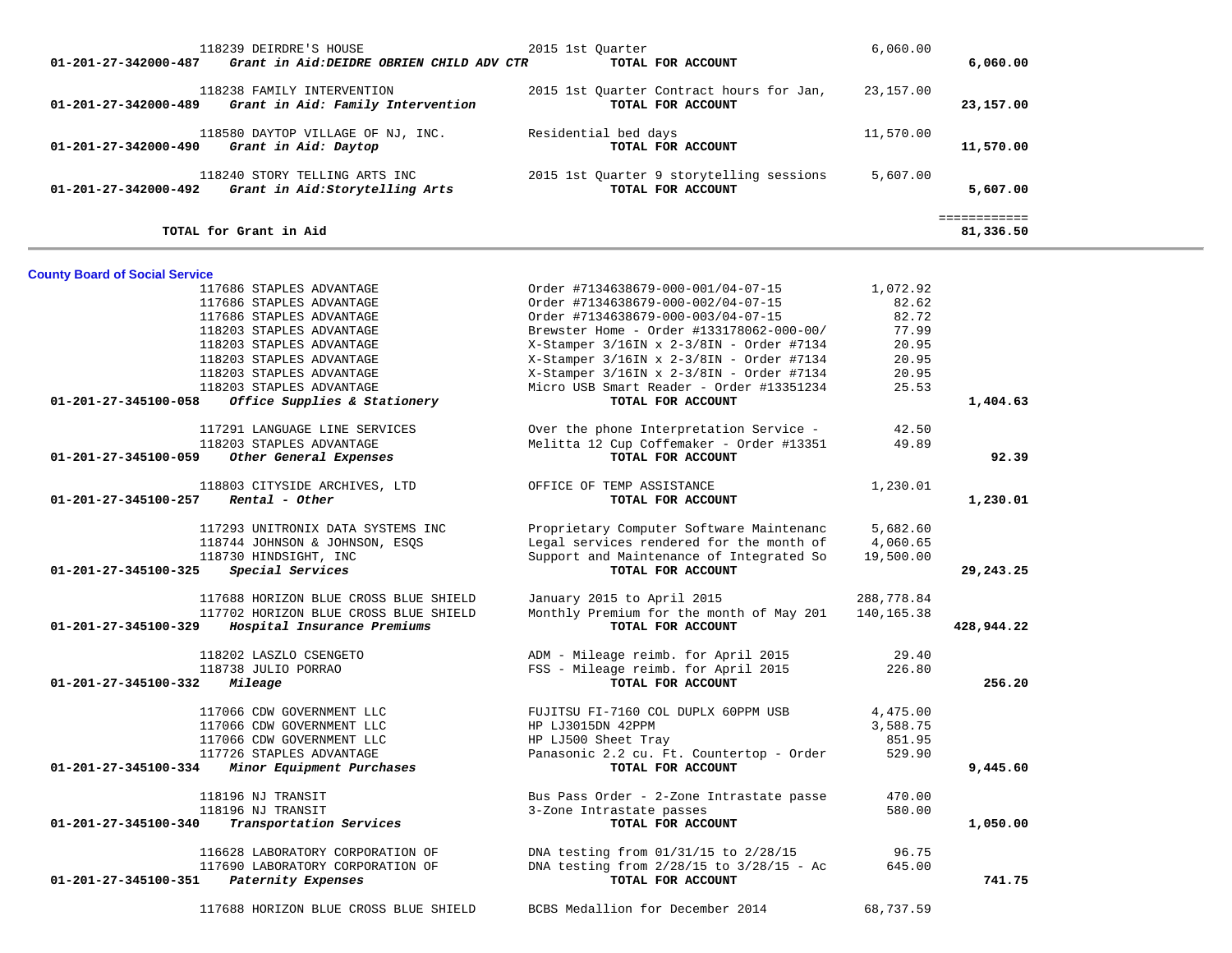| 01-201-27-342000-487                  | 118239 DEIRDRE'S HOUSE<br>Grant in Aid: DEIDRE OBRIEN CHILD ADV CTR | 2015 1st Quarter     | TOTAL FOR ACCOUNT                                             | 6,060.00   | 6,060.00                  |  |
|---------------------------------------|---------------------------------------------------------------------|----------------------|---------------------------------------------------------------|------------|---------------------------|--|
| 01-201-27-342000-489                  | 118238 FAMILY INTERVENTION<br>Grant in Aid: Family Intervention     |                      | 2015 1st Quarter Contract hours for Jan,<br>TOTAL FOR ACCOUNT | 23,157.00  | 23,157.00                 |  |
| 01-201-27-342000-490                  | 118580 DAYTOP VILLAGE OF NJ, INC.<br>Grant in Aid: Daytop           | Residential bed days | TOTAL FOR ACCOUNT                                             | 11,570.00  | 11,570.00                 |  |
| 01-201-27-342000-492                  | 118240 STORY TELLING ARTS INC<br>Grant in Aid:Storytelling Arts     |                      | 2015 1st Quarter 9 storytelling sessions<br>TOTAL FOR ACCOUNT | 5,607.00   | 5,607.00                  |  |
|                                       | TOTAL for Grant in Aid                                              |                      |                                                               |            | ============<br>81,336.50 |  |
| <b>County Board of Social Service</b> |                                                                     |                      |                                                               |            |                           |  |
|                                       | 117686 STAPLES ADVANTAGE                                            |                      | Order #7134638679-000-001/04-07-15                            | 1,072.92   |                           |  |
|                                       | 117686 STAPLES ADVANTAGE                                            |                      | Order #7134638679-000-002/04-07-15                            | 82.62      |                           |  |
|                                       |                                                                     |                      |                                                               |            |                           |  |
|                                       | 117686 STAPLES ADVANTAGE                                            |                      | Order #7134638679-000-003/04-07-15                            | 82.72      |                           |  |
|                                       | 118203 STAPLES ADVANTAGE                                            |                      | Brewster Home - Order #133178062-000-00/                      | 77.99      |                           |  |
|                                       | 118203 STAPLES ADVANTAGE                                            |                      | $X-Statement$ 3/16IN x 2-3/8IN - Order #7134                  | 20.95      |                           |  |
|                                       | 118203 STAPLES ADVANTAGE                                            |                      | X-Stamper 3/16IN x 2-3/8IN - Order #7134                      | 20.95      |                           |  |
|                                       | 118203 STAPLES ADVANTAGE                                            |                      | $X-Statement$ 3/16IN x 2-3/8IN - Order #7134                  | 20.95      |                           |  |
|                                       | 118203 STAPLES ADVANTAGE                                            |                      | Micro USB Smart Reader - Order #13351234                      | 25.53      |                           |  |
| 01-201-27-345100-058                  | Office Supplies & Stationery                                        |                      | TOTAL FOR ACCOUNT                                             |            | 1,404.63                  |  |
|                                       |                                                                     |                      |                                                               |            |                           |  |
|                                       | 117291 LANGUAGE LINE SERVICES                                       |                      | Over the phone Interpretation Service -                       | 42.50      |                           |  |
|                                       | 118203 STAPLES ADVANTAGE                                            |                      | Melitta 12 Cup Coffemaker - Order #13351                      | 49.89      |                           |  |
| 01-201-27-345100-059                  | Other General Expenses                                              |                      | TOTAL FOR ACCOUNT                                             |            | 92.39                     |  |
|                                       | 118803 CITYSIDE ARCHIVES, LTD                                       |                      | OFFICE OF TEMP ASSISTANCE                                     | 1,230.01   |                           |  |
| 01-201-27-345100-257                  | Rental - Other                                                      |                      | TOTAL FOR ACCOUNT                                             |            | 1,230.01                  |  |
|                                       |                                                                     |                      |                                                               |            |                           |  |
|                                       | 117293 UNITRONIX DATA SYSTEMS INC                                   |                      | Proprietary Computer Software Maintenanc                      | 5,682.60   |                           |  |
|                                       | 118744 JOHNSON & JOHNSON, ESQS                                      |                      | Legal services rendered for the month of                      | 4,060.65   |                           |  |
|                                       | 118730 HINDSIGHT, INC                                               |                      | Support and Maintenance of Integrated So                      | 19,500.00  |                           |  |
| 01-201-27-345100-325                  | Special Services                                                    |                      | TOTAL FOR ACCOUNT                                             |            | 29,243.25                 |  |
|                                       |                                                                     |                      |                                                               |            |                           |  |
|                                       | 117688 HORIZON BLUE CROSS BLUE SHIELD                               |                      | January 2015 to April 2015                                    | 288,778.84 |                           |  |
|                                       | 117702 HORIZON BLUE CROSS BLUE SHIELD                               |                      | Monthly Premium for the month of May 201                      | 140,165.38 |                           |  |
| 01-201-27-345100-329                  | Hospital Insurance Premiums                                         |                      | TOTAL FOR ACCOUNT                                             |            | 428,944.22                |  |
|                                       |                                                                     |                      |                                                               |            |                           |  |
|                                       | 118202 LASZLO CSENGETO                                              |                      | ADM - Mileage reimb. for April 2015                           | 29.40      |                           |  |
|                                       | 118738 JULIO PORRAO                                                 |                      | FSS - Mileage reimb. for April 2015                           | 226.80     |                           |  |
| 01-201-27-345100-332                  | Mileage                                                             |                      | TOTAL FOR ACCOUNT                                             |            | 256.20                    |  |
|                                       |                                                                     |                      |                                                               |            |                           |  |
|                                       | 117066 CDW GOVERNMENT LLC                                           |                      | FUJITSU FI-7160 COL DUPLX 60PPM USB                           | 4,475.00   |                           |  |
|                                       | 117066 CDW GOVERNMENT LLC                                           | HP LJ3015DN 42PPM    |                                                               | 3,588.75   |                           |  |
|                                       | 117066 CDW GOVERNMENT LLC                                           | HP LJ500 Sheet Tray  |                                                               | 851.95     |                           |  |
|                                       | 117726 STAPLES ADVANTAGE                                            |                      | Panasonic 2.2 cu. Ft. Countertop - Order                      | 529.90     |                           |  |
| 01-201-27-345100-334                  | Minor Equipment Purchases                                           |                      | TOTAL FOR ACCOUNT                                             |            | 9,445.60                  |  |
|                                       | 118196 NJ TRANSIT                                                   |                      | Bus Pass Order - 2-Zone Intrastate passe                      | 470.00     |                           |  |
|                                       |                                                                     |                      |                                                               |            |                           |  |
|                                       | 118196 NJ TRANSIT                                                   |                      | 3-Zone Intrastate passes                                      | 580.00     |                           |  |
| 01-201-27-345100-340                  | Transportation Services                                             |                      | TOTAL FOR ACCOUNT                                             |            | 1,050.00                  |  |
|                                       |                                                                     |                      |                                                               |            |                           |  |
|                                       | 116628 LABORATORY CORPORATION OF                                    |                      | DNA testing from 01/31/15 to 2/28/15                          | 96.75      |                           |  |
|                                       | 117690 LABORATORY CORPORATION OF                                    |                      | DNA testing from 2/28/15 to 3/28/15 - Ac                      | 645.00     |                           |  |
| 01-201-27-345100-351                  | Paternity Expenses                                                  |                      | TOTAL FOR ACCOUNT                                             |            | 741.75                    |  |
|                                       |                                                                     |                      | BCBS Medallion for December 2014                              |            |                           |  |
|                                       | 117688 HORIZON BLUE CROSS BLUE SHIELD                               |                      |                                                               | 68,737.59  |                           |  |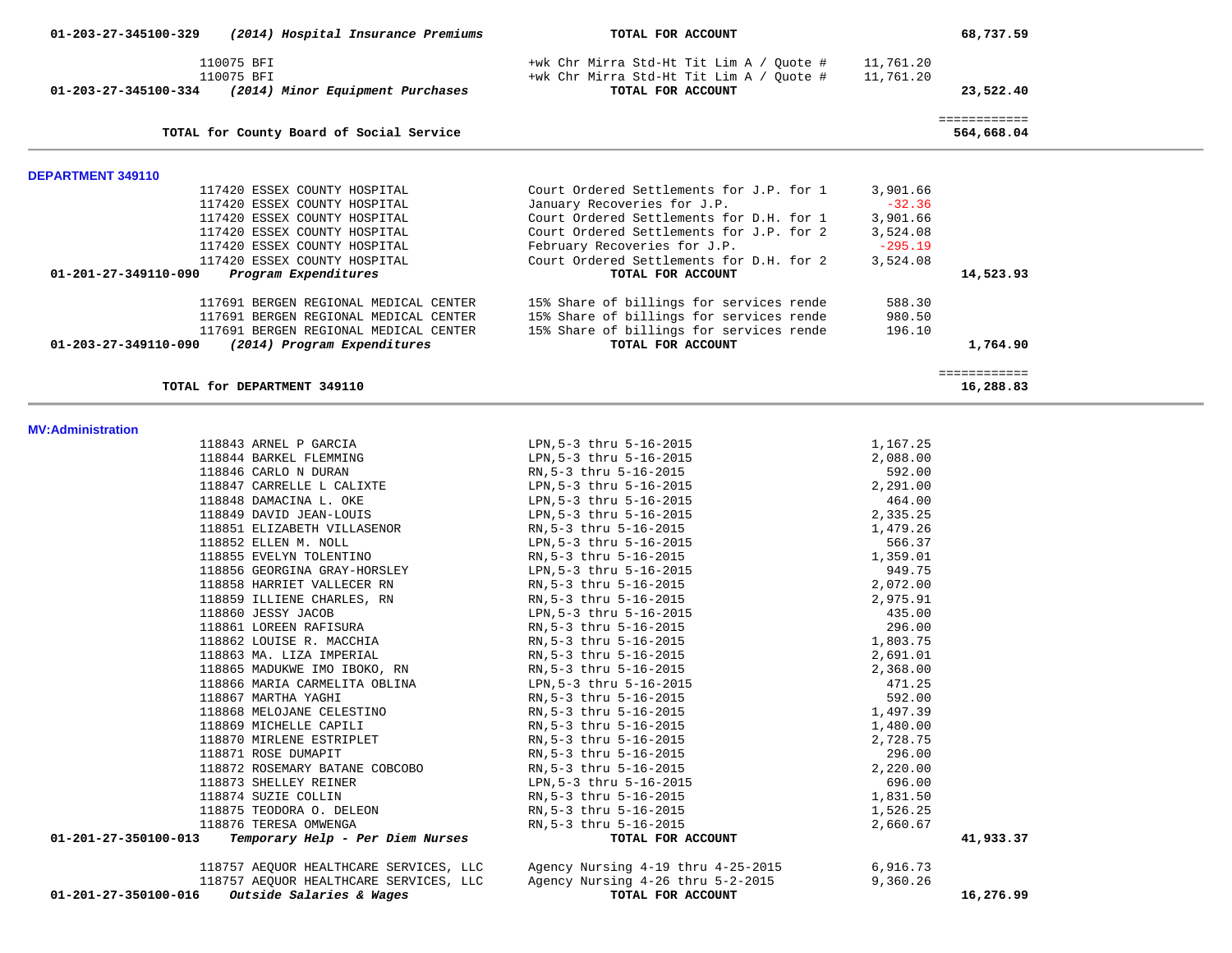| 01-203-27-345100-329                             | (2014) Hospital Insurance Premiums                           | TOTAL FOR ACCOUNT                                                                                         |                        | 68,737.59                  |
|--------------------------------------------------|--------------------------------------------------------------|-----------------------------------------------------------------------------------------------------------|------------------------|----------------------------|
| 110075 BFI<br>110075 BFI<br>01-203-27-345100-334 | (2014) Minor Equipment Purchases                             | +wk Chr Mirra Std-Ht Tit Lim A / Quote #<br>+wk Chr Mirra Std-Ht Tit Lim A / Ouote #<br>TOTAL FOR ACCOUNT | 11,761.20<br>11,761.20 | 23,522.40                  |
|                                                  | TOTAL for County Board of Social Service                     |                                                                                                           |                        | ============<br>564,668.04 |
| <b>DEPARTMENT 349110</b>                         |                                                              |                                                                                                           |                        |                            |
|                                                  | 117420 ESSEX COUNTY HOSPITAL                                 | Court Ordered Settlements for J.P. for 1                                                                  | 3,901.66               |                            |
|                                                  | 117420 ESSEX COUNTY HOSPITAL                                 | January Recoveries for J.P.                                                                               | $-32.36$               |                            |
|                                                  | 117420 ESSEX COUNTY HOSPITAL<br>117420 ESSEX COUNTY HOSPITAL | Court Ordered Settlements for D.H. for 1<br>Court Ordered Settlements for J.P. for 2                      | 3,901.66<br>3,524.08   |                            |
|                                                  | 117420 ESSEX COUNTY HOSPITAL                                 | February Recoveries for J.P.                                                                              | $-295.19$              |                            |
|                                                  | 117420 ESSEX COUNTY HOSPITAL                                 | Court Ordered Settlements for D.H. for 2                                                                  | 3,524.08               |                            |
| 01-201-27-349110-090                             | Program Expenditures                                         | TOTAL FOR ACCOUNT                                                                                         |                        | 14,523.93                  |
|                                                  | 117691 BERGEN REGIONAL MEDICAL CENTER                        | 15% Share of billings for services rende                                                                  | 588.30                 |                            |
|                                                  | 117691 BERGEN REGIONAL MEDICAL CENTER                        | 15% Share of billings for services rende                                                                  | 980.50                 |                            |
|                                                  | 117691 BERGEN REGIONAL MEDICAL CENTER                        | 15% Share of billings for services rende                                                                  | 196.10                 |                            |
| $01 - 203 - 27 - 349110 - 090$                   | (2014) Program Expenditures                                  | TOTAL FOR ACCOUNT                                                                                         |                        | 1,764.90                   |
|                                                  | TOTAL for DEPARTMENT 349110                                  |                                                                                                           |                        | ============<br>16,288.83  |
| <b>MV:Administration</b>                         |                                                              |                                                                                                           |                        |                            |
|                                                  | 118843 ARNEL P GARCIA                                        | LPN, 5-3 thru 5-16-2015                                                                                   | 1,167.25               |                            |
|                                                  | 118844 BARKEL FLEMMING                                       | LPN, 5-3 thru 5-16-2015                                                                                   | 2,088.00               |                            |
|                                                  | 118846 CARLO N DURAN                                         | RN, 5-3 thru 5-16-2015                                                                                    | 592.00                 |                            |
|                                                  | 118847 CARRELLE L CALIXTE                                    | LPN, 5-3 thru 5-16-2015                                                                                   | 2,291.00               |                            |
|                                                  | 118848 DAMACINA L. OKE                                       | LPN, 5-3 thru 5-16-2015                                                                                   | 464.00                 |                            |
|                                                  | 118849 DAVID JEAN-LOUIS                                      | LPN, 5-3 thru 5-16-2015                                                                                   | 2,335.25               |                            |
|                                                  | 118851 ELIZABETH VILLASENOR<br>118852 ELLEN M. NOLL          | RN, 5-3 thru 5-16-2015<br>LPN, 5-3 thru 5-16-2015                                                         | 1,479.26<br>566.37     |                            |
|                                                  | 118855 EVELYN TOLENTINO                                      | RN, 5-3 thru 5-16-2015                                                                                    | 1,359.01               |                            |
|                                                  | 118856 GEORGINA GRAY-HORSLEY                                 | LPN, 5-3 thru 5-16-2015                                                                                   | 949.75                 |                            |
|                                                  | 118858 HARRIET VALLECER RN                                   | RN, 5-3 thru 5-16-2015                                                                                    | 2,072.00               |                            |
|                                                  | 118859 ILLIENE CHARLES, RN                                   | RN, 5-3 thru 5-16-2015                                                                                    | 2,975.91               |                            |
|                                                  | 118860 JESSY JACOB                                           | LPN, 5-3 thru 5-16-2015                                                                                   | 435.00                 |                            |
|                                                  | 118861 LOREEN RAFISURA<br>118862 LOUISE R. MACCHIA           | RN, 5-3 thru 5-16-2015                                                                                    | 296.00<br>1,803.75     |                            |
|                                                  | 118863 MA. LIZA IMPERIAL                                     | RN, 5-3 thru 5-16-2015<br>RN, 5-3 thru 5-16-2015                                                          | 2,691.01               |                            |
|                                                  | 118865 MADUKWE IMO IBOKO, RN                                 | RN, 5-3 thru 5-16-2015                                                                                    | 2,368.00               |                            |
|                                                  | 118866 MARIA CARMELITA OBLINA                                | LPN, 5-3 thru 5-16-2015                                                                                   | 471.25                 |                            |
|                                                  | 118867 MARTHA YAGHI                                          | RN, 5-3 thru 5-16-2015                                                                                    | 592.00                 |                            |
|                                                  | 118868 MELOJANE CELESTINO                                    | RN, 5-3 thru 5-16-2015                                                                                    | 1,497.39               |                            |
|                                                  | 118869 MICHELLE CAPILI                                       | RN, 5-3 thru 5-16-2015                                                                                    | 1,480.00               |                            |
|                                                  | 118870 MIRLENE ESTRIPLET<br>118871 ROSE DUMAPIT              | RN, 5-3 thru 5-16-2015<br>RN, 5-3 thru 5-16-2015                                                          | 2,728.75<br>296.00     |                            |
|                                                  | 118872 ROSEMARY BATANE COBCOBO                               | RN, 5-3 thru 5-16-2015                                                                                    | 2,220.00               |                            |
|                                                  | 118873 SHELLEY REINER                                        | LPN, 5-3 thru 5-16-2015                                                                                   | 696.00                 |                            |
|                                                  | 118874 SUZIE COLLIN                                          | RN, 5-3 thru 5-16-2015                                                                                    | 1,831.50               |                            |
|                                                  | 118875 TEODORA O. DELEON                                     | RN, 5-3 thru 5-16-2015                                                                                    | 1,526.25               |                            |
|                                                  | 118876 TERESA OMWENGA                                        | RN, 5-3 thru 5-16-2015                                                                                    | 2,660.67               |                            |
| 01-201-27-350100-013                             | Temporary Help - Per Diem Nurses                             | TOTAL FOR ACCOUNT                                                                                         |                        | 41,933.37                  |
|                                                  | 118757 AEQUOR HEALTHCARE SERVICES, LLC                       | Agency Nursing 4-19 thru 4-25-2015                                                                        | 6,916.73               |                            |
|                                                  | 118757 AEQUOR HEALTHCARE SERVICES, LLC                       | Agency Nursing 4-26 thru 5-2-2015                                                                         | 9,360.26               |                            |
| 01-201-27-350100-016                             | Outside Salaries & Wages                                     | TOTAL FOR ACCOUNT                                                                                         |                        | 16,276.99                  |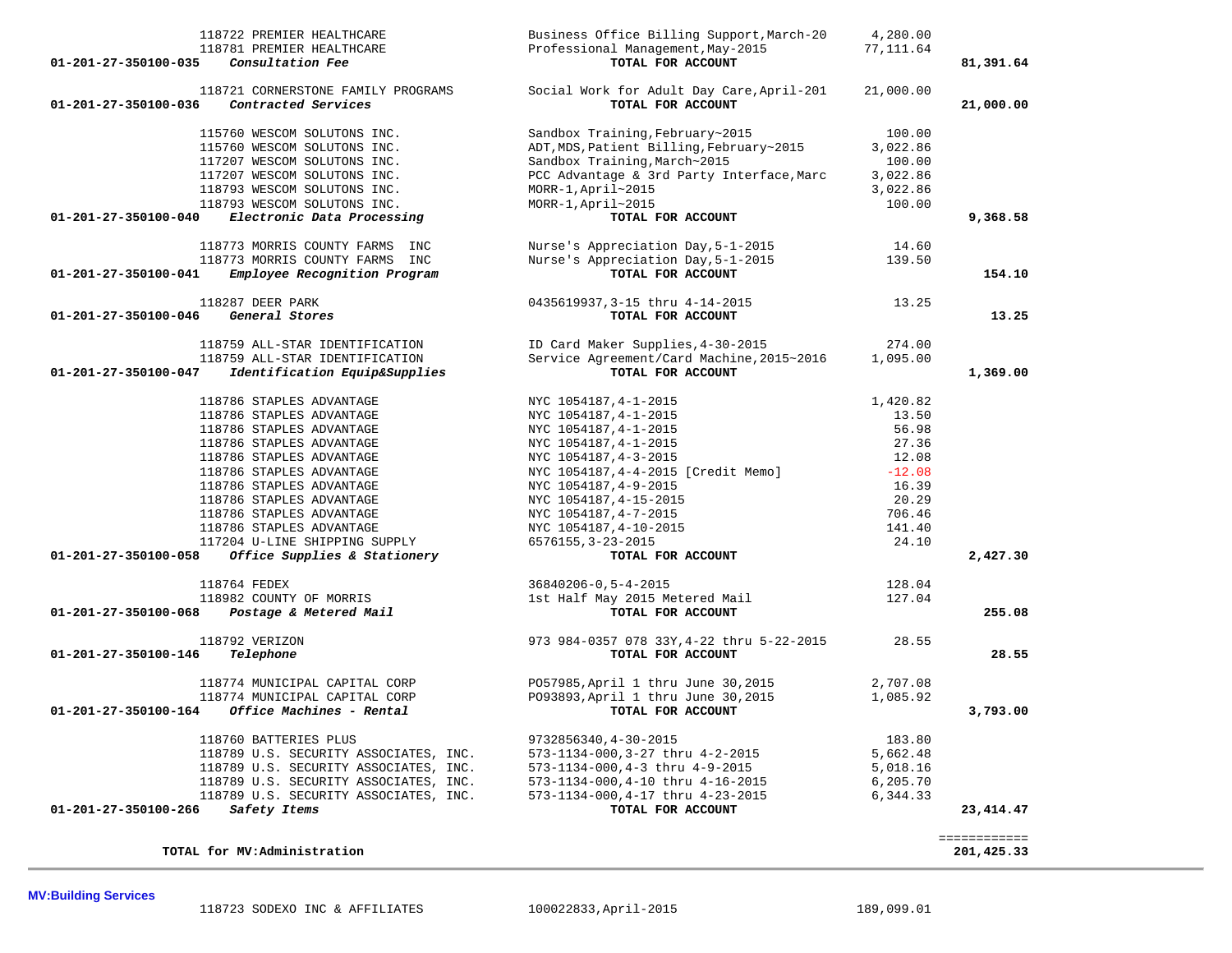### **TOTAL for MV:Administration 201,425.33**

|                                        | -------------<br>_____________ |
|----------------------------------------|--------------------------------|
| $f \sim M_{10} M_{20}$<br><b>MOMAT</b> | $\Lambda$ 25.32<br>201         |

| 81,391.64   |           | TOTAL FOR ACCOUNT                                              | Consultation Fee<br>01-201-27-350100-035                                              |
|-------------|-----------|----------------------------------------------------------------|---------------------------------------------------------------------------------------|
| 21,000.00   | 21,000.00 | Social Work for Adult Day Care, April-201<br>TOTAL FOR ACCOUNT | 118721 CORNERSTONE FAMILY PROGRAMS<br>01-201-27-350100-036<br>Contracted Services     |
|             | 100.00    | Sandbox Training, February~2015                                | 115760 WESCOM SOLUTONS INC.                                                           |
|             | 3,022.86  | ADT, MDS, Patient Billing, February~2015                       | 115760 WESCOM SOLUTONS INC.                                                           |
|             | 100.00    | Sandbox Training, March~2015                                   | 117207 WESCOM SOLUTONS INC.                                                           |
|             | 3,022.86  | PCC Advantage & 3rd Party Interface, Marc                      | 117207 WESCOM SOLUTONS INC.                                                           |
|             | 3,022.86  | $MORR-1, April~2015$                                           | 118793 WESCOM SOLUTONS INC.                                                           |
|             | 100.00    | MORR-1, April~2015                                             | 118793 WESCOM SOLUTONS INC.                                                           |
| 9,368.58    |           | TOTAL FOR ACCOUNT                                              | 01-201-27-350100-040<br>Electronic Data Processing                                    |
|             | 14.60     | Nurse's Appreciation Day, 5-1-2015                             | 118773 MORRIS COUNTY FARMS INC                                                        |
|             | 139.50    | Nurse's Appreciation Day, 5-1-2015                             | 118773 MORRIS COUNTY FARMS INC                                                        |
| 154.10      |           | TOTAL FOR ACCOUNT                                              | Employee Recognition Program<br>01-201-27-350100-041                                  |
|             | 13.25     | 0435619937, 3-15 thru 4-14-2015                                | 118287 DEER PARK                                                                      |
| 13.25       |           | TOTAL FOR ACCOUNT                                              | 01-201-27-350100-046<br>General Stores                                                |
|             | 274.00    | ID Card Maker Supplies, 4-30-2015                              | 118759 ALL-STAR IDENTIFICATION                                                        |
|             | 1,095.00  | Service Agreement/Card Machine, 2015~2016                      | 118759 ALL-STAR IDENTIFICATION                                                        |
| 1,369.00    |           | TOTAL FOR ACCOUNT                                              | 01-201-27-350100-047<br>Identification Equip&Supplies                                 |
|             | 1,420.82  | NYC 1054187, 4-1-2015                                          | 118786 STAPLES ADVANTAGE                                                              |
|             | 13.50     | NYC 1054187, 4-1-2015                                          | 118786 STAPLES ADVANTAGE                                                              |
|             | 56.98     | NYC 1054187, 4-1-2015                                          | 118786 STAPLES ADVANTAGE                                                              |
|             | 27.36     | NYC 1054187, 4-1-2015                                          | 118786 STAPLES ADVANTAGE                                                              |
|             | 12.08     | NYC 1054187, 4-3-2015                                          | 118786 STAPLES ADVANTAGE                                                              |
|             | $-12.08$  | NYC 1054187,4-4-2015 [Credit Memo]                             | 118786 STAPLES ADVANTAGE                                                              |
|             | 16.39     | NYC 1054187, 4-9-2015                                          | 118786 STAPLES ADVANTAGE                                                              |
|             | 20.29     | NYC 1054187, 4-15-2015                                         | 118786 STAPLES ADVANTAGE                                                              |
|             | 706.46    | NYC 1054187, 4-7-2015                                          | 118786 STAPLES ADVANTAGE                                                              |
|             | 141.40    | NYC 1054187, 4-10-2015                                         | 118786 STAPLES ADVANTAGE                                                              |
| 2,427.30    | 24.10     | 6576155, 3-23-2015<br>TOTAL FOR ACCOUNT                        | 117204 U-LINE SHIPPING SUPPLY<br>Office Supplies & Stationery<br>01-201-27-350100-058 |
|             |           |                                                                |                                                                                       |
|             | 128.04    | 36840206-0,5-4-2015                                            | 118764 FEDEX                                                                          |
| 255.08      | 127.04    | 1st Half May 2015 Metered Mail<br>TOTAL FOR ACCOUNT            | 118982 COUNTY OF MORRIS                                                               |
|             |           |                                                                | 01-201-27-350100-068<br>Postage & Metered Mail                                        |
|             | 28.55     | 973 984-0357 078 33Y, 4-22 thru 5-22-2015                      | 118792 VERIZON                                                                        |
| 28.55       |           | TOTAL FOR ACCOUNT                                              | 01-201-27-350100-146<br>Telephone                                                     |
|             | 2,707.08  | P057985, April 1 thru June 30, 2015                            | 118774 MUNICIPAL CAPITAL CORP                                                         |
|             | 1,085.92  | P093893, April 1 thru June 30, 2015                            | 118774 MUNICIPAL CAPITAL CORP                                                         |
| 3,793.00    |           | TOTAL FOR ACCOUNT                                              | Office Machines - Rental<br>01-201-27-350100-164                                      |
|             | 183.80    | 9732856340, 4-30-2015                                          | 118760 BATTERIES PLUS                                                                 |
|             | 5,662.48  | 573-1134-000,3-27 thru 4-2-2015                                | 118789 U.S. SECURITY ASSOCIATES, INC.                                                 |
|             | 5,018.16  | 573-1134-000,4-3 thru 4-9-2015                                 | 118789 U.S. SECURITY ASSOCIATES, INC.                                                 |
|             | 6,205.70  | 573-1134-000,4-10 thru 4-16-2015                               | 118789 U.S. SECURITY ASSOCIATES, INC.                                                 |
|             | 6,344.33  | 573-1134-000, 4-17 thru 4-23-2015                              | 118789 U.S. SECURITY ASSOCIATES, INC.                                                 |
| 23, 414. 47 |           | TOTAL FOR ACCOUNT                                              | 01-201-27-350100-266<br>Safety Items                                                  |

 118722 PREMIER HEALTHCARE Business Office Billing Support,March-20 4,280.00 118781 PREMIER HEALTHCARE Professional Management, May-2015 77, 111.64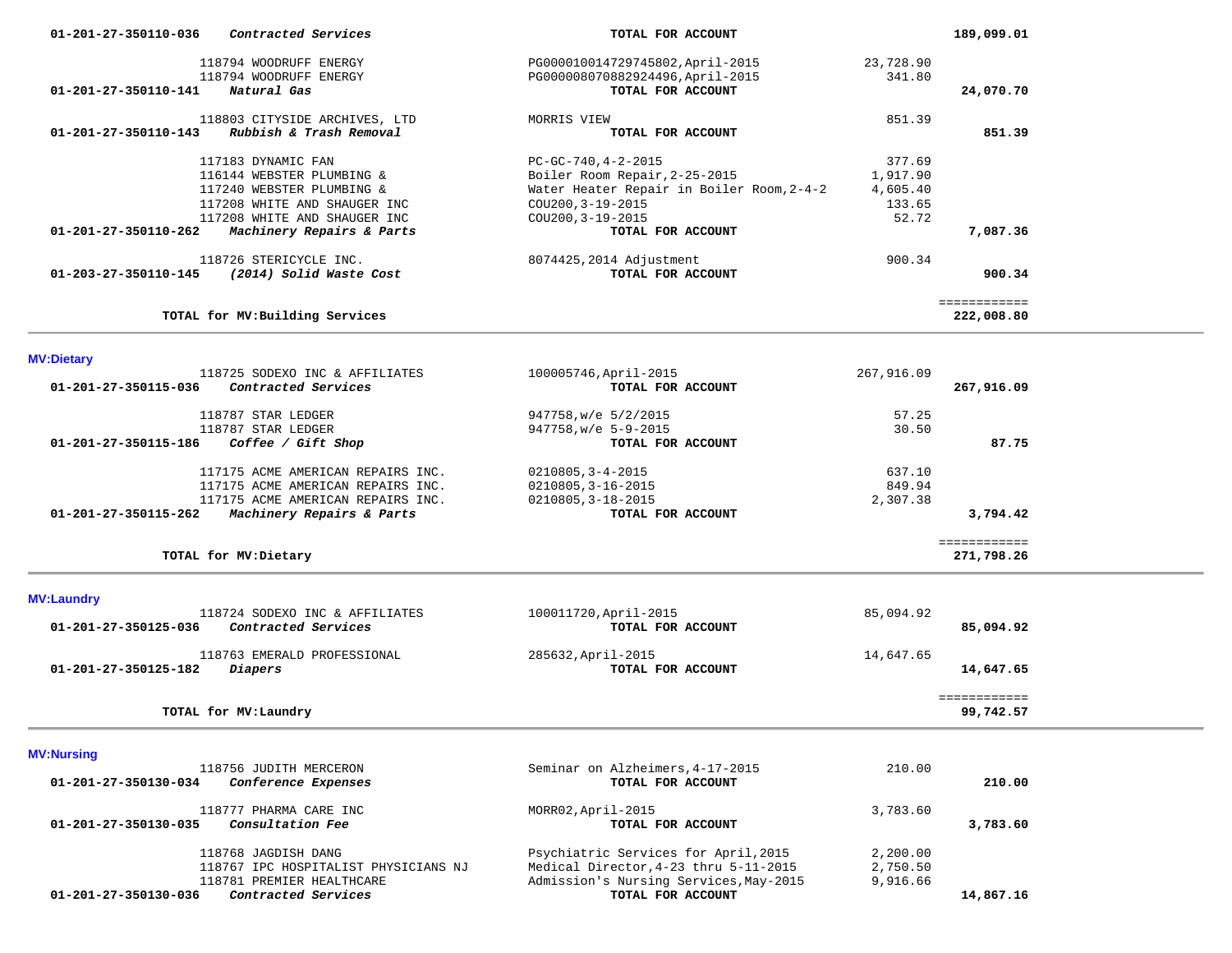| Contracted Services<br>01-201-27-350110-036               | TOTAL FOR ACCOUNT                         |                    | 189,099.01                 |  |
|-----------------------------------------------------------|-------------------------------------------|--------------------|----------------------------|--|
| 118794 WOODRUFF ENERGY                                    | PG000010014729745802, April-2015          | 23,728.90          |                            |  |
| 118794 WOODRUFF ENERGY                                    | PG000008070882924496, April-2015          | 341.80             |                            |  |
| Natural Gas<br>01-201-27-350110-141                       | TOTAL FOR ACCOUNT                         |                    | 24,070.70                  |  |
| 118803 CITYSIDE ARCHIVES, LTD                             | MORRIS VIEW                               | 851.39             |                            |  |
| Rubbish & Trash Removal<br>$01 - 201 - 27 - 350110 - 143$ | TOTAL FOR ACCOUNT                         |                    | 851.39                     |  |
| 117183 DYNAMIC FAN                                        | $PC-GC-740, 4-2-2015$                     | 377.69             |                            |  |
| 116144 WEBSTER PLUMBING &                                 | Boiler Room Repair, 2-25-2015             | 1,917.90           |                            |  |
| 117240 WEBSTER PLUMBING &<br>117208 WHITE AND SHAUGER INC | Water Heater Repair in Boiler Room, 2-4-2 | 4,605.40<br>133.65 |                            |  |
| 117208 WHITE AND SHAUGER INC                              | COU200, 3-19-2015<br>COU200, 3-19-2015    | 52.72              |                            |  |
| Machinery Repairs & Parts<br>01-201-27-350110-262         | TOTAL FOR ACCOUNT                         |                    | 7,087.36                   |  |
| 118726 STERICYCLE INC.                                    | 8074425,2014 Adjustment                   | 900.34             |                            |  |
| (2014) Solid Waste Cost<br>01-203-27-350110-145           | TOTAL FOR ACCOUNT                         |                    | 900.34                     |  |
|                                                           |                                           |                    | ============               |  |
| TOTAL for MV: Building Services                           |                                           |                    | 222,008.80                 |  |
|                                                           |                                           |                    |                            |  |
| <b>MV:Dietary</b><br>118725 SODEXO INC & AFFILIATES       | 100005746, April-2015                     | 267,916.09         |                            |  |
| Contracted Services<br>01-201-27-350115-036               | TOTAL FOR ACCOUNT                         |                    | 267,916.09                 |  |
| 118787 STAR LEDGER                                        | 947758, w/e 5/2/2015                      | 57.25              |                            |  |
| 118787 STAR LEDGER                                        | 947758, w/e 5-9-2015                      | 30.50              |                            |  |
| Coffee / Gift Shop<br>01-201-27-350115-186                | TOTAL FOR ACCOUNT                         |                    | 87.75                      |  |
| 117175 ACME AMERICAN REPAIRS INC.                         | $0210805, 3 - 4 - 2015$                   | 637.10             |                            |  |
| 117175 ACME AMERICAN REPAIRS INC.                         | 0210805, 3-16-2015                        | 849.94             |                            |  |
| 117175 ACME AMERICAN REPAIRS INC.                         | 0210805, 3-18-2015                        | 2,307.38           |                            |  |
| Machinery Repairs & Parts<br>01-201-27-350115-262         | TOTAL FOR ACCOUNT                         |                    | 3,794.42                   |  |
| TOTAL for MV: Dietary                                     |                                           |                    | ============<br>271,798.26 |  |
| <b>MV:Laundry</b>                                         |                                           |                    |                            |  |
| 118724 SODEXO INC & AFFILIATES                            | 100011720, April-2015                     | 85,094.92          |                            |  |
| Contracted Services<br>01-201-27-350125-036               | TOTAL FOR ACCOUNT                         |                    | 85,094.92                  |  |
| 118763 EMERALD PROFESSIONAL                               | 285632, April-2015                        | 14,647.65          |                            |  |
| 01-201-27-350125-182<br>Diapers                           | TOTAL FOR ACCOUNT                         |                    | 14,647.65                  |  |
|                                                           |                                           |                    | ============               |  |
| TOTAL for MV: Laundry                                     |                                           |                    | 99,742.57                  |  |
| <b>MV:Nursing</b>                                         |                                           |                    |                            |  |
| 118756 JUDITH MERCERON                                    | Seminar on Alzheimers, 4-17-2015          | 210.00             |                            |  |
| 01-201-27-350130-034<br>Conference Expenses               | TOTAL FOR ACCOUNT                         |                    | 210.00                     |  |
| 118777 PHARMA CARE INC                                    | MORR02, April-2015                        | 3,783.60           |                            |  |
| Consultation Fee<br>01-201-27-350130-035                  | TOTAL FOR ACCOUNT                         |                    | 3,783.60                   |  |
| 118768 JAGDISH DANG                                       | Psychiatric Services for April, 2015      | 2,200.00           |                            |  |
| 118767 IPC HOSPITALIST PHYSICIANS NJ                      | Medical Director, 4-23 thru 5-11-2015     | 2,750.50           |                            |  |
| 118781 PREMIER HEALTHCARE                                 | Admission's Nursing Services, May-2015    | 9,916.66           |                            |  |
| 01-201-27-350130-036<br>Contracted Services               | TOTAL FOR ACCOUNT                         |                    | 14,867.16                  |  |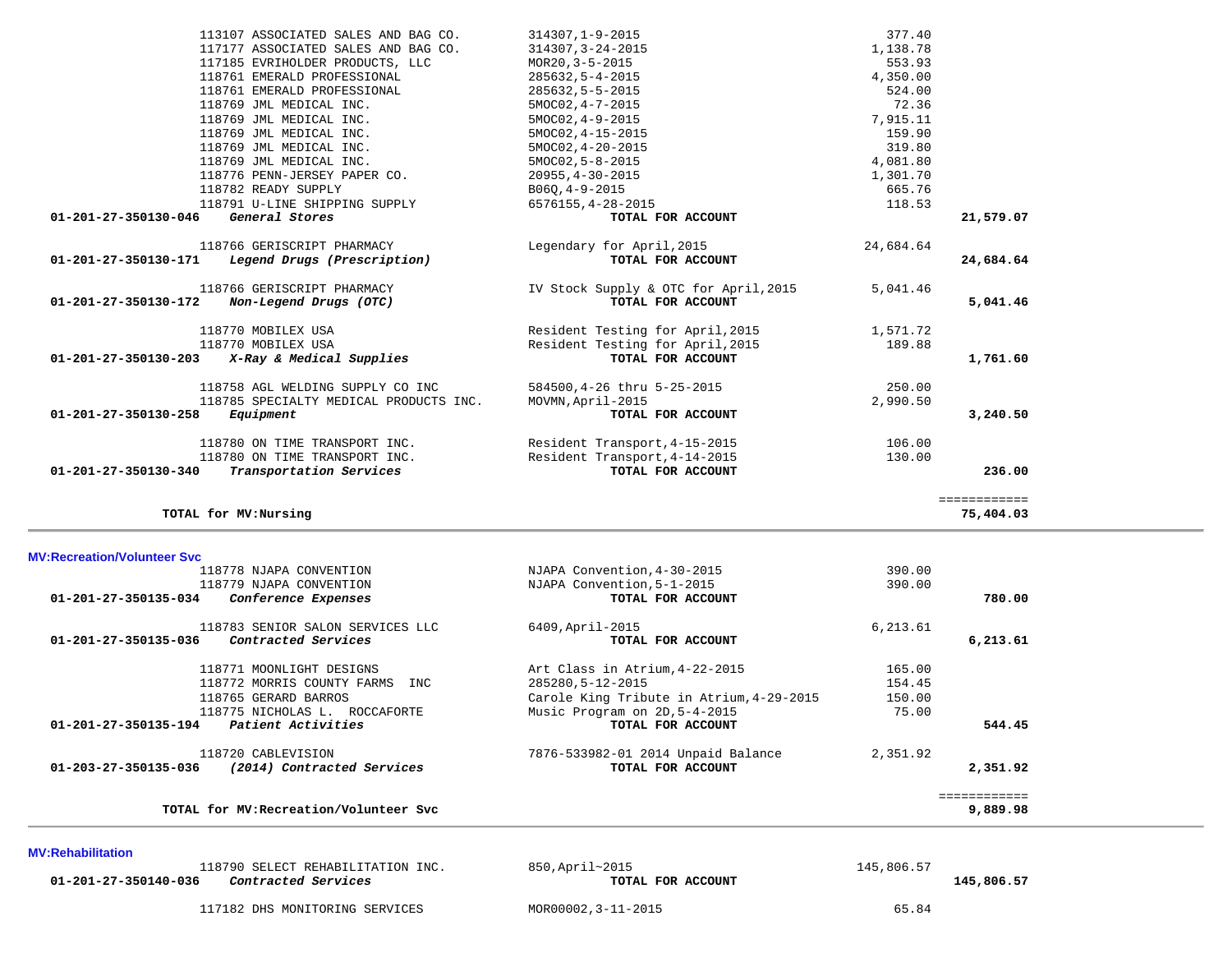| <b>MV:Rehabilitation</b>                           |                   |            |
|----------------------------------------------------|-------------------|------------|
| 118790 SELECT REHABILITATION INC.                  | 850,April~2015    | 145,806.57 |
| 01-201-27-350140-036<br><i>Contracted Services</i> | TOTAL FOR ACCOUNT | 145,806.57 |

117182 DHS MONITORING SERVICES MOR00002,3-11-2015 65.84

**TOTAL for MV:Recreation/Volunteer Svc 9,889.98**

============

| 01-203-27-350135-036               | 118720 CABLEVISION<br>(2014) Contracted Services | 7876-533982-01 2014 Unpaid Balance<br>TOTAL FOR ACCOUNT | 2,351.92 | 2,351.92  |
|------------------------------------|--------------------------------------------------|---------------------------------------------------------|----------|-----------|
| $01 - 201 - 27 - 350135 - 194$     | Patient Activities                               | TOTAL FOR ACCOUNT                                       |          | 544.45    |
|                                    | 118775 NICHOLAS L. ROCCAFORTE                    | Music Program on 2D, 5-4-2015                           | 75.00    |           |
|                                    | 118765 GERARD BARROS                             | Carole King Tribute in Atrium, 4-29-2015                | 150.00   |           |
|                                    | 118772 MORRIS COUNTY FARMS<br>INC.               | 285280,5-12-2015                                        | 154.45   |           |
|                                    | 118771 MOONLIGHT DESIGNS                         | Art Class in Atrium, 4-22-2015                          | 165.00   |           |
| 01-201-27-350135-036               | Contracted Services                              | TOTAL FOR ACCOUNT                                       |          | 6, 213.61 |
|                                    | 118783 SENIOR SALON SERVICES LLC                 | 6409, April-2015                                        | 6,213.61 |           |
| 01-201-27-350135-034               | Conference Expenses                              | TOTAL FOR ACCOUNT                                       |          | 780.00    |
|                                    | 118779 NJAPA CONVENTION                          | NJAPA Convention, 5-1-2015                              | 390.00   |           |
|                                    | 118778 NJAPA CONVENTION                          | NJAPA Convention, 4-30-2015                             | 390.00   |           |
| <b>MV:Recreation/Volunteer Svc</b> |                                                  |                                                         |          |           |

============

**TOTAL for MV:Nursing 75,404.03**

| 01-201-27-350130-046 | TTO 12T ALTIME SUTERIMA SAERAT<br>General Stores                           | 0070100,4-40-4010<br>TOTAL FOR ACCOUNT                               | 110.JJ             | 21,579.07 |
|----------------------|----------------------------------------------------------------------------|----------------------------------------------------------------------|--------------------|-----------|
| 01-201-27-350130-171 | 118766 GERISCRIPT PHARMACY<br>Legend Drugs (Prescription)                  | Legendary for April, 2015<br>TOTAL FOR ACCOUNT                       | 24,684.64          | 24,684.64 |
| 01-201-27-350130-172 | 118766 GERISCRIPT PHARMACY<br>Non-Legend Drugs (OTC)                       | IV Stock Supply & OTC for April, 2015<br>TOTAL FOR ACCOUNT           | 5,041.46           | 5,041.46  |
|                      | 118770 MOBILEX USA<br>118770 MOBILEX USA                                   | Resident Testing for April, 2015<br>Resident Testing for April, 2015 | 1,571.72<br>189.88 |           |
| 01-201-27-350130-203 | X-Ray & Medical Supplies                                                   | TOTAL FOR ACCOUNT                                                    |                    | 1,761.60  |
|                      | 118758 AGL WELDING SUPPLY CO INC<br>118785 SPECIALTY MEDICAL PRODUCTS INC. | 584500,4-26 thru 5-25-2015<br>MOVMN, April-2015                      | 250.00<br>2,990.50 |           |
| 01-201-27-350130-258 | Equipment                                                                  | TOTAL FOR ACCOUNT                                                    |                    | 3,240.50  |
|                      | 118780 ON TIME TRANSPORT INC.                                              | Resident Transport, 4-15-2015                                        | 106.00             |           |
| 01-201-27-350130-340 | 118780 ON TIME TRANSPORT INC.<br>Transportation Services                   | Resident Transport, 4-14-2015<br>TOTAL FOR ACCOUNT                   | 130.00             | 236.00    |

| 118766 GERISCRIPT PHARMACY<br>Legend Drugs (Prescription) | Legendary for April, 2015<br>TOTAL FOR ACCOUNT                                                                                                                                                                                                                                                                                                                                                                               | 24,684.64 | 24,684.64 |
|-----------------------------------------------------------|------------------------------------------------------------------------------------------------------------------------------------------------------------------------------------------------------------------------------------------------------------------------------------------------------------------------------------------------------------------------------------------------------------------------------|-----------|-----------|
|                                                           |                                                                                                                                                                                                                                                                                                                                                                                                                              |           |           |
|                                                           |                                                                                                                                                                                                                                                                                                                                                                                                                              |           |           |
|                                                           | TOTAL FOR ACCOUNT                                                                                                                                                                                                                                                                                                                                                                                                            |           | 21,579.07 |
|                                                           | 6576155, 4-28-2015                                                                                                                                                                                                                                                                                                                                                                                                           | 118.53    |           |
|                                                           | B060, 4-9-2015                                                                                                                                                                                                                                                                                                                                                                                                               | 665.76    |           |
|                                                           | 20955, 4-30-2015                                                                                                                                                                                                                                                                                                                                                                                                             | 1,301.70  |           |
|                                                           | 5MOC02, 5-8-2015                                                                                                                                                                                                                                                                                                                                                                                                             | 4,081.80  |           |
|                                                           | 5MOC02, 4-20-2015                                                                                                                                                                                                                                                                                                                                                                                                            | 319.80    |           |
|                                                           | 5MOC02, 4-15-2015                                                                                                                                                                                                                                                                                                                                                                                                            | 159.90    |           |
|                                                           | $5MOCO2, 4-9-2015$                                                                                                                                                                                                                                                                                                                                                                                                           | 7,915.11  |           |
|                                                           | 5MOC02, 4-7-2015                                                                                                                                                                                                                                                                                                                                                                                                             | 72.36     |           |
|                                                           | 285632,5-5-2015                                                                                                                                                                                                                                                                                                                                                                                                              | 524.00    |           |
|                                                           | 285632,5-4-2015                                                                                                                                                                                                                                                                                                                                                                                                              | 4,350.00  |           |
|                                                           | MOR20, 3-5-2015                                                                                                                                                                                                                                                                                                                                                                                                              | 553.93    |           |
|                                                           | 314307, 3-24-2015                                                                                                                                                                                                                                                                                                                                                                                                            | 1,138.78  |           |
|                                                           | 314307, 1-9-2015                                                                                                                                                                                                                                                                                                                                                                                                             | 377.40    |           |
|                                                           | 113107 ASSOCIATED SALES AND BAG CO.<br>117177 ASSOCIATED SALES AND BAG CO.<br>117185 EVRIHOLDER PRODUCTS, LLC<br>118761 EMERALD PROFESSIONAL<br>118761 EMERALD PROFESSIONAL<br>118769 JML MEDICAL INC.<br>118769 JML MEDICAL INC.<br>118769 JML MEDICAL INC.<br>118769 JML MEDICAL INC.<br>118769 JML MEDICAL INC.<br>118776 PENN-JERSEY PAPER CO.<br>118782 READY SUPPLY<br>118791 U-LINE SHIPPING SUPPLY<br>General Stores |           |           |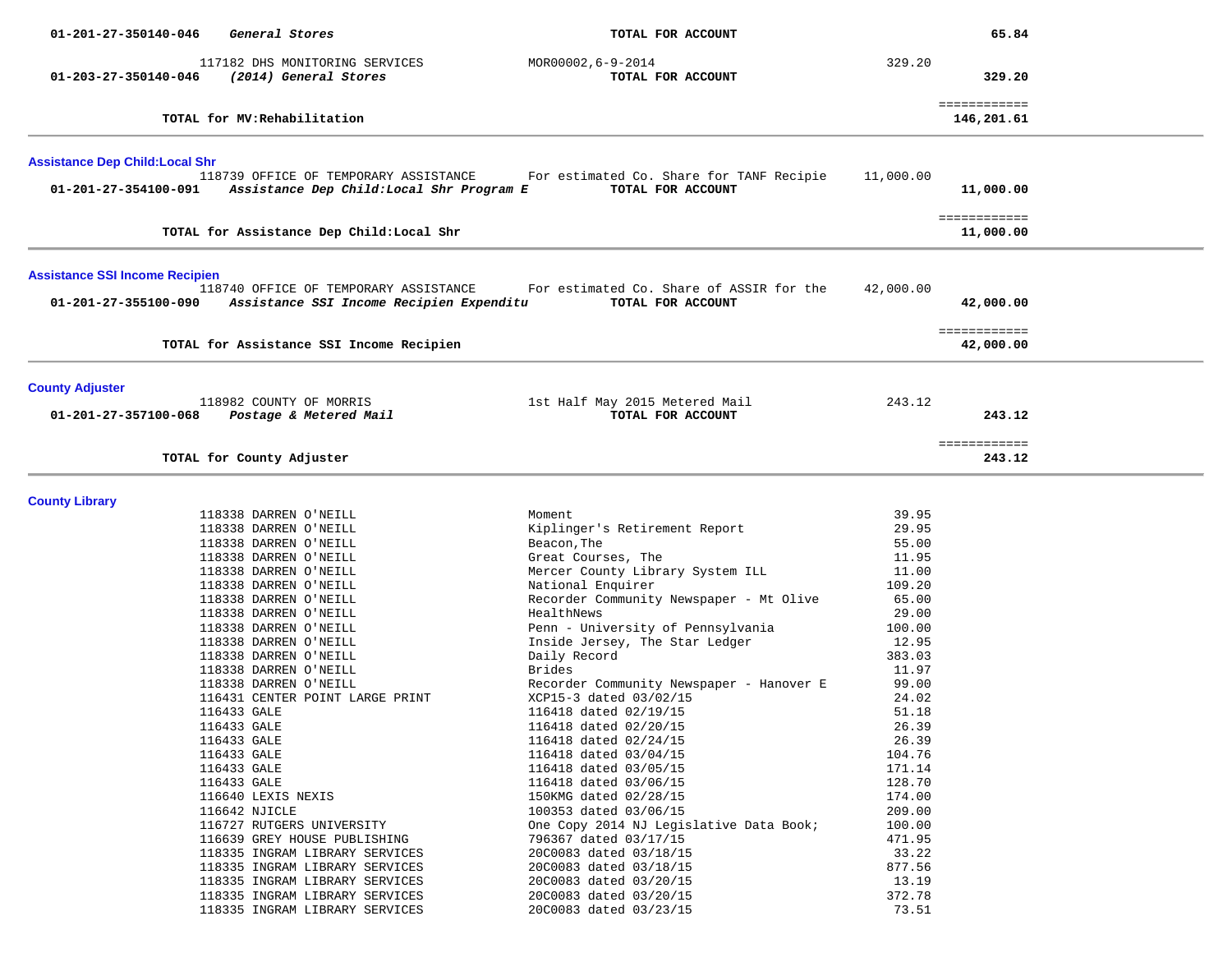| 01-201-27-350140-046                   | General Stores                                                                    | TOTAL FOR ACCOUNT                                                  |                | 65.84                      |  |
|----------------------------------------|-----------------------------------------------------------------------------------|--------------------------------------------------------------------|----------------|----------------------------|--|
|                                        | 117182 DHS MONITORING SERVICES                                                    | MOR00002,6-9-2014                                                  | 329.20         |                            |  |
| 01-203-27-350140-046                   | (2014) General Stores                                                             | TOTAL FOR ACCOUNT                                                  |                | 329.20                     |  |
|                                        |                                                                                   |                                                                    |                |                            |  |
|                                        | TOTAL for MV: Rehabilitation                                                      |                                                                    |                | ============<br>146,201.61 |  |
| <b>Assistance Dep Child: Local Shr</b> |                                                                                   |                                                                    |                |                            |  |
|                                        | 118739 OFFICE OF TEMPORARY ASSISTANCE                                             | For estimated Co. Share for TANF Recipie                           | 11,000.00      |                            |  |
| 01-201-27-354100-091                   | Assistance Dep Child:Local Shr Program E                                          | TOTAL FOR ACCOUNT                                                  |                | 11,000.00                  |  |
|                                        | TOTAL for Assistance Dep Child: Local Shr                                         |                                                                    |                | ============<br>11,000.00  |  |
| <b>Assistance SSI Income Recipien</b>  |                                                                                   |                                                                    |                |                            |  |
| 01-201-27-355100-090                   | 118740 OFFICE OF TEMPORARY ASSISTANCE<br>Assistance SSI Income Recipien Expenditu | For estimated Co. Share of ASSIR for the<br>TOTAL FOR ACCOUNT      | 42,000.00      | 42,000.00                  |  |
|                                        | TOTAL for Assistance SSI Income Recipien                                          |                                                                    |                | ============<br>42,000.00  |  |
| <b>County Adjuster</b>                 |                                                                                   |                                                                    |                |                            |  |
| 01-201-27-357100-068                   | 118982 COUNTY OF MORRIS<br>Postage & Metered Mail                                 | 1st Half May 2015 Metered Mail<br>TOTAL FOR ACCOUNT                | 243.12         | 243.12                     |  |
|                                        | TOTAL for County Adjuster                                                         |                                                                    |                | ============<br>243.12     |  |
|                                        |                                                                                   |                                                                    |                |                            |  |
| <b>County Library</b>                  | 118338 DARREN O'NEILL                                                             | Moment                                                             | 39.95          |                            |  |
|                                        | 118338 DARREN O'NEILL                                                             | Kiplinger's Retirement Report                                      | 29.95          |                            |  |
|                                        | 118338 DARREN O'NEILL                                                             | Beacon, The                                                        | 55.00          |                            |  |
|                                        | 118338 DARREN O'NEILL                                                             | Great Courses, The                                                 | 11.95          |                            |  |
|                                        | 118338 DARREN O'NEILL                                                             | Mercer County Library System ILL                                   | 11.00          |                            |  |
|                                        | 118338 DARREN O'NEILL                                                             | National Enquirer                                                  | 109.20         |                            |  |
|                                        | 118338 DARREN O'NEILL                                                             | Recorder Community Newspaper - Mt Olive                            | 65.00          |                            |  |
|                                        | 118338 DARREN O'NEILL                                                             | HealthNews                                                         | 29.00          |                            |  |
|                                        | 118338 DARREN O'NEILL                                                             | Penn - University of Pennsylvania                                  | 100.00         |                            |  |
|                                        | 118338 DARREN O'NEILL                                                             | Inside Jersey, The Star Ledger                                     | 12.95          |                            |  |
|                                        | 118338 DARREN O'NEILL                                                             | Daily Record                                                       | 383.03         |                            |  |
|                                        | 118338 DARREN O'NEILL                                                             | Brides                                                             | 11.97          |                            |  |
|                                        | 118338 DARREN O'NEILL<br>116431 CENTER POINT LARGE PRINT                          | Recorder Community Newspaper - Hanover E<br>XCP15-3 dated 03/02/15 | 99.00<br>24.02 |                            |  |
|                                        | 116433 GALE                                                                       | 116418 dated 02/19/15                                              | 51.18          |                            |  |
|                                        | 116433 GALE                                                                       | 116418 dated 02/20/15                                              | 26.39          |                            |  |
|                                        | 116433 GALE                                                                       | 116418 dated 02/24/15                                              | 26.39          |                            |  |
|                                        | 116433 GALE                                                                       | 116418 dated 03/04/15                                              | 104.76         |                            |  |
|                                        | 116433 GALE                                                                       | 116418 dated 03/05/15                                              | 171.14         |                            |  |
|                                        | 116433 GALE                                                                       | 116418 dated 03/06/15                                              | 128.70         |                            |  |
|                                        | 116640 LEXIS NEXIS                                                                | 150KMG dated 02/28/15                                              | 174.00         |                            |  |
|                                        | 116642 NJICLE                                                                     | 100353 dated 03/06/15                                              | 209.00         |                            |  |
|                                        | 116727 RUTGERS UNIVERSITY                                                         | One Copy 2014 NJ Legislative Data Book;                            | 100.00         |                            |  |
|                                        | 116639 GREY HOUSE PUBLISHING                                                      | 796367 dated 03/17/15                                              | 471.95         |                            |  |
|                                        | 118335 INGRAM LIBRARY SERVICES                                                    | 20C0083 dated 03/18/15                                             | 33.22          |                            |  |
|                                        | 118335 INGRAM LIBRARY SERVICES                                                    | 20C0083 dated 03/18/15                                             | 877.56         |                            |  |
|                                        | 118335 INGRAM LIBRARY SERVICES                                                    | 20C0083 dated 03/20/15                                             | 13.19          |                            |  |
|                                        | 118335 INGRAM LIBRARY SERVICES                                                    | 20C0083 dated 03/20/15                                             | 372.78         |                            |  |
|                                        | 118335 INGRAM LIBRARY SERVICES                                                    | 20C0083 dated 03/23/15                                             | 73.51          |                            |  |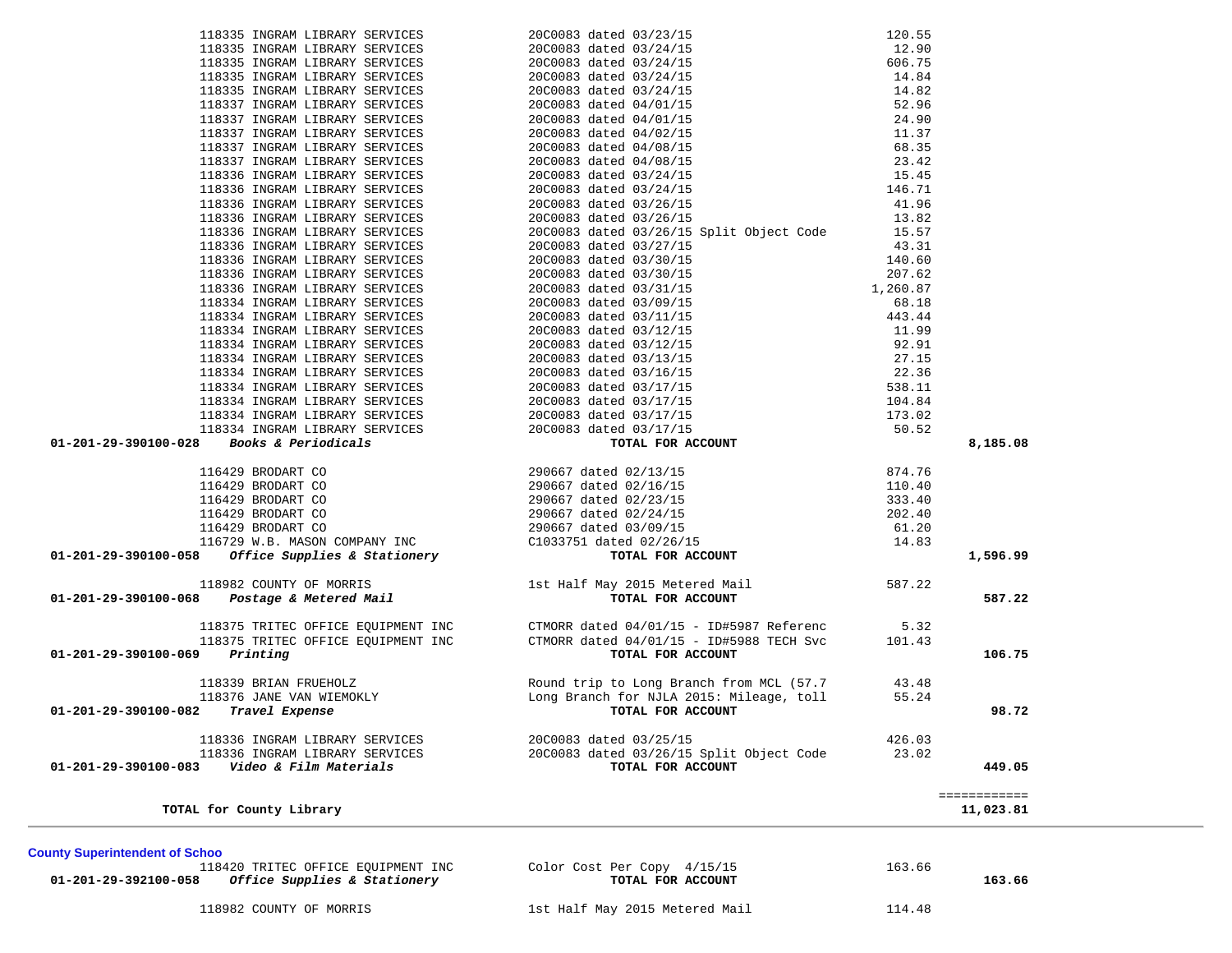| County Supermiendent of Schoo<br>118420 TRITEC OFFICE EOUIPMENT INC<br><i>Office Supplies &amp; Stationery</i><br>01-201-29-392100-058 | Color Cost Per Copy 4/15/15<br>TOTAL FOR ACCOUNT | 163.66 |
|----------------------------------------------------------------------------------------------------------------------------------------|--------------------------------------------------|--------|
| 118982 COUNTY OF MORRIS                                                                                                                | 1st Half May 2015 Metered Mail                   | 114.48 |

**TOTAL for County Library 11,023.81 County Superintendent of Schoo 01-201-29-392100-058** *Office Supplies & Stationery* **TOTAL FOR ACCOUNT 163.66**

 118335 INGRAM LIBRARY SERVICES 20C0083 dated 03/24/15 14.82 118337 INGRAM LIBRARY SERVICES 20C0083 dated 04/01/15 52.96 118337 INGRAM LIBRARY SERVICES 20C0083 dated 04/01/15 24.90 118337 INGRAM LIBRARY SERVICES 20C0083 dated 04/02/15 11.37 118337 INGRAM LIBRARY SERVICES 20C0083 dated 04/08/15 68.35 118337 INGRAM LIBRARY SERVICES 20C0083 dated 04/08/15 23.42 118336 INGRAM LIBRARY SERVICES 20C0083 dated 03/24/15 15.45 118336 INGRAM LIBRARY SERVICES 20C0083 dated 03/24/15 146.71 118336 INGRAM LIBRARY SERVICES 20C0083 dated 03/26/15 41.96 118336 INGRAM LIBRARY SERVICES 20C0083 dated 03/26/15 13.82 118336 INGRAM LIBRARY SERVICES 20C0083 dated 03/26/15 Split Object Code 15.57 118336 INGRAM LIBRARY SERVICES 20C0083 dated 03/27/15 43.31 118336 INGRAM LIBRARY SERVICES 20C0083 dated 03/30/15 140.60 118336 INGRAM LIBRARY SERVICES 20C0083 dated 03/30/15 207.62 118336 INGRAM LIBRARY SERVICES 20C0083 dated 03/31/15 1,260.87 118334 INGRAM LIBRARY SERVICES 20C0083 dated 03/09/15 68.18 118334 INGRAM LIBRARY SERVICES 20C0083 dated 03/11/15 443.44 118334 INGRAM LIBRARY SERVICES 20C0083 dated 03/12/15 11.99 118334 INGRAM LIBRARY SERVICES 20C0083 dated 03/12/15 92.91 118334 INGRAM LIBRARY SERVICES 20C0083 dated 03/13/15 27.15 118334 INGRAM LIBRARY SERVICES 20C0083 dated 03/16/15 22.36 118334 INGRAM LIBRARY SERVICES 20C0083 dated 03/17/15 538.11 118334 INGRAM LIBRARY SERVICES 20C0083 dated 03/17/15 104.84 118334 INGRAM LIBRARY SERVICES 20C0083 dated 03/17/15 173.02 118334 INGRAM LIBRARY SERVICES 20C0083 dated 03/17/15 50.52  **01-201-29-390100-028** *Books & Periodicals* **TOTAL FOR ACCOUNT 8,185.08** 116429 BRODART CO 290667 dated 02/13/15 874.76 116429 BRODART CO 290667 dated 02/16/15 110.40 116429 BRODART CO 290667 dated 02/23/15 333.40 116429 BRODART CO 290667 dated 02/24/15 202.40 116429 BRODART CO 290667 dated 03/09/15 61.20 116729 W.B. MASON COMPANY INC C1033751 dated 02/26/15 14.83  **01-201-29-390100-058** *Office Supplies & Stationery* **TOTAL FOR ACCOUNT 1,596.99** 118982 COUNTY OF MORRIS 1st Half May 2015 Metered Mail 587.22 118982 COUNTY OF MORRIS<br>1987.22 **118982 COUNTY OF MORRIS** 1st Half May 2015 Metered Mail 587.22<br>**TOTAL FOR ACCOUNT**  118375 TRITEC OFFICE EQUIPMENT INC CTMORR dated 04/01/15 - ID#5987 Referenc 5.32 118375 TRITEC OFFICE EQUIPMENT INC CTMORR dated 04/01/15 - ID#5988 TECH Svc 101.43  **01-201-29-390100-069** *Printing* **TOTAL FOR ACCOUNT 106.75** 118339 BRIAN FRUEHOLZ Round trip to Long Branch from MCL (57.7 43.48 118376 JANE VAN WIEMOKLY Long Branch for NJLA 2015: Mileage, toll 55.24  **01-201-29-390100-082** *Travel Expense* **TOTAL FOR ACCOUNT 98.72** 118336 INGRAM LIBRARY SERVICES 20C0083 dated 03/25/15 426.03 118336 INGRAM LIBRARY SERVICES 20C0083 dated 03/26/15 Split Object Code 23.02  **01-201-29-390100-083** *Video & Film Materials* **TOTAL FOR ACCOUNT 449.05**============

 118335 INGRAM LIBRARY SERVICES 20C0083 dated 03/23/15 120.55 118335 INGRAM LIBRARY SERVICES 20C0083 dated 03/24/15 12.90 118335 INGRAM LIBRARY SERVICES 20C0083 dated 03/24/15 606.75 118335 INGRAM LIBRARY SERVICES 20C0083 dated 03/24/15 14.84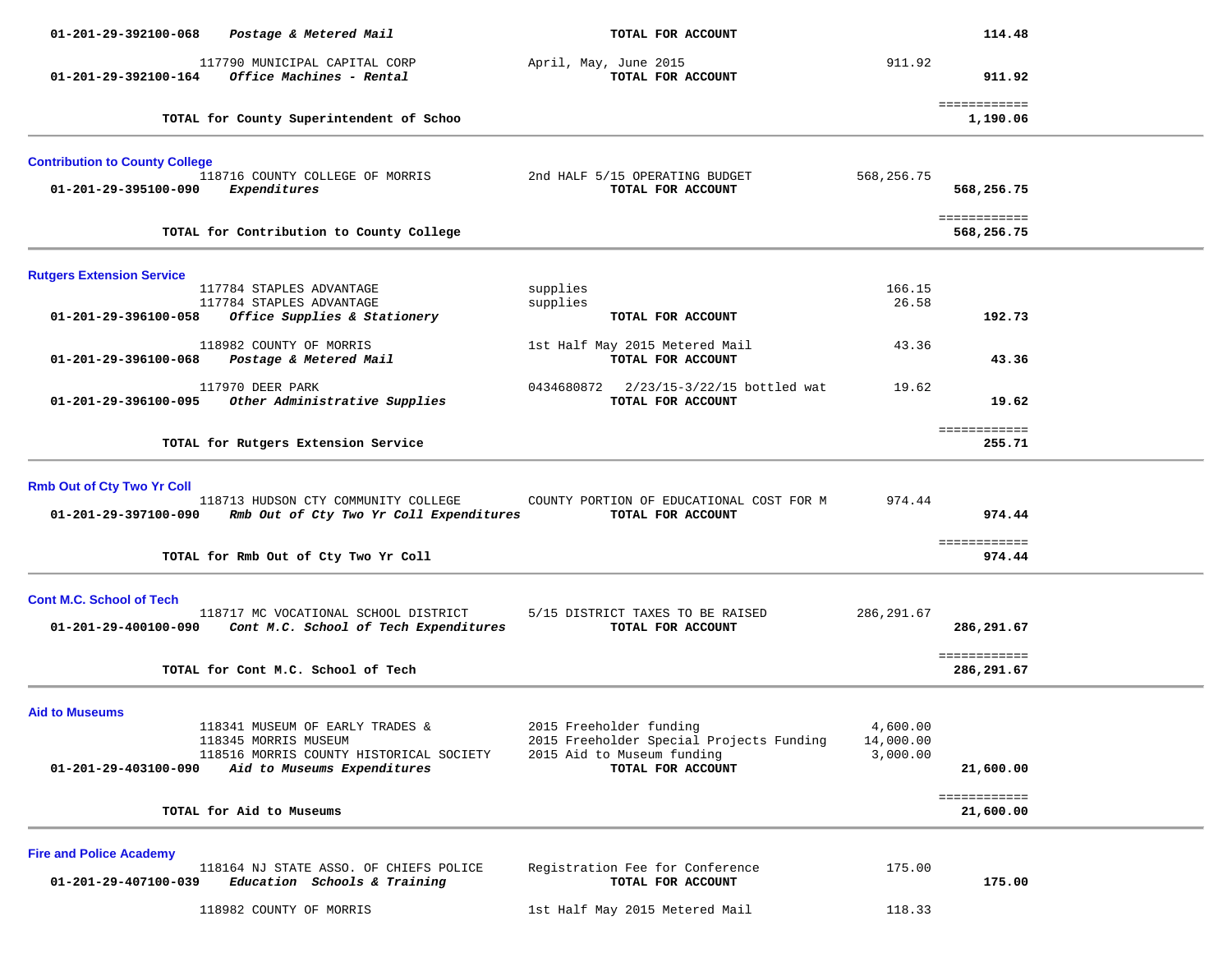| 01-201-29-392100-068                                      | Postage & Metered Mail                                                         | TOTAL FOR ACCOUNT                                             |             | 114.48                     |  |
|-----------------------------------------------------------|--------------------------------------------------------------------------------|---------------------------------------------------------------|-------------|----------------------------|--|
| 01-201-29-392100-164                                      | 117790 MUNICIPAL CAPITAL CORP<br>Office Machines - Rental                      | April, May, June 2015<br>TOTAL FOR ACCOUNT                    | 911.92      | 911.92                     |  |
|                                                           | TOTAL for County Superintendent of Schoo                                       |                                                               |             | ============<br>1,190.06   |  |
| <b>Contribution to County College</b>                     |                                                                                |                                                               |             |                            |  |
| 01-201-29-395100-090                                      | 118716 COUNTY COLLEGE OF MORRIS<br>Expenditures                                | 2nd HALF 5/15 OPERATING BUDGET<br>TOTAL FOR ACCOUNT           | 568,256.75  | 568,256.75                 |  |
|                                                           | TOTAL for Contribution to County College                                       |                                                               |             | ============<br>568,256.75 |  |
| <b>Rutgers Extension Service</b>                          |                                                                                |                                                               |             |                            |  |
|                                                           | 117784 STAPLES ADVANTAGE                                                       | supplies                                                      | 166.15      |                            |  |
| 01-201-29-396100-058                                      | 117784 STAPLES ADVANTAGE                                                       | supplies<br>TOTAL FOR ACCOUNT                                 | 26.58       | 192.73                     |  |
|                                                           | Office Supplies & Stationery                                                   |                                                               |             |                            |  |
| 01-201-29-396100-068                                      | 118982 COUNTY OF MORRIS<br>Postage & Metered Mail                              | 1st Half May 2015 Metered Mail<br>TOTAL FOR ACCOUNT           | 43.36       | 43.36                      |  |
|                                                           | 117970 DEER PARK                                                               | 0434680872 2/23/15-3/22/15 bottled wat                        | 19.62       |                            |  |
| 01-201-29-396100-095                                      | Other Administrative Supplies                                                  | TOTAL FOR ACCOUNT                                             |             | 19.62                      |  |
|                                                           | TOTAL for Rutgers Extension Service                                            |                                                               |             | ============<br>255.71     |  |
|                                                           |                                                                                |                                                               |             |                            |  |
|                                                           |                                                                                |                                                               |             |                            |  |
| <b>Rmb Out of Cty Two Yr Coll</b><br>01-201-29-397100-090 | 118713 HUDSON CTY COMMUNITY COLLEGE<br>Rmb Out of Cty Two Yr Coll Expenditures | COUNTY PORTION OF EDUCATIONAL COST FOR M<br>TOTAL FOR ACCOUNT | 974.44      | 974.44                     |  |
|                                                           | TOTAL for Rmb Out of Cty Two Yr Coll                                           |                                                               |             | ============<br>974.44     |  |
|                                                           |                                                                                |                                                               |             |                            |  |
| <b>Cont M.C. School of Tech</b>                           |                                                                                |                                                               |             |                            |  |
|                                                           | 118717 MC VOCATIONAL SCHOOL DISTRICT                                           | 5/15 DISTRICT TAXES TO BE RAISED                              | 286, 291.67 |                            |  |
| 01-201-29-400100-090                                      | Cont M.C. School of Tech Expenditures                                          | TOTAL FOR ACCOUNT                                             |             | 286,291.67                 |  |
|                                                           |                                                                                |                                                               |             | ============               |  |
|                                                           | TOTAL for Cont M.C. School of Tech                                             |                                                               |             | 286,291.67                 |  |
|                                                           |                                                                                |                                                               |             |                            |  |
| <b>Aid to Museums</b>                                     | 118341 MUSEUM OF EARLY TRADES &                                                | 2015 Freeholder funding                                       | 4,600.00    |                            |  |
|                                                           | 118345 MORRIS MUSEUM                                                           | 2015 Freeholder Special Projects Funding                      | 14,000.00   |                            |  |
|                                                           | 118516 MORRIS COUNTY HISTORICAL SOCIETY                                        | 2015 Aid to Museum funding                                    | 3,000.00    |                            |  |
| 01-201-29-403100-090                                      | Aid to Museums Expenditures                                                    | TOTAL FOR ACCOUNT                                             |             | 21,600.00                  |  |
|                                                           |                                                                                |                                                               |             | ============               |  |
|                                                           | TOTAL for Aid to Museums                                                       |                                                               |             | 21,600.00                  |  |
| <b>Fire and Police Academy</b>                            |                                                                                |                                                               |             |                            |  |
|                                                           | 118164 NJ STATE ASSO. OF CHIEFS POLICE                                         | Registration Fee for Conference                               | 175.00      |                            |  |
| 01-201-29-407100-039                                      | Education Schools & Training                                                   | TOTAL FOR ACCOUNT                                             |             | 175.00                     |  |
|                                                           | 118982 COUNTY OF MORRIS                                                        | 1st Half May 2015 Metered Mail                                | 118.33      |                            |  |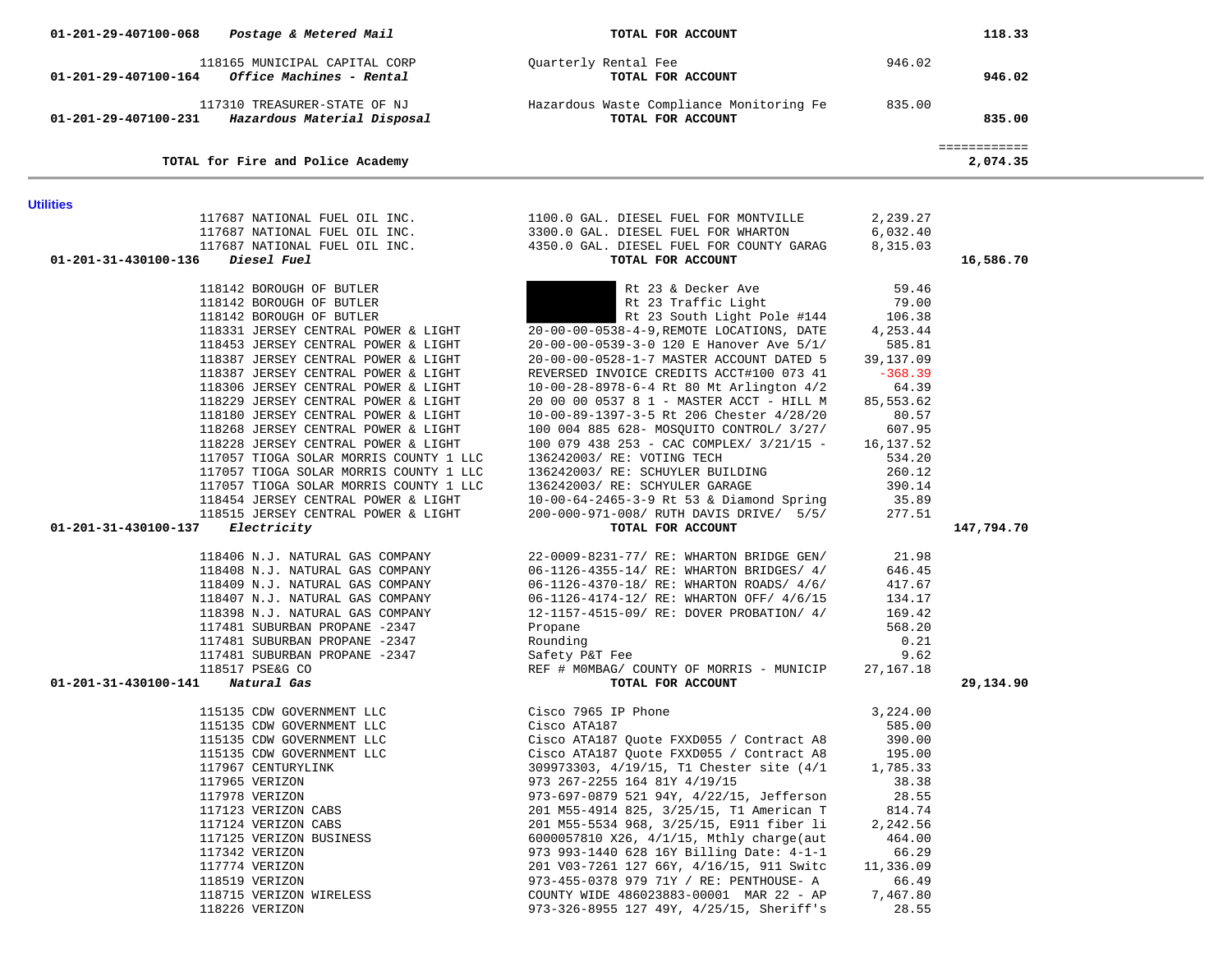| 01-201-29-407100-068 | Postage & Metered Mail                                                           | TOTAL FOR ACCOUNT                                                            |                      | 118.33                   |  |
|----------------------|----------------------------------------------------------------------------------|------------------------------------------------------------------------------|----------------------|--------------------------|--|
| 01-201-29-407100-164 | 118165 MUNICIPAL CAPITAL CORP<br>Office Machines - Rental                        | Quarterly Rental Fee<br>TOTAL FOR ACCOUNT                                    | 946.02               | 946.02                   |  |
|                      | 117310 TREASURER-STATE OF NJ<br>01-201-29-407100-231 Hazardous Material Disposal | Hazardous Waste Compliance Monitoring Fe<br>TOTAL FOR ACCOUNT                | 835.00               | 835.00                   |  |
|                      | TOTAL for Fire and Police Academy                                                |                                                                              |                      | ============<br>2,074.35 |  |
|                      |                                                                                  |                                                                              |                      |                          |  |
| <b>Utilities</b>     |                                                                                  |                                                                              |                      |                          |  |
|                      | 117687 NATIONAL FUEL OIL INC.<br>117687 NATIONAL FUEL OIL INC.                   | 1100.0 GAL. DIESEL FUEL FOR MONTVILLE<br>3300.0 GAL. DIESEL FUEL FOR WHARTON | 2,239.27<br>6,032.40 |                          |  |
|                      | 117687 NATIONAL FUEL OIL INC.                                                    | 4350.0 GAL. DIESEL FUEL FOR COUNTY GARAG                                     | 8,315.03             |                          |  |
| 01-201-31-430100-136 | Diesel Fuel                                                                      | TOTAL FOR ACCOUNT                                                            |                      | 16,586.70                |  |
|                      |                                                                                  |                                                                              |                      |                          |  |
|                      | 118142 BOROUGH OF BUTLER<br>118142 BOROUGH OF BUTLER                             | Rt 23 & Decker Ave<br>Rt 23 Traffic Light                                    | 59.46<br>79.00       |                          |  |
|                      | 118142 BOROUGH OF BUTLER                                                         | Rt 23 South Light Pole #144                                                  | 106.38               |                          |  |
|                      | 118331 JERSEY CENTRAL POWER & LIGHT                                              | 20-00-00-0538-4-9, REMOTE LOCATIONS, DATE                                    | 4,253.44             |                          |  |
|                      | 118453 JERSEY CENTRAL POWER & LIGHT                                              | 20-00-00-0539-3-0 120 E Hanover Ave 5/1/                                     | 585.81               |                          |  |
|                      | 118387 JERSEY CENTRAL POWER & LIGHT                                              | 20-00-00-0528-1-7 MASTER ACCOUNT DATED 5                                     | 39,137.09            |                          |  |
|                      | 118387 JERSEY CENTRAL POWER & LIGHT                                              | REVERSED INVOICE CREDITS ACCT#100 073 41                                     | $-368.39$            |                          |  |
|                      | 118306 JERSEY CENTRAL POWER & LIGHT                                              | 10-00-28-8978-6-4 Rt 80 Mt Arlington 4/2                                     | 64.39                |                          |  |
|                      | 118229 JERSEY CENTRAL POWER & LIGHT                                              | 20 00 00 0537 8 1 - MASTER ACCT - HILL M                                     | 85,553.62            |                          |  |
|                      | 118180 JERSEY CENTRAL POWER & LIGHT                                              | 10-00-89-1397-3-5 Rt 206 Chester 4/28/20                                     | 80.57                |                          |  |
|                      | 118268 JERSEY CENTRAL POWER & LIGHT                                              | 100 004 885 628- MOSQUITO CONTROL/ 3/27/                                     | 607.95               |                          |  |
|                      | 118228 JERSEY CENTRAL POWER & LIGHT                                              | 100 079 438 253 - CAC COMPLEX/ 3/21/15 -                                     | 16,137.52            |                          |  |
|                      | 117057 TIOGA SOLAR MORRIS COUNTY 1 LLC                                           | 136242003/ RE: VOTING TECH                                                   | 534.20               |                          |  |
|                      | 117057 TIOGA SOLAR MORRIS COUNTY 1 LLC                                           | 136242003/ RE: SCHUYLER BUILDING                                             | 260.12               |                          |  |
|                      | 117057 TIOGA SOLAR MORRIS COUNTY 1 LLC<br>118454 JERSEY CENTRAL POWER & LIGHT    | 136242003/ RE: SCHYULER GARAGE<br>10-00-64-2465-3-9 Rt 53 & Diamond Spring   | 390.14<br>35.89      |                          |  |
|                      | 118515 JERSEY CENTRAL POWER & LIGHT                                              | 200-000-971-008/ RUTH DAVIS DRIVE/ 5/5/                                      | 277.51               |                          |  |
| 01-201-31-430100-137 | Electricity                                                                      | TOTAL FOR ACCOUNT                                                            |                      | 147,794.70               |  |
|                      |                                                                                  |                                                                              |                      |                          |  |
|                      | 118406 N.J. NATURAL GAS COMPANY                                                  | 22-0009-8231-77/ RE: WHARTON BRIDGE GEN/                                     | 21.98                |                          |  |
|                      | 118408 N.J. NATURAL GAS COMPANY                                                  | 06-1126-4355-14/ RE: WHARTON BRIDGES/ 4/                                     | 646.45               |                          |  |
|                      | 118409 N.J. NATURAL GAS COMPANY                                                  | 06-1126-4370-18/ RE: WHARTON ROADS/ 4/6/                                     | 417.67               |                          |  |
|                      | 118407 N.J. NATURAL GAS COMPANY                                                  | 06-1126-4174-12/ RE: WHARTON OFF/ 4/6/15                                     | 134.17               |                          |  |
|                      | 118398 N.J. NATURAL GAS COMPANY                                                  | 12-1157-4515-09/ RE: DOVER PROBATION/ 4/                                     | 169.42               |                          |  |
|                      | 117481 SUBURBAN PROPANE -2347                                                    | Propane                                                                      | 568.20<br>0.21       |                          |  |
|                      | 117481 SUBURBAN PROPANE -2347<br>117481 SUBURBAN PROPANE -2347                   | Rounding<br>Safety P&T Fee                                                   | 9.62                 |                          |  |
|                      | 118517 PSE&G CO                                                                  | REF # MOMBAG/ COUNTY OF MORRIS - MUNICIP                                     | 27, 167. 18          |                          |  |
| 01-201-31-430100-141 | Natural Gas                                                                      | TOTAL FOR ACCOUNT                                                            |                      | 29,134.90                |  |
|                      | 115135 CDW GOVERNMENT LLC                                                        | Cisco 7965 IP Phone                                                          | 3,224.00             |                          |  |
|                      | 115135 CDW GOVERNMENT LLC                                                        | Cisco ATA187                                                                 | 585.00               |                          |  |
|                      | 115135 CDW GOVERNMENT LLC                                                        | Cisco ATA187 Ouote FXXD055 / Contract A8                                     | 390.00               |                          |  |
|                      | 115135 CDW GOVERNMENT LLC                                                        | Cisco ATA187 Ouote FXXD055 / Contract A8                                     | 195.00               |                          |  |
|                      | 117967 CENTURYLINK                                                               | 309973303, 4/19/15, T1 Chester site (4/1                                     | 1,785.33             |                          |  |
|                      | 117965 VERIZON                                                                   | 973 267-2255 164 81Y 4/19/15                                                 | 38.38                |                          |  |
|                      | 117978 VERIZON                                                                   | 973-697-0879 521 94Y, 4/22/15, Jefferson                                     | 28.55                |                          |  |
|                      | 117123 VERIZON CABS                                                              | 201 M55-4914 825, 3/25/15, T1 American T                                     | 814.74               |                          |  |
|                      | 117124 VERIZON CABS                                                              | 201 M55-5534 968, 3/25/15, E911 fiber li                                     | 2,242.56             |                          |  |
|                      | 117125 VERIZON BUSINESS                                                          | 6000057810 X26, 4/1/15, Mthly charge(aut                                     | 464.00               |                          |  |
|                      | 117342 VERIZON                                                                   | 973 993-1440 628 16Y Billing Date: 4-1-1                                     | 66.29                |                          |  |
|                      | 117774 VERIZON                                                                   | 201 V03-7261 127 66Y, 4/16/15, 911 Switc                                     | 11,336.09            |                          |  |
|                      | 118519 VERIZON                                                                   | 973-455-0378 979 71Y / RE: PENTHOUSE- A                                      | 66.49                |                          |  |
|                      | 118715 VERIZON WIRELESS                                                          | COUNTY WIDE 486023883-00001 MAR 22 - AP                                      | 7,467.80             |                          |  |
|                      | 118226 VERIZON                                                                   | 973-326-8955 127 49Y, 4/25/15, Sheriff's                                     | 28.55                |                          |  |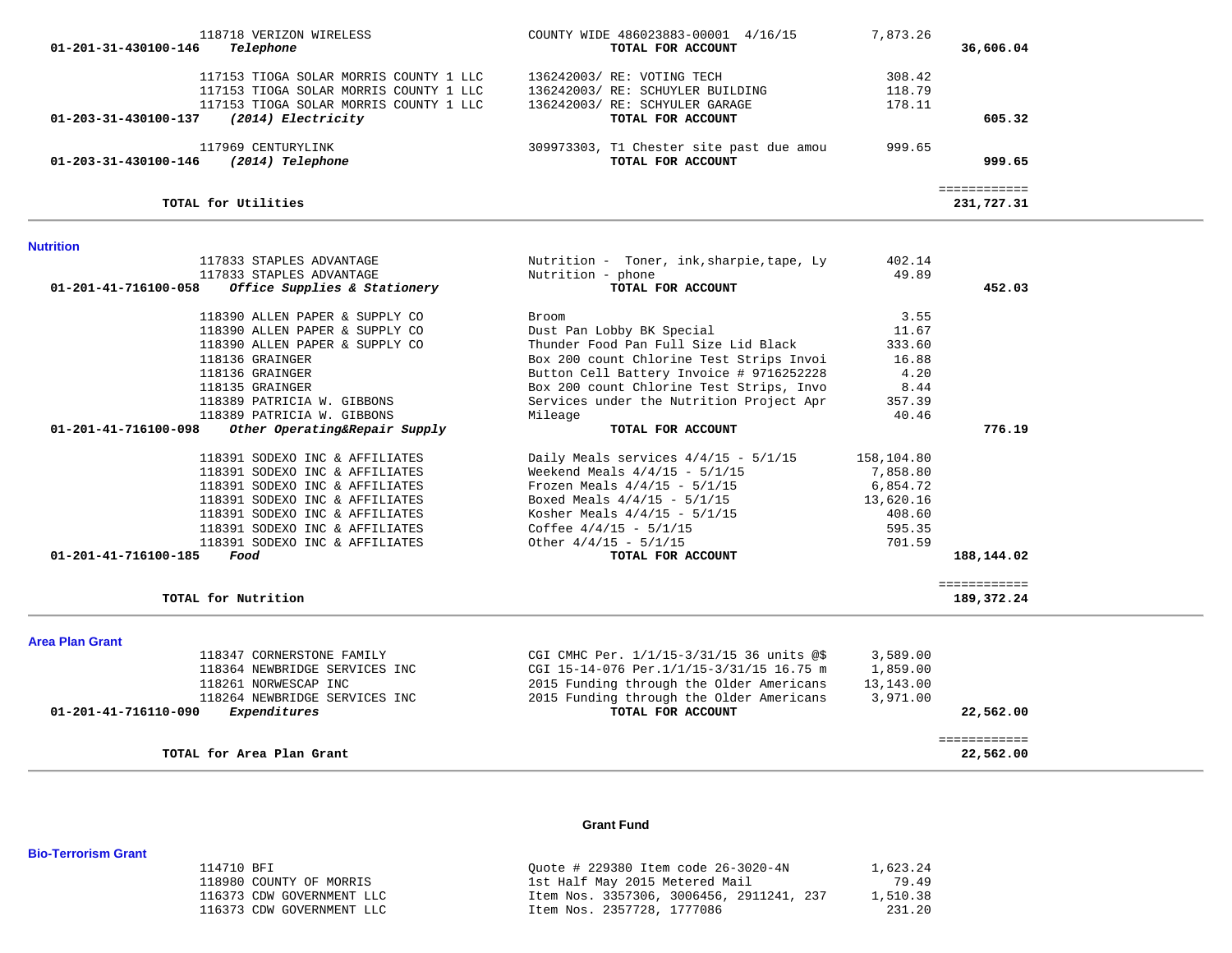| 117153 TIOGA SOLAR MORRIS COUNTY 1 LLC<br>117153 TIOGA SOLAR MORRIS COUNTY 1 LLC<br>117153 TIOGA SOLAR MORRIS COUNTY 1 LLC<br>01-203-31-430100-137<br>(2014) Electricity | 136242003/ RE: VOTING TECH<br>136242003/ RE: SCHUYLER BUILDING<br>136242003/ RE: SCHYULER GARAGE<br>TOTAL FOR ACCOUNT | 308.42<br>118.79<br>178.11 | 605.32                     |  |
|--------------------------------------------------------------------------------------------------------------------------------------------------------------------------|-----------------------------------------------------------------------------------------------------------------------|----------------------------|----------------------------|--|
| 117969 CENTURYLINK<br>(2014) Telephone<br>01-203-31-430100-146                                                                                                           | 309973303, T1 Chester site past due amou<br>TOTAL FOR ACCOUNT                                                         | 999.65                     | 999.65                     |  |
|                                                                                                                                                                          |                                                                                                                       |                            |                            |  |
| TOTAL for Utilities                                                                                                                                                      |                                                                                                                       |                            | ============<br>231,727.31 |  |
| <b>Nutrition</b>                                                                                                                                                         |                                                                                                                       |                            |                            |  |
| 117833 STAPLES ADVANTAGE                                                                                                                                                 | Nutrition - Toner, ink, sharpie, tape, Ly                                                                             | 402.14                     |                            |  |
| 117833 STAPLES ADVANTAGE                                                                                                                                                 | Nutrition - phone                                                                                                     | 49.89                      |                            |  |
| 01-201-41-716100-058<br>Office Supplies & Stationery                                                                                                                     | TOTAL FOR ACCOUNT                                                                                                     |                            | 452.03                     |  |
| 118390 ALLEN PAPER & SUPPLY CO                                                                                                                                           | Broom                                                                                                                 | 3.55                       |                            |  |
| 118390 ALLEN PAPER & SUPPLY CO                                                                                                                                           | Dust Pan Lobby BK Special                                                                                             | 11.67                      |                            |  |
| 118390 ALLEN PAPER & SUPPLY CO                                                                                                                                           | Thunder Food Pan Full Size Lid Black                                                                                  | 333.60                     |                            |  |
| 118136 GRAINGER                                                                                                                                                          | Box 200 count Chlorine Test Strips Invoi                                                                              | 16.88                      |                            |  |
| 118136 GRAINGER                                                                                                                                                          | Button Cell Battery Invoice # 9716252228                                                                              | 4.20                       |                            |  |
| 118135 GRAINGER                                                                                                                                                          | Box 200 count Chlorine Test Strips, Invo                                                                              | 8.44                       |                            |  |
| 118389 PATRICIA W. GIBBONS                                                                                                                                               | Services under the Nutrition Project Apr                                                                              | 357.39                     |                            |  |
| 118389 PATRICIA W. GIBBONS                                                                                                                                               | Mileage                                                                                                               | 40.46                      |                            |  |
| Other Operating&Repair Supply<br>01-201-41-716100-098                                                                                                                    | TOTAL FOR ACCOUNT                                                                                                     |                            | 776.19                     |  |
| 118391 SODEXO INC & AFFILIATES                                                                                                                                           | Daily Meals services $4/4/15 - 5/1/15$                                                                                | 158,104.80                 |                            |  |
| 118391 SODEXO INC & AFFILIATES                                                                                                                                           | Weekend Meals $4/4/15 - 5/1/15$                                                                                       | 7,858.80                   |                            |  |
| 118391 SODEXO INC & AFFILIATES                                                                                                                                           | Frozen Meals $4/4/15 - 5/1/15$                                                                                        | 6,854.72                   |                            |  |
| 118391 SODEXO INC & AFFILIATES                                                                                                                                           | Boxed Meals $4/4/15 - 5/1/15$                                                                                         | 13,620.16                  |                            |  |
| 118391 SODEXO INC & AFFILIATES                                                                                                                                           | Kosher Meals $4/4/15 - 5/1/15$                                                                                        | 408.60                     |                            |  |
| 118391 SODEXO INC & AFFILIATES                                                                                                                                           | Coffee $4/4/15 - 5/1/15$                                                                                              | 595.35                     |                            |  |
| 118391 SODEXO INC & AFFILIATES                                                                                                                                           | Other $4/4/15 - 5/1/15$                                                                                               | 701.59                     |                            |  |
| 01-201-41-716100-185<br>Food                                                                                                                                             | TOTAL FOR ACCOUNT                                                                                                     |                            | 188,144.02                 |  |
|                                                                                                                                                                          |                                                                                                                       |                            | ============               |  |
| TOTAL for Nutrition                                                                                                                                                      |                                                                                                                       |                            | 189,372.24                 |  |
| <b>Area Plan Grant</b>                                                                                                                                                   |                                                                                                                       |                            |                            |  |
| 118347 CORNERSTONE FAMILY                                                                                                                                                | CGI CMHC Per. 1/1/15-3/31/15 36 units @\$                                                                             | 3,589.00                   |                            |  |
| 118364 NEWBRIDGE SERVICES INC                                                                                                                                            | CGI 15-14-076 Per.1/1/15-3/31/15 16.75 m                                                                              | 1,859.00                   |                            |  |
| 118261 NORWESCAP INC                                                                                                                                                     | 2015 Funding through the Older Americans                                                                              | 13,143.00                  |                            |  |
| 118264 NEWBRIDGE SERVICES INC                                                                                                                                            | 2015 Funding through the Older Americans                                                                              | 3,971.00                   |                            |  |
| 01-201-41-716110-090<br>Expenditures                                                                                                                                     | TOTAL FOR ACCOUNT                                                                                                     |                            | 22,562.00                  |  |
|                                                                                                                                                                          |                                                                                                                       |                            | ============               |  |
| TOTAL for Area Plan Grant                                                                                                                                                |                                                                                                                       |                            | 22,562.00                  |  |

 118718 VERIZON WIRELESS COUNTY WIDE 486023883-00001 4/16/15 7,873.26  **01-201-31-430100-146** *Telephone* **TOTAL FOR ACCOUNT 36,606.04**

### **Grant Fund**

#### 114710 BFI Quote # 229380 Item code 26-3020-4N 1,623.24 118980 COUNTY OF MORRIS 1st Half May 2015 Metered Mail 79.49 116373 CDW GOVERNMENT LLC<br>116373 CDW GOVERNMENT LLC 116373 CDW GOVERNMENT LLC 116373 CDW GOVERNMENT LLC 116373 CDW GOVERNMENT LLC 10 116373 CDW GOVERNMENT LLC

#### **Bio-Terrorism Grant**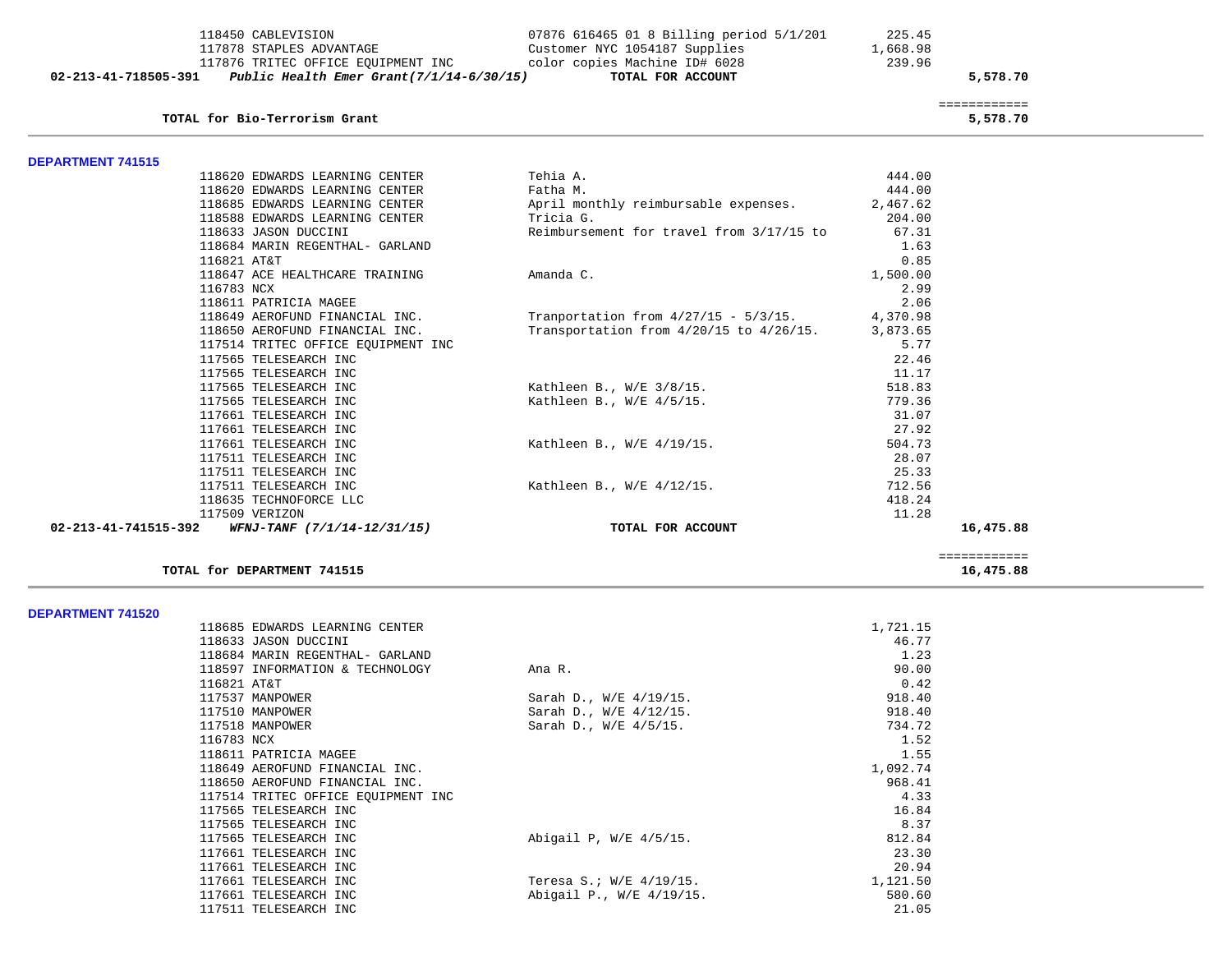|                          | 118450 CABLEVISION                                         | 07876 616465 01 8 Billing period 5/1/201                         | 225.45   |                          |
|--------------------------|------------------------------------------------------------|------------------------------------------------------------------|----------|--------------------------|
|                          | 117878 STAPLES ADVANTAGE                                   | Customer NYC 1054187 Supplies                                    | 1,668.98 |                          |
|                          |                                                            | 117876 TRITEC OFFICE EQUIPMENT INC color copies Machine ID# 6028 | 239.96   |                          |
| 02-213-41-718505-391     | Public Health Emer Grant(7/1/14-6/30/15) TOTAL FOR ACCOUNT |                                                                  |          | 5,578.70                 |
|                          | TOTAL for Bio-Terrorism Grant                              |                                                                  |          | ============<br>5,578.70 |
| <b>DEPARTMENT 741515</b> |                                                            |                                                                  |          |                          |
|                          | 118620 EDWARDS LEARNING CENTER                             | Tehia A.                                                         | 444.00   |                          |
|                          | 118620 EDWARDS LEARNING CENTER                             | Fatha M.                                                         | 444.00   |                          |
|                          | 118685 EDWARDS LEARNING CENTER                             | April monthly reimbursable expenses.                             | 2,467.62 |                          |
|                          | 118588 EDWARDS LEARNING CENTER                             | Tricia G.                                                        | 204.00   |                          |
|                          | 118633 JASON DUCCINI                                       | Reimbursement for travel from 3/17/15 to                         | 67.31    |                          |
|                          | 118684 MARIN REGENTHAL- GARLAND                            |                                                                  | 1.63     |                          |
|                          | 116821 AT&T                                                |                                                                  | 0.85     |                          |
|                          | 118647 ACE HEALTHCARE TRAINING                             | Amanda C.                                                        | 1,500.00 |                          |
|                          | 116783 NCX                                                 |                                                                  | 2.99     |                          |
|                          | 118611 PATRICIA MAGEE                                      |                                                                  | 2.06     |                          |
|                          | 118649 AEROFUND FINANCIAL INC.                             | Tranportation from $4/27/15 - 5/3/15$ .                          | 4,370.98 |                          |
|                          | 118650 AEROFUND FINANCIAL INC.                             | Transportation from 4/20/15 to 4/26/15.                          | 3,873.65 |                          |
|                          | 117514 TRITEC OFFICE EQUIPMENT INC                         |                                                                  | 5.77     |                          |
|                          | 117565 TELESEARCH INC                                      |                                                                  | 22.46    |                          |
|                          | 117565 TELESEARCH INC                                      |                                                                  | 11.17    |                          |
|                          | 117565 TELESEARCH INC                                      | Kathleen B., $W/E = 3/8/15$ .                                    | 518.83   |                          |
|                          | 117565 TELESEARCH INC                                      | Kathleen B., $W/E$ 4/5/15.                                       | 779.36   |                          |
|                          | 117661 TELESEARCH INC                                      |                                                                  | 31.07    |                          |
|                          | 117661 TELESEARCH INC                                      |                                                                  | 27.92    |                          |
|                          | 117661 TELESEARCH INC                                      | Kathleen B., W/E 4/19/15.                                        | 504.73   |                          |
|                          | 117511 TELESEARCH INC                                      |                                                                  | 28.07    |                          |
|                          | 117511 TELESEARCH INC                                      |                                                                  | 25.33    |                          |
|                          | 117511 TELESEARCH INC                                      | Kathleen B., W/E 4/12/15.                                        | 712.56   |                          |
|                          | 118635 TECHNOFORCE LLC                                     |                                                                  | 418.24   |                          |
|                          | 117509 VERIZON                                             |                                                                  | 11.28    |                          |
| 02-213-41-741515-392     | WFNJ-TANF (7/1/14-12/31/15)                                | TOTAL FOR ACCOUNT                                                |          | 16,475.88                |

16,475.88

TOTAL for DEPARTMENT 741515

#### **DEPARTMENT 741520**

| PLI ANIMENI ITIJZU |                                    |                          |          |
|--------------------|------------------------------------|--------------------------|----------|
|                    | 118685 EDWARDS LEARNING CENTER     |                          | 1,721.15 |
|                    | 118633 JASON DUCCINI               |                          | 46.77    |
|                    | 118684 MARIN REGENTHAL- GARLAND    |                          | 1.23     |
|                    | 118597 INFORMATION & TECHNOLOGY    | Ana R.                   | 90.00    |
|                    | 116821 AT&T                        |                          | 0.42     |
|                    | 117537 MANPOWER                    | Sarah D., W/E 4/19/15.   | 918.40   |
|                    | 117510 MANPOWER                    | Sarah D., W/E 4/12/15.   | 918.40   |
|                    | 117518 MANPOWER                    | Sarah D., W/E 4/5/15.    | 734.72   |
|                    | 116783 NCX                         |                          | 1.52     |
|                    | 118611 PATRICIA MAGEE              |                          | 1.55     |
|                    | 118649 AEROFUND FINANCIAL INC.     |                          | 1,092.74 |
|                    | 118650 AEROFUND FINANCIAL INC.     |                          | 968.41   |
|                    | 117514 TRITEC OFFICE EOUIPMENT INC |                          | 4.33     |
|                    | 117565 TELESEARCH INC              |                          | 16.84    |
|                    | 117565 TELESEARCH INC              |                          | 8.37     |
|                    | 117565 TELESEARCH INC              | Abigail P, W/E 4/5/15.   | 812.84   |
|                    | 117661 TELESEARCH INC              |                          | 23.30    |
|                    | 117661 TELESEARCH INC              |                          | 20.94    |
|                    | 117661 TELESEARCH INC              | Teresa S.; W/E 4/19/15.  | 1,121.50 |
|                    | 117661 TELESEARCH INC              | Abigail P., W/E 4/19/15. | 580.60   |
|                    | 117511 TELESEARCH INC              |                          | 21.05    |

============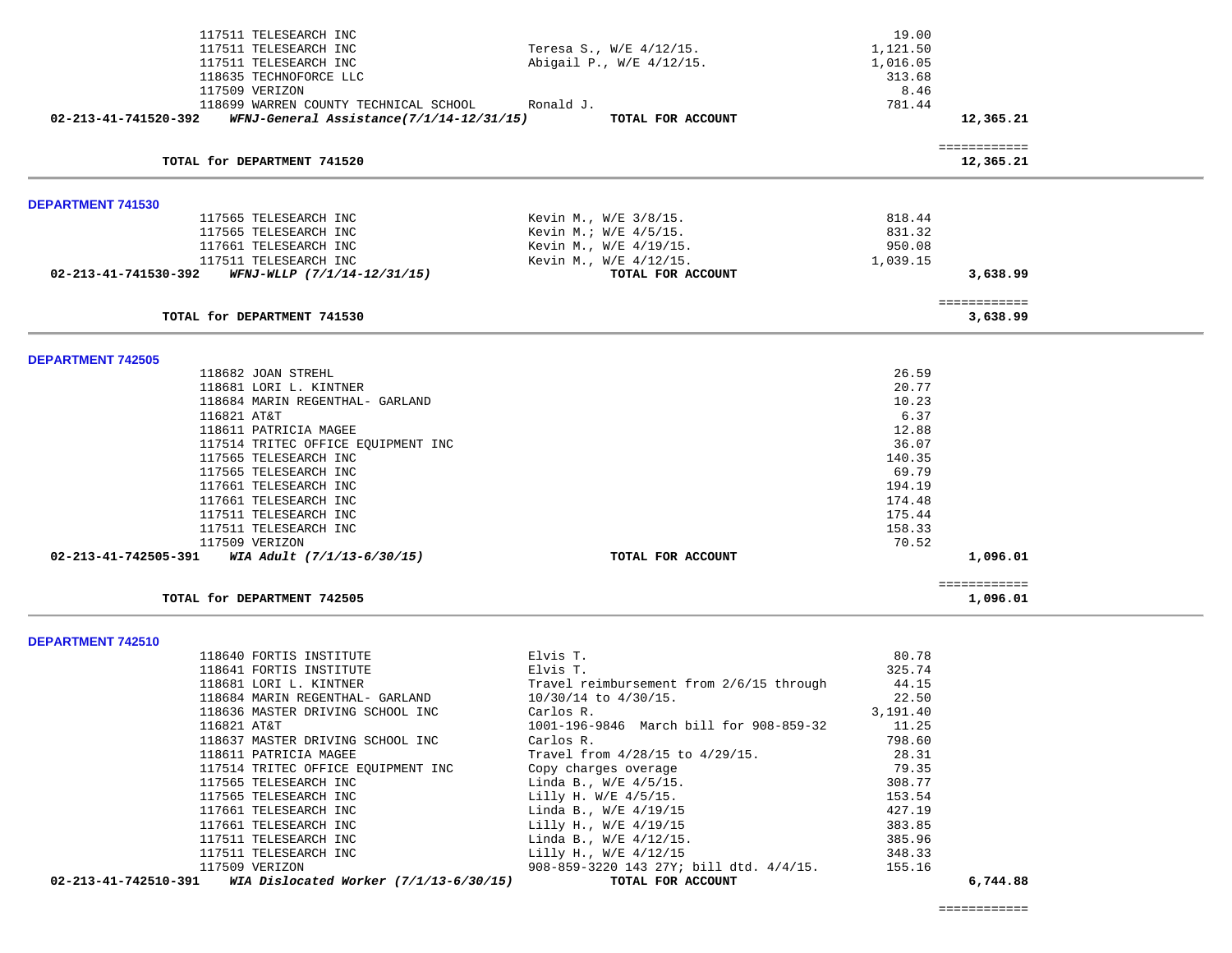|                          | 117511 TELESEARCH INC                             |           |                                          | 19.00    |              |  |
|--------------------------|---------------------------------------------------|-----------|------------------------------------------|----------|--------------|--|
|                          | 117511 TELESEARCH INC                             |           | Teresa S., W/E 4/12/15.                  | 1,121.50 |              |  |
|                          | 117511 TELESEARCH INC                             |           | Abigail P., W/E 4/12/15.                 | 1,016.05 |              |  |
|                          | 118635 TECHNOFORCE LLC                            |           |                                          | 313.68   |              |  |
|                          | 117509 VERIZON                                    |           |                                          | 8.46     |              |  |
|                          | 118699 WARREN COUNTY TECHNICAL SCHOOL             | Ronald J. |                                          | 781.44   |              |  |
| 02-213-41-741520-392     | WFNJ-General Assistance(7/1/14-12/31/15)          |           | TOTAL FOR ACCOUNT                        |          | 12,365.21    |  |
|                          |                                                   |           |                                          |          | ============ |  |
|                          | TOTAL for DEPARTMENT 741520                       |           |                                          |          | 12,365.21    |  |
| <b>DEPARTMENT 741530</b> |                                                   |           |                                          |          |              |  |
|                          | 117565 TELESEARCH INC                             |           | Kevin M., W/E 3/8/15.                    | 818.44   |              |  |
|                          | 117565 TELESEARCH INC                             |           | Kevin M.; W/E 4/5/15.                    | 831.32   |              |  |
|                          | 117661 TELESEARCH INC                             |           | Kevin M., W/E 4/19/15.                   | 950.08   |              |  |
|                          | 117511 TELESEARCH INC                             |           | Kevin M., W/E 4/12/15.                   | 1,039.15 |              |  |
| 02-213-41-741530-392     | WFNJ-WLLP (7/1/14-12/31/15)                       |           | TOTAL FOR ACCOUNT                        |          | 3,638.99     |  |
|                          |                                                   |           |                                          |          | ============ |  |
|                          | TOTAL for DEPARTMENT 741530                       |           |                                          |          | 3,638.99     |  |
| <b>DEPARTMENT 742505</b> |                                                   |           |                                          |          |              |  |
|                          | 118682 JOAN STREHL                                |           |                                          | 26.59    |              |  |
|                          | 118681 LORI L. KINTNER                            |           |                                          | 20.77    |              |  |
|                          | 118684 MARIN REGENTHAL- GARLAND                   |           |                                          | 10.23    |              |  |
|                          | 116821 AT&T                                       |           |                                          | 6.37     |              |  |
|                          | 118611 PATRICIA MAGEE                             |           |                                          | 12.88    |              |  |
|                          | 117514 TRITEC OFFICE EQUIPMENT INC                |           |                                          | 36.07    |              |  |
|                          | 117565 TELESEARCH INC                             |           |                                          | 140.35   |              |  |
|                          | 117565 TELESEARCH INC                             |           |                                          | 69.79    |              |  |
|                          | 117661 TELESEARCH INC                             |           |                                          | 194.19   |              |  |
|                          | 117661 TELESEARCH INC                             |           |                                          | 174.48   |              |  |
|                          | 117511 TELESEARCH INC                             |           |                                          | 175.44   |              |  |
|                          | 117511 TELESEARCH INC                             |           |                                          | 158.33   |              |  |
|                          | 117509 VERIZON                                    |           |                                          | 70.52    |              |  |
|                          | 02-213-41-742505-391 WIA Adult $(7/1/13-6/30/15)$ |           | TOTAL FOR ACCOUNT                        |          | 1,096.01     |  |
|                          |                                                   |           |                                          |          | ============ |  |
|                          | TOTAL for DEPARTMENT 742505                       |           |                                          |          | 1,096.01     |  |
| DEPARTMENT 742510        |                                                   |           |                                          |          |              |  |
|                          | 118640 FORTIS INSTITUTE                           | Elvis T.  |                                          | 80.78    |              |  |
|                          | 118641 FORTIS INSTITUTE                           | Elvis T.  |                                          | 325.74   |              |  |
|                          | 118681 LORI L. KINTNER                            |           | Travel reimbursement from 2/6/15 through | 44.15    |              |  |
|                          | 118684 MARIN REGENTHAL- GARLAND                   |           | 10/30/14 to 4/30/15.                     | 22.50    |              |  |
|                          | 118636 MASTER DRIVING SCHOOL INC                  | Carlos R. |                                          | 3,191.40 |              |  |
|                          | 116821 AT&T                                       |           | 1001-196-9846 March bill for 908-859-32  | 11.25    |              |  |
|                          | 118637 MASTER DRIVING SCHOOL INC                  | Carlos R. |                                          | 798.60   |              |  |
|                          | 118611 PATRICIA MAGEE                             |           | Travel from 4/28/15 to 4/29/15.          | 28.31    |              |  |
|                          | 117514 TRITEC OFFICE EQUIPMENT INC                |           | Copy charges overage                     | 79.35    |              |  |
|                          | 117565 TELESEARCH INC                             |           | Linda B., $W/E$ 4/5/15.                  | 308.77   |              |  |
|                          | 117565 TELESEARCH INC                             |           | Lilly H. W/E 4/5/15.                     | 153.54   |              |  |
|                          | 117661 TELESEARCH INC                             |           | Linda B., W/E 4/19/15                    | 427.19   |              |  |
|                          | 117661 TELESEARCH INC                             |           | Lilly H., W/E 4/19/15                    | 383.85   |              |  |
|                          | 117511 TELESEARCH INC                             |           | Linda B., W/E 4/12/15.                   | 385.96   |              |  |
|                          | 117511 TELESEARCH INC                             |           | Lilly H., W/E 4/12/15                    | 348.33   |              |  |

 117511 TELESEARCH INC Lilly H., W/E 4/12/15 348.33 117509 VERIZON 108-859-3220 143 27Y; bill dtd. 4/4/15.  **02-213-41-742510-391** *WIA Dislocated Worker (7/1/13-6/30/15)* **TOTAL FOR ACCOUNT 6,744.88**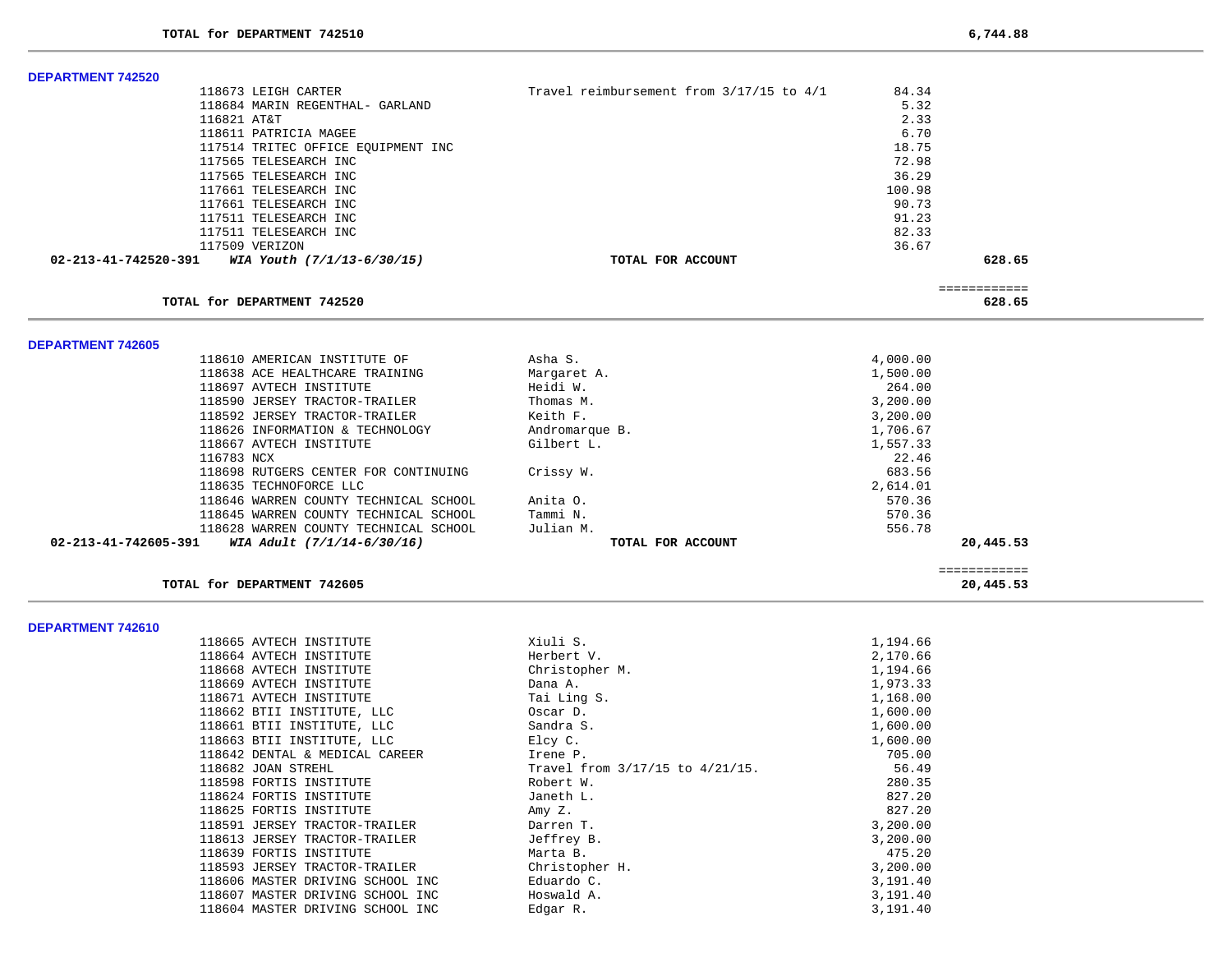-

-

| <b>DEPARTMENT 742520</b>                           |                                          |          |                           |
|----------------------------------------------------|------------------------------------------|----------|---------------------------|
| 118673 LEIGH CARTER                                | Travel reimbursement from 3/17/15 to 4/1 | 84.34    |                           |
| 118684 MARIN REGENTHAL- GARLAND                    |                                          | 5.32     |                           |
| 116821 AT&T                                        |                                          | 2.33     |                           |
| 118611 PATRICIA MAGEE                              |                                          | 6.70     |                           |
| 117514 TRITEC OFFICE EQUIPMENT INC                 |                                          | 18.75    |                           |
| 117565 TELESEARCH INC                              |                                          | 72.98    |                           |
| 117565 TELESEARCH INC                              |                                          | 36.29    |                           |
| 117661 TELESEARCH INC                              |                                          | 100.98   |                           |
| 117661 TELESEARCH INC                              |                                          | 90.73    |                           |
| 117511 TELESEARCH INC                              |                                          | 91.23    |                           |
| 117511 TELESEARCH INC                              |                                          | 82.33    |                           |
| 117509 VERIZON                                     |                                          | 36.67    |                           |
| WIA Youth (7/1/13-6/30/15)<br>02-213-41-742520-391 | TOTAL FOR ACCOUNT                        |          | 628.65                    |
|                                                    |                                          |          | ============              |
| TOTAL for DEPARTMENT 742520                        |                                          |          | 628.65                    |
| <b>DEPARTMENT 742605</b>                           |                                          |          |                           |
| 118610 AMERICAN INSTITUTE OF                       | Asha S.                                  | 4,000.00 |                           |
| 118638 ACE HEALTHCARE TRAINING                     | Margaret A.                              | 1,500.00 |                           |
| 118697 AVTECH INSTITUTE                            | Heidi W.                                 | 264.00   |                           |
| 118590 JERSEY TRACTOR-TRAILER                      | Thomas M.                                | 3,200.00 |                           |
| 118592 JERSEY TRACTOR-TRAILER                      | Keith F.                                 | 3,200.00 |                           |
| 118626 INFORMATION & TECHNOLOGY                    | Andromarque B.                           | 1,706.67 |                           |
| 118667 AVTECH INSTITUTE                            | Gilbert L.                               | 1,557.33 |                           |
| 116783 NCX                                         |                                          | 22.46    |                           |
| 118698 RUTGERS CENTER FOR CONTINUING               | Crissy W.                                | 683.56   |                           |
| 118635 TECHNOFORCE LLC                             |                                          | 2,614.01 |                           |
| 118646 WARREN COUNTY TECHNICAL SCHOOL              | Anita O.                                 | 570.36   |                           |
| 118645 WARREN COUNTY TECHNICAL SCHOOL              | Tammi N.                                 | 570.36   |                           |
| 118628 WARREN COUNTY TECHNICAL SCHOOL              | Julian M.                                | 556.78   |                           |
| 02-213-41-742605-391<br>WIA Adult (7/1/14-6/30/16) | TOTAL FOR ACCOUNT                        |          | 20,445.53                 |
| TOTAL for DEPARTMENT 742605                        |                                          |          | ============<br>20,445.53 |
|                                                    |                                          |          |                           |
| DEPARTMENT 742610                                  |                                          |          |                           |
| 118665 AVTECH INSTITUTE                            | Xiuli S.                                 | 1,194.66 |                           |
| 118664 AVTECH INSTITUTE                            | Herbert V.                               | 2,170.66 |                           |
| 118668 AVTECH INSTITUTE                            | Christopher M.                           | 1,194.66 |                           |
| 118669 AVTECH INSTITUTE                            | Dana A.                                  | 1,973.33 |                           |
| 118671 AVTECH INSTITUTE                            | Tai Ling S.                              | 1,168.00 |                           |
| 118662 BTII INSTITUTE, LLC                         | Oscar D.                                 | 1,600.00 |                           |
| 118661 BTII INSTITUTE, LLC                         | Sandra S.                                | 1,600.00 |                           |
| 118663 BTII INSTITUTE, LLC                         | Elcy C.                                  | 1,600.00 |                           |
| 118642 DENTAL & MEDICAL CAREER                     | Irene P.                                 | 705.00   |                           |
| 118682 JOAN STREHL                                 | Travel from 3/17/15 to 4/21/15.          | 56.49    |                           |
| 118598 FORTIS INSTITUTE                            | Robert W.                                | 280.35   |                           |
| 118624 FORTIS INSTITUTE                            | Janeth L.                                | 827.20   |                           |
| 118625 FORTIS INSTITUTE                            | Amy Z.                                   | 827.20   |                           |
| 118591 JERSEY TRACTOR-TRAILER                      | Darren T.                                | 3,200.00 |                           |
| 118613 JERSEY TRACTOR-TRAILER                      | Jeffrey B.                               | 3,200.00 |                           |
| 118639 FORTIS INSTITUTE                            | Marta B.                                 | 475.20   |                           |
| 118593 JERSEY TRACTOR-TRAILER                      | Christopher H.                           | 3,200.00 |                           |
| 118606 MASTER DRIVING SCHOOL INC                   | Eduardo C.                               | 3,191.40 |                           |
| 118607 MASTER DRIVING SCHOOL INC                   | Hoswald A.                               | 3,191.40 |                           |

118604 MASTER DRIVING SCHOOL INC Edgar R. 3,191.40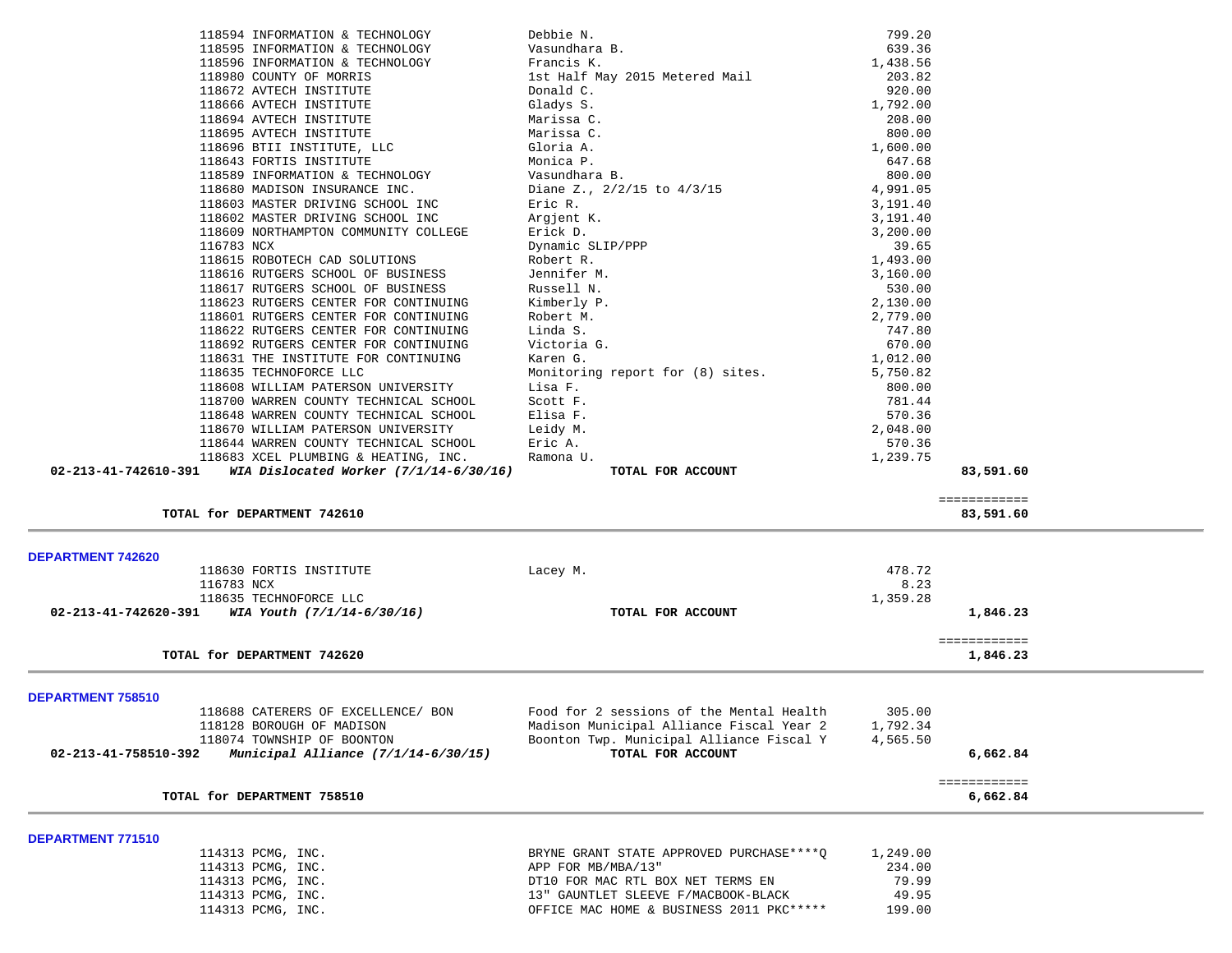| 118594 INFORMATION & TECHNOLOGY                                  | Debbie N.                                                                | 799.20         |              |
|------------------------------------------------------------------|--------------------------------------------------------------------------|----------------|--------------|
| 118595 INFORMATION & TECHNOLOGY                                  | Vasundhara B.                                                            | 639.36         |              |
| 118596 INFORMATION & TECHNOLOGY                                  | Francis K.                                                               | 1,438.56       |              |
| 118980 COUNTY OF MORRIS                                          | 1st Half May 2015 Metered Mail                                           | 203.82         |              |
| 118672 AVTECH INSTITUTE                                          | Donald C.                                                                | 920.00         |              |
| 118666 AVTECH INSTITUTE                                          | Gladys S.                                                                | 1,792.00       |              |
| 118694 AVTECH INSTITUTE                                          | Marissa C.                                                               | 208.00         |              |
| 118695 AVTECH INSTITUTE                                          | Marissa C.                                                               | 800.00         |              |
| 118696 BTII INSTITUTE, LLC                                       | Gloria A.                                                                | 1,600.00       |              |
| 118643 FORTIS INSTITUTE                                          | Monica P.                                                                | 647.68         |              |
| 118589 INFORMATION & TECHNOLOGY                                  | Vasundhara B.                                                            | 800.00         |              |
| 118680 MADISON INSURANCE INC.                                    | Diane Z., $2/2/15$ to $4/3/15$                                           | 4,991.05       |              |
| 118603 MASTER DRIVING SCHOOL INC                                 | Eric R.                                                                  | 3,191.40       |              |
| 118602 MASTER DRIVING SCHOOL INC                                 | Argjent K.                                                               | 3,191.40       |              |
| 118609 NORTHAMPTON COMMUNITY COLLEGE                             | Erick D.                                                                 | 3,200.00       |              |
| 116783 NCX                                                       | Dynamic SLIP/PPP                                                         | 39.65          |              |
| 118615 ROBOTECH CAD SOLUTIONS                                    | Robert R.                                                                | 1,493.00       |              |
| 118616 RUTGERS SCHOOL OF BUSINESS                                | Jennifer M.                                                              | 3,160.00       |              |
| 118617 RUTGERS SCHOOL OF BUSINESS                                | Russell N.                                                               | 530.00         |              |
| 118623 RUTGERS CENTER FOR CONTINUING                             | Kimberly P.                                                              | 2,130.00       |              |
| 118601 RUTGERS CENTER FOR CONTINUING                             | Robert M.                                                                | 2,779.00       |              |
|                                                                  |                                                                          |                |              |
| 118622 RUTGERS CENTER FOR CONTINUING                             | Linda S.                                                                 | 747.80         |              |
| 118692 RUTGERS CENTER FOR CONTINUING                             | Victoria G.                                                              | 670.00         |              |
| 118631 THE INSTITUTE FOR CONTINUING                              | Karen G.                                                                 | 1,012.00       |              |
| 118635 TECHNOFORCE LLC                                           | Monitoring report for (8) sites.                                         | 5,750.82       |              |
| 118608 WILLIAM PATERSON UNIVERSITY                               | Lisa F.                                                                  | 800.00         |              |
| 118700 WARREN COUNTY TECHNICAL SCHOOL                            | Scott F.                                                                 | 781.44         |              |
| 118648 WARREN COUNTY TECHNICAL SCHOOL                            | Elisa F.                                                                 | 570.36         |              |
| 118670 WILLIAM PATERSON UNIVERSITY                               | Leidy M.                                                                 | 2,048.00       |              |
| 118644 WARREN COUNTY TECHNICAL SCHOOL                            | Eric A.                                                                  | 570.36         |              |
| 118683 XCEL PLUMBING & HEATING, INC.                             | Ramona U.                                                                | 1,239.75       |              |
| 02-213-41-742610-391<br>WIA Dislocated Worker $(7/1/14-6/30/16)$ | TOTAL FOR ACCOUNT                                                        |                | 83,591.60    |
|                                                                  |                                                                          |                | ============ |
| TOTAL for DEPARTMENT 742610                                      |                                                                          |                | 83,591.60    |
| <b>DEPARTMENT 742620</b>                                         |                                                                          |                |              |
| 118630 FORTIS INSTITUTE                                          | Lacey M.                                                                 | 478.72         |              |
| 116783 NCX                                                       |                                                                          | 8.23           |              |
| 118635 TECHNOFORCE LLC                                           |                                                                          | 1,359.28       |              |
| WIA Youth (7/1/14-6/30/16)<br>02-213-41-742620-391               | TOTAL FOR ACCOUNT                                                        |                | 1,846.23     |
|                                                                  |                                                                          |                |              |
|                                                                  |                                                                          |                | ============ |
| TOTAL for DEPARTMENT 742620                                      |                                                                          |                | 1,846.23     |
|                                                                  |                                                                          |                |              |
| DEPARTMENT 758510                                                |                                                                          |                |              |
| 118688 CATERERS OF EXCELLENCE/ BON                               | Food for 2 sessions of the Mental Health                                 | 305.00         |              |
| 118128 BOROUGH OF MADISON                                        |                                                                          | 1,792.34       |              |
| 118074 TOWNSHIP OF BOONTON                                       | Madison Municipal Alliance Fiscal Year 2                                 |                |              |
| 02-213-41-758510-392<br>Municipal Alliance (7/1/14-6/30/15)      | Boonton Twp. Municipal Alliance Fiscal Y                                 | 4,565.50       |              |
|                                                                  | TOTAL FOR ACCOUNT                                                        |                | 6,662.84     |
|                                                                  |                                                                          |                | ============ |
| TOTAL for DEPARTMENT 758510                                      |                                                                          |                | 6,662.84     |
|                                                                  |                                                                          |                |              |
| 114313 PCMG, INC.                                                | BRYNE GRANT STATE APPROVED PURCHASE **** Q                               | 1,249.00       |              |
|                                                                  | APP FOR MB/MBA/13"                                                       | 234.00         |              |
| DEPARTMENT 771510<br>114313 PCMG, INC.                           |                                                                          |                |              |
| 114313 PCMG, INC.<br>114313 PCMG, INC.                           | DT10 FOR MAC RTL BOX NET TERMS EN<br>13" GAUNTLET SLEEVE F/MACBOOK-BLACK | 79.99<br>49.95 |              |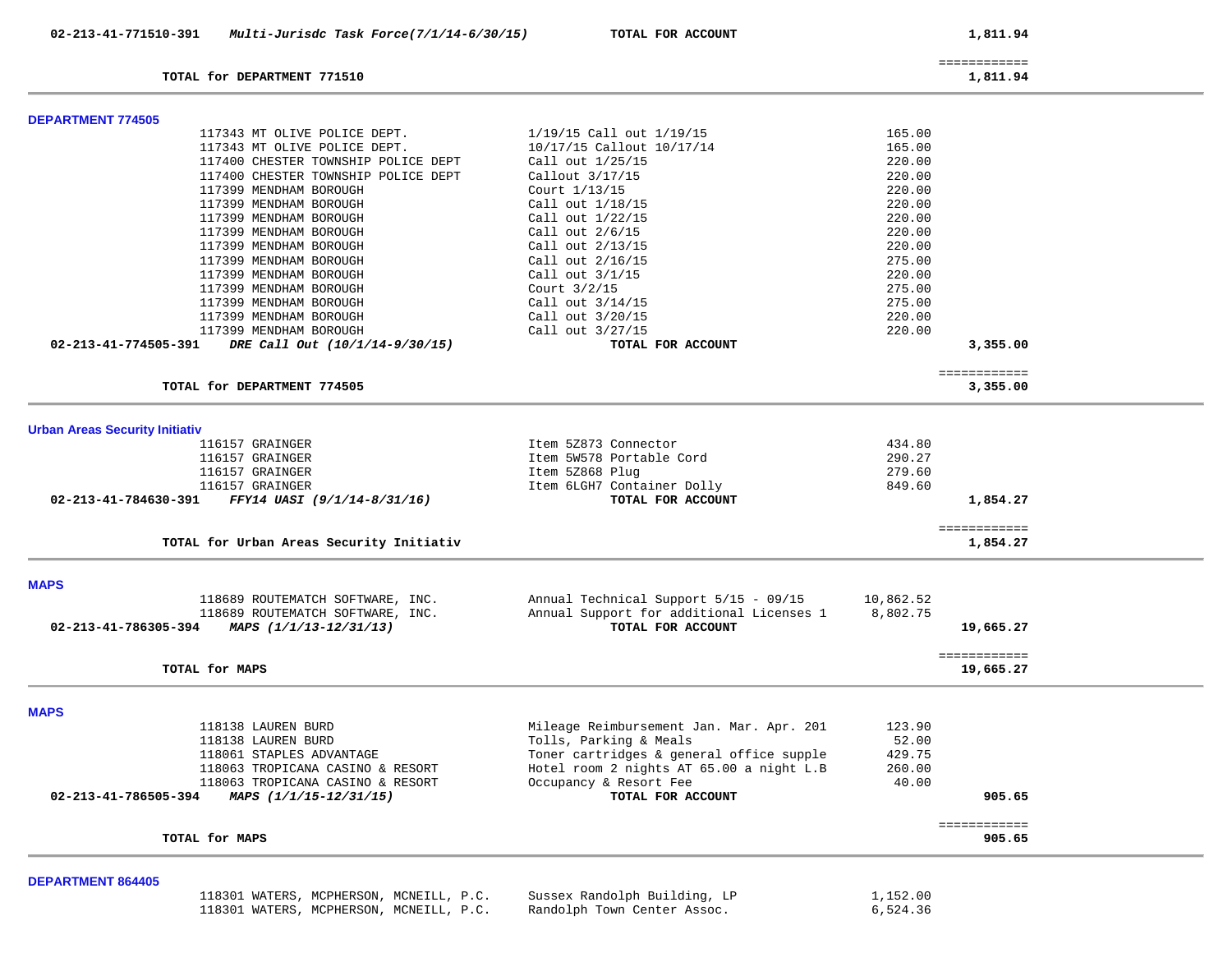|                                       | TOTAL for DEPARTMENT 771510                   |                                          |           | ============<br>1,811.94  |
|---------------------------------------|-----------------------------------------------|------------------------------------------|-----------|---------------------------|
|                                       |                                               |                                          |           |                           |
| <b>DEPARTMENT 774505</b>              |                                               |                                          |           |                           |
|                                       | 117343 MT OLIVE POLICE DEPT.                  | 1/19/15 Call out 1/19/15                 | 165.00    |                           |
|                                       | 117343 MT OLIVE POLICE DEPT.                  | 10/17/15 Callout 10/17/14                | 165.00    |                           |
|                                       | 117400 CHESTER TOWNSHIP POLICE DEPT           | Call out 1/25/15                         | 220.00    |                           |
|                                       | 117400 CHESTER TOWNSHIP POLICE DEPT           | Callout $3/17/15$                        | 220.00    |                           |
|                                       | 117399 MENDHAM BOROUGH                        | Court 1/13/15                            | 220.00    |                           |
|                                       | 117399 MENDHAM BOROUGH                        | Call out 1/18/15                         | 220.00    |                           |
|                                       | 117399 MENDHAM BOROUGH                        | Call out 1/22/15                         | 220.00    |                           |
|                                       | 117399 MENDHAM BOROUGH                        | Call out 2/6/15                          | 220.00    |                           |
|                                       | 117399 MENDHAM BOROUGH                        | Call out 2/13/15                         | 220.00    |                           |
|                                       | 117399 MENDHAM BOROUGH                        | Call out 2/16/15                         | 275.00    |                           |
|                                       | 117399 MENDHAM BOROUGH                        | Call out 3/1/15                          | 220.00    |                           |
|                                       | 117399 MENDHAM BOROUGH                        | Court 3/2/15                             | 275.00    |                           |
|                                       | 117399 MENDHAM BOROUGH                        | Call out $3/14/15$                       | 275.00    |                           |
|                                       | 117399 MENDHAM BOROUGH                        | Call out 3/20/15                         | 220.00    |                           |
|                                       | 117399 MENDHAM BOROUGH                        | Call out 3/27/15                         | 220.00    |                           |
|                                       |                                               |                                          |           |                           |
| 02-213-41-774505-391                  | DRE Call Out (10/1/14-9/30/15)                | TOTAL FOR ACCOUNT                        |           | 3,355.00                  |
|                                       | TOTAL for DEPARTMENT 774505                   |                                          |           | ============<br>3,355.00  |
|                                       |                                               |                                          |           |                           |
| <b>Urban Areas Security Initiativ</b> |                                               |                                          |           |                           |
|                                       | 116157 GRAINGER                               | Item 5Z873 Connector                     | 434.80    |                           |
|                                       | 116157 GRAINGER                               | Item 5W578 Portable Cord                 | 290.27    |                           |
|                                       | 116157 GRAINGER                               | Item 5Z868 Plug                          | 279.60    |                           |
|                                       | 116157 GRAINGER                               |                                          | 849.60    |                           |
|                                       |                                               | Item 6LGH7 Container Dolly               |           |                           |
| 02-213-41-784630-391                  | FFY14 UASI (9/1/14-8/31/16)                   | TOTAL FOR ACCOUNT                        |           | 1,854.27                  |
|                                       | TOTAL for Urban Areas Security Initiativ      |                                          |           | ============<br>1,854.27  |
|                                       |                                               |                                          |           |                           |
| <b>MAPS</b>                           |                                               |                                          |           |                           |
|                                       | 118689 ROUTEMATCH SOFTWARE, INC.              | Annual Technical Support 5/15 - 09/15    | 10,862.52 |                           |
|                                       | 118689 ROUTEMATCH SOFTWARE, INC.              | Annual Support for additional Licenses 1 | 8,802.75  |                           |
|                                       | 02-213-41-786305-394 MAPS $(1/1/13-12/31/13)$ | TOTAL FOR ACCOUNT                        |           | 19,665.27                 |
|                                       |                                               |                                          |           |                           |
|                                       | TOTAL for MAPS                                |                                          |           | ============<br>19,665.27 |
|                                       |                                               |                                          |           |                           |
| <b>MAPS</b>                           |                                               |                                          |           |                           |
|                                       | 118138 LAUREN BURD                            | Mileage Reimbursement Jan. Mar. Apr. 201 | 123.90    |                           |
|                                       | 118138 LAUREN BURD                            | Tolls, Parking & Meals                   | 52.00     |                           |
|                                       | 118061 STAPLES ADVANTAGE                      | Toner cartridges & general office supple | 429.75    |                           |
|                                       | 118063 TROPICANA CASINO & RESORT              | Hotel room 2 nights AT 65.00 a night L.B | 260.00    |                           |
|                                       | 118063 TROPICANA CASINO & RESORT              | Occupancy & Resort Fee                   | 40.00     |                           |
| 02-213-41-786505-394                  | MAPS (1/1/15-12/31/15)                        | TOTAL FOR ACCOUNT                        |           | 905.65                    |
|                                       | TOTAL for MAPS                                |                                          |           | ============              |
|                                       |                                               |                                          |           | 905.65                    |
| <b>DEPARTMENT 864405</b>              |                                               |                                          |           |                           |
|                                       | 118301 WATERS, MCPHERSON, MCNEILL, P.C.       | Sussex Randolph Building, LP             | 1,152.00  |                           |
|                                       | 118301 WATERS, MCPHERSON, MCNEILL, P.C.       | Randolph Town Center Assoc.              | 6,524.36  |                           |

118301 WATERS, MCPHERSON, MCNEILL, P.C. Randolph Town Center Assoc.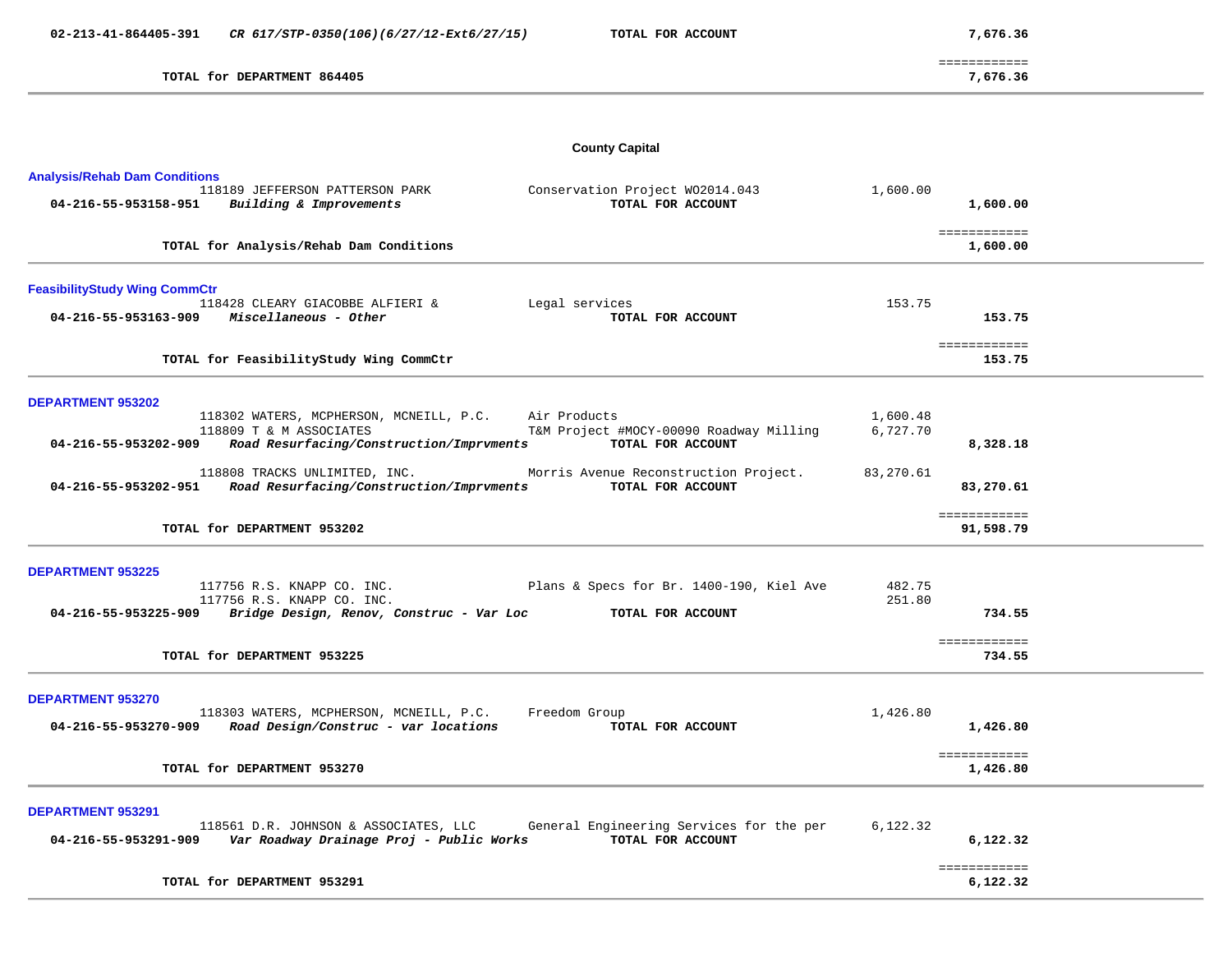============ 7,676.36

| DEPARTMENT 864405<br>TOTAL<br>for | ,676.36 |  |  |  |  |
|-----------------------------------|---------|--|--|--|--|
|-----------------------------------|---------|--|--|--|--|

**County Capital** 

| <b>Analysis/Rehab Dam Conditions</b><br>Conservation Project W02014.043<br>118189 JEFFERSON PATTERSON PARK                                             | 1,600.00                                                                                         |
|--------------------------------------------------------------------------------------------------------------------------------------------------------|--------------------------------------------------------------------------------------------------|
| 04-216-55-953158-951<br>Building & Improvements                                                                                                        | TOTAL FOR ACCOUNT<br>1,600.00                                                                    |
| TOTAL for Analysis/Rehab Dam Conditions                                                                                                                | ============<br>1,600.00                                                                         |
| <b>FeasibilityStudy Wing CommCtr</b><br>118428 CLEARY GIACOBBE ALFIERI &<br>Legal services                                                             | 153.75                                                                                           |
| 04-216-55-953163-909<br>Miscellaneous - Other                                                                                                          | TOTAL FOR ACCOUNT<br>153.75                                                                      |
| TOTAL for FeasibilityStudy Wing CommCtr                                                                                                                | ============<br>153.75                                                                           |
| <b>DEPARTMENT 953202</b>                                                                                                                               |                                                                                                  |
| 118302 WATERS, MCPHERSON, MCNEILL, P.C.<br>Air Products<br>118809 T & M ASSOCIATES<br>Road Resurfacing/Construction/Imprvments<br>04-216-55-953202-909 | 1,600.48<br>T&M Project #MOCY-00090 Roadway Milling<br>6,727.70<br>TOTAL FOR ACCOUNT<br>8,328.18 |
| 118808 TRACKS UNLIMITED, INC.<br>Road Resurfacing/Construction/Imprvments<br>04-216-55-953202-951                                                      | Morris Avenue Reconstruction Project.<br>83,270.61<br>TOTAL FOR ACCOUNT<br>83,270.61             |
| TOTAL for DEPARTMENT 953202                                                                                                                            | ============<br>91,598.79                                                                        |
| <b>DEPARTMENT 953225</b>                                                                                                                               |                                                                                                  |
| 117756 R.S. KNAPP CO. INC.<br>117756 R.S. KNAPP CO. INC.<br>04-216-55-953225-909<br>Bridge Design, Renov, Construc - Var Loc                           | Plans & Specs for Br. 1400-190, Kiel Ave<br>482.75<br>251.80<br>734.55<br>TOTAL FOR ACCOUNT      |
| TOTAL for DEPARTMENT 953225                                                                                                                            | ============<br>734.55                                                                           |
| <b>DEPARTMENT 953270</b><br>118303 WATERS, MCPHERSON, MCNEILL, P.C.<br>Freedom Group<br>Road Design/Construc - var locations<br>04-216-55-953270-909   | 1,426.80<br>TOTAL FOR ACCOUNT<br>1,426.80                                                        |
| TOTAL for DEPARTMENT 953270                                                                                                                            | ============<br>1,426.80                                                                         |
| <b>DEPARTMENT 953291</b><br>118561 D.R. JOHNSON & ASSOCIATES, LLC<br>04-216-55-953291-909<br>Var Roadway Drainage Proj - Public Works                  | General Engineering Services for the per<br>6,122.32<br>TOTAL FOR ACCOUNT<br>6,122.32            |
| TOTAL for DEPARTMENT 953291                                                                                                                            | ============<br>6,122.32                                                                         |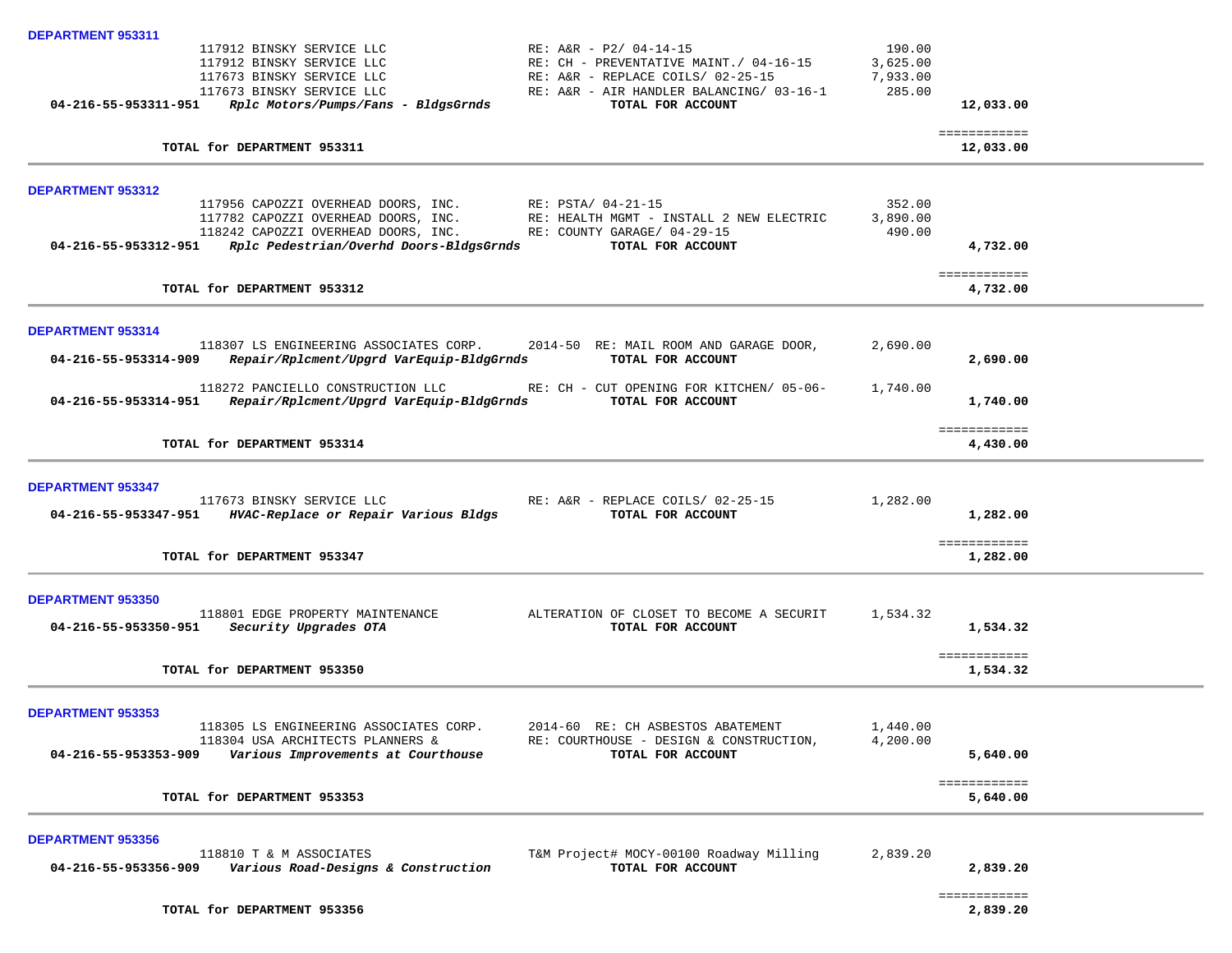| <b>DEPARTMENT 953311</b>                                                                                                                                                                                                         |                                                                                                                                                   |                                          |                           |
|----------------------------------------------------------------------------------------------------------------------------------------------------------------------------------------------------------------------------------|---------------------------------------------------------------------------------------------------------------------------------------------------|------------------------------------------|---------------------------|
| 117912 BINSKY SERVICE LLC<br>117912 BINSKY SERVICE LLC<br>117673 BINSKY SERVICE LLC<br>117673 BINSKY SERVICE LLC                                                                                                                 | RE: A&R - P2/ 04-14-15<br>RE: CH - PREVENTATIVE MAINT./ 04-16-15<br>RE: A&R - REPLACE COILS/ 02-25-15<br>RE: A&R - AIR HANDLER BALANCING/ 03-16-1 | 190.00<br>3,625.00<br>7,933.00<br>285.00 |                           |
| 04-216-55-953311-951<br>Rplc Motors/Pumps/Fans - BldgsGrnds                                                                                                                                                                      | TOTAL FOR ACCOUNT                                                                                                                                 |                                          | 12,033.00                 |
| TOTAL for DEPARTMENT 953311                                                                                                                                                                                                      |                                                                                                                                                   |                                          | ============<br>12,033.00 |
| DEPARTMENT 953312                                                                                                                                                                                                                |                                                                                                                                                   |                                          |                           |
| 117956 CAPOZZI OVERHEAD DOORS, INC. RE: PSTA/ 04-21-15<br>117782 CAPOZZI OVERHEAD DOORS, INC.<br>118242 CAPOZZI OVERHEAD DOORS, INC. RE: COUNTY GARAGE/ 04-29-15<br>04-216-55-953312-951 Rplc Pedestrian/Overhd Doors-BldgsGrnds | RE: HEALTH MGMT - INSTALL 2 NEW ELECTRIC<br>TOTAL FOR ACCOUNT                                                                                     | 352.00<br>3,890.00<br>490.00             | 4,732.00                  |
| TOTAL for DEPARTMENT 953312                                                                                                                                                                                                      |                                                                                                                                                   |                                          | ============<br>4,732.00  |
| <b>DEPARTMENT 953314</b>                                                                                                                                                                                                         |                                                                                                                                                   |                                          |                           |
| 04-216-55-953314-909<br>Repair/Rplcment/Upgrd VarEquip-BldgGrnds                                                                                                                                                                 | 118307 LS ENGINEERING ASSOCIATES CORP. 2014-50 RE: MAIL ROOM AND GARAGE DOOR,<br>TOTAL FOR ACCOUNT                                                | 2,690.00                                 | 2,690.00                  |
| 118272 PANCIELLO CONSTRUCTION LLC<br>04-216-55-953314-951 Repair/Rplcment/Upgrd VarEquip-BldgGrnds                                                                                                                               | RE: CH - CUT OPENING FOR KITCHEN/ 05-06-<br>TOTAL FOR ACCOUNT                                                                                     | 1,740.00                                 | 1,740.00                  |
| TOTAL for DEPARTMENT 953314                                                                                                                                                                                                      |                                                                                                                                                   |                                          | ============<br>4,430.00  |
| <b>DEPARTMENT 953347</b>                                                                                                                                                                                                         |                                                                                                                                                   |                                          |                           |
| 117673 BINSKY SERVICE LLC<br>04-216-55-953347-951 HVAC-Replace or Repair Various Bldgs                                                                                                                                           | RE: A&R - REPLACE COILS/ 02-25-15<br>TOTAL FOR ACCOUNT                                                                                            | 1,282.00                                 | 1,282.00                  |
| TOTAL for DEPARTMENT 953347                                                                                                                                                                                                      |                                                                                                                                                   |                                          | ============<br>1,282.00  |
| <b>DEPARTMENT 953350</b>                                                                                                                                                                                                         |                                                                                                                                                   |                                          |                           |
| 118801 EDGE PROPERTY MAINTENANCE<br>04-216-55-953350-951<br>Security Upgrades OTA                                                                                                                                                | ALTERATION OF CLOSET TO BECOME A SECURIT<br>TOTAL FOR ACCOUNT                                                                                     | 1,534.32                                 | 1,534.32                  |
| TOTAL for DEPARTMENT 953350                                                                                                                                                                                                      |                                                                                                                                                   |                                          | ============<br>1,534.32  |
| <b>DEPARTMENT 953353</b>                                                                                                                                                                                                         |                                                                                                                                                   |                                          |                           |
| 118305 LS ENGINEERING ASSOCIATES CORP.<br>118304 USA ARCHITECTS PLANNERS &<br>04-216-55-953353-909<br>Various Improvements at Courthouse                                                                                         | 2014-60 RE: CH ASBESTOS ABATEMENT<br>RE: COURTHOUSE - DESIGN & CONSTRUCTION,<br>TOTAL FOR ACCOUNT                                                 | 1,440.00<br>4,200.00                     | 5,640.00                  |
| TOTAL for DEPARTMENT 953353                                                                                                                                                                                                      |                                                                                                                                                   |                                          | ============<br>5,640.00  |
| <b>DEPARTMENT 953356</b>                                                                                                                                                                                                         |                                                                                                                                                   |                                          |                           |
| 118810 T & M ASSOCIATES<br>04-216-55-953356-909<br>Various Road-Designs & Construction                                                                                                                                           | T&M Project# MOCY-00100 Roadway Milling<br>TOTAL FOR ACCOUNT                                                                                      | 2,839.20                                 | 2,839.20                  |
| TOTAL for DEPARTMENT 953356                                                                                                                                                                                                      |                                                                                                                                                   |                                          | ============<br>2,839,20  |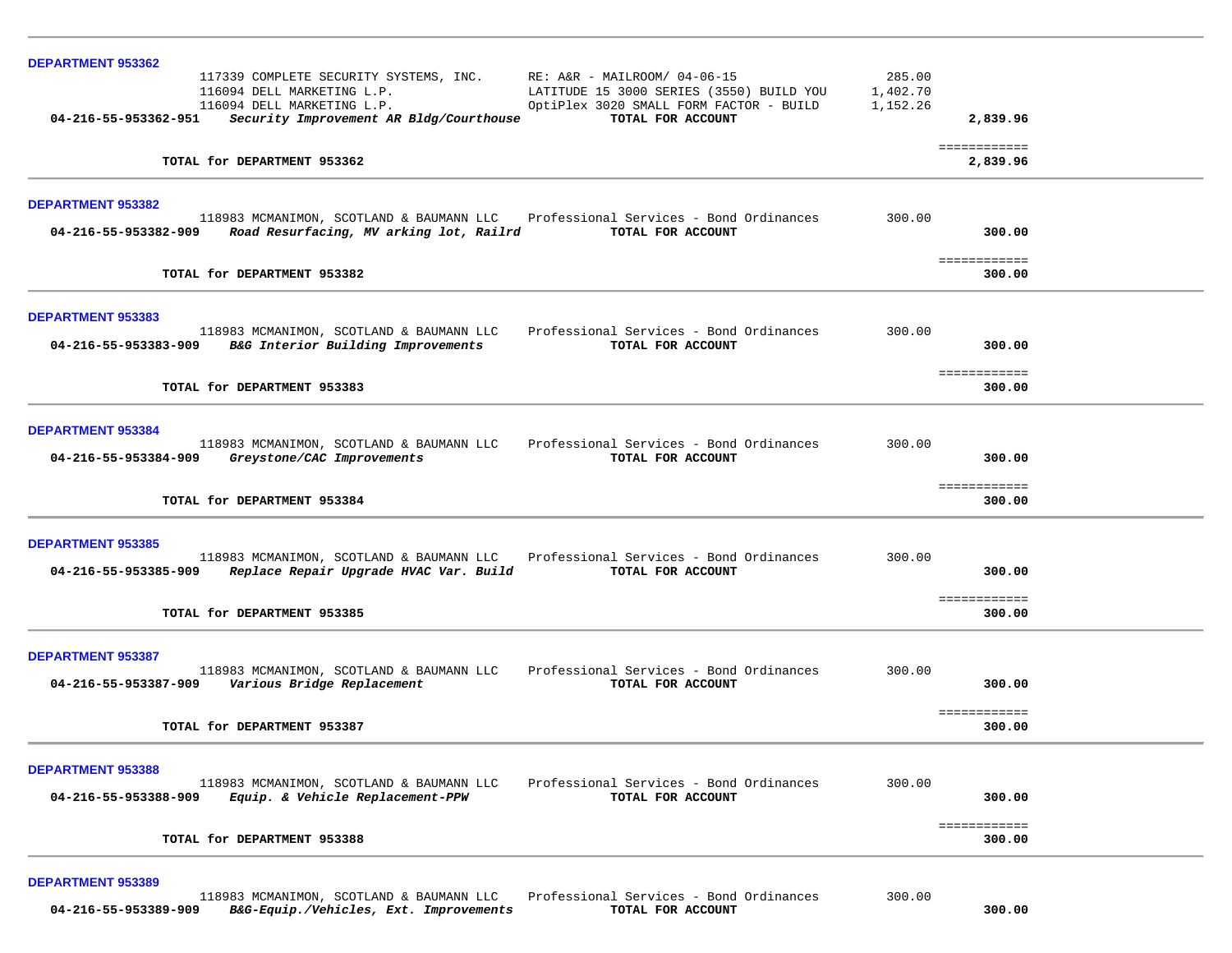| <b>DEPARTMENT 953362</b>                                                                                                                                                                                                    |                                |
|-----------------------------------------------------------------------------------------------------------------------------------------------------------------------------------------------------------------------------|--------------------------------|
| 117339 COMPLETE SECURITY SYSTEMS, INC.<br>$RE: A&R - MALLROOM/ 04-06-15$<br>116094 DELL MARKETING L.P.<br>LATITUDE 15 3000 SERIES (3550) BUILD YOU<br>116094 DELL MARKETING L.P.<br>OptiPlex 3020 SMALL FORM FACTOR - BUILD | 285.00<br>1,402.70<br>1,152.26 |
| TOTAL FOR ACCOUNT<br>04-216-55-953362-951<br>Security Improvement AR Bldg/Courthouse                                                                                                                                        | 2,839.96                       |
| TOTAL for DEPARTMENT 953362                                                                                                                                                                                                 | ============<br>2,839.96       |
| DEPARTMENT 953382                                                                                                                                                                                                           |                                |
| 118983 MCMANIMON, SCOTLAND & BAUMANN LLC Professional Services - Bond Ordinances<br>Road Resurfacing, MV arking lot, Railrd TOTAL FOR ACCOUNT<br>04-216-55-953382-909                                                       | 300.00<br>300.00               |
| TOTAL for DEPARTMENT 953382                                                                                                                                                                                                 | ============<br>300.00         |
| <b>DEPARTMENT 953383</b>                                                                                                                                                                                                    |                                |
| Professional Services - Bond Ordinances<br>118983 MCMANIMON, SCOTLAND & BAUMANN LLC<br>B&G Interior Building Improvements<br>04-216-55-953383-909<br>TOTAL FOR ACCOUNT                                                      | 300.00<br>300.00               |
| TOTAL for DEPARTMENT 953383                                                                                                                                                                                                 | ============<br>300.00         |
| <b>DEPARTMENT 953384</b>                                                                                                                                                                                                    |                                |
| 118983 MCMANIMON, SCOTLAND & BAUMANN LLC<br>Professional Services - Bond Ordinances<br>04-216-55-953384-909<br>Greystone/CAC Improvements<br>TOTAL FOR ACCOUNT                                                              | 300.00<br>300.00               |
| TOTAL for DEPARTMENT 953384                                                                                                                                                                                                 | ============<br>300.00         |
| <b>DEPARTMENT 953385</b>                                                                                                                                                                                                    |                                |
| Professional Services - Bond Ordinances<br>118983 MCMANIMON, SCOTLAND & BAUMANN LLC<br>04-216-55-953385-909<br>Replace Repair Upgrade HVAC Var. Build<br>TOTAL FOR ACCOUNT                                                  | 300.00<br>300.00               |
| TOTAL for DEPARTMENT 953385                                                                                                                                                                                                 | ============<br>300.00         |
| <b>DEPARTMENT 953387</b>                                                                                                                                                                                                    |                                |
| 118983 MCMANIMON, SCOTLAND & BAUMANN LLC Professional Services - Bond Ordinances<br>04-216-55-953387-909 Various Bridge Replacement<br>TOTAL FOR ACCOUNT                                                                    | 300.00<br>300.00               |
| TOTAL for DEPARTMENT 953387                                                                                                                                                                                                 | ============<br>300.00         |
| <b>DEPARTMENT 953388</b>                                                                                                                                                                                                    |                                |
| Professional Services - Bond Ordinances<br>118983 MCMANIMON, SCOTLAND & BAUMANN LLC<br>Equip. & Vehicle Replacement-PPW<br>TOTAL FOR ACCOUNT<br>04-216-55-953388-909                                                        | 300.00<br>300.00               |
| TOTAL for DEPARTMENT 953388                                                                                                                                                                                                 | ============<br>300.00         |
|                                                                                                                                                                                                                             |                                |
| <b>DEPARTMENT 953389</b><br>Professional Services - Bond Ordinances<br>118983 MCMANIMON, SCOTLAND & BAUMANN LLC                                                                                                             | 300.00                         |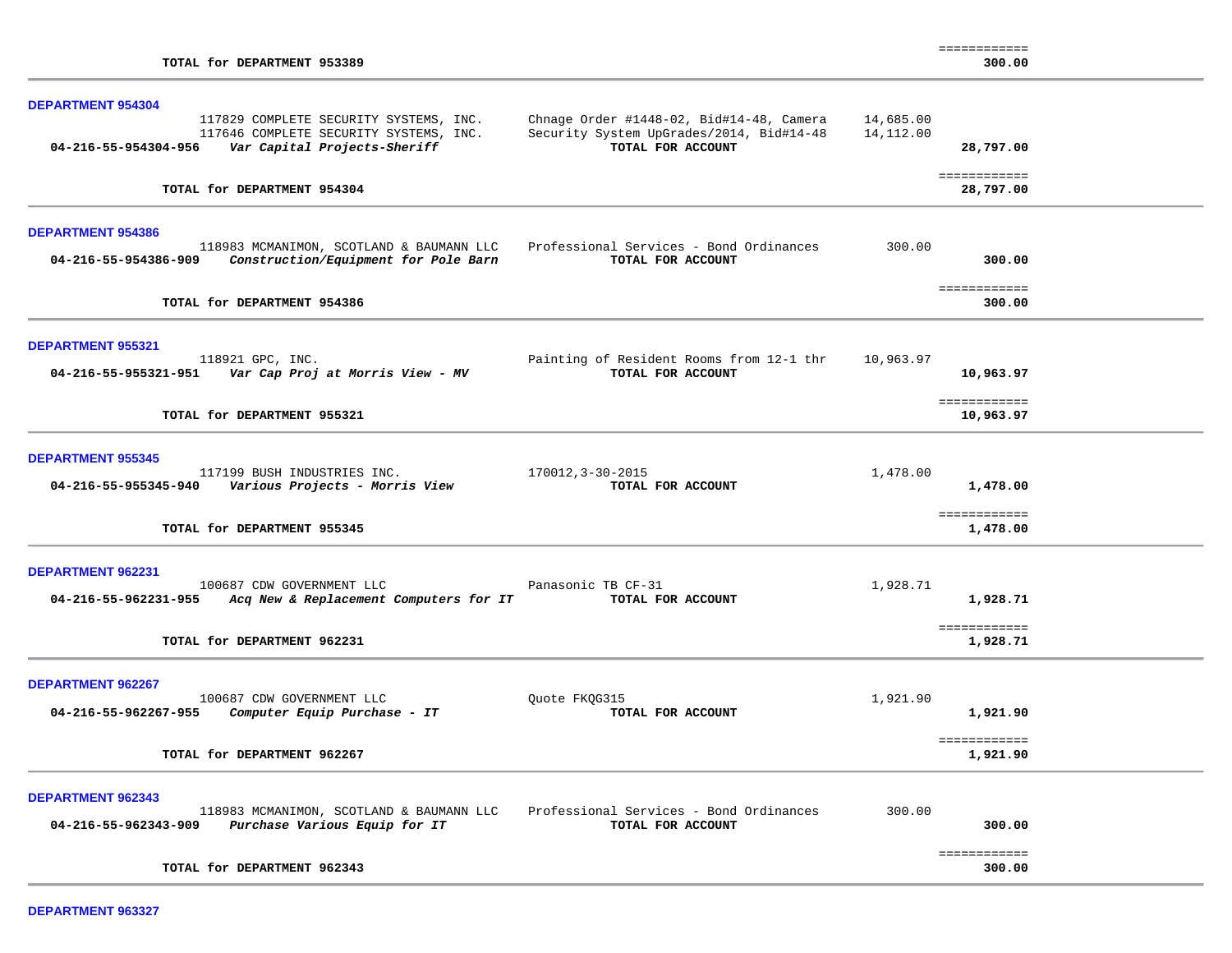| TOTAL for DEPARTMENT 953389                                                                                                                                       |                                                                                                                     |           | -----------<br>300.00     |
|-------------------------------------------------------------------------------------------------------------------------------------------------------------------|---------------------------------------------------------------------------------------------------------------------|-----------|---------------------------|
| <b>DEPARTMENT 954304</b><br>117829 COMPLETE SECURITY SYSTEMS, INC.<br>117646 COMPLETE SECURITY SYSTEMS, INC.<br>04-216-55-954304-956 Var Capital Projects-Sheriff | Chnage Order #1448-02, Bid#14-48, Camera 14,685.00<br>Security System UpGrades/2014, Bid#14-48<br>TOTAL FOR ACCOUNT | 14,112.00 | 28,797.00                 |
| TOTAL for DEPARTMENT 954304                                                                                                                                       |                                                                                                                     |           | ============<br>28,797.00 |
|                                                                                                                                                                   |                                                                                                                     |           |                           |
| <b>DEPARTMENT 954386</b><br>118983 MCMANIMON, SCOTLAND & BAUMANN LLC<br>Construction/Equipment for Pole Barn<br>04-216-55-954386-909                              | Professional Services - Bond Ordinances<br>TOTAL FOR ACCOUNT                                                        | 300.00    | 300.00                    |
| TOTAL for DEPARTMENT 954386                                                                                                                                       |                                                                                                                     |           | ============<br>300.00    |
| <b>DEPARTMENT 955321</b><br>118921 GPC, INC.                                                                                                                      | Painting of Resident Rooms from 12-1 thr<br>TOTAL FOR ACCOUNT                                                       | 10,963.97 | 10,963.97                 |
| TOTAL for DEPARTMENT 955321                                                                                                                                       |                                                                                                                     |           | ============<br>10,963.97 |
| <b>DEPARTMENT 955345</b><br>117199 BUSH INDUSTRIES INC.<br>04-216-55-955345-940 Various Projects - Morris View                                                    | 170012, 3-30-2015<br>TOTAL FOR ACCOUNT                                                                              | 1,478.00  | 1,478.00                  |
| TOTAL for DEPARTMENT 955345                                                                                                                                       |                                                                                                                     |           | ============<br>1,478.00  |
| DEPARTMENT 962231<br>100687 CDW GOVERNMENT LLC<br>04-216-55-962231-955 Acq New & Replacement Computers for IT                                                     | Panasonic TB CF-31<br>TOTAL FOR ACCOUNT                                                                             | 1,928.71  | 1,928.71                  |
| TOTAL for DEPARTMENT 962231                                                                                                                                       |                                                                                                                     |           | ============<br>1,928.71  |
| DEPARTMENT 962267<br>100687 CDW GOVERNMENT LLC<br>04-216-55-962267-955<br>Computer Equip Purchase - IT                                                            | Ouote FKOG315<br>TOTAL FOR ACCOUNT                                                                                  | 1,921.90  | 1,921.90                  |
| TOTAL for DEPARTMENT 962267                                                                                                                                       |                                                                                                                     |           | ============<br>1,921.90  |
| DEPARTMENT 962343<br>118983 MCMANIMON, SCOTLAND & BAUMANN LLC<br>Purchase Various Equip for IT<br>04-216-55-962343-909                                            | Professional Services - Bond Ordinances<br>TOTAL FOR ACCOUNT                                                        | 300.00    | 300.00                    |
| TOTAL for DEPARTMENT 962343                                                                                                                                       |                                                                                                                     |           | ============<br>300.00    |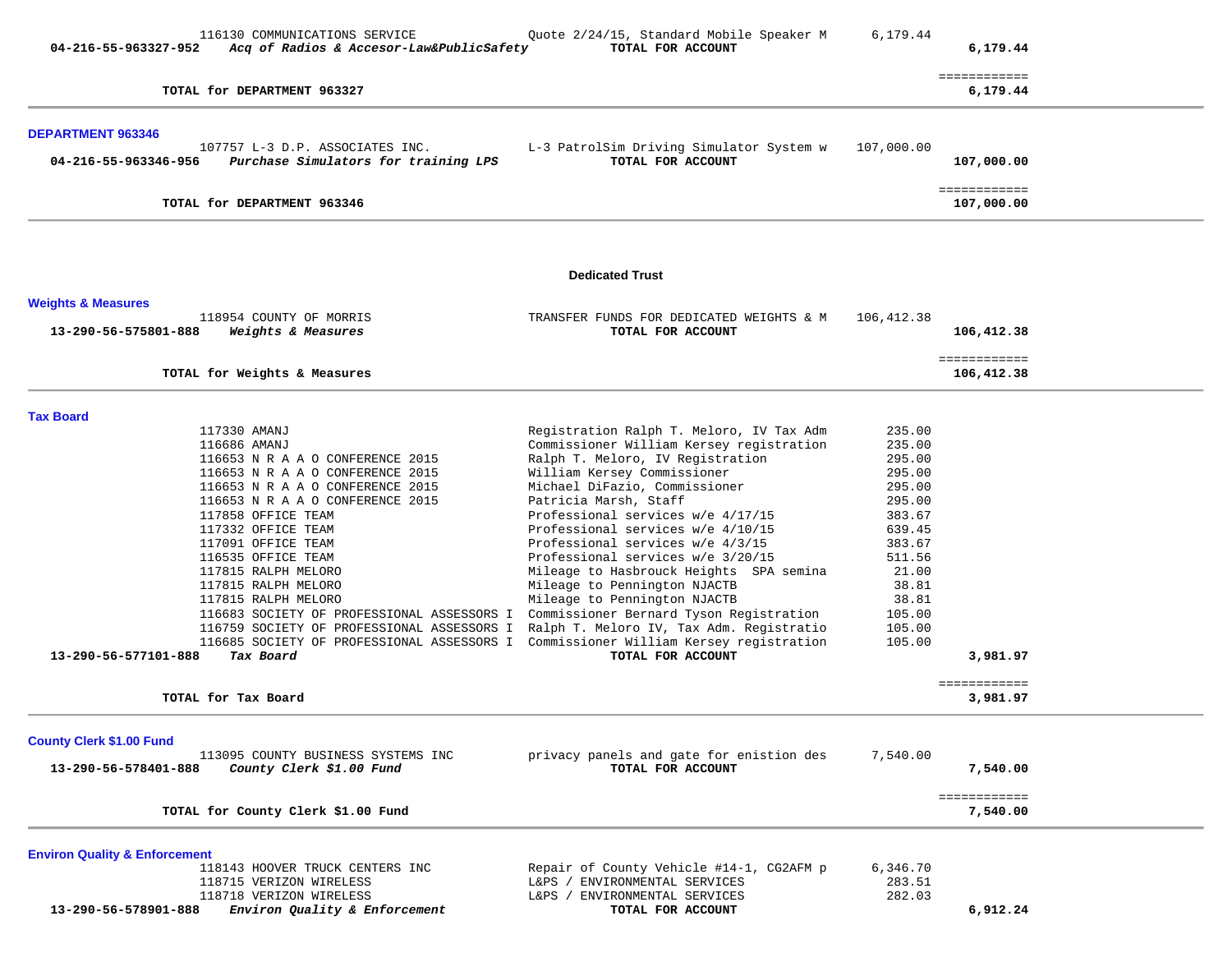| 04-216-55-963327-952                     | 116130 COMMUNICATIONS SERVICE<br>Acq of Radios & Accesor-Law&PublicSafety | Quote 2/24/15, Standard Mobile Speaker M<br>TOTAL FOR ACCOUNT           | 6,179.44         | 6,179.44                   |  |
|------------------------------------------|---------------------------------------------------------------------------|-------------------------------------------------------------------------|------------------|----------------------------|--|
|                                          | TOTAL for DEPARTMENT 963327                                               |                                                                         |                  | ============<br>6,179.44   |  |
| <b>DEPARTMENT 963346</b>                 |                                                                           |                                                                         |                  |                            |  |
| 04-216-55-963346-956                     | 107757 L-3 D.P. ASSOCIATES INC.<br>Purchase Simulators for training LPS   | L-3 PatrolSim Driving Simulator System w<br>TOTAL FOR ACCOUNT           | 107,000.00       | 107,000.00                 |  |
|                                          | TOTAL for DEPARTMENT 963346                                               |                                                                         |                  | ============<br>107,000.00 |  |
|                                          |                                                                           | <b>Dedicated Trust</b>                                                  |                  |                            |  |
| <b>Weights &amp; Measures</b>            |                                                                           |                                                                         |                  |                            |  |
| 13-290-56-575801-888                     | 118954 COUNTY OF MORRIS<br>Weights & Measures                             | TRANSFER FUNDS FOR DEDICATED WEIGHTS & M<br>TOTAL FOR ACCOUNT           | 106,412.38       | 106,412.38                 |  |
|                                          | TOTAL for Weights & Measures                                              |                                                                         |                  | ============<br>106,412.38 |  |
|                                          |                                                                           |                                                                         |                  |                            |  |
| <b>Tax Board</b>                         | 117330 AMANJ                                                              | Registration Ralph T. Meloro, IV Tax Adm                                | 235.00           |                            |  |
|                                          | 116686 AMANJ                                                              | Commissioner William Kersey registration                                | 235.00           |                            |  |
|                                          | 116653 N R A A O CONFERENCE 2015                                          | Ralph T. Meloro, IV Registration                                        | 295.00           |                            |  |
|                                          | 116653 N R A A O CONFERENCE 2015                                          | William Kersey Commissioner                                             | 295.00           |                            |  |
|                                          | 116653 N R A A O CONFERENCE 2015                                          | Michael DiFazio, Commissioner                                           | 295.00           |                            |  |
|                                          | 116653 N R A A O CONFERENCE 2015                                          | Patricia Marsh, Staff                                                   | 295.00           |                            |  |
|                                          | 117858 OFFICE TEAM                                                        | Professional services w/e 4/17/15                                       | 383.67           |                            |  |
|                                          | 117332 OFFICE TEAM<br>117091 OFFICE TEAM                                  | Professional services w/e 4/10/15<br>Professional services $w/e$ 4/3/15 | 639.45<br>383.67 |                            |  |
|                                          | 116535 OFFICE TEAM                                                        | Professional services w/e 3/20/15                                       | 511.56           |                            |  |
|                                          | 117815 RALPH MELORO                                                       | Mileage to Hasbrouck Heights SPA semina                                 | 21.00            |                            |  |
|                                          | 117815 RALPH MELORO                                                       | Mileage to Pennington NJACTB                                            | 38.81            |                            |  |
|                                          | 117815 RALPH MELORO                                                       | Mileage to Pennington NJACTB                                            | 38.81            |                            |  |
|                                          | 116683 SOCIETY OF PROFESSIONAL ASSESSORS I                                | Commissioner Bernard Tyson Registration                                 | 105.00           |                            |  |
|                                          | 116759 SOCIETY OF PROFESSIONAL ASSESSORS I                                | Ralph T. Meloro IV, Tax Adm. Registratio                                | 105.00           |                            |  |
| 13-290-56-577101-888                     | 116685 SOCIETY OF PROFESSIONAL ASSESSORS I<br>Tax Board                   | Commissioner William Kersey registration<br>TOTAL FOR ACCOUNT           | 105.00           | 3,981.97                   |  |
|                                          |                                                                           |                                                                         |                  | ============               |  |
|                                          | TOTAL for Tax Board                                                       |                                                                         |                  | 3,981.97                   |  |
| <b>County Clerk \$1.00 Fund</b>          |                                                                           |                                                                         |                  |                            |  |
|                                          | 113095 COUNTY BUSINESS SYSTEMS INC                                        | privacy panels and gate for enistion des                                | 7,540.00         |                            |  |
| 13-290-56-578401-888                     | County Clerk \$1.00 Fund                                                  | TOTAL FOR ACCOUNT                                                       |                  | 7,540.00                   |  |
|                                          | TOTAL for County Clerk \$1.00 Fund                                        |                                                                         |                  | ============<br>7,540.00   |  |
| <b>Environ Quality &amp; Enforcement</b> |                                                                           |                                                                         |                  |                            |  |
|                                          | 118143 HOOVER TRUCK CENTERS INC                                           | Repair of County Vehicle #14-1, CG2AFM p                                | 6,346.70         |                            |  |
|                                          | 118715 VERIZON WIRELESS                                                   | L&PS / ENVIRONMENTAL SERVICES                                           | 283.51           |                            |  |
|                                          | 118718 VERIZON WIRELESS                                                   | L&PS / ENVIRONMENTAL SERVICES                                           | 282.03           |                            |  |
| 13-290-56-578901-888                     | Environ Quality & Enforcement                                             | TOTAL FOR ACCOUNT                                                       |                  | 6,912.24                   |  |